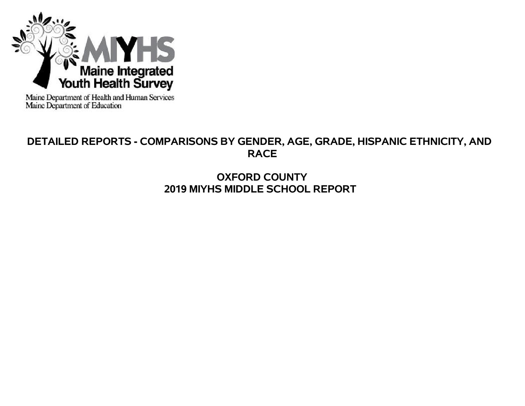

Maine Department of Health and Human Services<br>Maine Department of Education

# **DETAILED REPORTS - COMPARISONS BY GENDER, AGE, GRADE, HISPANIC ETHNICITY, AND RACE**

# **OXFORD COUNTY 2019 MIYHS MIDDLE SCHOOL REPORT**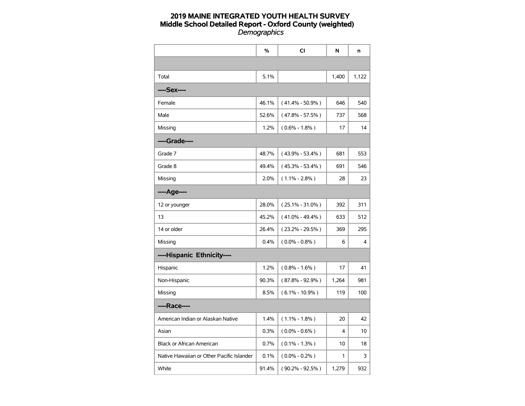|                                           | %     | CI                  | N     | n     |
|-------------------------------------------|-------|---------------------|-------|-------|
|                                           |       |                     |       |       |
| Total                                     | 5.1%  |                     | 1,400 | 1,122 |
| ----Sex----                               |       |                     |       |       |
| Female                                    | 46.1% | $(41.4\% - 50.9\%)$ | 646   | 540   |
| Male                                      | 52.6% | $(47.8\% - 57.5\%)$ | 737   | 568   |
| Missing                                   | 1.2%  | $(0.6\% - 1.8\%)$   | 17    | 14    |
| ----Grade----                             |       |                     |       |       |
| Grade 7                                   | 48.7% | $(43.9\% - 53.4\%)$ | 681   | 553   |
| Grade 8                                   | 49.4% | $(45.3\% - 53.4\%)$ | 691   | 546   |
| Missing                                   | 2.0%  | $(1.1\% - 2.8\%)$   | 28    | 23    |
| ----Age----                               |       |                     |       |       |
| 12 or younger                             | 28.0% | $(25.1\% - 31.0\%)$ | 392   | 311   |
| 13                                        | 45.2% | $(41.0\% - 49.4\%)$ | 633   | 512   |
| 14 or older                               | 26.4% | $(23.2\% - 29.5\%)$ | 369   | 295   |
| Missing                                   | 0.4%  | $(0.0\% - 0.8\%)$   | 6     | 4     |
| ----Hispanic Ethnicity----                |       |                     |       |       |
| Hispanic                                  | 1.2%  | $(0.8\% - 1.6\%)$   | 17    | 41    |
| Non-Hispanic                              | 90.3% | $(87.8\% - 92.9\%)$ | 1,264 | 981   |
| Missing                                   | 8.5%  | $(6.1\% - 10.9\%)$  | 119   | 100   |
| ----Race----                              |       |                     |       |       |
| American Indian or Alaskan Native         | 1.4%  | $(1.1\% - 1.8\%)$   | 20    | 42    |
| Asian                                     | 0.3%  | $(0.0\% - 0.6\%)$   | 4     | 10    |
| <b>Black or African American</b>          | 0.7%  | $(0.1\% - 1.3\%)$   | 10    | 18    |
| Native Hawaiian or Other Pacific Islander | 0.1%  | $(0.0\% - 0.2\%)$   | 1     | 3     |
| White                                     | 91.4% | $(90.2\% - 92.5\%)$ | 1,279 | 932   |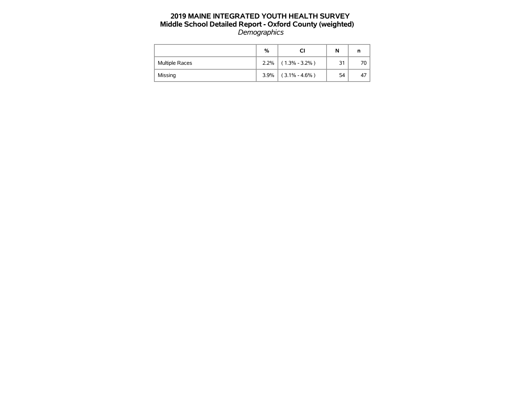|                | %    | СI                | N  |     |
|----------------|------|-------------------|----|-----|
| Multiple Races | 2.2% | $(1.3\% - 3.2\%)$ | 31 | 70. |
| Missing        | 3.9% | $(3.1\% - 4.6\%)$ | 54 | 47  |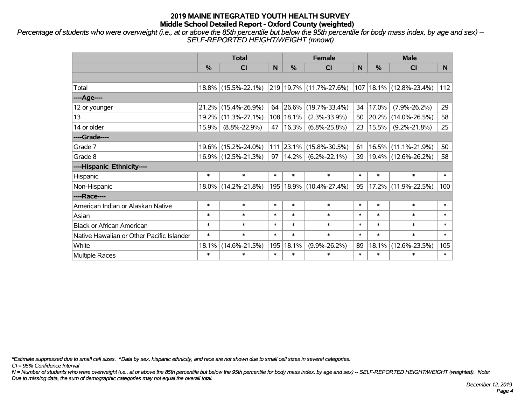*Percentage of students who were overweight (i.e., at or above the 85th percentile but below the 95th percentile for body mass index, by age and sex) -- SELF-REPORTED HEIGHT/WEIGHT (mnowt)*

|                                           |               | <b>Total</b>        |        | <b>Female</b> |                         | <b>Male</b> |        |                               |        |
|-------------------------------------------|---------------|---------------------|--------|---------------|-------------------------|-------------|--------|-------------------------------|--------|
|                                           | $\frac{0}{0}$ | <b>CI</b>           | N      | %             | <b>CI</b>               | N           | %      | <b>CI</b>                     | N.     |
|                                           |               |                     |        |               |                         |             |        |                               |        |
| Total                                     |               | 18.8% (15.5%-22.1%) |        |               | 219 19.7% (11.7%-27.6%) |             |        | $107$   18.1%   (12.8%-23.4%) | 112    |
| ----Age----                               |               |                     |        |               |                         |             |        |                               |        |
| 12 or younger                             | 21.2%         | $(15.4\% - 26.9\%)$ | 64     | 26.6%         | $(19.7\% - 33.4\%)$     | 34          | 17.0%  | $(7.9\% - 26.2\%)$            | 29     |
| 13                                        |               | 19.2% (11.3%-27.1%) | 108    | 18.1%         | $(2.3\% - 33.9\%)$      | 50          | 20.2%  | $(14.0\% - 26.5\%)$           | 58     |
| 14 or older                               | 15.9%         | $(8.8\% - 22.9\%)$  | 47     | 16.3%         | $(6.8\% - 25.8\%)$      | 23          | 15.5%  | $(9.2\% - 21.8\%)$            | 25     |
| ----Grade----                             |               |                     |        |               |                         |             |        |                               |        |
| Grade 7                                   |               | 19.6% (15.2%-24.0%) | 111    | 23.1%         | $(15.8\% - 30.5\%)$     | 61          | 16.5%  | $(11.1\% - 21.9\%)$           | 50     |
| Grade 8                                   |               | 16.9% (12.5%-21.3%) | 97     | 14.2%         | $(6.2\% - 22.1\%)$      | 39          |        | $ 19.4\% $ (12.6%-26.2%)      | 58     |
| ----Hispanic Ethnicity----                |               |                     |        |               |                         |             |        |                               |        |
| Hispanic                                  | $\ast$        | $\ast$              | $\ast$ | $\ast$        | $\ast$                  | $\ast$      | $\ast$ | $\ast$                        | $\ast$ |
| Non-Hispanic                              |               | 18.0% (14.2%-21.8%) | 195    |               | 18.9% (10.4%-27.4%)     | 95          | 17.2%  | $(11.9\% - 22.5\%)$           | 100    |
| ----Race----                              |               |                     |        |               |                         |             |        |                               |        |
| American Indian or Alaskan Native         | $\ast$        | $\ast$              | $\ast$ | $\ast$        | $\ast$                  | $\ast$      | $\ast$ | $\ast$                        | $\ast$ |
| Asian                                     | $\ast$        | $\ast$              | $\ast$ | $\ast$        | $\ast$                  | $\ast$      | $\ast$ | $\ast$                        | $\ast$ |
| <b>Black or African American</b>          | $\ast$        | $\ast$              | $\ast$ | $\ast$        | $\ast$                  | $\ast$      | $\ast$ | $\ast$                        | $\ast$ |
| Native Hawaiian or Other Pacific Islander | $\ast$        | $\ast$              | $\ast$ | $\ast$        | $\ast$                  | $\ast$      | $\ast$ | $\ast$                        | $\ast$ |
| White                                     | 18.1%         | $(14.6\% - 21.5\%)$ | 195    | 18.1%         | $(9.9\% - 26.2\%)$      | 89          | 18.1%  | $(12.6\% - 23.5\%)$           | 105    |
| <b>Multiple Races</b>                     | $\ast$        | $\ast$              | $\ast$ | $\ast$        | $\ast$                  | $\ast$      | $\ast$ | $\ast$                        | $\ast$ |

*\*Estimate suppressed due to small cell sizes. ^Data by sex, hispanic ethnicity, and race are not shown due to small cell sizes in several categories.*

*CI = 95% Confidence Interval*

*N = Number of students who were overweight (i.e., at or above the 85th percentile but below the 95th percentile for body mass index, by age and sex) -- SELF-REPORTED HEIGHT/WEIGHT (weighted). Note: Due to missing data, the sum of demographic categories may not equal the overall total.*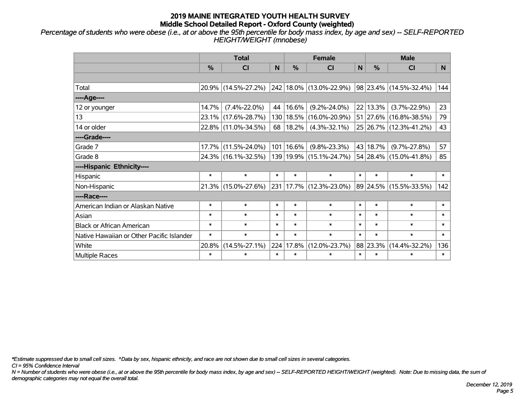*Percentage of students who were obese (i.e., at or above the 95th percentile for body mass index, by age and sex) -- SELF-REPORTED HEIGHT/WEIGHT (mnobese)*

|                                           |        | <b>Total</b>        |        |           | <b>Female</b>           |        | <b>Male</b> |                        |        |
|-------------------------------------------|--------|---------------------|--------|-----------|-------------------------|--------|-------------|------------------------|--------|
|                                           | %      | <b>CI</b>           | N      | %         | <b>CI</b>               | N      | %           | <b>CI</b>              | N.     |
|                                           |        |                     |        |           |                         |        |             |                        |        |
| Total                                     |        | 20.9% (14.5%-27.2%) |        |           | 242 18.0% (13.0%-22.9%) |        |             | 98 23.4% (14.5%-32.4%) | 144    |
| ----Age----                               |        |                     |        |           |                         |        |             |                        |        |
| 12 or younger                             | 14.7%  | $(7.4\% - 22.0\%)$  | 44     | 16.6%     | $(9.2\% - 24.0\%)$      |        | 22 13.3%    | $(3.7\% - 22.9\%)$     | 23     |
| 13                                        | 23.1%  | $(17.6\% - 28.7\%)$ |        | 130 18.5% | $(16.0\% - 20.9\%)$     |        | 51 27.6%    | $(16.8\% - 38.5\%)$    | 79     |
| 14 or older                               |        | 22.8% (11.0%-34.5%) | 68     | 18.2%     | $(4.3\% - 32.1\%)$      |        |             | 25 26.7% (12.3%-41.2%) | 43     |
| ----Grade----                             |        |                     |        |           |                         |        |             |                        |        |
| Grade 7                                   | 17.7%  | $(11.5\% - 24.0\%)$ |        | 101 16.6% | $(9.8\% - 23.3\%)$      |        | 43 18.7%    | $(9.7\% - 27.8\%)$     | 57     |
| Grade 8                                   |        | 24.3% (16.1%-32.5%) |        |           | 139 19.9% (15.1%-24.7%) |        |             | 54 28.4% (15.0%-41.8%) | 85     |
| ----Hispanic Ethnicity----                |        |                     |        |           |                         |        |             |                        |        |
| Hispanic                                  | $\ast$ | $\ast$              | $\ast$ | $\ast$    | $\ast$                  | $\ast$ | $\ast$      | $\ast$                 | $\ast$ |
| Non-Hispanic                              |        | 21.3% (15.0%-27.6%) |        |           | 231 17.7% (12.3%-23.0%) |        | 89 24.5%    | $(15.5\% - 33.5\%)$    | 142    |
| ----Race----                              |        |                     |        |           |                         |        |             |                        |        |
| American Indian or Alaskan Native         | $\ast$ | $\ast$              | $\ast$ | $\ast$    | $\ast$                  | $\ast$ | $\ast$      | $\ast$                 | $\ast$ |
| Asian                                     | $\ast$ | $\ast$              | $\ast$ | $\ast$    | $\ast$                  | $\ast$ | $\ast$      | $\ast$                 | $\ast$ |
| <b>Black or African American</b>          | $\ast$ | $\ast$              | $\ast$ | $\ast$    | $\ast$                  | $\ast$ | $\ast$      | $\ast$                 | $\ast$ |
| Native Hawaiian or Other Pacific Islander | $\ast$ | $\ast$              | $\ast$ | $\ast$    | $\ast$                  | $\ast$ | $\ast$      | $\ast$                 | $\ast$ |
| White                                     | 20.8%  | $(14.5\% - 27.1\%)$ | 224    | 17.8%     | $(12.0\% - 23.7\%)$     |        | 88 23.3%    | $(14.4\% - 32.2\%)$    | 136    |
| <b>Multiple Races</b>                     | $\ast$ | $\ast$              | $\ast$ | $\ast$    | $\ast$                  | $\ast$ | $\ast$      | $\ast$                 | $\ast$ |

*\*Estimate suppressed due to small cell sizes. ^Data by sex, hispanic ethnicity, and race are not shown due to small cell sizes in several categories.*

*CI = 95% Confidence Interval*

*N = Number of students who were obese (i.e., at or above the 95th percentile for body mass index, by age and sex) -- SELF-REPORTED HEIGHT/WEIGHT (weighted). Note: Due to missing data, the sum of demographic categories may not equal the overall total.*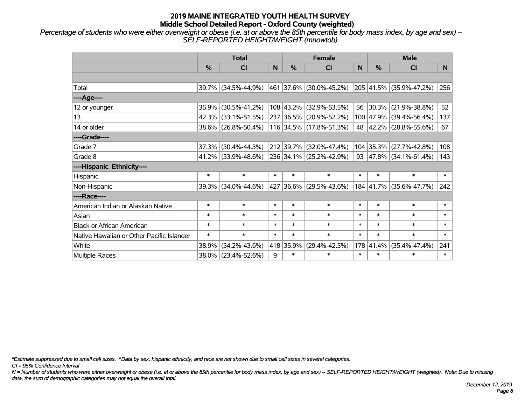*Percentage of students who were either overweight or obese (i.e. at or above the 85th percentile for body mass index, by age and sex) -- SELF-REPORTED HEIGHT/WEIGHT (mnowtob)*

|                                           |               | <b>Total</b>                                |        |               | <b>Female</b>                |        | <b>Male</b> |                             |        |  |
|-------------------------------------------|---------------|---------------------------------------------|--------|---------------|------------------------------|--------|-------------|-----------------------------|--------|--|
|                                           | $\frac{0}{0}$ | <b>CI</b>                                   |        | $\frac{9}{6}$ | <b>CI</b>                    | N      | %           | <b>CI</b>                   | N.     |  |
|                                           |               |                                             |        |               |                              |        |             |                             |        |  |
| Total                                     |               | 39.7% (34.5%-44.9%)                         |        |               | $ 461 37.6\% $ (30.0%-45.2%) |        |             | 205 41.5% (35.9%-47.2%)     | 256    |  |
| ----Age----                               |               |                                             |        |               |                              |        |             |                             |        |  |
| 12 or younger                             | 35.9%         | $(30.5\% - 41.2\%)$                         |        |               | 108 43.2% (32.9%-53.5%)      | 56     | 30.3%       | $(21.9\% - 38.8\%)$         | 52     |  |
| 13                                        |               | 42.3% (33.1%-51.5%)                         |        |               | 237 36.5% (20.9%-52.2%)      |        |             | 100 47.9% (39.4%-56.4%)     | 137    |  |
| 14 or older                               |               | 38.6% (26.8%-50.4%)                         |        |               | 116 34.5% (17.8%-51.3%)      |        |             | 48 42.2% (28.8%-55.6%)      | 67     |  |
| ----Grade----                             |               |                                             |        |               |                              |        |             |                             |        |  |
| Grade 7                                   | $37.3\%$      | $(30.4\% - 44.3\%)$                         |        |               | 212 39.7% (32.0%-47.4%)      |        | 104 35.3%   | $(27.7\% - 42.8\%)$         | 108    |  |
| Grade 8                                   |               | 41.2% (33.9%-48.6%) 236 34.1% (25.2%-42.9%) |        |               |                              |        |             | 93 $ 47.8\% $ (34.1%-61.4%) | 143    |  |
| ----Hispanic Ethnicity----                |               |                                             |        |               |                              |        |             |                             |        |  |
| Hispanic                                  | $\ast$        | $\ast$                                      | $\ast$ | $\ast$        | $\ast$                       | $\ast$ | $\ast$      | $\ast$                      | $\ast$ |  |
| Non-Hispanic                              | 39.3%         | $(34.0\% - 44.6\%)$                         |        |               | 427 36.6% (29.5%-43.6%)      |        |             | 184 41.7% (35.6%-47.7%)     | 242    |  |
| ----Race----                              |               |                                             |        |               |                              |        |             |                             |        |  |
| American Indian or Alaskan Native         | $\ast$        | $\ast$                                      | $\ast$ | $\ast$        | $\ast$                       | $\ast$ | $\ast$      | $\ast$                      | $\ast$ |  |
| Asian                                     | $\ast$        | $\ast$                                      | $\ast$ | $\ast$        | $\ast$                       | $\ast$ | $\ast$      | $\ast$                      | $\ast$ |  |
| <b>Black or African American</b>          | $\ast$        | $\ast$                                      | $\ast$ | $\ast$        | $\ast$                       | $\ast$ | $\ast$      | $\ast$                      | $\ast$ |  |
| Native Hawaiian or Other Pacific Islander | $\ast$        | $\ast$                                      | $\ast$ | $\ast$        | $\ast$                       | $\ast$ | $\ast$      | $\ast$                      | $\ast$ |  |
| White                                     | 38.9%         | $(34.2\% - 43.6\%)$                         |        | 418 35.9%     | $(29.4\% - 42.5\%)$          |        | 178 41.4%   | $(35.4\% - 47.4\%)$         | 241    |  |
| Multiple Races                            |               | 38.0% (23.4%-52.6%)                         | 9      | $\ast$        | $\ast$                       | $\ast$ | $\ast$      | $\ast$                      | $\ast$ |  |

*\*Estimate suppressed due to small cell sizes. ^Data by sex, hispanic ethnicity, and race are not shown due to small cell sizes in several categories.*

*CI = 95% Confidence Interval*

*N = Number of students who were either overweight or obese (i.e. at or above the 85th percentile for body mass index, by age and sex) -- SELF-REPORTED HEIGHT/WEIGHT (weighted). Note: Due to missing data, the sum of demographic categories may not equal the overall total.*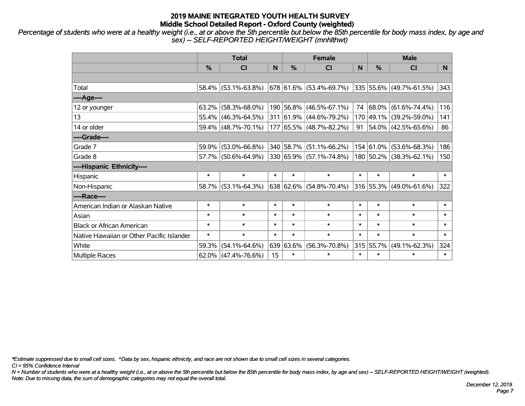*Percentage of students who were at a healthy weight (i.e., at or above the 5th percentile but below the 85th percentile for body mass index, by age and sex) -- SELF-REPORTED HEIGHT/WEIGHT (mnhlthwt)*

|                                           | <b>Total</b>  |                        |        |           | <b>Female</b>             |        | <b>Male</b>   |                              |              |  |
|-------------------------------------------|---------------|------------------------|--------|-----------|---------------------------|--------|---------------|------------------------------|--------------|--|
|                                           | $\frac{0}{0}$ | C <sub>l</sub>         |        | $\%$      | <b>CI</b>                 | N      | $\frac{0}{0}$ | <b>CI</b>                    | N            |  |
|                                           |               |                        |        |           |                           |        |               |                              |              |  |
| Total                                     |               | $58.4\%$ (53.1%-63.8%) |        |           | $678$ 61.6% (53.4%-69.7%) |        |               | 335 55.6% (49.7%-61.5%)      | 343          |  |
| $---Age---$                               |               |                        |        |           |                           |        |               |                              |              |  |
| 12 or younger                             |               | $63.2\%$ (58.3%-68.0%) |        |           | 190 56.8% (46.5%-67.1%)   | 74     |               | $ 68.0\%  (61.6\% - 74.4\%)$ | 116          |  |
| 13                                        |               | $55.4\%$ (46.3%-64.5%) |        |           | 311 61.9% (44.6%-79.2%)   |        |               | 170 49.1% (39.2%-59.0%)      | 141          |  |
| 14 or older                               |               | $59.4\%$ (48.7%-70.1%) |        |           | 177 65.5% (48.7%-82.2%)   | 91     |               | $ 54.0\% $ (42.5%-65.6%)     | 86           |  |
| ----Grade----                             |               |                        |        |           |                           |        |               |                              |              |  |
| Grade 7                                   | 59.9%         | $(53.0\% - 66.8\%)$    |        | 340 58.7% | $(51.1\% - 66.2\%)$       |        | 154 61.0%     | $(53.6\% - 68.3\%)$          | 186          |  |
| Grade 8                                   |               | 57.7% (50.6%-64.9%)    |        |           | 330 65.9% (57.1%-74.8%)   |        |               | 180 50.2% (38.3%-62.1%)      | 150          |  |
| ----Hispanic Ethnicity----                |               |                        |        |           |                           |        |               |                              |              |  |
| Hispanic                                  | $\ast$        | $\ast$                 | $\ast$ | $\ast$    | $\ast$                    | $\ast$ | $\ast$        | $\ast$                       | $\ast$       |  |
| Non-Hispanic                              |               | $58.7\%$ (53.1%-64.3%) |        |           | 638 62.6% (54.8%-70.4%)   |        |               | 316 55.3% (49.0%-61.6%)      | 322          |  |
| ----Race----                              |               |                        |        |           |                           |        |               |                              |              |  |
| American Indian or Alaskan Native         | $\ast$        | $\ast$                 | $\ast$ | $\ast$    | $\ast$                    | $\ast$ | $\ast$        | $\ast$                       | $\ast$       |  |
| Asian                                     | $\ast$        | $\ast$                 | $\ast$ | $\ast$    | $\ast$                    | $\ast$ | $\ast$        | $\ast$                       | $\ast$       |  |
| <b>Black or African American</b>          | $\ast$        | $\ast$                 | $\ast$ | $\ast$    | $\ast$                    | $\ast$ | $\ast$        | $\ast$                       | $\ast$       |  |
| Native Hawaiian or Other Pacific Islander | $\ast$        | $\ast$                 | $\ast$ | $\ast$    | $\ast$                    | $\ast$ | $\ast$        | $\ast$                       | $\pmb{\ast}$ |  |
| White                                     | 59.3%         | $(54.1\% - 64.6\%)$    |        | 639 63.6% | $(56.3\% - 70.8\%)$       |        | 315 55.7%     | $(49.1\% - 62.3\%)$          | 324          |  |
| Multiple Races                            |               | $62.0\%$ (47.4%-76.6%) | 15     | $\ast$    | $\ast$                    | $\ast$ | $\ast$        | $\ast$                       | $\ast$       |  |

*\*Estimate suppressed due to small cell sizes. ^Data by sex, hispanic ethnicity, and race are not shown due to small cell sizes in several categories.*

*CI = 95% Confidence Interval*

*N = Number of students who were at a healthy weight (i.e., at or above the 5th percentile but below the 85th percentile for body mass index, by age and sex) -- SELF-REPORTED HEIGHT/WEIGHT (weighted). Note: Due to missing data, the sum of demographic categories may not equal the overall total.*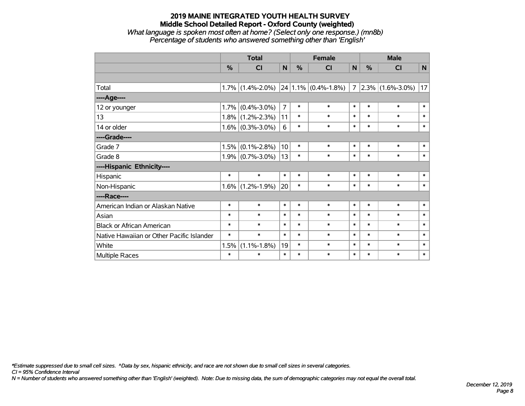#### **2019 MAINE INTEGRATED YOUTH HEALTH SURVEY Middle School Detailed Report - Oxford County (weighted)** *What language is spoken most often at home? (Select only one response.) (mn8b) Percentage of students who answered something other than 'English'*

|                                           |        | <b>Total</b>        |                | <b>Female</b> |                          |                | <b>Male</b>   |                     |              |  |
|-------------------------------------------|--------|---------------------|----------------|---------------|--------------------------|----------------|---------------|---------------------|--------------|--|
|                                           | $\%$   | CI                  | $\mathbf N$    | %             | <b>CI</b>                | N              | $\frac{0}{0}$ | <b>CI</b>           | $\mathsf{N}$ |  |
|                                           |        |                     |                |               |                          |                |               |                     |              |  |
| Total                                     |        | $1.7\%$ (1.4%-2.0%) |                |               | $ 24 1.1\% $ (0.4%-1.8%) | $\overline{7}$ |               | $2.3\%$ (1.6%-3.0%) | 17           |  |
| ---- Age----                              |        |                     |                |               |                          |                |               |                     |              |  |
| 12 or younger                             | 1.7%   | $(0.4\% - 3.0\%)$   | $\overline{7}$ | $\ast$        | $\ast$                   | $\ast$         | $\ast$        | $\ast$              | $\ast$       |  |
| 13                                        |        | $1.8\%$ (1.2%-2.3%) | 11             | $\ast$        | $\ast$                   | $\ast$         | $\ast$        | $\ast$              | $\ast$       |  |
| 14 or older                               |        | $1.6\%$ (0.3%-3.0%) | 6              | $\ast$        | $\ast$                   | $\ast$         | $\ast$        | $\ast$              | $\ast$       |  |
| ----Grade----                             |        |                     |                |               |                          |                |               |                     |              |  |
| Grade 7                                   | 1.5%   | $(0.1\% - 2.8\%)$   | 10             | $\ast$        | $\ast$                   | $\ast$         | $\ast$        | $\ast$              | $\ast$       |  |
| Grade 8                                   |        | $1.9\%$ (0.7%-3.0%) | 13             | $\ast$        | $\ast$                   | $\ast$         | $\ast$        | $\ast$              | $\ast$       |  |
| ----Hispanic Ethnicity----                |        |                     |                |               |                          |                |               |                     |              |  |
| Hispanic                                  | $\ast$ | $\ast$              | $\ast$         | $\ast$        | $\ast$                   | $\ast$         | $\ast$        | $\ast$              | $\ast$       |  |
| Non-Hispanic                              | 1.6%   | $(1.2\% - 1.9\%)$   | 20             | $\ast$        | $\ast$                   | $\ast$         | $\ast$        | $\ast$              | $\ast$       |  |
| ----Race----                              |        |                     |                |               |                          |                |               |                     |              |  |
| American Indian or Alaskan Native         | $\ast$ | $\ast$              | $\ast$         | $\ast$        | $\ast$                   | $\ast$         | $\ast$        | $\ast$              | $\ast$       |  |
| Asian                                     | $\ast$ | $\ast$              | $\ast$         | $\ast$        | $\ast$                   | $\ast$         | $\ast$        | $\ast$              | $\ast$       |  |
| <b>Black or African American</b>          | $\ast$ | $\ast$              | $\ast$         | $\ast$        | $\ast$                   | $\ast$         | $\ast$        | $\ast$              | $\ast$       |  |
| Native Hawaiian or Other Pacific Islander | $\ast$ | $\ast$              | $\ast$         | $\ast$        | $\ast$                   | $\ast$         | $\ast$        | $\ast$              | $\ast$       |  |
| White                                     | 1.5%   | $(1.1\% - 1.8\%)$   | 19             | $\ast$        | $\ast$                   | $\ast$         | $\ast$        | $\ast$              | $\ast$       |  |
| <b>Multiple Races</b>                     | $\ast$ | $\ast$              | $\ast$         | $\ast$        | $\ast$                   | $\ast$         | $\ast$        | $\ast$              | $\ast$       |  |

*\*Estimate suppressed due to small cell sizes. ^Data by sex, hispanic ethnicity, and race are not shown due to small cell sizes in several categories.*

*CI = 95% Confidence Interval*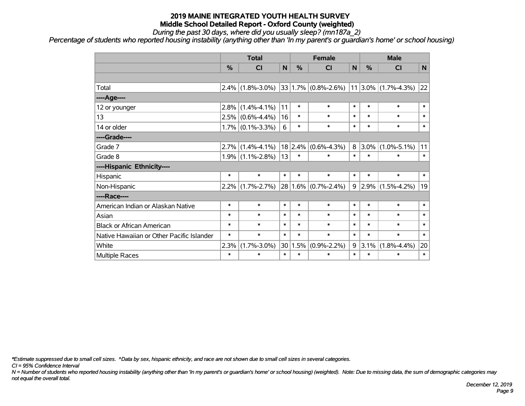*During the past 30 days, where did you usually sleep? (mn187a\_2)*

*Percentage of students who reported housing instability (anything other than 'In my parent's or guardian's home' or school housing)*

|                                           |         | <b>Total</b>        |              |        | <b>Female</b>           |        |               | <b>Male</b>              |                |  |  |
|-------------------------------------------|---------|---------------------|--------------|--------|-------------------------|--------|---------------|--------------------------|----------------|--|--|
|                                           | %       | <b>CI</b>           | $\mathsf{N}$ | %      | CI                      | N      | $\frac{0}{0}$ | <b>CI</b>                | N <sub>1</sub> |  |  |
|                                           |         |                     |              |        |                         |        |               |                          |                |  |  |
| Total                                     |         | $2.4\%$ (1.8%-3.0%) |              |        | $33 1.7\% $ (0.8%-2.6%) |        |               | $ 11 3.0\% $ (1.7%-4.3%) | 22             |  |  |
| ----Age----                               |         |                     |              |        |                         |        |               |                          |                |  |  |
| 12 or younger                             | $2.8\%$ | $(1.4\% - 4.1\%)$   | 11           | $\ast$ | $\ast$                  | $\ast$ | $\ast$        | $\ast$                   | $\ast$         |  |  |
| 13                                        |         | $2.5\%$ (0.6%-4.4%) | 16           | $\ast$ | $\ast$                  | $\ast$ | $\ast$        | $\ast$                   | $\ast$         |  |  |
| 14 or older                               |         | $1.7\%$ (0.1%-3.3%) | 6            | $\ast$ | $\ast$                  | $\ast$ | $\ast$        | $\ast$                   | $\ast$         |  |  |
| ----Grade----                             |         |                     |              |        |                         |        |               |                          |                |  |  |
| Grade 7                                   |         | $2.7\%$ (1.4%-4.1%) |              |        | $18$ 2.4% (0.6%-4.3%)   | 8      | $ 3.0\% $     | $(1.0\% - 5.1\%)$        | 11             |  |  |
| Grade 8                                   |         | $1.9\%$ (1.1%-2.8%) | 13           | $\ast$ | $\ast$                  | $\ast$ | $\ast$        | $\ast$                   | $\ast$         |  |  |
| ----Hispanic Ethnicity----                |         |                     |              |        |                         |        |               |                          |                |  |  |
| Hispanic                                  | $\ast$  | $\ast$              | $\ast$       | $\ast$ | $\ast$                  | $\ast$ | $\ast$        | $\ast$                   | $\ast$         |  |  |
| Non-Hispanic                              | $2.2\%$ | $(1.7\% - 2.7\%)$   |              |        | $28 1.6\% $ (0.7%-2.4%) |        | $9 2.9\% $    | $(1.5\% - 4.2\%)$        | 19             |  |  |
| ----Race----                              |         |                     |              |        |                         |        |               |                          |                |  |  |
| American Indian or Alaskan Native         | $\ast$  | $\ast$              | $\ast$       | $\ast$ | $\ast$                  | $\ast$ | $\ast$        | $\ast$                   | $\ast$         |  |  |
| Asian                                     | $\ast$  | $\ast$              | $\ast$       | $\ast$ | $\ast$                  | $\ast$ | $\ast$        | $\ast$                   | $\ast$         |  |  |
| <b>Black or African American</b>          | $\ast$  | $\ast$              | $\ast$       | $\ast$ | $\ast$                  | $\ast$ | $\ast$        | $\ast$                   | $\ast$         |  |  |
| Native Hawaiian or Other Pacific Islander | $\ast$  | $\ast$              | $\ast$       | $\ast$ | $\ast$                  | $\ast$ | $\ast$        | $\ast$                   | $\ast$         |  |  |
| White                                     | 2.3%    | $(1.7\% - 3.0\%)$   | 30           | 1.5%   | $(0.9\% - 2.2\%)$       | 9      | 3.1%          | $(1.8\% - 4.4\%)$        | 20             |  |  |
| <b>Multiple Races</b>                     | $\ast$  | $\ast$              | $\ast$       | $\ast$ | $\ast$                  | $\ast$ | $\ast$        | $\ast$                   | $\ast$         |  |  |

*\*Estimate suppressed due to small cell sizes. ^Data by sex, hispanic ethnicity, and race are not shown due to small cell sizes in several categories.*

*CI = 95% Confidence Interval*

*N = Number of students who reported housing instability (anything other than 'In my parent's or guardian's home' or school housing) (weighted). Note: Due to missing data, the sum of demographic categories may not equal the overall total.*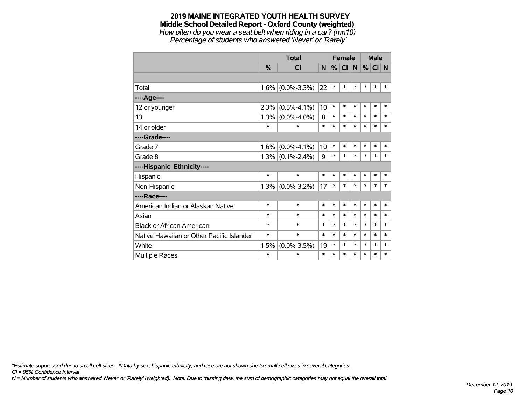# **2019 MAINE INTEGRATED YOUTH HEALTH SURVEY Middle School Detailed Report - Oxford County (weighted)** *How often do you wear a seat belt when riding in a car? (mn10)*

*Percentage of students who answered 'Never' or 'Rarely'*

|                                           |               | <b>Total</b>        |                | <b>Female</b> |           |        | <b>Male</b> |        |        |
|-------------------------------------------|---------------|---------------------|----------------|---------------|-----------|--------|-------------|--------|--------|
|                                           | $\frac{0}{0}$ | <b>CI</b>           | N <sub>1</sub> | %             | <b>CI</b> | N      | %           | CI N   |        |
|                                           |               |                     |                |               |           |        |             |        |        |
| Total                                     |               | $1.6\%$ (0.0%-3.3%) | 22             | $\ast$        | $\ast$    | $\ast$ | $\ast$      | $\ast$ | $\ast$ |
| ---- Age----                              |               |                     |                |               |           |        |             |        |        |
| 12 or younger                             | 2.3%          | $(0.5\% - 4.1\%)$   | 10             | $\ast$        | $\ast$    | $\ast$ | $\ast$      | $\ast$ | $\ast$ |
| 13                                        |               | $1.3\%$ (0.0%-4.0%) | 8              | $\ast$        | $\ast$    | $\ast$ | $\ast$      | $\ast$ | $\ast$ |
| 14 or older                               | $\ast$        | $\ast$              | $\ast$         | $\ast$        | $\ast$    | $\ast$ | $\ast$      | $\ast$ | $\ast$ |
| ----Grade----                             |               |                     |                |               |           |        |             |        |        |
| Grade 7                                   | 1.6%          | $(0.0\% - 4.1\%)$   | 10             | $\ast$        | $\ast$    | $\ast$ | *           | $\ast$ | $\ast$ |
| Grade 8                                   |               | $1.3\%$ (0.1%-2.4%) | 9              | $\ast$        | $\ast$    | $\ast$ | $\ast$      | $\ast$ | $\ast$ |
| ----Hispanic Ethnicity----                |               |                     |                |               |           |        |             |        |        |
| Hispanic                                  | $\ast$        | $\ast$              | $\ast$         | *             | *         | *      | *           | *      | *      |
| Non-Hispanic                              |               | $1.3\%$ (0.0%-3.2%) | 17             | $\ast$        | $\ast$    | $\ast$ | $\ast$      | $\ast$ | $\ast$ |
| ----Race----                              |               |                     |                |               |           |        |             |        |        |
| American Indian or Alaskan Native         | $\ast$        | $\ast$              | $\ast$         | $\ast$        | $\ast$    | $\ast$ | $\ast$      | $\ast$ | $\ast$ |
| Asian                                     | $\ast$        | $\ast$              | $\ast$         | $\ast$        | $\ast$    | $\ast$ | *           | $\ast$ | $\ast$ |
| <b>Black or African American</b>          | $\ast$        | $\ast$              | $\ast$         | $\ast$        | $\ast$    | $\ast$ | $\ast$      | $\ast$ | $\ast$ |
| Native Hawaiian or Other Pacific Islander | $\ast$        | $\ast$              | $\ast$         | $\ast$        | $\ast$    | $\ast$ | $\ast$      | $\ast$ | $\ast$ |
| White                                     | 1.5%          | $(0.0\% - 3.5\%)$   | 19             | $\ast$        | $\ast$    | $\ast$ | $\ast$      | $\ast$ | $\ast$ |
| <b>Multiple Races</b>                     | $\ast$        | $\ast$              | $\ast$         | $\ast$        | $\ast$    | $\ast$ | $\ast$      | $\ast$ | $\ast$ |

*\*Estimate suppressed due to small cell sizes. ^Data by sex, hispanic ethnicity, and race are not shown due to small cell sizes in several categories.*

*CI = 95% Confidence Interval*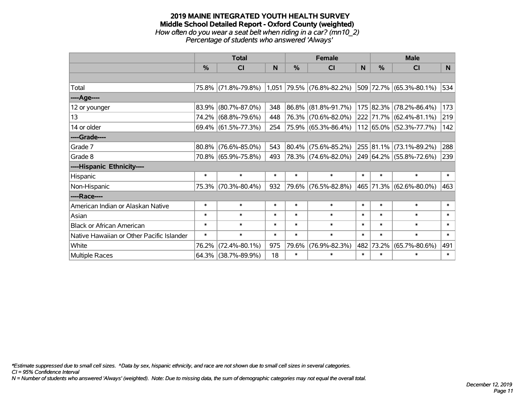#### **2019 MAINE INTEGRATED YOUTH HEALTH SURVEY Middle School Detailed Report - Oxford County (weighted)** *How often do you wear a seat belt when riding in a car? (mn10\_2) Percentage of students who answered 'Always'*

|                                           |        | <b>Total</b>        |        |        | <b>Female</b>               |        | <b>Male</b>   |                         |        |
|-------------------------------------------|--------|---------------------|--------|--------|-----------------------------|--------|---------------|-------------------------|--------|
|                                           | %      | <b>CI</b>           | N      | $\%$   | <b>CI</b>                   | N      | $\frac{0}{0}$ | <b>CI</b>               | N.     |
|                                           |        |                     |        |        |                             |        |               |                         |        |
| Total                                     |        | 75.8% (71.8%-79.8%) |        |        | $1,051$ 79.5% (76.8%-82.2%) |        |               | 509 72.7% (65.3%-80.1%) | 534    |
| ----Age----                               |        |                     |        |        |                             |        |               |                         |        |
| 12 or younger                             | 83.9%  | $(80.7\% - 87.0\%)$ | 348    | 86.8%  | $(81.8\% - 91.7\%)$         |        |               | 175 82.3% (78.2%-86.4%) | 173    |
| 13                                        |        | 74.2% (68.8%-79.6%) | 448    |        | 76.3% (70.6%-82.0%)         |        |               | 222 71.7% (62.4%-81.1%) | 219    |
| 14 or older                               |        | 69.4% (61.5%-77.3%) | 254    |        | 75.9% (65.3%-86.4%)         |        |               | 112 65.0% (52.3%-77.7%) | 142    |
| ----Grade----                             |        |                     |        |        |                             |        |               |                         |        |
| Grade 7                                   | 80.8%  | $(76.6\% - 85.0\%)$ | 543    | 80.4%  | $(75.6\% - 85.2\%)$         |        |               | 255 81.1% (73.1%-89.2%) | 288    |
| Grade 8                                   |        | 70.8% (65.9%-75.8%) | 493    |        | 78.3% (74.6%-82.0%)         |        |               | 249 64.2% (55.8%-72.6%) | 239    |
| ----Hispanic Ethnicity----                |        |                     |        |        |                             |        |               |                         |        |
| Hispanic                                  | $\ast$ | $\ast$              | $\ast$ | $\ast$ | $\ast$                      | $\ast$ | $\ast$        | $\ast$                  | $\ast$ |
| Non-Hispanic                              |        | 75.3% (70.3%-80.4%) | 932    |        | 79.6% (76.5%-82.8%)         |        |               | 465 71.3% (62.6%-80.0%) | 463    |
| ----Race----                              |        |                     |        |        |                             |        |               |                         |        |
| American Indian or Alaskan Native         | $\ast$ | $\ast$              | $\ast$ | $\ast$ | $\ast$                      | $\ast$ | $\ast$        | $\ast$                  | $\ast$ |
| Asian                                     | $\ast$ | $\ast$              | $\ast$ | $\ast$ | $\ast$                      | $\ast$ | $\ast$        | $\ast$                  | $\ast$ |
| <b>Black or African American</b>          | $\ast$ | $\ast$              | $\ast$ | $\ast$ | $\ast$                      | $\ast$ | $\ast$        | $\ast$                  | $\ast$ |
| Native Hawaiian or Other Pacific Islander | $\ast$ | $\ast$              | $\ast$ | $\ast$ | $\ast$                      | $\ast$ | $\ast$        | $\ast$                  | $\ast$ |
| White                                     | 76.2%  | $(72.4\% - 80.1\%)$ | 975    | 79.6%  | $(76.9\% - 82.3\%)$         | 482    | 73.2%         | $(65.7\% - 80.6\%)$     | 491    |
| Multiple Races                            |        | 64.3% (38.7%-89.9%) | 18     | $\ast$ | $\ast$                      | $\ast$ | $\ast$        | $\ast$                  | $\ast$ |

*\*Estimate suppressed due to small cell sizes. ^Data by sex, hispanic ethnicity, and race are not shown due to small cell sizes in several categories.*

*CI = 95% Confidence Interval*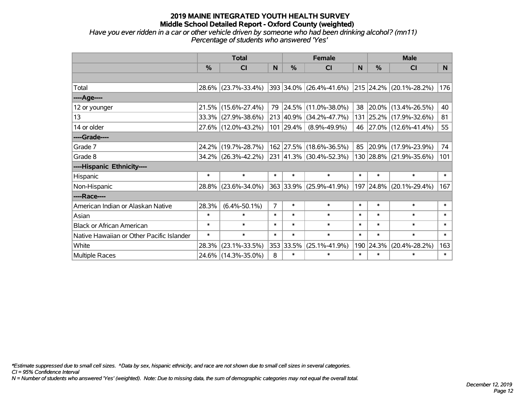*Have you ever ridden in a car or other vehicle driven by someone who had been drinking alcohol? (mn11) Percentage of students who answered 'Yes'*

|                                           | <b>Total</b>  |                     |                |               | <b>Female</b>           |          | <b>Male</b> |                             |                |  |
|-------------------------------------------|---------------|---------------------|----------------|---------------|-------------------------|----------|-------------|-----------------------------|----------------|--|
|                                           | $\frac{0}{0}$ | CI                  |                | $\frac{0}{0}$ | <b>CI</b>               | <b>N</b> | %           | <b>CI</b>                   | N <sub>1</sub> |  |
|                                           |               |                     |                |               |                         |          |             |                             |                |  |
| Total                                     |               | 28.6% (23.7%-33.4%) |                |               | 393 34.0% (26.4%-41.6%) |          |             | $ 215 24.2\% 20.1\%28.2\% $ | 176            |  |
| ----Age----                               |               |                     |                |               |                         |          |             |                             |                |  |
| 12 or younger                             |               | 21.5% (15.6%-27.4%) |                |               | 79 24.5% (11.0%-38.0%)  | 38       |             | $20.0\%$ (13.4%-26.5%)      | 40             |  |
| 13                                        |               | 33.3% (27.9%-38.6%) |                |               | 213 40.9% (34.2%-47.7%) |          |             | 131 25.2% (17.9%-32.6%)     | 81             |  |
| 14 or older                               |               | 27.6% (12.0%-43.2%) |                | 101 29.4%     | $(8.9\% - 49.9\%)$      |          |             | 46 27.0% (12.6%-41.4%)      | 55             |  |
| ----Grade----                             |               |                     |                |               |                         |          |             |                             |                |  |
| Grade 7                                   | 24.2%         | $(19.7\% - 28.7\%)$ |                |               | 162 27.5% (18.6%-36.5%) | 85       | 20.9%       | $(17.9\% - 23.9\%)$         | 74             |  |
| Grade 8                                   |               | 34.2% (26.3%-42.2%) |                |               | 231 41.3% (30.4%-52.3%) |          |             | 130 28.8% (21.9%-35.6%)     | 101            |  |
| ----Hispanic Ethnicity----                |               |                     |                |               |                         |          |             |                             |                |  |
| Hispanic                                  | $\ast$        | $\ast$              | $\ast$         | $\ast$        | $\ast$                  | $\ast$   | $\ast$      | $\ast$                      | $\ast$         |  |
| Non-Hispanic                              |               | 28.8% (23.6%-34.0%) |                |               | 363 33.9% (25.9%-41.9%) |          |             | 197 24.8% (20.1%-29.4%)     | 167            |  |
| ----Race----                              |               |                     |                |               |                         |          |             |                             |                |  |
| American Indian or Alaskan Native         | 28.3%         | $(6.4\% - 50.1\%)$  | $\overline{7}$ | $\ast$        | $\ast$                  | $\ast$   | $\ast$      | $\ast$                      | $\ast$         |  |
| Asian                                     | $\ast$        | $\ast$              | $\ast$         | $\ast$        | $\ast$                  | $\ast$   | $\ast$      | $\ast$                      | $\ast$         |  |
| <b>Black or African American</b>          | $\ast$        | $\ast$              | $\ast$         | $\ast$        | $\ast$                  | $\ast$   | $\ast$      | $\ast$                      | $\ast$         |  |
| Native Hawaiian or Other Pacific Islander | $\ast$        | $\ast$              | $\ast$         | $\ast$        | $\ast$                  | $\ast$   | $\ast$      | $\ast$                      | $\ast$         |  |
| White                                     | 28.3%         | $(23.1\% - 33.5\%)$ |                | 353 33.5%     | $(25.1\% - 41.9\%)$     | 190      | 24.3%       | $(20.4\% - 28.2\%)$         | 163            |  |
| <b>Multiple Races</b>                     |               | 24.6% (14.3%-35.0%) | 8              | $\ast$        | $\ast$                  | $\ast$   | $\ast$      | $\ast$                      | $\ast$         |  |

*\*Estimate suppressed due to small cell sizes. ^Data by sex, hispanic ethnicity, and race are not shown due to small cell sizes in several categories.*

*CI = 95% Confidence Interval*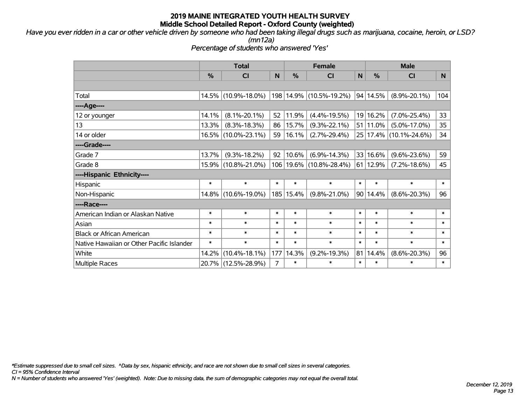*Have you ever ridden in a car or other vehicle driven by someone who had been taking illegal drugs such as marijuana, cocaine, heroin, or LSD?*

*(mn12a)*

*Percentage of students who answered 'Yes'*

|                                           |        | <b>Total</b>        |        |           | <b>Female</b>               |        | <b>Male</b>      |                        |        |  |
|-------------------------------------------|--------|---------------------|--------|-----------|-----------------------------|--------|------------------|------------------------|--------|--|
|                                           | %      | <b>CI</b>           | N      | %         | <b>CI</b>                   | N      | $\frac{0}{0}$    | <b>CI</b>              | N.     |  |
|                                           |        |                     |        |           |                             |        |                  |                        |        |  |
| Total                                     |        | 14.5% (10.9%-18.0%) |        | 198 14.9% | $(10.5\% - 19.2\%)$         |        | 94 14.5%         | $(8.9\% - 20.1\%)$     | 104    |  |
| ----Age----                               |        |                     |        |           |                             |        |                  |                        |        |  |
| 12 or younger                             | 14.1%  | $(8.1\% - 20.1\%)$  | 52     | 11.9%     | $(4.4\% - 19.5\%)$          |        | 19 16.2%         | $(7.0\% - 25.4\%)$     | 33     |  |
| 13                                        | 13.3%  | $(8.3\% - 18.3\%)$  | 86     | 15.7%     | $(9.3\% - 22.1\%)$          |        | 51 11.0%         | $(5.0\% - 17.0\%)$     | 35     |  |
| 14 or older                               | 16.5%  | $(10.0\% - 23.1\%)$ | 59     | 16.1%     | $(2.7\% - 29.4\%)$          |        |                  | 25 17.4% (10.1%-24.6%) | 34     |  |
| ----Grade----                             |        |                     |        |           |                             |        |                  |                        |        |  |
| Grade 7                                   | 13.7%  | $(9.3\% - 18.2\%)$  | 92     | 10.6%     | $(6.9\% - 14.3\%)$          |        | 33 16.6%         | $(9.6\% - 23.6\%)$     | 59     |  |
| Grade 8                                   | 15.9%  | $(10.8\% - 21.0\%)$ |        |           | 106   19.6%   (10.8%-28.4%) |        | $61 \mid 12.9\%$ | $(7.2\% - 18.6\%)$     | 45     |  |
| ----Hispanic Ethnicity----                |        |                     |        |           |                             |        |                  |                        |        |  |
| Hispanic                                  | $\ast$ | $\ast$              | $\ast$ | $\ast$    | $\ast$                      | $\ast$ | $\ast$           | $\ast$                 | $\ast$ |  |
| Non-Hispanic                              | 14.8%  | $(10.6\% - 19.0\%)$ | 185    | 15.4%     | $(9.8\% - 21.0\%)$          |        | 90 14.4%         | $(8.6\% - 20.3\%)$     | 96     |  |
| ----Race----                              |        |                     |        |           |                             |        |                  |                        |        |  |
| American Indian or Alaskan Native         | $\ast$ | $\ast$              | $\ast$ | $\ast$    | $\ast$                      | $\ast$ | $\ast$           | $\ast$                 | $\ast$ |  |
| Asian                                     | $\ast$ | $\ast$              | $\ast$ | $\ast$    | $\ast$                      | $\ast$ | $\ast$           | $\ast$                 | $\ast$ |  |
| <b>Black or African American</b>          | $\ast$ | $\ast$              | $\ast$ | $\ast$    | $\ast$                      | $\ast$ | $\ast$           | $\ast$                 | $\ast$ |  |
| Native Hawaiian or Other Pacific Islander | $\ast$ | $\ast$              | $\ast$ | $\ast$    | $\ast$                      | $\ast$ | $\ast$           | $\ast$                 | $\ast$ |  |
| White                                     | 14.2%  | $(10.4\% - 18.1\%)$ | 177    | 14.3%     | $(9.2\% - 19.3\%)$          | 81     | 14.4%            | $(8.6\% - 20.3\%)$     | 96     |  |
| <b>Multiple Races</b>                     | 20.7%  | $(12.5\% - 28.9\%)$ | 7      | $\ast$    | $\ast$                      | $\ast$ | $\ast$           | *                      | $\ast$ |  |

*\*Estimate suppressed due to small cell sizes. ^Data by sex, hispanic ethnicity, and race are not shown due to small cell sizes in several categories.*

*CI = 95% Confidence Interval*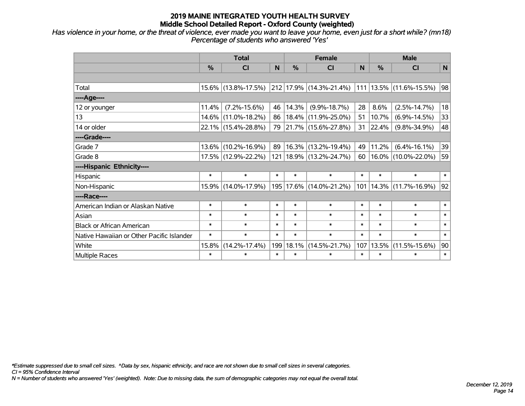*Has violence in your home, or the threat of violence, ever made you want to leave your home, even just for a short while? (mn18) Percentage of students who answered 'Yes'*

|                                           | <b>Total</b> |                     |        |               | <b>Female</b>                                             | <b>Male</b> |        |                             |              |
|-------------------------------------------|--------------|---------------------|--------|---------------|-----------------------------------------------------------|-------------|--------|-----------------------------|--------------|
|                                           | %            | <b>CI</b>           | N      | $\frac{0}{0}$ | <b>CI</b>                                                 | N           | %      | <b>CI</b>                   | $\mathsf{N}$ |
|                                           |              |                     |        |               |                                                           |             |        |                             |              |
| Total                                     |              | 15.6% (13.8%-17.5%) |        |               | $ 212 17.9\% $ (14.3%-21.4%) $ 111 13.5\% $ (11.6%-15.5%) |             |        |                             | 98           |
| ----Age----                               |              |                     |        |               |                                                           |             |        |                             |              |
| 12 or younger                             | 11.4%        | $(7.2\% - 15.6\%)$  | 46     | 14.3%         | $(9.9\% - 18.7\%)$                                        | 28          | 8.6%   | $(2.5\% - 14.7\%)$          | 18           |
| 13                                        | 14.6%        | $(11.0\% - 18.2\%)$ | 86     |               | $ 18.4\% $ (11.9%-25.0%)                                  | 51          | 10.7%  | $(6.9\% - 14.5\%)$          | 33           |
| 14 or older                               |              | 22.1% (15.4%-28.8%) | 79     |               | $ 21.7\% $ (15.6%-27.8%)                                  | 31          | 22.4%  | $(9.8\% - 34.9\%)$          | 48           |
| ----Grade----                             |              |                     |        |               |                                                           |             |        |                             |              |
| Grade 7                                   | 13.6%        | $(10.2\% - 16.9\%)$ | 89     |               | $ 16.3\% $ (13.2%-19.4%)                                  | 49          | 11.2%  | $(6.4\% - 16.1\%)$          | 39           |
| Grade 8                                   |              | 17.5% (12.9%-22.2%) |        |               | 121   18.9%   (13.2%-24.7%)                               | 60          |        | 16.0% (10.0%-22.0%)         | 59           |
| ----Hispanic Ethnicity----                |              |                     |        |               |                                                           |             |        |                             |              |
| Hispanic                                  | $\ast$       | $\ast$              | $\ast$ | $\ast$        | $\ast$                                                    | $\ast$      | $\ast$ | $\ast$                      | $\ast$       |
| Non-Hispanic                              |              | 15.9% (14.0%-17.9%) |        |               | 195   17.6%   (14.0%-21.2%)                               |             |        | 101   14.3%   (11.7%-16.9%) | 92           |
| ----Race----                              |              |                     |        |               |                                                           |             |        |                             |              |
| American Indian or Alaskan Native         | $\ast$       | $\ast$              | $\ast$ | $\ast$        | $\ast$                                                    | $\ast$      | $\ast$ | $\ast$                      | $\ast$       |
| Asian                                     | $\ast$       | $\ast$              | $\ast$ | $\ast$        | $\ast$                                                    | $\ast$      | $\ast$ | $\ast$                      | $\ast$       |
| <b>Black or African American</b>          | $\ast$       | $\ast$              | $\ast$ | $\ast$        | $\ast$                                                    | $\ast$      | $\ast$ | $\ast$                      | $\ast$       |
| Native Hawaiian or Other Pacific Islander | $\ast$       | $\ast$              | $\ast$ | $\ast$        | $\ast$                                                    | $\ast$      | $\ast$ | $\ast$                      | $\ast$       |
| White                                     | 15.8%        | $(14.2\% - 17.4\%)$ | 199    | 18.1%         | $(14.5\% - 21.7\%)$                                       | 107         | 13.5%  | $(11.5\% - 15.6\%)$         | 90           |
| Multiple Races                            | $\ast$       | $\ast$              | $\ast$ | $\ast$        | $\ast$                                                    | $\ast$      | $\ast$ | $\ast$                      | $\ast$       |

*\*Estimate suppressed due to small cell sizes. ^Data by sex, hispanic ethnicity, and race are not shown due to small cell sizes in several categories.*

*CI = 95% Confidence Interval*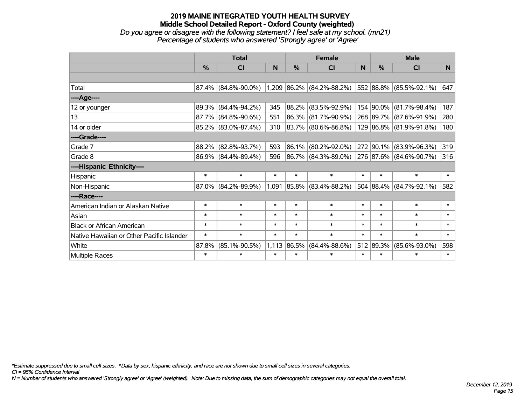#### **2019 MAINE INTEGRATED YOUTH HEALTH SURVEY Middle School Detailed Report - Oxford County (weighted)** *Do you agree or disagree with the following statement? I feel safe at my school. (mn21) Percentage of students who answered 'Strongly agree' or 'Agree'*

|                                           | <b>Total</b>  |                        |        |        | <b>Female</b>               |        | <b>Male</b>   |                         |        |  |
|-------------------------------------------|---------------|------------------------|--------|--------|-----------------------------|--------|---------------|-------------------------|--------|--|
|                                           | $\frac{0}{0}$ | CI                     | N      | %      | CI                          | N      | $\frac{0}{0}$ | <b>CI</b>               | N.     |  |
|                                           |               |                        |        |        |                             |        |               |                         |        |  |
| Total                                     |               | $87.4\%$ (84.8%-90.0%) |        |        | $1,209$ 86.2% (84.2%-88.2%) |        |               | 552 88.8% (85.5%-92.1%) | 647    |  |
| ----Age----                               |               |                        |        |        |                             |        |               |                         |        |  |
| 12 or younger                             | 89.3%         | $(84.4\% - 94.2\%)$    | 345    | 88.2%  | $(83.5\% - 92.9\%)$         |        | 154 90.0%     | $(81.7\% - 98.4\%)$     | 187    |  |
| 13                                        |               | 87.7% (84.8%-90.6%)    | 551    | 86.3%  | $(81.7\% - 90.9\%)$         |        |               | 268 89.7% (87.6%-91.9%) | 280    |  |
| 14 or older                               |               | $85.2\%$ (83.0%-87.4%) | 310    |        | $ 83.7\% $ (80.6%-86.8%)    |        |               | 129 86.8% (81.9%-91.8%) | 180    |  |
| ----Grade----                             |               |                        |        |        |                             |        |               |                         |        |  |
| Grade 7                                   | 88.2%         | $(82.8\% - 93.7\%)$    | 593    | 86.1%  | $(80.2\% - 92.0\%)$         |        | 272 90.1%     | $(83.9\% - 96.3\%)$     | 319    |  |
| Grade 8                                   |               | $86.9\%$ (84.4%-89.4%) | 596    |        | 86.7% (84.3%-89.0%)         |        |               | 276 87.6% (84.6%-90.7%) | 316    |  |
| ----Hispanic Ethnicity----                |               |                        |        |        |                             |        |               |                         |        |  |
| Hispanic                                  | $\ast$        | $\ast$                 | $\ast$ | $\ast$ | $\ast$                      | $\ast$ | $\ast$        | $\ast$                  | $\ast$ |  |
| Non-Hispanic                              |               | $87.0\%$ (84.2%-89.9%) |        |        | $1,091$ 85.8% (83.4%-88.2%) |        | 504 88.4%     | $(84.7\% - 92.1\%)$     | 582    |  |
| ----Race----                              |               |                        |        |        |                             |        |               |                         |        |  |
| American Indian or Alaskan Native         | $\ast$        | $\ast$                 | $\ast$ | $\ast$ | $\ast$                      | $\ast$ | $\ast$        | $\ast$                  | $\ast$ |  |
| Asian                                     | $\ast$        | $\ast$                 | $\ast$ | $\ast$ | $\ast$                      | $\ast$ | $\ast$        | $\ast$                  | $\ast$ |  |
| <b>Black or African American</b>          | $\ast$        | $\ast$                 | $\ast$ | $\ast$ | $\ast$                      | $\ast$ | $\ast$        | $\ast$                  | $\ast$ |  |
| Native Hawaiian or Other Pacific Islander | $\ast$        | $\ast$                 | $\ast$ | $\ast$ | $\ast$                      | $\ast$ | $\ast$        | $\ast$                  | $\ast$ |  |
| White                                     | 87.8%         | $(85.1\% - 90.5\%)$    | 1,113  | 86.5%  | $(84.4\% - 88.6\%)$         |        | 512 89.3%     | $(85.6\% - 93.0\%)$     | 598    |  |
| Multiple Races                            | $\ast$        | $\ast$                 | $\ast$ | $\ast$ | $\ast$                      | $\ast$ | $\ast$        | $\ast$                  | $\ast$ |  |

*\*Estimate suppressed due to small cell sizes. ^Data by sex, hispanic ethnicity, and race are not shown due to small cell sizes in several categories.*

*CI = 95% Confidence Interval*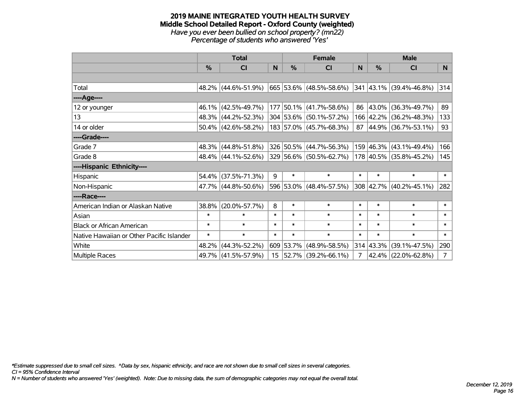#### **2019 MAINE INTEGRATED YOUTH HEALTH SURVEY Middle School Detailed Report - Oxford County (weighted)** *Have you ever been bullied on school property? (mn22) Percentage of students who answered 'Yes'*

|                                           | <b>Total</b> |                        |                 | <b>Female</b> |                          |        |           | <b>Male</b>                              |                |
|-------------------------------------------|--------------|------------------------|-----------------|---------------|--------------------------|--------|-----------|------------------------------------------|----------------|
|                                           | %            | <b>CI</b>              | N               | $\%$          | <b>CI</b>                | N      | $\%$      | <b>CI</b>                                | N.             |
|                                           |              |                        |                 |               |                          |        |           |                                          |                |
| Total                                     |              | 48.2% (44.6%-51.9%)    |                 |               | 665 53.6% (48.5%-58.6%)  |        |           | $ 341 43.1\% $ (39.4%-46.8%)             | 314            |
| ----Age----                               |              |                        |                 |               |                          |        |           |                                          |                |
| 12 or younger                             | $46.1\%$     | $(42.5\% - 49.7\%)$    |                 |               | 177 50.1% (41.7%-58.6%)  | 86     | 43.0%     | $(36.3\% - 49.7\%)$                      | 89             |
| 13                                        |              | 48.3% (44.2%-52.3%)    |                 |               | 304 53.6% (50.1%-57.2%)  |        |           | 166 42.2% (36.2%-48.3%)                  | 133            |
| 14 or older                               |              | $50.4\%$ (42.6%-58.2%) |                 |               | 183 57.0% (45.7%-68.3%)  |        |           | 87 44.9% (36.7%-53.1%)                   | 93             |
| ----Grade----                             |              |                        |                 |               |                          |        |           |                                          |                |
| Grade 7                                   | 48.3%        | $(44.8\% - 51.8\%)$    |                 |               | 326 50.5% (44.7%-56.3%)  |        |           | 159 46.3% (43.1%-49.4%)                  | 166            |
| Grade 8                                   |              | 48.4% (44.1%-52.6%)    |                 |               | 329 56.6% (50.5%-62.7%)  |        |           | 178 40.5% (35.8%-45.2%)                  | 145            |
| ----Hispanic Ethnicity----                |              |                        |                 |               |                          |        |           |                                          |                |
| Hispanic                                  | 54.4%        | $(37.5\% - 71.3\%)$    | 9               | $\ast$        | $\ast$                   | $\ast$ | $\ast$    | $\ast$                                   | $\ast$         |
| Non-Hispanic                              |              | 47.7% (44.8%-50.6%)    |                 |               | 596 53.0% (48.4%-57.5%)  |        |           | $308 \mid 42.7\% \mid (40.2\% - 45.1\%)$ | 282            |
| ----Race----                              |              |                        |                 |               |                          |        |           |                                          |                |
| American Indian or Alaskan Native         | 38.8%        | $(20.0\% - 57.7\%)$    | 8               | $\ast$        | $\ast$                   | $\ast$ | $\ast$    | $\ast$                                   | $\ast$         |
| Asian                                     | $\ast$       | $\ast$                 | $\ast$          | $\ast$        | $\ast$                   | $\ast$ | $\ast$    | $\ast$                                   | $\ast$         |
| <b>Black or African American</b>          | $\ast$       | $\ast$                 | $\ast$          | $\ast$        | $\ast$                   | $\ast$ | $\ast$    | $\ast$                                   | $\ast$         |
| Native Hawaiian or Other Pacific Islander | $\ast$       | $\ast$                 | $\ast$          | $\ast$        | $\ast$                   | $\ast$ | $\ast$    | $\ast$                                   | $\ast$         |
| White                                     | 48.2%        | $(44.3\% - 52.2\%)$    |                 | 609 53.7%     | $(48.9\% - 58.5\%)$      |        | 314 43.3% | $(39.1\% - 47.5\%)$                      | 290            |
| Multiple Races                            |              | 49.7% (41.5%-57.9%)    | 15 <sub>1</sub> |               | $ 52.7\% $ (39.2%-66.1%) | 7      |           | 42.4% (22.0%-62.8%)                      | $\overline{7}$ |

*\*Estimate suppressed due to small cell sizes. ^Data by sex, hispanic ethnicity, and race are not shown due to small cell sizes in several categories.*

*CI = 95% Confidence Interval*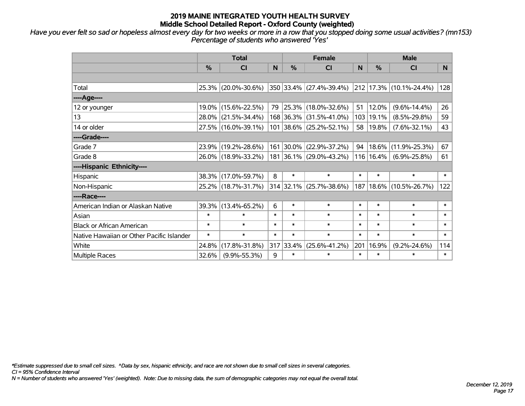*Have you ever felt so sad or hopeless almost every day for two weeks or more in a row that you stopped doing some usual activities? (mn153) Percentage of students who answered 'Yes'*

|                                           | <b>Total</b>  |                     |        | <b>Female</b> | <b>Male</b>               |        |               |                              |        |
|-------------------------------------------|---------------|---------------------|--------|---------------|---------------------------|--------|---------------|------------------------------|--------|
|                                           | $\frac{0}{0}$ | C <sub>l</sub>      | N      | $\frac{0}{0}$ | <b>CI</b>                 | N      | $\frac{0}{0}$ | <b>CI</b>                    | N.     |
|                                           |               |                     |        |               |                           |        |               |                              |        |
| Total                                     |               | 25.3% (20.0%-30.6%) |        |               | 350 33.4% (27.4%-39.4%)   |        |               | $ 212 17.3\% $ (10.1%-24.4%) | 128    |
| ----Age----                               |               |                     |        |               |                           |        |               |                              |        |
| 12 or younger                             | $19.0\%$      | $(15.6\% - 22.5\%)$ | 79     |               | 25.3% (18.0%-32.6%)       | 51     | 12.0%         | $(9.6\% - 14.4\%)$           | 26     |
| 13                                        | 28.0%         | $(21.5\% - 34.4\%)$ |        |               | 168 36.3% (31.5%-41.0%)   | 103    | 19.1%         | $(8.5\% - 29.8\%)$           | 59     |
| 14 or older                               |               | 27.5% (16.0%-39.1%) |        |               | 101 38.6% (25.2%-52.1%)   | 58     | 19.8%         | $(7.6\% - 32.1\%)$           | 43     |
| ----Grade----                             |               |                     |        |               |                           |        |               |                              |        |
| Grade 7                                   | $23.9\%$      | $(19.2\% - 28.6\%)$ |        | 161 30.0%     | $(22.9\% - 37.2\%)$       | 94     | 18.6%         | $(11.9\% - 25.3\%)$          | 67     |
| Grade 8                                   |               | 26.0% (18.9%-33.2%) |        |               | 181 36.1% (29.0%-43.2%)   |        | 116 16.4%     | $(6.9\% - 25.8\%)$           | 61     |
| ----Hispanic Ethnicity----                |               |                     |        |               |                           |        |               |                              |        |
| Hispanic                                  | 38.3%         | $(17.0\% - 59.7\%)$ | 8      | $\ast$        | $\ast$                    | $\ast$ | $\ast$        | $\ast$                       | $\ast$ |
| Non-Hispanic                              |               | 25.2% (18.7%-31.7%) |        |               | $314$ 32.1% (25.7%-38.6%) | 187    |               | 18.6% (10.5%-26.7%)          | 122    |
| ----Race----                              |               |                     |        |               |                           |        |               |                              |        |
| American Indian or Alaskan Native         | 39.3%         | $(13.4\% - 65.2\%)$ | 6      | $\ast$        | $\ast$                    | $\ast$ | $\ast$        | $\ast$                       | $\ast$ |
| Asian                                     | $\ast$        | $\ast$              | $\ast$ | $\ast$        | $\ast$                    | $\ast$ | $\ast$        | $\ast$                       | $\ast$ |
| <b>Black or African American</b>          | $\ast$        | $\ast$              | $\ast$ | $\ast$        | $\ast$                    | $\ast$ | $\ast$        | $\ast$                       | $\ast$ |
| Native Hawaiian or Other Pacific Islander | $\ast$        | $\ast$              | $\ast$ | $\ast$        | $\ast$                    | $\ast$ | $\ast$        | $\ast$                       | $\ast$ |
| White                                     | 24.8%         | $(17.8\% - 31.8\%)$ | 317    | 33.4%         | $(25.6\% - 41.2\%)$       | 201    | 16.9%         | $(9.2\% - 24.6\%)$           | 114    |
| Multiple Races                            | 32.6%         | $(9.9\% - 55.3\%)$  | 9      | $\ast$        | $\ast$                    | $\ast$ | $\ast$        | $\ast$                       | $\ast$ |

*\*Estimate suppressed due to small cell sizes. ^Data by sex, hispanic ethnicity, and race are not shown due to small cell sizes in several categories.*

*CI = 95% Confidence Interval*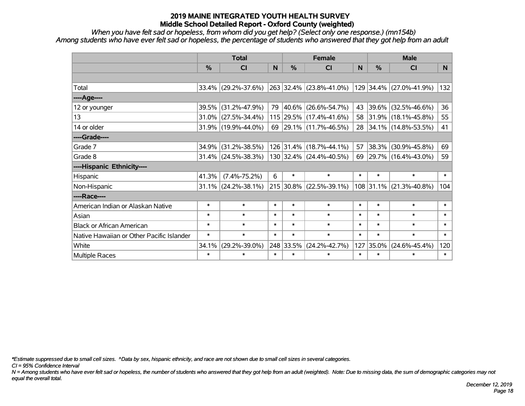*When you have felt sad or hopeless, from whom did you get help? (Select only one response.) (mn154b) Among students who have ever felt sad or hopeless, the percentage of students who answered that they got help from an adult*

|                                           | <b>Total</b> |                        |        | <b>Female</b> | <b>Male</b>                 |        |           |                         |                |
|-------------------------------------------|--------------|------------------------|--------|---------------|-----------------------------|--------|-----------|-------------------------|----------------|
|                                           | %            | <b>CI</b>              | N      | %             | <b>CI</b>                   | N      | %         | <b>CI</b>               | N <sub>1</sub> |
|                                           |              |                        |        |               |                             |        |           |                         |                |
| Total                                     |              | $33.4\%$ (29.2%-37.6%) |        |               | 263 32.4% (23.8%-41.0%)     |        |           | 129 34.4% (27.0%-41.9%) | 132            |
| ----Age----                               |              |                        |        |               |                             |        |           |                         |                |
| 12 or younger                             | 39.5%        | $(31.2\% - 47.9\%)$    | 79     | $ 40.6\% $    | $(26.6\% - 54.7\%)$         | 43     | 39.6%     | $(32.5\% - 46.6\%)$     | 36             |
| 13                                        | 31.0%        | $(27.5\% - 34.4\%)$    |        |               | 115 29.5% (17.4%-41.6%)     |        |           | 58 31.9% (18.1%-45.8%)  | 55             |
| 14 or older                               |              | $31.9\%$ (19.9%-44.0%) |        |               | 69 29.1% (11.7%-46.5%)      |        |           | 28 34.1% (14.8%-53.5%)  | 41             |
| ----Grade----                             |              |                        |        |               |                             |        |           |                         |                |
| Grade 7                                   | 34.9%        | $(31.2\% - 38.5\%)$    |        |               | 126 31.4% (18.7%-44.1%)     | 57     | 38.3%     | $(30.9\% - 45.8\%)$     | 69             |
| Grade 8                                   |              | $31.4\%$ (24.5%-38.3%) |        |               | $130 32.4\% $ (24.4%-40.5%) |        |           | 69 29.7% (16.4%-43.0%)  | 59             |
| ----Hispanic Ethnicity----                |              |                        |        |               |                             |        |           |                         |                |
| Hispanic                                  | 41.3%        | $(7.4\% - 75.2\%)$     | 6      | $\ast$        | $\ast$                      | $\ast$ | $\ast$    | $\ast$                  | $\ast$         |
| Non-Hispanic                              | $31.1\%$     | $(24.2\% - 38.1\%)$    |        | $215$ 30.8%   | $(22.5\% - 39.1\%)$         |        | 108 31.1% | $(21.3\% - 40.8\%)$     | 104            |
| ----Race----                              |              |                        |        |               |                             |        |           |                         |                |
| American Indian or Alaskan Native         | $\ast$       | $\ast$                 | $\ast$ | $\ast$        | $\ast$                      | $\ast$ | $\ast$    | $\ast$                  | $\ast$         |
| Asian                                     | $\ast$       | $\ast$                 | $\ast$ | $\ast$        | $\ast$                      | $\ast$ | $\ast$    | $\ast$                  | $\ast$         |
| <b>Black or African American</b>          | $\ast$       | $\ast$                 | $\ast$ | $\ast$        | $\ast$                      | $\ast$ | $\ast$    | $\ast$                  | $\ast$         |
| Native Hawaiian or Other Pacific Islander | $\ast$       | $\ast$                 | $\ast$ | $\ast$        | $\ast$                      | $\ast$ | $\ast$    | $\ast$                  | $\ast$         |
| White                                     | 34.1%        | $(29.2\% - 39.0\%)$    |        | 248 33.5%     | $(24.2\% - 42.7\%)$         | 127    | 35.0%     | $(24.6\% - 45.4\%)$     | 120            |
| Multiple Races                            | $\ast$       | $\ast$                 | $\ast$ | $\ast$        | $\ast$                      | $\ast$ | $\ast$    | *                       | $\ast$         |

*\*Estimate suppressed due to small cell sizes. ^Data by sex, hispanic ethnicity, and race are not shown due to small cell sizes in several categories.*

*CI = 95% Confidence Interval*

*N = Among students who have ever felt sad or hopeless, the number of students who answered that they got help from an adult (weighted). Note: Due to missing data, the sum of demographic categories may not equal the overall total.*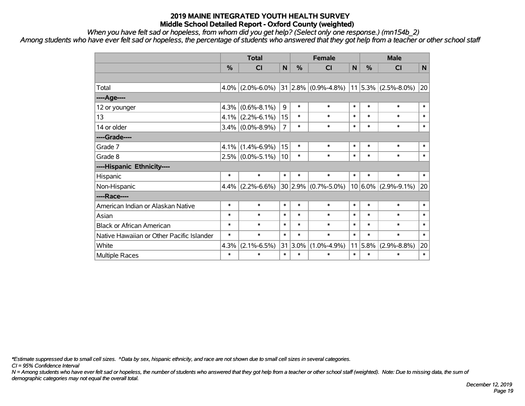*When you have felt sad or hopeless, from whom did you get help? (Select only one response.) (mn154b\_2)*

*Among students who have ever felt sad or hopeless, the percentage of students who answered that they got help from a teacher or other school staff*

|                                           | <b>Total</b> |                     |                | <b>Female</b> |                         |        | <b>Male</b> |                       |              |
|-------------------------------------------|--------------|---------------------|----------------|---------------|-------------------------|--------|-------------|-----------------------|--------------|
|                                           | %            | C <sub>l</sub>      | $\mathbf N$    | %             | <b>CI</b>               | N      | %           | <b>CI</b>             | $\mathsf{N}$ |
|                                           |              |                     |                |               |                         |        |             |                       |              |
| Total                                     | 4.0%         | $(2.0\% - 6.0\%)$   |                |               | $31 2.8\% $ (0.9%-4.8%) |        |             | $11$ 5.3% (2.5%-8.0%) | 20           |
| ----Age----                               |              |                     |                |               |                         |        |             |                       |              |
| 12 or younger                             | 4.3%         | $(0.6\% - 8.1\%)$   | 9              | $\ast$        | $\ast$                  | $\ast$ | $\ast$      | $\ast$                | $\ast$       |
| 13                                        |              | $4.1\%$ (2.2%-6.1%) | 15             | $\ast$        | $\ast$                  | $\ast$ | $\ast$      | $\ast$                | $\ast$       |
| 14 or older                               |              | $3.4\%$ (0.0%-8.9%) | $\overline{7}$ | *             | $\ast$                  | $\ast$ | $\ast$      | $\ast$                | $\ast$       |
| ----Grade----                             |              |                     |                |               |                         |        |             |                       |              |
| Grade 7                                   | 4.1%         | $(1.4\% - 6.9\%)$   | 15             | $\ast$        | $\ast$                  | $\ast$ | $\ast$      | $\ast$                | $\ast$       |
| Grade 8                                   |              | $2.5\%$ (0.0%-5.1%) | 10             | *             | $\ast$                  | $\ast$ | $\ast$      | $\ast$                | $\ast$       |
| ----Hispanic Ethnicity----                |              |                     |                |               |                         |        |             |                       |              |
| Hispanic                                  | $\ast$       | $\ast$              | $\ast$         | *             | $\ast$                  | $\ast$ | $\ast$      | $\ast$                | $\ast$       |
| Non-Hispanic                              | 4.4%         | $(2.2\% - 6.6\%)$   |                |               | $30 2.9\% $ (0.7%-5.0%) |        | $10 6.0\% $ | $(2.9\% - 9.1\%)$     | 20           |
| ----Race----                              |              |                     |                |               |                         |        |             |                       |              |
| American Indian or Alaskan Native         | $\ast$       | $\ast$              | $\ast$         | $\ast$        | $\ast$                  | $\ast$ | $\ast$      | $\ast$                | $\ast$       |
| Asian                                     | $\ast$       | $\ast$              | $\ast$         | $\ast$        | $\ast$                  | $\ast$ | $\ast$      | $\ast$                | $\ast$       |
| <b>Black or African American</b>          | $\ast$       | $\ast$              | $\ast$         | $\ast$        | $\ast$                  | $\ast$ | $\ast$      | $\ast$                | $\ast$       |
| Native Hawaiian or Other Pacific Islander | $\ast$       | $\ast$              | $\ast$         | $\ast$        | $\ast$                  | $\ast$ | $\ast$      | $\ast$                | $\ast$       |
| White                                     | 4.3%         | $(2.1\% - 6.5\%)$   | 31             | $3.0\%$       | $(1.0\% - 4.9\%)$       | 11     | 5.8%        | $(2.9\% - 8.8\%)$     | 20           |
| Multiple Races                            | $\ast$       | $\ast$              | $\ast$         | $\ast$        | $\ast$                  | $\ast$ | $\ast$      | $\ast$                | $\ast$       |

*\*Estimate suppressed due to small cell sizes. ^Data by sex, hispanic ethnicity, and race are not shown due to small cell sizes in several categories.*

*CI = 95% Confidence Interval*

*N = Among students who have ever felt sad or hopeless, the number of students who answered that they got help from a teacher or other school staff (weighted). Note: Due to missing data, the sum of demographic categories may not equal the overall total.*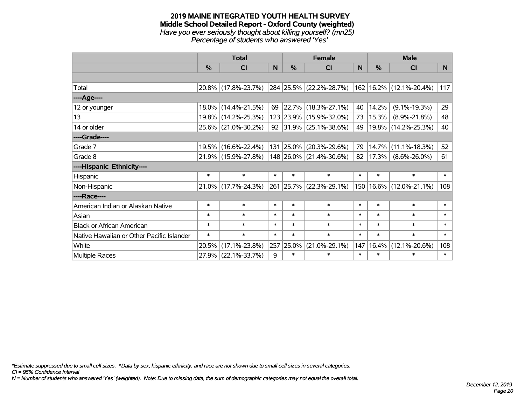#### **2019 MAINE INTEGRATED YOUTH HEALTH SURVEY Middle School Detailed Report - Oxford County (weighted)** *Have you ever seriously thought about killing yourself? (mn25) Percentage of students who answered 'Yes'*

|                                           | <b>Total</b>  |                     |        |        | <b>Female</b>                                             |        | <b>Male</b>   |                         |          |  |
|-------------------------------------------|---------------|---------------------|--------|--------|-----------------------------------------------------------|--------|---------------|-------------------------|----------|--|
|                                           | $\frac{0}{0}$ | CI                  | N      | $\%$   | <b>CI</b>                                                 | N      | $\frac{0}{0}$ | <b>CI</b>               | <b>N</b> |  |
|                                           |               |                     |        |        |                                                           |        |               |                         |          |  |
| Total                                     |               | 20.8% (17.8%-23.7%) |        |        | 284   25.5%   (22.2%-28.7%)   162   16.2%   (12.1%-20.4%) |        |               |                         | 117      |  |
| ----Age----                               |               |                     |        |        |                                                           |        |               |                         |          |  |
| 12 or younger                             |               | 18.0% (14.4%-21.5%) | 69     |        | $ 22.7\% $ (18.3%-27.1%)                                  | 40     | 14.2%         | $(9.1\% - 19.3\%)$      | 29       |  |
| 13                                        |               | 19.8% (14.2%-25.3%) |        |        | 123 23.9% (15.9%-32.0%)                                   | 73     | 15.3%         | $(8.9\% - 21.8\%)$      | 48       |  |
| 14 or older                               |               | 25.6% (21.0%-30.2%) |        |        | 92 31.9% (25.1%-38.6%)                                    | 49     |               | 19.8% (14.2%-25.3%)     | 40       |  |
| ----Grade----                             |               |                     |        |        |                                                           |        |               |                         |          |  |
| Grade 7                                   |               | 19.5% (16.6%-22.4%) |        |        | 131 25.0% (20.3%-29.6%)                                   | 79     | 14.7%         | $(11.1\% - 18.3\%)$     | 52       |  |
| Grade 8                                   |               | 21.9% (15.9%-27.8%) |        |        | $148$ 26.0% (21.4%-30.6%)                                 | 82     | 17.3%         | $(8.6\% - 26.0\%)$      | 61       |  |
| ----Hispanic Ethnicity----                |               |                     |        |        |                                                           |        |               |                         |          |  |
| Hispanic                                  | $\ast$        | $\ast$              | $\ast$ | $\ast$ | $\ast$                                                    | $\ast$ | $\ast$        | $\ast$                  | $\ast$   |  |
| Non-Hispanic                              |               | 21.0% (17.7%-24.3%) |        |        | 261 25.7% (22.3%-29.1%)                                   |        |               | 150 16.6% (12.0%-21.1%) | 108      |  |
| ----Race----                              |               |                     |        |        |                                                           |        |               |                         |          |  |
| American Indian or Alaskan Native         | $\ast$        | $\ast$              | $\ast$ | $\ast$ | $\ast$                                                    | $\ast$ | $\ast$        | $\ast$                  | $\ast$   |  |
| Asian                                     | $\ast$        | $\ast$              | $\ast$ | $\ast$ | $\ast$                                                    | $\ast$ | $\ast$        | $\ast$                  | $\ast$   |  |
| <b>Black or African American</b>          | $\ast$        | $\ast$              | $\ast$ | $\ast$ | $\ast$                                                    | $\ast$ | $\ast$        | $\ast$                  | $\ast$   |  |
| Native Hawaiian or Other Pacific Islander | $\ast$        | $\ast$              | $\ast$ | $\ast$ | $\ast$                                                    | $\ast$ | $\ast$        | $\ast$                  | $\ast$   |  |
| White                                     | 20.5%         | $(17.1\% - 23.8\%)$ | 257    | 25.0%  | $(21.0\% - 29.1\%)$                                       | 147    | 16.4%         | $(12.1\% - 20.6\%)$     | 108      |  |
| <b>Multiple Races</b>                     |               | 27.9% (22.1%-33.7%) | 9      | $\ast$ | $\ast$                                                    | $\ast$ | $\ast$        | $\ast$                  | $\ast$   |  |

*\*Estimate suppressed due to small cell sizes. ^Data by sex, hispanic ethnicity, and race are not shown due to small cell sizes in several categories.*

*CI = 95% Confidence Interval*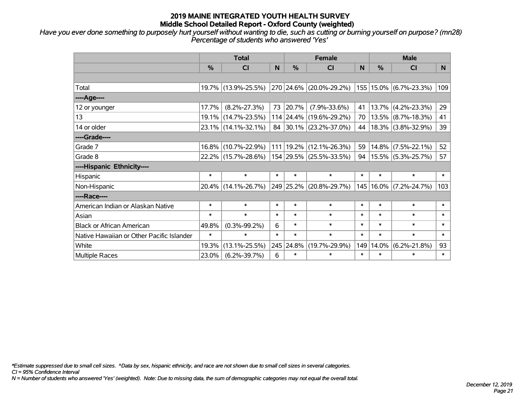*Have you ever done something to purposely hurt yourself without wanting to die, such as cutting or burning yourself on purpose? (mn28) Percentage of students who answered 'Yes'*

|                                           | <b>Total</b> |                     |        |           | <b>Female</b>           | <b>Male</b> |               |                            |          |
|-------------------------------------------|--------------|---------------------|--------|-----------|-------------------------|-------------|---------------|----------------------------|----------|
|                                           | %            | <b>CI</b>           | N      | %         | <b>CI</b>               | N           | $\frac{0}{0}$ | <b>CI</b>                  | <b>N</b> |
|                                           |              |                     |        |           |                         |             |               |                            |          |
| Total                                     |              | 19.7% (13.9%-25.5%) |        |           | 270 24.6% (20.0%-29.2%) |             |               | 155   15.0%   (6.7%-23.3%) | 109      |
| ----Age----                               |              |                     |        |           |                         |             |               |                            |          |
| 12 or younger                             | 17.7%        | $(8.2\% - 27.3\%)$  | 73     | 20.7%     | $(7.9\% - 33.6\%)$      | 41          |               | $13.7\%$ (4.2%-23.3%)      | 29       |
| 13                                        | 19.1%        | $(14.7\% - 23.5\%)$ |        | 114 24.4% | $(19.6\% - 29.2\%)$     | 70          |               | $13.5\%$ (8.7%-18.3%)      | 41       |
| 14 or older                               |              | 23.1% (14.1%-32.1%) |        |           | 84 30.1% (23.2%-37.0%)  | 44          |               | $18.3\%$ (3.8%-32.9%)      | 39       |
| ----Grade----                             |              |                     |        |           |                         |             |               |                            |          |
| Grade 7                                   | 16.8%        | $(10.7\% - 22.9\%)$ |        | 111 19.2% | $(12.1\% - 26.3\%)$     | 59          |               | $14.8\%$ (7.5%-22.1%)      | 52       |
| Grade 8                                   |              | 22.2% (15.7%-28.6%) |        |           | 154 29.5% (25.5%-33.5%) | 94          |               | 15.5% (5.3%-25.7%)         | 57       |
| ----Hispanic Ethnicity----                |              |                     |        |           |                         |             |               |                            |          |
| Hispanic                                  | $\ast$       | $\ast$              | $\ast$ | $\ast$    | $\ast$                  | $\ast$      | $\ast$        | $\ast$                     | $\ast$   |
| Non-Hispanic                              | 20.4%        | $(14.1\% - 26.7\%)$ |        | 249 25.2% | $(20.8\% - 29.7\%)$     |             |               | 145   16.0%   (7.2%-24.7%) | 103      |
| ----Race----                              |              |                     |        |           |                         |             |               |                            |          |
| American Indian or Alaskan Native         | $\ast$       | $\ast$              | $\ast$ | $\ast$    | $\ast$                  | $\ast$      | $\ast$        | $\ast$                     | $\ast$   |
| Asian                                     | $\ast$       | $\ast$              | $\ast$ | $\ast$    | $\ast$                  | $\ast$      | $\ast$        | $\ast$                     | $\ast$   |
| <b>Black or African American</b>          | 49.8%        | $(0.3\% - 99.2\%)$  | 6      | $\ast$    | $\ast$                  | $\ast$      | $\ast$        | $\ast$                     | $\ast$   |
| Native Hawaiian or Other Pacific Islander | $\ast$       | $\ast$              | $\ast$ | $\ast$    | $\ast$                  | $\ast$      | $\ast$        | $\ast$                     | $\ast$   |
| White                                     | 19.3%        | $(13.1\% - 25.5\%)$ |        | 245 24.8% | $(19.7\% - 29.9\%)$     | 149         | 14.0%         | $(6.2\% - 21.8\%)$         | 93       |
| Multiple Races                            | 23.0%        | $(6.2\% - 39.7\%)$  | 6      | $\ast$    | $\ast$                  | $\ast$      | $\ast$        | $\ast$                     | $\ast$   |

*\*Estimate suppressed due to small cell sizes. ^Data by sex, hispanic ethnicity, and race are not shown due to small cell sizes in several categories.*

*CI = 95% Confidence Interval*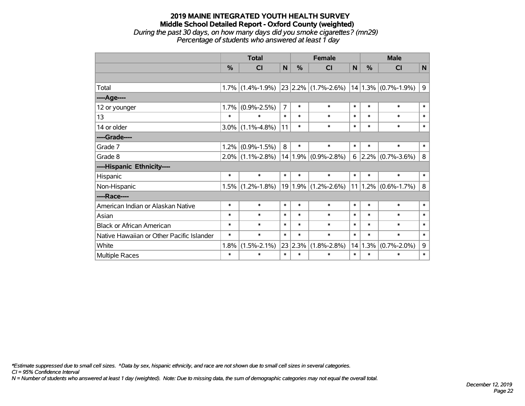## **2019 MAINE INTEGRATED YOUTH HEALTH SURVEY Middle School Detailed Report - Oxford County (weighted)** *During the past 30 days, on how many days did you smoke cigarettes? (mn29) Percentage of students who answered at least 1 day*

|                                           | <b>Total</b> |                   |                | <b>Female</b> |                                                                       |        | <b>Male</b> |                         |              |
|-------------------------------------------|--------------|-------------------|----------------|---------------|-----------------------------------------------------------------------|--------|-------------|-------------------------|--------------|
|                                           | %            | CI                | N              | %             | CI                                                                    | N      | %           | CI                      | $\mathsf{N}$ |
|                                           |              |                   |                |               |                                                                       |        |             |                         |              |
| Total                                     | 1.7%         |                   |                |               | $(1.4\% - 1.9\%)$ 23 2.2% $(1.7\% - 2.6\%)$ 14 1.3% $(0.7\% - 1.9\%)$ |        |             |                         | 9            |
| ----Age----                               |              |                   |                |               |                                                                       |        |             |                         |              |
| 12 or younger                             | 1.7%         | $(0.9\% - 2.5\%)$ | $\overline{7}$ | $\ast$        | $\ast$                                                                | $\ast$ | $\ast$      | $\ast$                  | $\ast$       |
| 13                                        | $\ast$       | $\ast$            | $\ast$         | $\ast$        | $\ast$                                                                | $\ast$ | $\ast$      | $\ast$                  | $\ast$       |
| 14 or older                               | $3.0\%$      | $(1.1\% - 4.8\%)$ | 11             | $\ast$        | $\ast$                                                                | $\ast$ | $\ast$      | $\ast$                  | $\ast$       |
| ----Grade----                             |              |                   |                |               |                                                                       |        |             |                         |              |
| Grade 7                                   | 1.2%         | $(0.9\% - 1.5\%)$ | 8              | $\ast$        | $\ast$                                                                | $\ast$ | $\ast$      | $\ast$                  | $\ast$       |
| Grade 8                                   | $2.0\%$      | $(1.1\% - 2.8\%)$ |                |               | $14 1.9\% $ (0.9%-2.8%)                                               | 6      | $2.2\%$     | $(0.7\% - 3.6\%)$       | 8            |
| ----Hispanic Ethnicity----                |              |                   |                |               |                                                                       |        |             |                         |              |
| Hispanic                                  | $\ast$       | $\ast$            | $\ast$         | $\ast$        | $\ast$                                                                | $\ast$ | $\ast$      | $\ast$                  | $\ast$       |
| Non-Hispanic                              | 1.5%         | $(1.2\% - 1.8\%)$ |                |               | 19 1.9% (1.2%-2.6%)                                                   |        |             | $11 1.2\% $ (0.6%-1.7%) | 8            |
| ----Race----                              |              |                   |                |               |                                                                       |        |             |                         |              |
| American Indian or Alaskan Native         | $\ast$       | $\ast$            | $\ast$         | $\ast$        | $\ast$                                                                | $\ast$ | $\ast$      | $\ast$                  | $\ast$       |
| Asian                                     | $\ast$       | $\ast$            | $\ast$         | $\ast$        | $\ast$                                                                | $\ast$ | $\ast$      | $\ast$                  | $\ast$       |
| <b>Black or African American</b>          | $\ast$       | $\ast$            | $\ast$         | $\ast$        | $\ast$                                                                | $\ast$ | $\ast$      | $\ast$                  | $\ast$       |
| Native Hawaiian or Other Pacific Islander | $\ast$       | $\ast$            | $\ast$         | $\ast$        | $\ast$                                                                | $\ast$ | $\ast$      | $\ast$                  | $\ast$       |
| White                                     | 1.8%         | $(1.5\% - 2.1\%)$ | 23             | 2.3%          | $(1.8\% - 2.8\%)$                                                     |        | 14 1.3%     | $(0.7\% - 2.0\%)$       | $\mathsf 9$  |
| Multiple Races                            | $\ast$       | $\ast$            | $\ast$         | $\ast$        | $\ast$                                                                | $\ast$ | $\ast$      | $\ast$                  | $\ast$       |

*\*Estimate suppressed due to small cell sizes. ^Data by sex, hispanic ethnicity, and race are not shown due to small cell sizes in several categories.*

*CI = 95% Confidence Interval*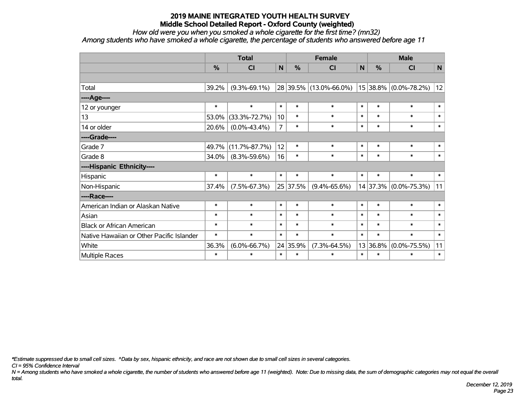*How old were you when you smoked a whole cigarette for the first time? (mn32)*

*Among students who have smoked a whole cigarette, the percentage of students who answered before age 11*

|                                           | <b>Total</b>  |                     |                | <b>Female</b> | <b>Male</b>            |              |               |                       |              |
|-------------------------------------------|---------------|---------------------|----------------|---------------|------------------------|--------------|---------------|-----------------------|--------------|
|                                           | $\frac{0}{0}$ | <b>CI</b>           | $\mathsf{N}$   | %             | <b>CI</b>              | $\mathsf{N}$ | $\frac{0}{0}$ | <b>CI</b>             | $\mathbf N$  |
|                                           |               |                     |                |               |                        |              |               |                       |              |
| Total                                     | 39.2%         | $(9.3\% - 69.1\%)$  |                |               | 28 39.5% (13.0%-66.0%) |              |               | 15 38.8% (0.0%-78.2%) | 12           |
| ----Age----                               |               |                     |                |               |                        |              |               |                       |              |
| 12 or younger                             | $\ast$        | $\ast$              | $\ast$         | $\ast$        | $\ast$                 | $\ast$       | $\ast$        | $\ast$                | $\ast$       |
| 13                                        | 53.0%         | $(33.3\% - 72.7\%)$ | 10             | $\ast$        | $\ast$                 | $\ast$       | $\ast$        | $\ast$                | $\ast$       |
| 14 or older                               | 20.6%         | $(0.0\% - 43.4\%)$  | $\overline{7}$ | $\ast$        | $\ast$                 | $\ast$       | $\ast$        | $\ast$                | $\ast$       |
| ----Grade----                             |               |                     |                |               |                        |              |               |                       |              |
| Grade 7                                   | 49.7%         | $(11.7\% - 87.7\%)$ | 12             | $\ast$        | $\ast$                 | $\ast$       | $\ast$        | $\ast$                | $\ast$       |
| Grade 8                                   | 34.0%         | $(8.3\% - 59.6\%)$  | 16             | $\ast$        | $\ast$                 | $\ast$       | $\ast$        | $\ast$                | $\ast$       |
| ----Hispanic Ethnicity----                |               |                     |                |               |                        |              |               |                       |              |
| Hispanic                                  | $\ast$        | $\ast$              | $\ast$         | $\ast$        | $\ast$                 | $\ast$       | $\ast$        | $\ast$                | $\ast$       |
| Non-Hispanic                              | 37.4%         | $(7.5\% - 67.3\%)$  |                | 25 37.5%      | $(9.4\% - 65.6\%)$     |              | 14 37.3%      | $(0.0\% - 75.3\%)$    | 11           |
| ----Race----                              |               |                     |                |               |                        |              |               |                       |              |
| American Indian or Alaskan Native         | $\ast$        | $\ast$              | $\ast$         | $\ast$        | $\ast$                 | $\ast$       | $\ast$        | $\ast$                | $\pmb{\ast}$ |
| Asian                                     | $\ast$        | $\ast$              | $\ast$         | $\ast$        | $\ast$                 | $\ast$       | $\ast$        | $\ast$                | $\ast$       |
| <b>Black or African American</b>          | $\ast$        | $\ast$              | $\ast$         | $\ast$        | $\ast$                 | $\ast$       | $\ast$        | $\ast$                | $\ast$       |
| Native Hawaiian or Other Pacific Islander | $\ast$        | $\ast$              | $\ast$         | $\ast$        | $\ast$                 | $\ast$       | $\ast$        | $\ast$                | $\ast$       |
| White                                     | 36.3%         | $(6.0\% - 66.7\%)$  |                | 24 35.9%      | $(7.3\% - 64.5\%)$     |              | 13 36.8%      | $(0.0\% - 75.5\%)$    | 11           |
| Multiple Races                            | $\ast$        | $\ast$              | $\ast$         | $\ast$        | $\ast$                 | $\ast$       | $\ast$        | *                     | $\pmb{\ast}$ |

*\*Estimate suppressed due to small cell sizes. ^Data by sex, hispanic ethnicity, and race are not shown due to small cell sizes in several categories.*

*CI = 95% Confidence Interval*

*N = Among students who have smoked a whole cigarette, the number of students who answered before age 11 (weighted). Note: Due to missing data, the sum of demographic categories may not equal the overall total.*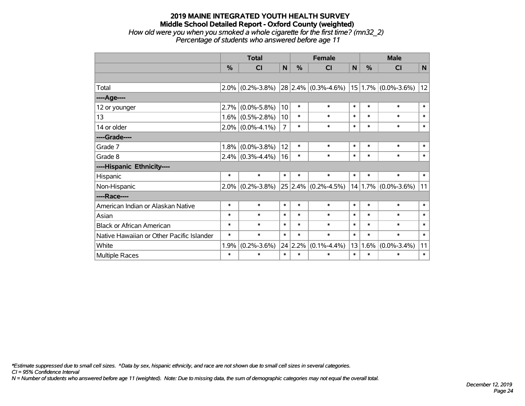#### **2019 MAINE INTEGRATED YOUTH HEALTH SURVEY Middle School Detailed Report - Oxford County (weighted)** *How old were you when you smoked a whole cigarette for the first time? (mn32\_2) Percentage of students who answered before age 11*

|                                           | <b>Total</b> |                     |                |         | <b>Female</b>                |        | <b>Male</b> |                         |              |  |
|-------------------------------------------|--------------|---------------------|----------------|---------|------------------------------|--------|-------------|-------------------------|--------------|--|
|                                           | %            | CI                  | $\mathbf N$    | %       | CI                           | N      | %           | CI                      | $\mathsf{N}$ |  |
|                                           |              |                     |                |         |                              |        |             |                         |              |  |
| Total                                     |              | $2.0\%$ (0.2%-3.8%) |                |         | $ 28 2.4\%  (0.3\% - 4.6\%)$ |        |             | $15 1.7\% $ (0.0%-3.6%) | 12           |  |
| ----Age----                               |              |                     |                |         |                              |        |             |                         |              |  |
| 12 or younger                             | 2.7%         | $(0.0\% - 5.8\%)$   | 10             | $\ast$  | $\ast$                       | $\ast$ | $\ast$      | $\ast$                  | $\ast$       |  |
| 13                                        | $1.6\%$      | $(0.5\% - 2.8\%)$   | 10             | $\ast$  | *                            | $\ast$ | $\ast$      | $\ast$                  | $\ast$       |  |
| 14 or older                               |              | $2.0\%$ (0.0%-4.1%) | $\overline{7}$ | $\ast$  | $\ast$                       | $\ast$ | $\ast$      | $\ast$                  | $\ast$       |  |
| ----Grade----                             |              |                     |                |         |                              |        |             |                         |              |  |
| Grade 7                                   | 1.8%         | $(0.0\% - 3.8\%)$   | 12             | $\ast$  | $\ast$                       | $\ast$ | $\ast$      | $\ast$                  | $\ast$       |  |
| Grade 8                                   |              | $2.4\%$ (0.3%-4.4%) | 16             | $\ast$  | $\ast$                       | $\ast$ | $\ast$      | $\ast$                  | $\ast$       |  |
| ----Hispanic Ethnicity----                |              |                     |                |         |                              |        |             |                         |              |  |
| Hispanic                                  | $\ast$       | $\ast$              | $\ast$         | $\ast$  | $\ast$                       | $\ast$ | $\ast$      | $\ast$                  | $\ast$       |  |
| Non-Hispanic                              |              | $2.0\%$ (0.2%-3.8%) |                |         | $25 2.4\% $ (0.2%-4.5%)      |        |             | $14 1.7\% $ (0.0%-3.6%) | 11           |  |
| ----Race----                              |              |                     |                |         |                              |        |             |                         |              |  |
| American Indian or Alaskan Native         | $\ast$       | $\ast$              | $\ast$         | $\ast$  | *                            | $\ast$ | $\ast$      | $\ast$                  | $\ast$       |  |
| Asian                                     | $\ast$       | $\ast$              | $\ast$         | $\ast$  | $\ast$                       | $\ast$ | $\ast$      | $\ast$                  | $\ast$       |  |
| <b>Black or African American</b>          | $\ast$       | $\ast$              | $\ast$         | $\ast$  | $\ast$                       | $\ast$ | $\ast$      | $\ast$                  | $\ast$       |  |
| Native Hawaiian or Other Pacific Islander | $\ast$       | $\ast$              | $\ast$         | $\ast$  | $\ast$                       | $\ast$ | $\ast$      | $\ast$                  | $\ast$       |  |
| White                                     | 1.9%         | $(0.2\% - 3.6\%)$   |                | 24 2.2% | $(0.1\% - 4.4\%)$            | 13     | 1.6%        | $(0.0\% - 3.4\%)$       | 11           |  |
| Multiple Races                            | $\ast$       | $\ast$              | $\ast$         | $\ast$  | $\ast$                       | $\ast$ | $\ast$      | $\ast$                  | $\ast$       |  |

*\*Estimate suppressed due to small cell sizes. ^Data by sex, hispanic ethnicity, and race are not shown due to small cell sizes in several categories.*

*CI = 95% Confidence Interval*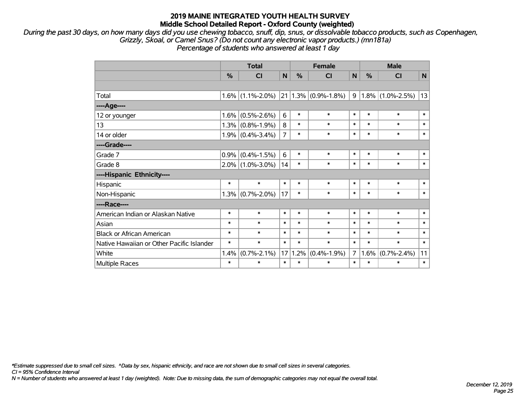*During the past 30 days, on how many days did you use chewing tobacco, snuff, dip, snus, or dissolvable tobacco products, such as Copenhagen, Grizzly, Skoal, or Camel Snus? (Do not count any electronic vapor products.) (mn181a) Percentage of students who answered at least 1 day*

|                                           | <b>Total</b>  |                     |                | <b>Female</b> |                         |                | <b>Male</b>   |                     |              |  |
|-------------------------------------------|---------------|---------------------|----------------|---------------|-------------------------|----------------|---------------|---------------------|--------------|--|
|                                           | $\frac{0}{0}$ | CI                  | N              | $\frac{0}{0}$ | CI                      | N              | $\frac{0}{0}$ | CI                  | $\mathsf{N}$ |  |
|                                           |               |                     |                |               |                         |                |               |                     |              |  |
| Total                                     |               | $1.6\%$ (1.1%-2.0%) |                |               | $21 1.3\% $ (0.9%-1.8%) | 9              |               | $1.8\%$ (1.0%-2.5%) | 13           |  |
| ----Age----                               |               |                     |                |               |                         |                |               |                     |              |  |
| 12 or younger                             | 1.6%          | $(0.5\% - 2.6\%)$   | 6              | $\ast$        | $\ast$                  | $\ast$         | $\ast$        | $\ast$              | $\ast$       |  |
| 13                                        | 1.3%          | $(0.8\% - 1.9\%)$   | 8              | $\ast$        | $\ast$                  | $\ast$         | $\ast$        | $\ast$              | $\ast$       |  |
| 14 or older                               |               | $1.9\%$ (0.4%-3.4%) | $\overline{7}$ | $\ast$        | $\ast$                  | $\ast$         | $\ast$        | $\ast$              | $\ast$       |  |
| ----Grade----                             |               |                     |                |               |                         |                |               |                     |              |  |
| Grade 7                                   | 0.9%          | $(0.4\% - 1.5\%)$   | 6              | $\ast$        | $\ast$                  | $\ast$         | $\ast$        | $\ast$              | $\ast$       |  |
| Grade 8                                   |               | $2.0\%$ (1.0%-3.0%) | 14             | $\ast$        | $\ast$                  | $\ast$         | $\ast$        | $\ast$              | $\ast$       |  |
| ----Hispanic Ethnicity----                |               |                     |                |               |                         |                |               |                     |              |  |
| Hispanic                                  | $\ast$        | $\ast$              | $\ast$         | $\ast$        | $\ast$                  | $\ast$         | $\ast$        | $\ast$              | $\ast$       |  |
| Non-Hispanic                              | 1.3%          | $(0.7\% - 2.0\%)$   | 17             | $\ast$        | $\ast$                  | $\ast$         | $\ast$        | $\ast$              | $\ast$       |  |
| ----Race----                              |               |                     |                |               |                         |                |               |                     |              |  |
| American Indian or Alaskan Native         | $\ast$        | $\ast$              | $\ast$         | $\ast$        | $\ast$                  | $\ast$         | $\ast$        | $\ast$              | $\ast$       |  |
| Asian                                     | $\ast$        | $\ast$              | $\ast$         | $\ast$        | $\ast$                  | $\ast$         | $\ast$        | $\ast$              | $\ast$       |  |
| <b>Black or African American</b>          | $\ast$        | $\ast$              | $\ast$         | $\ast$        | $\ast$                  | $\ast$         | $\ast$        | $\ast$              | $\ast$       |  |
| Native Hawaiian or Other Pacific Islander | $\ast$        | $\ast$              | $\ast$         | $\ast$        | $\ast$                  | $\ast$         | $\ast$        | $\ast$              | $\ast$       |  |
| White                                     | 1.4%          | $(0.7\% - 2.1\%)$   | 17             | 1.2%          | $(0.4\% - 1.9\%)$       | $\overline{7}$ | $1.6\%$       | $(0.7\% - 2.4\%)$   | 11           |  |
| Multiple Races                            | $\ast$        | $\ast$              | $\ast$         | $\ast$        | $\ast$                  | $\ast$         | $\ast$        | $\ast$              | $\ast$       |  |

*\*Estimate suppressed due to small cell sizes. ^Data by sex, hispanic ethnicity, and race are not shown due to small cell sizes in several categories.*

*CI = 95% Confidence Interval*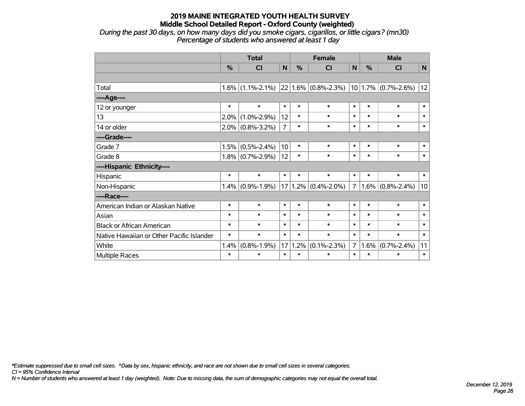*During the past 30 days, on how many days did you smoke cigars, cigarillos, or little cigars? (mn30) Percentage of students who answered at least 1 day*

|                                           |        | <b>Total</b>        |                | <b>Female</b> |                          | <b>Male</b>    |         |                         |              |
|-------------------------------------------|--------|---------------------|----------------|---------------|--------------------------|----------------|---------|-------------------------|--------------|
|                                           | %      | CI                  | $\mathbf N$    | $\frac{0}{0}$ | <b>CI</b>                | N              | %       | CI                      | $\mathsf{N}$ |
|                                           |        |                     |                |               |                          |                |         |                         |              |
| Total                                     |        | $1.6\%$ (1.1%-2.1%) |                |               | $ 22 1.6\% $ (0.8%-2.3%) |                |         | $10 1.7\% $ (0.7%-2.6%) | 12           |
| ----Age----                               |        |                     |                |               |                          |                |         |                         |              |
| 12 or younger                             | $\ast$ | $\ast$              | $\ast$         | $\ast$        | $\ast$                   | $\ast$         | $\ast$  | $\ast$                  | $\ast$       |
| 13                                        | 2.0%   | $(1.0\% - 2.9\%)$   | 12             | $\ast$        | $\ast$                   | $\ast$         | $\ast$  | $\ast$                  | $\ast$       |
| 14 or older                               |        | $2.0\%$ (0.8%-3.2%) | $\overline{7}$ | $\ast$        | $\ast$                   | $\ast$         | $\ast$  | $\ast$                  | $\ast$       |
| ----Grade----                             |        |                     |                |               |                          |                |         |                         |              |
| Grade 7                                   | 1.5%   | $(0.5\% - 2.4\%)$   | 10             | $\ast$        | $\ast$                   | $\ast$         | $\ast$  | $\ast$                  | $\ast$       |
| Grade 8                                   |        | $1.8\%$ (0.7%-2.9%) | 12             | $\ast$        | $\ast$                   | $\ast$         | $\ast$  | $\ast$                  | $\ast$       |
| ----Hispanic Ethnicity----                |        |                     |                |               |                          |                |         |                         |              |
| Hispanic                                  | $\ast$ | $\ast$              | $\ast$         | $\ast$        | $\ast$                   | $\ast$         | $\ast$  | $\ast$                  | $\ast$       |
| Non-Hispanic                              |        | $1.4\%$ (0.9%-1.9%) | 17             |               | $1.2\%$ (0.4%-2.0%)      | $\overline{7}$ | $1.6\%$ | $(0.8\% - 2.4\%)$       | 10           |
| ----Race----                              |        |                     |                |               |                          |                |         |                         |              |
| American Indian or Alaskan Native         | $\ast$ | $\ast$              | $\ast$         | $\ast$        | $\ast$                   | $\ast$         | $\ast$  | $\ast$                  | $\ast$       |
| Asian                                     | $\ast$ | $\ast$              | $\ast$         | $\ast$        | $\ast$                   | $\ast$         | $\ast$  | $\ast$                  | $\ast$       |
| <b>Black or African American</b>          | $\ast$ | $\ast$              | $\ast$         | $\ast$        | $\ast$                   | $\ast$         | $\ast$  | $\ast$                  | $\ast$       |
| Native Hawaiian or Other Pacific Islander | $\ast$ | $\ast$              | $\ast$         | $\ast$        | $\ast$                   | $\ast$         | $\ast$  | $\ast$                  | $\ast$       |
| White                                     | 1.4%   | $(0.8\% - 1.9\%)$   | 17             | 1.2%          | $(0.1\% - 2.3\%)$        | $7^{\circ}$    | 1.6%    | $(0.7\% - 2.4\%)$       | 11           |
| <b>Multiple Races</b>                     | $\ast$ | $\ast$              | $\ast$         | $\ast$        | $\ast$                   | $\ast$         | $\ast$  | $\ast$                  | $\ast$       |

*\*Estimate suppressed due to small cell sizes. ^Data by sex, hispanic ethnicity, and race are not shown due to small cell sizes in several categories.*

*CI = 95% Confidence Interval*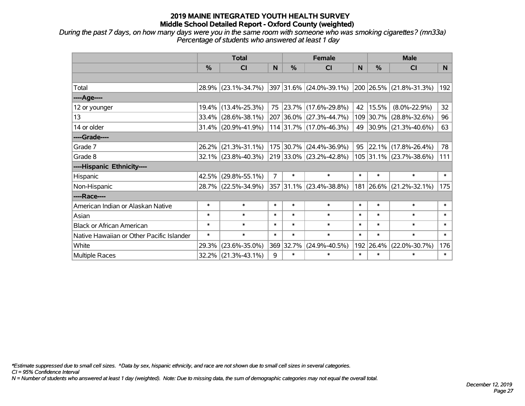*During the past 7 days, on how many days were you in the same room with someone who was smoking cigarettes? (mn33a) Percentage of students who answered at least 1 day*

|                                           | <b>Total</b> |                        |        |           | <b>Female</b>                    |        | <b>Male</b> |                                  |                 |  |
|-------------------------------------------|--------------|------------------------|--------|-----------|----------------------------------|--------|-------------|----------------------------------|-----------------|--|
|                                           | $\%$         | <b>CI</b>              | N      | $\%$      | <b>CI</b>                        | N      | $\%$        | <b>CI</b>                        | N               |  |
|                                           |              |                        |        |           |                                  |        |             |                                  |                 |  |
| Total                                     |              | 28.9% (23.1%-34.7%)    |        |           | 397 31.6% (24.0%-39.1%)          |        |             | $ 200 26.5\%  (21.8\% - 31.3\%)$ | 192             |  |
| ----Age----                               |              |                        |        |           |                                  |        |             |                                  |                 |  |
| 12 or younger                             | 19.4%        | $(13.4\% - 25.3\%)$    | 75     |           | 23.7% (17.6%-29.8%)              | 42     | 15.5%       | $(8.0\% - 22.9\%)$               | 32 <sub>2</sub> |  |
| 13                                        |              | $33.4\%$ (28.6%-38.1%) |        |           | 207 36.0% (27.3%-44.7%)          |        |             | 109 30.7% (28.8%-32.6%)          | 96              |  |
| 14 or older                               |              | 31.4% (20.9%-41.9%)    |        |           | 114 31.7% (17.0%-46.3%)          | 49     |             | 30.9% (21.3%-40.6%)              | 63              |  |
| ----Grade----                             |              |                        |        |           |                                  |        |             |                                  |                 |  |
| Grade 7                                   | 26.2%        | $(21.3\% - 31.1\%)$    |        | 175 30.7% | $(24.4\% - 36.9\%)$              | 95     |             | $22.1\%$ (17.8%-26.4%)           | 78              |  |
| Grade 8                                   |              | $32.1\%$ (23.8%-40.3%) |        |           | $ 219 33.0\%  (23.2\% - 42.8\%)$ |        |             | 105 31.1% (23.7%-38.6%)          | 111             |  |
| ----Hispanic Ethnicity----                |              |                        |        |           |                                  |        |             |                                  |                 |  |
| Hispanic                                  | 42.5%        | $(29.8\% - 55.1\%)$    | 7      | $\ast$    | $\ast$                           | $\ast$ | $\ast$      | $\ast$                           | $\ast$          |  |
| Non-Hispanic                              |              | 28.7% (22.5%-34.9%)    |        |           | 357 31.1% (23.4%-38.8%)          | 181    |             | 26.6% (21.2%-32.1%)              | 175             |  |
| ----Race----                              |              |                        |        |           |                                  |        |             |                                  |                 |  |
| American Indian or Alaskan Native         | $\ast$       | $\ast$                 | $\ast$ | $\ast$    | $\ast$                           | $\ast$ | $\ast$      | $\ast$                           | $\ast$          |  |
| Asian                                     | $\ast$       | $\ast$                 | $\ast$ | $\ast$    | $\ast$                           | $\ast$ | $\ast$      | $\ast$                           | $\ast$          |  |
| <b>Black or African American</b>          | $\ast$       | $\ast$                 | $\ast$ | $\ast$    | $\ast$                           | $\ast$ | $\ast$      | $\ast$                           | $\ast$          |  |
| Native Hawaiian or Other Pacific Islander | $\ast$       | $\ast$                 | $\ast$ | $\ast$    | $\ast$                           | $\ast$ | $\ast$      | $\ast$                           | $\ast$          |  |
| White                                     | 29.3%        | $(23.6\% - 35.0\%)$    | 369    | 32.7%     | $(24.9\% - 40.5\%)$              | 192    | 26.4%       | $(22.0\% - 30.7\%)$              | 176             |  |
| <b>Multiple Races</b>                     | 32.2%        | $(21.3\% - 43.1\%)$    | 9      | $\ast$    | $\ast$                           | $\ast$ | $\ast$      | $\ast$                           | $\ast$          |  |

*\*Estimate suppressed due to small cell sizes. ^Data by sex, hispanic ethnicity, and race are not shown due to small cell sizes in several categories.*

*CI = 95% Confidence Interval*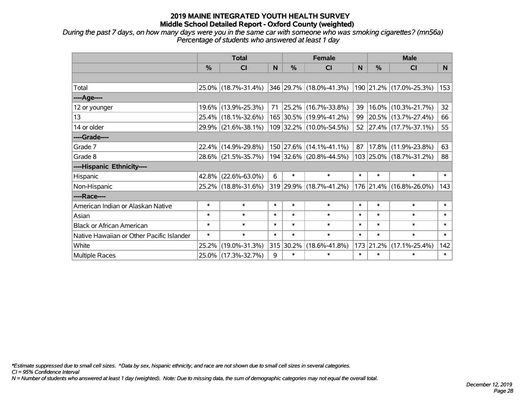*During the past 7 days, on how many days were you in the same car with someone who was smoking cigarettes? (mn56a) Percentage of students who answered at least 1 day*

|                                           | <b>Total</b> |                     |        |           | <b>Female</b>                |        | <b>Male</b> |                         |                 |  |
|-------------------------------------------|--------------|---------------------|--------|-----------|------------------------------|--------|-------------|-------------------------|-----------------|--|
|                                           | %            | C <sub>l</sub>      | N      | %         | <b>CI</b>                    | N      | %           | <b>CI</b>               | N               |  |
|                                           |              |                     |        |           |                              |        |             |                         |                 |  |
| Total                                     |              | 25.0% (18.7%-31.4%) |        |           | 346 29.7% (18.0%-41.3%)      |        |             | 190 21.2% (17.0%-25.3%) | 153             |  |
| ----Age----                               |              |                     |        |           |                              |        |             |                         |                 |  |
| 12 or younger                             |              | 19.6% (13.9%-25.3%) | 71     |           | 25.2% (16.7%-33.8%)          | 39     | 16.0%       | $(10.3\% - 21.7\%)$     | 32 <sub>2</sub> |  |
| 13                                        |              | 25.4% (18.1%-32.6%) |        |           | 165 30.5% (19.9%-41.2%)      | 99     |             | 20.5% (13.7%-27.4%)     | 66              |  |
| 14 or older                               |              | 29.9% (21.6%-38.1%) |        |           | 109 32.2% (10.0%-54.5%)      |        |             | 52 27.4% (17.7%-37.1%)  | 55              |  |
| ----Grade----                             |              |                     |        |           |                              |        |             |                         |                 |  |
| Grade 7                                   |              | 22.4% (14.9%-29.8%) |        |           | $150$ $27.6\%$ (14.1%-41.1%) | 87     | 17.8%       | $(11.9\% - 23.8\%)$     | 63              |  |
| Grade 8                                   |              | 28.6% (21.5%-35.7%) |        |           | 194 32.6% (20.8%-44.5%)      |        |             | 103 25.0% (18.7%-31.2%) | 88              |  |
| ----Hispanic Ethnicity----                |              |                     |        |           |                              |        |             |                         |                 |  |
| Hispanic                                  | 42.8%        | $(22.6\% - 63.0\%)$ | 6      | $\ast$    | $\ast$                       | $\ast$ | $\ast$      | $\ast$                  | $\ast$          |  |
| Non-Hispanic                              |              | 25.2% (18.8%-31.6%) |        |           | 319 29.9% (18.7%-41.2%)      |        |             | 176 21.4% (16.8%-26.0%) | 143             |  |
| ----Race----                              |              |                     |        |           |                              |        |             |                         |                 |  |
| American Indian or Alaskan Native         | $\ast$       | $\ast$              | $\ast$ | $\ast$    | $\ast$                       | $\ast$ | $\ast$      | $\ast$                  | $\ast$          |  |
| Asian                                     | $\ast$       | $\ast$              | $\ast$ | $\ast$    | $\ast$                       | $\ast$ | $\ast$      | $\ast$                  | $\ast$          |  |
| <b>Black or African American</b>          | $\ast$       | $\ast$              | $\ast$ | $\ast$    | $\ast$                       | $\ast$ | $\ast$      | $\ast$                  | $\ast$          |  |
| Native Hawaiian or Other Pacific Islander | $\ast$       | $\ast$              | $\ast$ | $\ast$    | $\ast$                       | $\ast$ | $\ast$      | $\ast$                  | $\ast$          |  |
| White                                     | 25.2%        | $(19.0\% - 31.3\%)$ |        | 315 30.2% | $(18.6\% - 41.8\%)$          | 173    | 21.2%       | $(17.1\% - 25.4\%)$     | 142             |  |
| Multiple Races                            |              | 25.0% (17.3%-32.7%) | 9      | $\ast$    | $\ast$                       | $\ast$ | $\ast$      | $\ast$                  | $\ast$          |  |

*\*Estimate suppressed due to small cell sizes. ^Data by sex, hispanic ethnicity, and race are not shown due to small cell sizes in several categories.*

*CI = 95% Confidence Interval*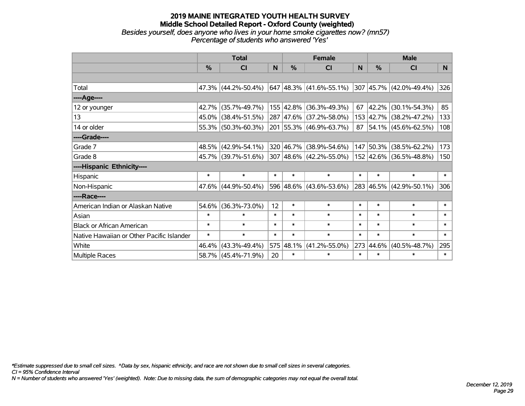#### **2019 MAINE INTEGRATED YOUTH HEALTH SURVEY Middle School Detailed Report - Oxford County (weighted)** *Besides yourself, does anyone who lives in your home smoke cigarettes now? (mn57) Percentage of students who answered 'Yes'*

|                                           | <b>Total</b>  |                        |        |        | <b>Female</b>             |              | <b>Male</b> |                                           |        |  |
|-------------------------------------------|---------------|------------------------|--------|--------|---------------------------|--------------|-------------|-------------------------------------------|--------|--|
|                                           | $\frac{0}{0}$ | <b>CI</b>              | N      | $\%$   | <b>CI</b>                 | <sub>N</sub> | $\%$        | <b>CI</b>                                 | N      |  |
|                                           |               |                        |        |        |                           |              |             |                                           |        |  |
| Total                                     |               | $47.3\%$ (44.2%-50.4%) |        |        | $647$ 48.3% (41.6%-55.1%) |              |             | 307 45.7% (42.0%-49.4%)                   | 326    |  |
| ----Age----                               |               |                        |        |        |                           |              |             |                                           |        |  |
| 12 or younger                             | $42.7\%$      | $(35.7\% - 49.7\%)$    |        |        | 155 42.8% (36.3%-49.3%)   | 67           | 42.2%       | $(30.1\% - 54.3\%)$                       | 85     |  |
| 13                                        |               | 45.0% (38.4%-51.5%)    |        |        | 287 47.6% (37.2%-58.0%)   |              |             | 153 42.7% (38.2%-47.2%)                   | 133    |  |
| 14 or older                               |               | 55.3% (50.3%-60.3%)    |        |        | 201 55.3% (46.9%-63.7%)   |              |             | $87 \big  54.1\% \big  (45.6\% - 62.5\%)$ | 108    |  |
| ----Grade----                             |               |                        |        |        |                           |              |             |                                           |        |  |
| Grade 7                                   |               | 48.5% (42.9%-54.1%)    |        |        | 320 46.7% (38.9%-54.6%)   |              | 147 50.3%   | $(38.5\% - 62.2\%)$                       | 173    |  |
| Grade 8                                   |               | 45.7% (39.7%-51.6%)    |        |        | 307 48.6% (42.2%-55.0%)   |              |             | 152 42.6% (36.5%-48.8%)                   | 150    |  |
| ----Hispanic Ethnicity----                |               |                        |        |        |                           |              |             |                                           |        |  |
| Hispanic                                  | $\ast$        | $\ast$                 | $\ast$ | $\ast$ | $\ast$                    | $\ast$       | $\ast$      | $\ast$                                    | $\ast$ |  |
| Non-Hispanic                              |               | 47.6% (44.9%-50.4%)    |        |        | 596 48.6% (43.6%-53.6%)   |              |             | 283 46.5% (42.9%-50.1%)                   | 306    |  |
| ----Race----                              |               |                        |        |        |                           |              |             |                                           |        |  |
| American Indian or Alaskan Native         | 54.6%         | $(36.3\% - 73.0\%)$    | 12     | $\ast$ | $\ast$                    | $\ast$       | $\ast$      | $\ast$                                    | $\ast$ |  |
| Asian                                     | $\ast$        | $\ast$                 | $\ast$ | $\ast$ | $\ast$                    | $\ast$       | $\ast$      | $\ast$                                    | $\ast$ |  |
| <b>Black or African American</b>          | $\ast$        | $\ast$                 | $\ast$ | $\ast$ | $\ast$                    | $\ast$       | $\ast$      | $\ast$                                    | $\ast$ |  |
| Native Hawaiian or Other Pacific Islander | $\ast$        | $\ast$                 | $\ast$ | $\ast$ | $\ast$                    | $\ast$       | $\ast$      | $\ast$                                    | $\ast$ |  |
| White                                     | 46.4%         | $(43.3\% - 49.4\%)$    | 575    | 48.1%  | $(41.2\% - 55.0\%)$       | 273          | 44.6%       | $(40.5\% - 48.7\%)$                       | 295    |  |
| <b>Multiple Races</b>                     |               | 58.7% (45.4%-71.9%)    | 20     | $\ast$ | $\ast$                    | $\ast$       | $\ast$      | $\ast$                                    | $\ast$ |  |

*\*Estimate suppressed due to small cell sizes. ^Data by sex, hispanic ethnicity, and race are not shown due to small cell sizes in several categories.*

*CI = 95% Confidence Interval*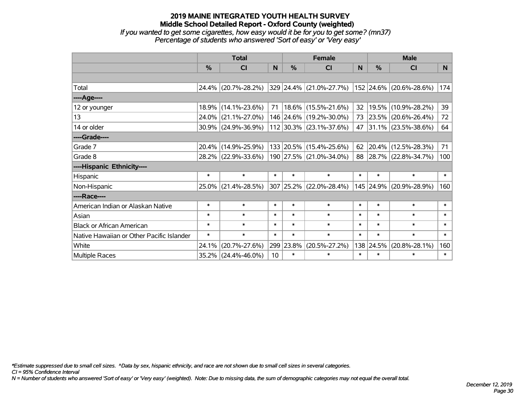#### **2019 MAINE INTEGRATED YOUTH HEALTH SURVEY Middle School Detailed Report - Oxford County (weighted)** *If you wanted to get some cigarettes, how easy would it be for you to get some? (mn37) Percentage of students who answered 'Sort of easy' or 'Very easy'*

|                                           | <b>Total</b>  |                     |        |               | <b>Female</b>           |        | <b>Male</b> |                         |        |  |
|-------------------------------------------|---------------|---------------------|--------|---------------|-------------------------|--------|-------------|-------------------------|--------|--|
|                                           | $\frac{0}{0}$ | CI                  | N      | $\frac{0}{0}$ | <b>CI</b>               | N      | %           | <b>CI</b>               | N      |  |
|                                           |               |                     |        |               |                         |        |             |                         |        |  |
| Total                                     |               | 24.4% (20.7%-28.2%) |        |               | 329 24.4% (21.0%-27.7%) |        |             | 152 24.6% (20.6%-28.6%) | 174    |  |
| ----Age----                               |               |                     |        |               |                         |        |             |                         |        |  |
| 12 or younger                             | 18.9%         | $(14.1\% - 23.6\%)$ | 71     |               | 18.6% (15.5%-21.6%)     | 32     | 19.5%       | $(10.9\% - 28.2\%)$     | 39     |  |
| 13                                        |               | 24.0% (21.1%-27.0%) |        |               | 146 24.6% (19.2%-30.0%) |        |             | 73 23.5% (20.6%-26.4%)  | 72     |  |
| 14 or older                               |               | 30.9% (24.9%-36.9%) |        |               | 112 30.3% (23.1%-37.6%) |        |             | 47 31.1% (23.5%-38.6%)  | 64     |  |
| ----Grade----                             |               |                     |        |               |                         |        |             |                         |        |  |
| Grade 7                                   | $20.4\%$      | $(14.9\% - 25.9\%)$ |        |               | 133 20.5% (15.4%-25.6%) | 62     | 20.4%       | $(12.5\% - 28.3\%)$     | 71     |  |
| Grade 8                                   |               | 28.2% (22.9%-33.6%) |        |               | 190 27.5% (21.0%-34.0%) |        |             | 88 28.7% (22.8%-34.7%)  | 100    |  |
| ----Hispanic Ethnicity----                |               |                     |        |               |                         |        |             |                         |        |  |
| Hispanic                                  | $\ast$        | $\ast$              | $\ast$ | $\ast$        | $\ast$                  | $\ast$ | $\ast$      | $\ast$                  | $\ast$ |  |
| Non-Hispanic                              |               | 25.0% (21.4%-28.5%) |        |               | 307 25.2% (22.0%-28.4%) |        |             | 145 24.9% (20.9%-28.9%) | 160    |  |
| ----Race----                              |               |                     |        |               |                         |        |             |                         |        |  |
| American Indian or Alaskan Native         | $\ast$        | $\ast$              | $\ast$ | $\ast$        | $\ast$                  | $\ast$ | $\ast$      | $\ast$                  | $\ast$ |  |
| Asian                                     | $\ast$        | $\ast$              | $\ast$ | $\ast$        | $\ast$                  | $\ast$ | $\ast$      | $\ast$                  | $\ast$ |  |
| <b>Black or African American</b>          | $\ast$        | $\ast$              | $\ast$ | $\ast$        | $\ast$                  | $\ast$ | $\ast$      | $\ast$                  | $\ast$ |  |
| Native Hawaiian or Other Pacific Islander | $\ast$        | $\ast$              | $\ast$ | $\ast$        | $\ast$                  | $\ast$ | $\ast$      | $\ast$                  | $\ast$ |  |
| White                                     | 24.1%         | $(20.7\% - 27.6\%)$ | 299    | 23.8%         | $(20.5\% - 27.2\%)$     | 138    | 24.5%       | $(20.8\% - 28.1\%)$     | 160    |  |
| <b>Multiple Races</b>                     | 35.2%         | $(24.4\% - 46.0\%)$ | 10     | $\ast$        | $\ast$                  | $\ast$ | $\ast$      | $\ast$                  | $\ast$ |  |

*\*Estimate suppressed due to small cell sizes. ^Data by sex, hispanic ethnicity, and race are not shown due to small cell sizes in several categories.*

*CI = 95% Confidence Interval*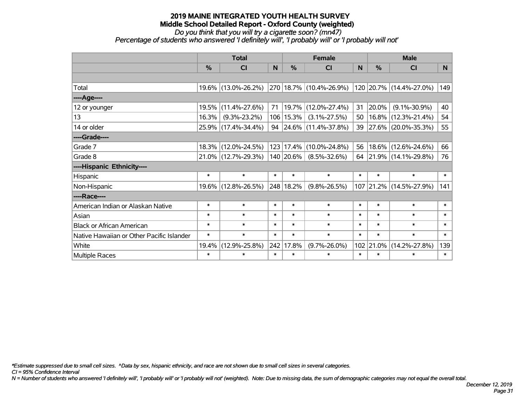# *Do you think that you will try a cigarette soon? (mn47)*

*Percentage of students who answered 'I definitely will', 'I probably will' or 'I probably will not'*

|                                           | <b>Total</b>  |                     |        |               | <b>Female</b>           |        | <b>Male</b>   |                         |        |  |
|-------------------------------------------|---------------|---------------------|--------|---------------|-------------------------|--------|---------------|-------------------------|--------|--|
|                                           | $\frac{0}{0}$ | <b>CI</b>           | N      | $\frac{0}{0}$ | <b>CI</b>               | N      | $\frac{0}{0}$ | <b>CI</b>               | N.     |  |
|                                           |               |                     |        |               |                         |        |               |                         |        |  |
| Total                                     |               | 19.6% (13.0%-26.2%) |        |               | 270 18.7% (10.4%-26.9%) |        |               | 120 20.7% (14.4%-27.0%) | 149    |  |
| ----Age----                               |               |                     |        |               |                         |        |               |                         |        |  |
| 12 or younger                             | 19.5%         | $(11.4\% - 27.6\%)$ | 71     |               | $19.7\%$ (12.0%-27.4%)  | 31     | 20.0%         | $(9.1\% - 30.9\%)$      | 40     |  |
| 13                                        | 16.3%         | $(9.3\% - 23.2\%)$  |        | $106$   15.3% | $(3.1\% - 27.5\%)$      | 50     | $16.8\%$      | $(12.3\% - 21.4\%)$     | 54     |  |
| 14 or older                               |               | 25.9% (17.4%-34.4%) |        |               | 94 24.6% (11.4%-37.8%)  |        |               | 39 27.6% (20.0%-35.3%)  | 55     |  |
| ----Grade----                             |               |                     |        |               |                         |        |               |                         |        |  |
| Grade 7                                   | $18.3\%$      | $(12.0\% - 24.5\%)$ |        | 123 17.4%     | $(10.0\% - 24.8\%)$     | 56     | 18.6%         | $(12.6\% - 24.6\%)$     | 66     |  |
| Grade 8                                   |               | 21.0% (12.7%-29.3%) |        | $140$ 20.6%   | $(8.5\% - 32.6\%)$      |        |               | 64 21.9% (14.1%-29.8%)  | 76     |  |
| ----Hispanic Ethnicity----                |               |                     |        |               |                         |        |               |                         |        |  |
| Hispanic                                  | $\ast$        | $\ast$              | $\ast$ | $\ast$        | $\ast$                  | $\ast$ | $\ast$        | $\ast$                  | $\ast$ |  |
| Non-Hispanic                              | 19.6%         | $(12.8\% - 26.5\%)$ |        | 248 18.2%     | $(9.8\% - 26.5\%)$      |        | 107 21.2%     | $(14.5\% - 27.9\%)$     | 141    |  |
| ----Race----                              |               |                     |        |               |                         |        |               |                         |        |  |
| American Indian or Alaskan Native         | $\ast$        | $\ast$              | $\ast$ | $\ast$        | $\ast$                  | $\ast$ | $\ast$        | $\ast$                  | $\ast$ |  |
| Asian                                     | $\ast$        | $\ast$              | $\ast$ | $\ast$        | $\ast$                  | $\ast$ | $\ast$        | $\ast$                  | $\ast$ |  |
| <b>Black or African American</b>          | $\ast$        | $\ast$              | $\ast$ | $\ast$        | $\ast$                  | $\ast$ | $\ast$        | $\ast$                  | $\ast$ |  |
| Native Hawaiian or Other Pacific Islander | $\ast$        | $\ast$              | $\ast$ | $\ast$        | $\ast$                  | $\ast$ | $\ast$        | $\ast$                  | $\ast$ |  |
| White                                     | 19.4%         | $(12.9\% - 25.8\%)$ | 242    | 17.8%         | $(9.7\% - 26.0\%)$      | 102    | 21.0%         | $(14.2\% - 27.8\%)$     | 139    |  |
| <b>Multiple Races</b>                     | $\ast$        | $\ast$              | $\ast$ | $\ast$        | $\ast$                  | $\ast$ | $\ast$        | $\ast$                  | $\ast$ |  |

*\*Estimate suppressed due to small cell sizes. ^Data by sex, hispanic ethnicity, and race are not shown due to small cell sizes in several categories.*

*CI = 95% Confidence Interval*

*N = Number of students who answered 'I definitely will', 'I probably will' or 'I probably will not' (weighted). Note: Due to missing data, the sum of demographic categories may not equal the overall total.*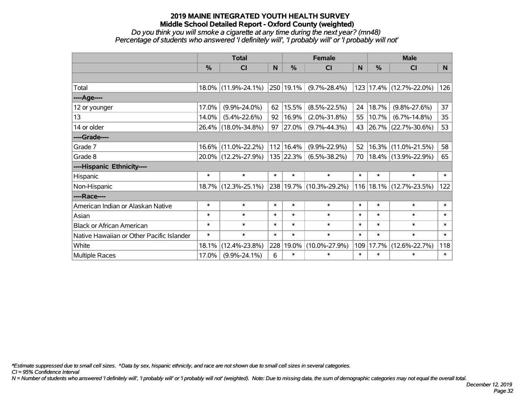#### *Do you think you will smoke a cigarette at any time during the next year? (mn48) Percentage of students who answered 'I definitely will', 'I probably will' or 'I probably will not'*

|                                           | <b>Total</b>  |                     |        |               | <b>Female</b>           |        | <b>Male</b>   |                             |                 |  |
|-------------------------------------------|---------------|---------------------|--------|---------------|-------------------------|--------|---------------|-----------------------------|-----------------|--|
|                                           | $\frac{0}{0}$ | C <sub>l</sub>      | N      | $\frac{0}{0}$ | CI                      | N      | $\frac{0}{0}$ | <b>CI</b>                   | N.              |  |
|                                           |               |                     |        |               |                         |        |               |                             |                 |  |
| Total                                     |               | 18.0% (11.9%-24.1%) |        | 250 19.1%     | $(9.7\% - 28.4\%)$      |        |               | 123 17.4% (12.7%-22.0%)     | 126             |  |
| ----Age----                               |               |                     |        |               |                         |        |               |                             |                 |  |
| 12 or younger                             | 17.0%         | $(9.9\% - 24.0\%)$  | 62     | 15.5%         | $(8.5\% - 22.5\%)$      | 24     | 18.7%         | $(9.8\% - 27.6\%)$          | 37              |  |
| 13                                        | 14.0%         | $(5.4\% - 22.6\%)$  | 92     | 16.9%         | $(2.0\% - 31.8\%)$      | 55     | 10.7%         | $(6.7\% - 14.8\%)$          | 35 <sub>2</sub> |  |
| 14 or older                               |               | 26.4% (18.0%-34.8%) | 97     | 27.0%         | $(9.7\% - 44.3\%)$      |        |               | 43 26.7% (22.7%-30.6%)      | 53              |  |
| ----Grade----                             |               |                     |        |               |                         |        |               |                             |                 |  |
| Grade 7                                   |               | 16.6% (11.0%-22.2%) |        | 112 16.4%     | $(9.9\% - 22.9\%)$      | 52     | 16.3%         | $(11.0\% - 21.5\%)$         | 58              |  |
| Grade 8                                   |               | 20.0% (12.2%-27.9%) |        | $135$ 22.3%   | $(6.5\% - 38.2\%)$      | 70     |               | 18.4% (13.9%-22.9%)         | 65              |  |
| ----Hispanic Ethnicity----                |               |                     |        |               |                         |        |               |                             |                 |  |
| Hispanic                                  | $\ast$        | $\ast$              | $\ast$ | $\ast$        | $\ast$                  | $\ast$ | $\ast$        | $\ast$                      | $\ast$          |  |
| Non-Hispanic                              |               | 18.7% (12.3%-25.1%) |        |               | 238 19.7% (10.3%-29.2%) |        |               | 116   18.1%   (12.7%-23.5%) | 122             |  |
| ----Race----                              |               |                     |        |               |                         |        |               |                             |                 |  |
| American Indian or Alaskan Native         | $\ast$        | $\ast$              | $\ast$ | $\ast$        | $\ast$                  | $\ast$ | $\ast$        | $\ast$                      | $\ast$          |  |
| Asian                                     | $\ast$        | $\ast$              | $\ast$ | $\ast$        | $\ast$                  | $\ast$ | $\ast$        | $\ast$                      | $\ast$          |  |
| <b>Black or African American</b>          | $\ast$        | $\ast$              | $\ast$ | $\ast$        | $\ast$                  | $\ast$ | $\ast$        | $\ast$                      | $\ast$          |  |
| Native Hawaiian or Other Pacific Islander | $\ast$        | $\ast$              | $\ast$ | $\ast$        | $\ast$                  | $\ast$ | $\ast$        | $\ast$                      | $\ast$          |  |
| White                                     | 18.1%         | $(12.4\% - 23.8\%)$ | 228    | 19.0%         | $(10.0\% - 27.9\%)$     | 109    | 17.7%         | $(12.6\% - 22.7\%)$         | 118             |  |
| <b>Multiple Races</b>                     | 17.0%         | $(9.9\% - 24.1\%)$  | 6      | $\ast$        | $\ast$                  | $\ast$ | $\ast$        | $\ast$                      | $\ast$          |  |

*\*Estimate suppressed due to small cell sizes. ^Data by sex, hispanic ethnicity, and race are not shown due to small cell sizes in several categories.*

*CI = 95% Confidence Interval*

*N = Number of students who answered 'I definitely will', 'I probably will' or 'I probably will not' (weighted). Note: Due to missing data, the sum of demographic categories may not equal the overall total.*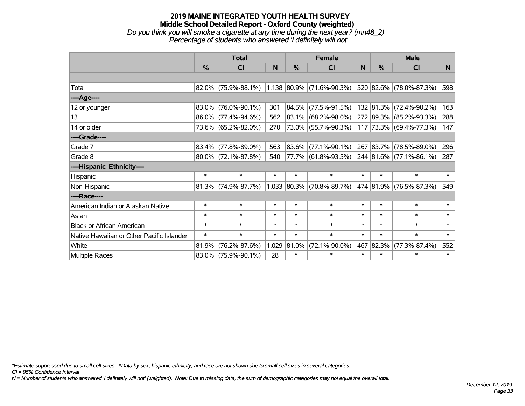# **2019 MAINE INTEGRATED YOUTH HEALTH SURVEY Middle School Detailed Report - Oxford County (weighted)** *Do you think you will smoke a cigarette at any time during the next year? (mn48\_2) Percentage of students who answered 'I definitely will not'*

|                                           | <b>Total</b>  |                                                  |        |        | <b>Female</b>               |        | <b>Male</b>   |                         |        |  |
|-------------------------------------------|---------------|--------------------------------------------------|--------|--------|-----------------------------|--------|---------------|-------------------------|--------|--|
|                                           | $\frac{0}{0}$ | CI                                               | N      | %      | <b>CI</b>                   | N      | $\frac{0}{0}$ | <b>CI</b>               | N.     |  |
|                                           |               |                                                  |        |        |                             |        |               |                         |        |  |
| Total                                     |               | $82.0\%$ (75.9%-88.1%) 1,138 80.9% (71.6%-90.3%) |        |        |                             |        |               | 520 82.6% (78.0%-87.3%) | 598    |  |
| ----Age----                               |               |                                                  |        |        |                             |        |               |                         |        |  |
| 12 or younger                             | 83.0%         | $(76.0\% - 90.1\%)$                              | 301    |        | 84.5% (77.5%-91.5%)         |        |               | 132 81.3% (72.4%-90.2%) | 163    |  |
| 13                                        |               | 86.0% (77.4%-94.6%)                              | 562    |        | 83.1% (68.2%-98.0%)         |        |               | 272 89.3% (85.2%-93.3%) | 288    |  |
| 14 or older                               |               | 73.6% (65.2%-82.0%)                              | 270    |        | 73.0% (55.7%-90.3%)         |        |               | 117 73.3% (69.4%-77.3%) | 147    |  |
| ----Grade----                             |               |                                                  |        |        |                             |        |               |                         |        |  |
| Grade 7                                   | 83.4%         | $(77.8\% - 89.0\%)$                              | 563    |        | $ 83.6\% $ (77.1%-90.1%)    |        |               | 267 83.7% (78.5%-89.0%) | 296    |  |
| Grade 8                                   |               | $80.0\%$ (72.1%-87.8%)                           | 540    |        | 77.7% (61.8%-93.5%)         |        |               | 244 81.6% (77.1%-86.1%) | 287    |  |
| ----Hispanic Ethnicity----                |               |                                                  |        |        |                             |        |               |                         |        |  |
| Hispanic                                  | $\ast$        | $\ast$                                           | $\ast$ | $\ast$ | $\ast$                      | $\ast$ | $\ast$        | $\ast$                  | $\ast$ |  |
| Non-Hispanic                              |               | $81.3\%$ (74.9%-87.7%)                           |        |        | $1,033$ 80.3% (70.8%-89.7%) |        |               | 474 81.9% (76.5%-87.3%) | 549    |  |
| ----Race----                              |               |                                                  |        |        |                             |        |               |                         |        |  |
| American Indian or Alaskan Native         | $\ast$        | $\ast$                                           | $\ast$ | $\ast$ | $\ast$                      | $\ast$ | $\ast$        | $\ast$                  | $\ast$ |  |
| Asian                                     | $\ast$        | $\ast$                                           | $\ast$ | $\ast$ | $\ast$                      | $\ast$ | $\ast$        | $\ast$                  | $\ast$ |  |
| <b>Black or African American</b>          | $\ast$        | $\ast$                                           | $\ast$ | $\ast$ | $\ast$                      | $\ast$ | $\ast$        | $\ast$                  | $\ast$ |  |
| Native Hawaiian or Other Pacific Islander | $\ast$        | $\ast$                                           | $\ast$ | $\ast$ | $\ast$                      | $\ast$ | $\ast$        | $\ast$                  | $\ast$ |  |
| White                                     | 81.9%         | $(76.2\% - 87.6\%)$                              | 1,029  | 81.0%  | $(72.1\% - 90.0\%)$         | 467    | 82.3%         | $(77.3\% - 87.4\%)$     | 552    |  |
| Multiple Races                            |               | $83.0\%$ (75.9%-90.1%)                           | 28     | $\ast$ | $\ast$                      | $\ast$ | $\ast$        | $\ast$                  | $\ast$ |  |

*\*Estimate suppressed due to small cell sizes. ^Data by sex, hispanic ethnicity, and race are not shown due to small cell sizes in several categories.*

*CI = 95% Confidence Interval*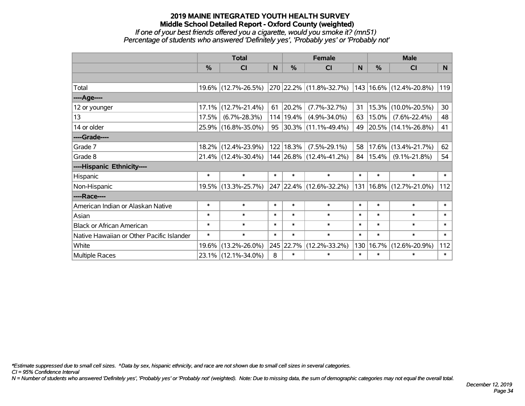# **2019 MAINE INTEGRATED YOUTH HEALTH SURVEY Middle School Detailed Report - Oxford County (weighted)** *If one of your best friends offered you a cigarette, would you smoke it? (mn51)*

*Percentage of students who answered 'Definitely yes', 'Probably yes' or 'Probably not'*

|                                           | <b>Total</b> |                     |        |               | <b>Female</b>                             |              | <b>Male</b> |                             |        |  |
|-------------------------------------------|--------------|---------------------|--------|---------------|-------------------------------------------|--------------|-------------|-----------------------------|--------|--|
|                                           | %            | CI                  | N      | $\frac{9}{6}$ | CI                                        | <sub>N</sub> | %           | <b>CI</b>                   | N.     |  |
|                                           |              |                     |        |               |                                           |              |             |                             |        |  |
| Total                                     |              | 19.6% (12.7%-26.5%) |        |               | 270 22.2% (11.8%-32.7%)                   |              |             | 143   16.6%   (12.4%-20.8%) | 119    |  |
| ----Age----                               |              |                     |        |               |                                           |              |             |                             |        |  |
| 12 or younger                             | 17.1%        | $(12.7\% - 21.4\%)$ | 61     | 20.2%         | $(7.7\% - 32.7\%)$                        | 31           | 15.3%       | $(10.0\% - 20.5\%)$         | 30     |  |
| 13                                        | 17.5%        | $(6.7\% - 28.3\%)$  |        | 114   19.4%   | $(4.9\% - 34.0\%)$                        | 63           | 15.0%       | $(7.6\% - 22.4\%)$          | 48     |  |
| 14 or older                               |              | 25.9% (16.8%-35.0%) |        |               | $95 \big  30.3\% \big  (11.1\% - 49.4\%)$ |              |             | 49 20.5% (14.1%-26.8%)      | 41     |  |
| ----Grade----                             |              |                     |        |               |                                           |              |             |                             |        |  |
| Grade 7                                   | 18.2%        | $(12.4\% - 23.9\%)$ |        | 122 18.3%     | $(7.5\% - 29.1\%)$                        | 58           | 17.6%       | $(13.4\% - 21.7\%)$         | 62     |  |
| Grade 8                                   |              | 21.4% (12.4%-30.4%) |        |               | 144 26.8% (12.4%-41.2%)                   | $84 \mid$    | 15.4%       | $(9.1\% - 21.8\%)$          | 54     |  |
| ----Hispanic Ethnicity----                |              |                     |        |               |                                           |              |             |                             |        |  |
| Hispanic                                  | $\ast$       | $\ast$              | $\ast$ | $\ast$        | $\ast$                                    | $\ast$       | $\ast$      | $\ast$                      | $\ast$ |  |
| Non-Hispanic                              |              | 19.5% (13.3%-25.7%) |        |               | 247 22.4% (12.6%-32.2%)                   | 131          |             | 16.8% (12.7%-21.0%)         | 112    |  |
| ----Race----                              |              |                     |        |               |                                           |              |             |                             |        |  |
| American Indian or Alaskan Native         | $\ast$       | $\ast$              | $\ast$ | $\ast$        | $\ast$                                    | $\ast$       | $\ast$      | $\ast$                      | $\ast$ |  |
| Asian                                     | $\ast$       | $\ast$              | $\ast$ | $\ast$        | $\ast$                                    | $\ast$       | $\ast$      | $\ast$                      | $\ast$ |  |
| <b>Black or African American</b>          | $\ast$       | $\ast$              | $\ast$ | $\ast$        | $\ast$                                    | $\ast$       | $\ast$      | $\ast$                      | $\ast$ |  |
| Native Hawaiian or Other Pacific Islander | $\ast$       | $\ast$              | $\ast$ | $\ast$        | $\ast$                                    | $\ast$       | $\ast$      | $\ast$                      | $\ast$ |  |
| White                                     | 19.6%        | $(13.2\% - 26.0\%)$ |        | 245 22.7%     | $(12.2\% - 33.2\%)$                       | 130          | 16.7%       | $(12.6\% - 20.9\%)$         | 112    |  |
| <b>Multiple Races</b>                     |              | 23.1% (12.1%-34.0%) | 8      | $\ast$        | $\ast$                                    | $\ast$       | $\ast$      | $\ast$                      | $\ast$ |  |

*\*Estimate suppressed due to small cell sizes. ^Data by sex, hispanic ethnicity, and race are not shown due to small cell sizes in several categories.*

*CI = 95% Confidence Interval*

*N = Number of students who answered 'Definitely yes', 'Probably yes' or 'Probably not' (weighted). Note: Due to missing data, the sum of demographic categories may not equal the overall total.*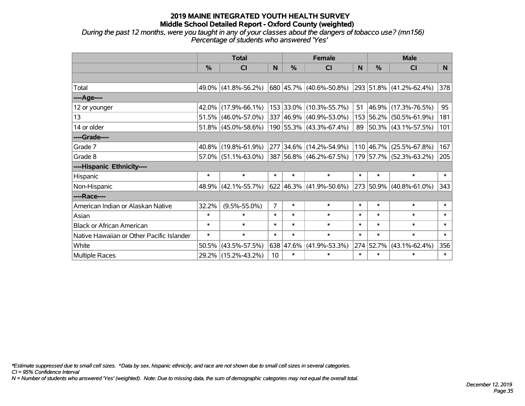*During the past 12 months, were you taught in any of your classes about the dangers of tobacco use? (mn156) Percentage of students who answered 'Yes'*

|                                           | <b>Total</b> |                     |                |               | <b>Female</b>                    |        | <b>Male</b> |                         |        |  |
|-------------------------------------------|--------------|---------------------|----------------|---------------|----------------------------------|--------|-------------|-------------------------|--------|--|
|                                           | %            | <b>CI</b>           | N              | $\frac{9}{6}$ | <b>CI</b>                        | N      | %           | <b>CI</b>               | N.     |  |
|                                           |              |                     |                |               |                                  |        |             |                         |        |  |
| Total                                     |              | 49.0% (41.8%-56.2%) |                |               | $ 680 45.7\%  (40.6\% - 50.8\%)$ |        |             | 293 51.8% (41.2%-62.4%) | 378    |  |
| ----Age----                               |              |                     |                |               |                                  |        |             |                         |        |  |
| 12 or younger                             | $42.0\%$     | $(17.9\% - 66.1\%)$ |                |               | 153 33.0% (10.3%-55.7%)          | 51     | 46.9%       | $(17.3\% - 76.5\%)$     | 95     |  |
| 13                                        | 51.5%        | $(46.0\% - 57.0\%)$ |                |               | 337 46.9% (40.9%-53.0%)          |        | 153 56.2%   | $(50.5\% - 61.9\%)$     | 181    |  |
| 14 or older                               |              | 51.8% (45.0%-58.6%) |                |               | 190 55.3% (43.3%-67.4%)          |        |             | 89 50.3% (43.1%-57.5%)  | 101    |  |
| ----Grade----                             |              |                     |                |               |                                  |        |             |                         |        |  |
| Grade 7                                   | 40.8%        | $(19.8\% - 61.9\%)$ |                |               | 277 34.6% (14.2%-54.9%)          |        | 110 46.7%   | $(25.5\% - 67.8\%)$     | 167    |  |
| Grade 8                                   |              | 57.0% (51.1%-63.0%) |                |               | $ 387 56.8\% $ (46.2%-67.5%)     |        |             | 179 57.7% (52.3%-63.2%) | 205    |  |
| ----Hispanic Ethnicity----                |              |                     |                |               |                                  |        |             |                         |        |  |
| Hispanic                                  | $\ast$       | $\ast$              | $\ast$         | $\ast$        | $\ast$                           | $\ast$ | $\ast$      | $\ast$                  | $\ast$ |  |
| Non-Hispanic                              | 48.9%        | $(42.1\% - 55.7\%)$ |                |               | 622 46.3% (41.9%-50.6%)          |        | 273 50.9%   | $(40.8\% - 61.0\%)$     | 343    |  |
| ----Race----                              |              |                     |                |               |                                  |        |             |                         |        |  |
| American Indian or Alaskan Native         | 32.2%        | $(9.5\% - 55.0\%)$  | $\overline{7}$ | $\ast$        | $\ast$                           | $\ast$ | $\ast$      | $\ast$                  | $\ast$ |  |
| Asian                                     | $\ast$       | $\ast$              | $\ast$         | $\ast$        | $\ast$                           | $\ast$ | $\ast$      | $\ast$                  | $\ast$ |  |
| <b>Black or African American</b>          | $\ast$       | $\ast$              | $\ast$         | $\ast$        | $\ast$                           | $\ast$ | $\ast$      | $\ast$                  | $\ast$ |  |
| Native Hawaiian or Other Pacific Islander | $\ast$       | $\ast$              | $\ast$         | $\ast$        | $\ast$                           | $\ast$ | $\ast$      | $\ast$                  | $\ast$ |  |
| White                                     | 50.5%        | $(43.5\% - 57.5\%)$ |                | 638 47.6%     | $(41.9\% - 53.3\%)$              |        | 274 52.7%   | $(43.1\% - 62.4\%)$     | 356    |  |
| Multiple Races                            |              | 29.2% (15.2%-43.2%) | 10             | $\ast$        | $\ast$                           | $\ast$ | $\ast$      | $\ast$                  | $\ast$ |  |

*\*Estimate suppressed due to small cell sizes. ^Data by sex, hispanic ethnicity, and race are not shown due to small cell sizes in several categories.*

*CI = 95% Confidence Interval*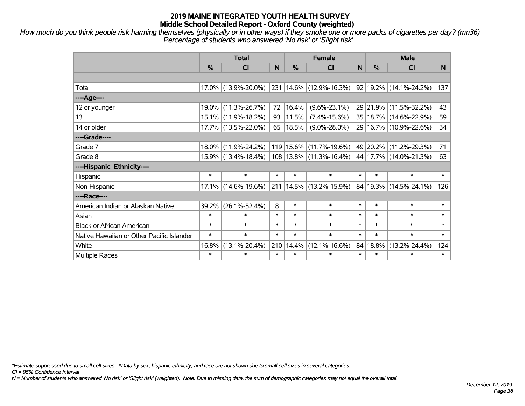*How much do you think people risk harming themselves (physically or in other ways) if they smoke one or more packs of cigarettes per day? (mn36) Percentage of students who answered 'No risk' or 'Slight risk'*

|                                           | <b>Total</b>  |                     |        |        | <b>Female</b>                                   |              | <b>Male</b> |                            |        |  |
|-------------------------------------------|---------------|---------------------|--------|--------|-------------------------------------------------|--------------|-------------|----------------------------|--------|--|
|                                           | $\frac{0}{0}$ | <b>CI</b>           | N      | $\%$   | <b>CI</b>                                       | $\mathsf{N}$ | %           | <b>CI</b>                  | N.     |  |
|                                           |               |                     |        |        |                                                 |              |             |                            |        |  |
| Total                                     |               | 17.0% (13.9%-20.0%) |        |        | $\vert$ 231 $\vert$ 14.6% $\vert$ (12.9%-16.3%) |              |             | 92 19.2% (14.1%-24.2%)     | 137    |  |
| ----Age----                               |               |                     |        |        |                                                 |              |             |                            |        |  |
| 12 or younger                             | 19.0%         | $(11.3\% - 26.7\%)$ | 72     | 16.4%  | $(9.6\% - 23.1\%)$                              |              |             | 29 21.9% (11.5%-32.2%)     | 43     |  |
| 13                                        |               | 15.1% (11.9%-18.2%) | 93     | 11.5%  | $(7.4\% - 15.6\%)$                              |              |             | 35   18.7%   (14.6%-22.9%) | 59     |  |
| 14 or older                               |               | 17.7% (13.5%-22.0%) | 65     | 18.5%  | $(9.0\% - 28.0\%)$                              |              |             | 29 16.7% (10.9%-22.6%)     | 34     |  |
| ----Grade----                             |               |                     |        |        |                                                 |              |             |                            |        |  |
| Grade 7                                   | 18.0%         | $(11.9\% - 24.2\%)$ |        |        | 119   15.6%   (11.7%-19.6%)                     |              |             | 49 20.2% (11.2%-29.3%)     | 71     |  |
| Grade 8                                   |               | 15.9% (13.4%-18.4%) |        |        | $ 108 13.8\% $ (11.3%-16.4%)                    |              |             | 44   17.7%   (14.0%-21.3%) | 63     |  |
| ----Hispanic Ethnicity----                |               |                     |        |        |                                                 |              |             |                            |        |  |
| Hispanic                                  | $\ast$        | $\ast$              | $\ast$ | $\ast$ | $\ast$                                          | $\ast$       | $\ast$      | $\ast$                     | $\ast$ |  |
| Non-Hispanic                              |               | 17.1% (14.6%-19.6%) | 211    |        | 14.5% (13.2%-15.9%)                             |              |             | 84   19.3%   (14.5%-24.1%) | 126    |  |
| ----Race----                              |               |                     |        |        |                                                 |              |             |                            |        |  |
| American Indian or Alaskan Native         | 39.2%         | $(26.1\% - 52.4\%)$ | 8      | $\ast$ | $\ast$                                          | $\ast$       | $\ast$      | $\ast$                     | $\ast$ |  |
| Asian                                     | $\ast$        | $\ast$              | $\ast$ | $\ast$ | $\ast$                                          | $\ast$       | $\ast$      | $\ast$                     | $\ast$ |  |
| <b>Black or African American</b>          | $\ast$        | $\ast$              | $\ast$ | $\ast$ | $\ast$                                          | $\ast$       | $\ast$      | $\ast$                     | $\ast$ |  |
| Native Hawaiian or Other Pacific Islander | $\ast$        | $\ast$              | $\ast$ | $\ast$ | $\ast$                                          | $\ast$       | $\ast$      | $\ast$                     | $\ast$ |  |
| White                                     | 16.8%         | $(13.1\% - 20.4\%)$ | 210    | 14.4%  | $(12.1\% - 16.6\%)$                             |              | 84 18.8%    | $(13.2\% - 24.4\%)$        | 124    |  |
| <b>Multiple Races</b>                     | $\ast$        | *                   | $\ast$ | $\ast$ | $\ast$                                          | $\ast$       | $\ast$      | $\ast$                     | $\ast$ |  |

*\*Estimate suppressed due to small cell sizes. ^Data by sex, hispanic ethnicity, and race are not shown due to small cell sizes in several categories.*

*CI = 95% Confidence Interval*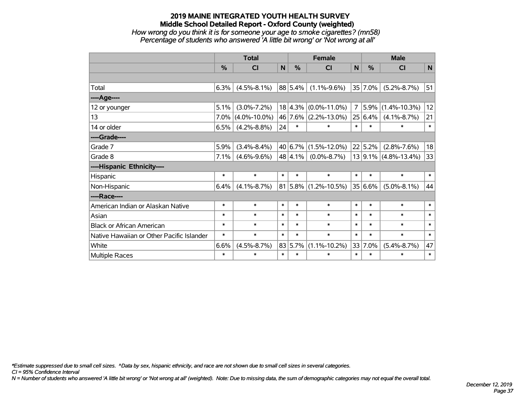# **2019 MAINE INTEGRATED YOUTH HEALTH SURVEY Middle School Detailed Report - Oxford County (weighted)** *How wrong do you think it is for someone your age to smoke cigarettes? (mn58) Percentage of students who answered 'A little bit wrong' or 'Not wrong at all'*

|                                           | <b>Total</b> |                    |              | <b>Female</b> |                          |                | <b>Male</b> |                          |             |
|-------------------------------------------|--------------|--------------------|--------------|---------------|--------------------------|----------------|-------------|--------------------------|-------------|
|                                           | %            | CI                 | $\mathsf{N}$ | $\%$          | CI                       | $\mathbf N$    | %           | CI                       | $\mathbf N$ |
|                                           |              |                    |              |               |                          |                |             |                          |             |
| Total                                     | 6.3%         | $(4.5\% - 8.1\%)$  |              | 88 5.4%       | $(1.1\% - 9.6\%)$        |                | 35 7.0%     | $(5.2\% - 8.7\%)$        | 51          |
| ---- Age----                              |              |                    |              |               |                          |                |             |                          |             |
| 12 or younger                             | 5.1%         | $(3.0\% - 7.2\%)$  |              |               | $18 4.3\% $ (0.0%-11.0%) | $\overline{7}$ | 5.9%        | $(1.4\% - 10.3\%)$       | 12          |
| 13                                        | 7.0%         | $(4.0\% - 10.0\%)$ |              |               | 46 7.6% (2.2%-13.0%)     |                | 25 6.4%     | $(4.1\% - 8.7\%)$        | 21          |
| 14 or older                               | 6.5%         | $(4.2\% - 8.8\%)$  | 24           | $\ast$        | $\ast$                   | $\ast$         | $\ast$      | $\ast$                   | $\ast$      |
| ----Grade----                             |              |                    |              |               |                          |                |             |                          |             |
| Grade 7                                   | 5.9%         | $(3.4\% - 8.4\%)$  |              | 40 6.7%       | $(1.5\% - 12.0\%)$       |                | 22 5.2%     | $(2.8\% - 7.6\%)$        | 18          |
| Grade 8                                   | 7.1%         | $(4.6\% - 9.6\%)$  |              | 48 4.1%       | $(0.0\% - 8.7\%)$        |                |             | $13 9.1\% $ (4.8%-13.4%) | 33          |
| ----Hispanic Ethnicity----                |              |                    |              |               |                          |                |             |                          |             |
| Hispanic                                  | $\ast$       | $\ast$             | $\ast$       | $\ast$        | $\ast$                   | $\ast$         | $\ast$      | $\ast$                   | $\ast$      |
| Non-Hispanic                              | 6.4%         | $(4.1\% - 8.7\%)$  |              |               | $81 5.8\% $ (1.2%-10.5%) |                | $35 6.6\% $ | $(5.0\% - 8.1\%)$        | 44          |
| ----Race----                              |              |                    |              |               |                          |                |             |                          |             |
| American Indian or Alaskan Native         | $\ast$       | $\ast$             | $\ast$       | $\ast$        | $\ast$                   | $\ast$         | $\ast$      | $\ast$                   | $\ast$      |
| Asian                                     | $\ast$       | $\ast$             | $\ast$       | $\ast$        | $\ast$                   | $\ast$         | $\ast$      | $\ast$                   | $\ast$      |
| <b>Black or African American</b>          | $\ast$       | $\ast$             | $\ast$       | $\ast$        | $\ast$                   | $\ast$         | $\ast$      | $\ast$                   | $\ast$      |
| Native Hawaiian or Other Pacific Islander | $\ast$       | $\ast$             | $\ast$       | $\ast$        | $\ast$                   | $\ast$         | $\ast$      | $\ast$                   | $\ast$      |
| White                                     | 6.6%         | $(4.5\% - 8.7\%)$  |              | 83 5.7%       | $(1.1\% - 10.2\%)$       |                | 33 7.0%     | $(5.4\% - 8.7\%)$        | 47          |
| <b>Multiple Races</b>                     | $\ast$       | $\ast$             | $\ast$       | $\ast$        | $\ast$                   | $\ast$         | $\ast$      | $\ast$                   | $\ast$      |

*\*Estimate suppressed due to small cell sizes. ^Data by sex, hispanic ethnicity, and race are not shown due to small cell sizes in several categories.*

*CI = 95% Confidence Interval*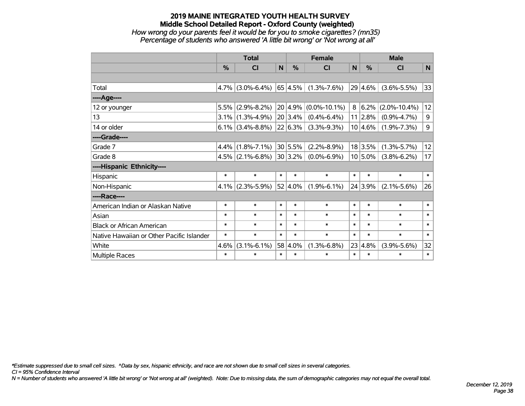# **2019 MAINE INTEGRATED YOUTH HEALTH SURVEY Middle School Detailed Report - Oxford County (weighted)** *How wrong do your parents feel it would be for you to smoke cigarettes? (mn35) Percentage of students who answered 'A little bit wrong' or 'Not wrong at all'*

|                                           | <b>Total</b> |                     |        |            | <b>Female</b>      |        |            | <b>Male</b>        |        |  |
|-------------------------------------------|--------------|---------------------|--------|------------|--------------------|--------|------------|--------------------|--------|--|
|                                           | $\%$         | <b>CI</b>           | N      | $\%$       | <b>CI</b>          | N      | $\%$       | <b>CI</b>          | N      |  |
|                                           |              |                     |        |            |                    |        |            |                    |        |  |
| Total                                     |              | $4.7\%$ (3.0%-6.4%) |        | 65 4.5%    | $(1.3\% - 7.6\%)$  | 29     | 4.6%       | $(3.6\% - 5.5\%)$  | 33     |  |
| ----Age----                               |              |                     |        |            |                    |        |            |                    |        |  |
| 12 or younger                             | 5.5%         | $(2.9\% - 8.2\%)$   |        | 20 4.9%    | $(0.0\% - 10.1\%)$ | 8      | 6.2%       | $(2.0\% - 10.4\%)$ | 12     |  |
| 13                                        |              | $3.1\%$ (1.3%-4.9%) |        | 20 3.4%    | $(0.4\% - 6.4\%)$  |        | 11 2.8%    | $(0.9\% - 4.7\%)$  | 9      |  |
| 14 or older                               |              | $6.1\%$ (3.4%-8.8%) |        | 22 6.3%    | $(3.3\% - 9.3\%)$  |        | $10 4.6\%$ | $(1.9\% - 7.3\%)$  | 9      |  |
| ----Grade----                             |              |                     |        |            |                    |        |            |                    |        |  |
| Grade 7                                   |              | $4.4\%$ (1.8%-7.1%) |        | 30 5.5%    | $(2.2\% - 8.9\%)$  |        | 18 3.5%    | $(1.3\% - 5.7\%)$  | 12     |  |
| Grade 8                                   |              | $4.5\%$ (2.1%-6.8%) |        | 30 3.2%    | $(0.0\% - 6.9\%)$  |        | $10 5.0\%$ | $(3.8\% - 6.2\%)$  | 17     |  |
| ----Hispanic Ethnicity----                |              |                     |        |            |                    |        |            |                    |        |  |
| Hispanic                                  | $\ast$       | $\ast$              | $\ast$ | $\ast$     | $\ast$             | $\ast$ | $\ast$     | $\ast$             | $\ast$ |  |
| Non-Hispanic                              |              | $4.1\%$ (2.3%-5.9%) |        | $52 4.0\%$ | $(1.9\% - 6.1\%)$  |        | 24 3.9%    | $(2.1\% - 5.6\%)$  | 26     |  |
| ----Race----                              |              |                     |        |            |                    |        |            |                    |        |  |
| American Indian or Alaskan Native         | $\ast$       | $\ast$              | $\ast$ | $\ast$     | $\ast$             | $\ast$ | $\ast$     | $\ast$             | $\ast$ |  |
| Asian                                     | $\ast$       | $\ast$              | $\ast$ | $\ast$     | $\ast$             | $\ast$ | $\ast$     | $\ast$             | $\ast$ |  |
| <b>Black or African American</b>          | $\ast$       | $\ast$              | $\ast$ | $\ast$     | $\ast$             | $\ast$ | $\ast$     | $\ast$             | $\ast$ |  |
| Native Hawaiian or Other Pacific Islander | $\ast$       | $\ast$              | $\ast$ | $\ast$     | $\ast$             | $\ast$ | $\ast$     | $\ast$             | $\ast$ |  |
| White                                     | 4.6%         | $(3.1\% - 6.1\%)$   |        | 58 4.0%    | $(1.3\% - 6.8\%)$  | 23     | 4.8%       | $(3.9\% - 5.6\%)$  | 32     |  |
| Multiple Races                            | $\ast$       | $\ast$              | $\ast$ | $\ast$     | $\ast$             | $\ast$ | $\ast$     | $\ast$             | $\ast$ |  |

*\*Estimate suppressed due to small cell sizes. ^Data by sex, hispanic ethnicity, and race are not shown due to small cell sizes in several categories.*

*CI = 95% Confidence Interval*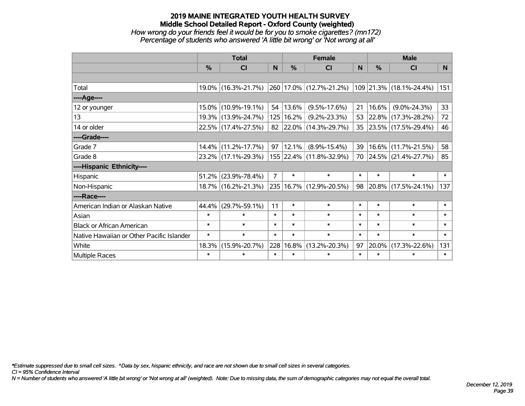# **2019 MAINE INTEGRATED YOUTH HEALTH SURVEY Middle School Detailed Report - Oxford County (weighted)** *How wrong do your friends feel it would be for you to smoke cigarettes? (mn172) Percentage of students who answered 'A little bit wrong' or 'Not wrong at all'*

|                                           | <b>Total</b> |                     |                | <b>Female</b> | <b>Male</b>             |        |        |                         |        |
|-------------------------------------------|--------------|---------------------|----------------|---------------|-------------------------|--------|--------|-------------------------|--------|
|                                           | %            | CI                  | N              | $\frac{0}{0}$ | <b>CI</b>               | N      | %      | <b>CI</b>               | N      |
|                                           |              |                     |                |               |                         |        |        |                         |        |
| Total                                     |              | 19.0% (16.3%-21.7%) |                |               | 260 17.0% (12.7%-21.2%) |        |        | 109 21.3% (18.1%-24.4%) | 151    |
| ----Age----                               |              |                     |                |               |                         |        |        |                         |        |
| 12 or younger                             | $15.0\%$     | $(10.9\% - 19.1\%)$ | 54             | $ 13.6\% $    | $(9.5\% - 17.6\%)$      | 21     | 16.6%  | $(9.0\% - 24.3\%)$      | 33     |
| 13                                        |              | 19.3% (13.9%-24.7%) |                | 125 16.2%     | $(9.2\% - 23.3\%)$      |        |        | 53 22.8% (17.3%-28.2%)  | 72     |
| 14 or older                               |              | 22.5% (17.4%-27.5%) |                |               | 82 22.0% (14.3%-29.7%)  |        |        | 35 23.5% (17.5%-29.4%)  | 46     |
| ----Grade----                             |              |                     |                |               |                         |        |        |                         |        |
| Grade 7                                   |              | 14.4% (11.2%-17.7%) | 97             | $ 12.1\% $    | $(8.9\% - 15.4\%)$      | 39     | 16.6%  | $(11.7\% - 21.5\%)$     | 58     |
| Grade 8                                   |              | 23.2% (17.1%-29.3%) |                |               | 155 22.4% (11.8%-32.9%) |        |        | 70 24.5% (21.4%-27.7%)  | 85     |
| ----Hispanic Ethnicity----                |              |                     |                |               |                         |        |        |                         |        |
| Hispanic                                  | 51.2%        | $(23.9\% - 78.4\%)$ | $\overline{7}$ | $\ast$        | $\ast$                  | $\ast$ | $\ast$ | $\ast$                  | $\ast$ |
| Non-Hispanic                              |              | 18.7% (16.2%-21.3%) |                |               | 235 16.7% (12.9%-20.5%) | 98     |        | 20.8% (17.5%-24.1%)     | 137    |
| ----Race----                              |              |                     |                |               |                         |        |        |                         |        |
| American Indian or Alaskan Native         | 44.4%        | $(29.7\% - 59.1\%)$ | 11             | $\ast$        | $\ast$                  | $\ast$ | $\ast$ | $\ast$                  | $\ast$ |
| Asian                                     | $\ast$       | $\ast$              | $\ast$         | $\ast$        | $\ast$                  | $\ast$ | $\ast$ | $\ast$                  | $\ast$ |
| <b>Black or African American</b>          | $\ast$       | $\ast$              | $\ast$         | $\ast$        | $\ast$                  | $\ast$ | $\ast$ | $\ast$                  | $\ast$ |
| Native Hawaiian or Other Pacific Islander | $\ast$       | $\ast$              | $\ast$         | $\ast$        | $\ast$                  | $\ast$ | $\ast$ | $\ast$                  | $\ast$ |
| White                                     | 18.3%        | $(15.9\% - 20.7\%)$ |                | 228 16.8%     | $(13.2\% - 20.3\%)$     | 97     | 20.0%  | $(17.3\% - 22.6\%)$     | 131    |
| Multiple Races                            | $\ast$       | $\ast$              | $\ast$         | $\ast$        | $\ast$                  | $\ast$ | $\ast$ | $\ast$                  | $\ast$ |

*\*Estimate suppressed due to small cell sizes. ^Data by sex, hispanic ethnicity, and race are not shown due to small cell sizes in several categories.*

*CI = 95% Confidence Interval*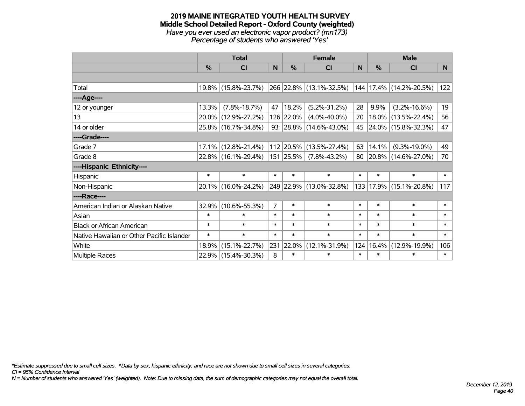#### **2019 MAINE INTEGRATED YOUTH HEALTH SURVEY Middle School Detailed Report - Oxford County (weighted)** *Have you ever used an electronic vapor product? (mn173) Percentage of students who answered 'Yes'*

|                                           | <b>Total</b>  |                        |                | <b>Female</b> |                                  |        | <b>Male</b> |                              |          |
|-------------------------------------------|---------------|------------------------|----------------|---------------|----------------------------------|--------|-------------|------------------------------|----------|
|                                           | $\frac{0}{0}$ | CI                     | N              | $\frac{0}{0}$ | CI                               | N      | %           | <b>CI</b>                    | <b>N</b> |
|                                           |               |                        |                |               |                                  |        |             |                              |          |
| Total                                     |               | 19.8% (15.8%-23.7%)    |                |               | 266 22.8% (13.1%-32.5%)          |        |             | $ 144 17.4\% $ (14.2%-20.5%) | 122      |
| ----Age----                               |               |                        |                |               |                                  |        |             |                              |          |
| 12 or younger                             | 13.3%         | $(7.8\% - 18.7\%)$     | 47             | 18.2%         | $(5.2\% - 31.2\%)$               | 28     | 9.9%        | $(3.2\% - 16.6\%)$           | 19       |
| 13                                        |               | 20.0% (12.9%-27.2%)    |                | 126 22.0%     | $(4.0\% - 40.0\%)$               | 70     |             | 18.0% (13.5%-22.4%)          | 56       |
| 14 or older                               |               | 25.8% (16.7%-34.8%)    |                |               | 93   28.8%   $(14.6\% - 43.0\%)$ | 45     |             | 24.0% (15.8%-32.3%)          | 47       |
| ----Grade----                             |               |                        |                |               |                                  |        |             |                              |          |
| Grade 7                                   |               | $17.1\%$ (12.8%-21.4%) |                |               | 112 20.5% (13.5%-27.4%)          | 63     | 14.1%       | $(9.3\% - 19.0\%)$           | 49       |
| Grade 8                                   |               | 22.8% (16.1%-29.4%)    |                | $151$ 25.5%   | $(7.8\% - 43.2\%)$               | 80     |             | 20.8% (14.6%-27.0%)          | 70       |
| ----Hispanic Ethnicity----                |               |                        |                |               |                                  |        |             |                              |          |
| Hispanic                                  | $\ast$        | $\ast$                 | $\ast$         | $\ast$        | $\ast$                           | $\ast$ | $\ast$      | $\ast$                       | $\ast$   |
| Non-Hispanic                              |               | 20.1% (16.0%-24.2%)    |                |               | 249 22.9% (13.0%-32.8%)          |        |             | 133   17.9%   (15.1%-20.8%)  | 117      |
| ----Race----                              |               |                        |                |               |                                  |        |             |                              |          |
| American Indian or Alaskan Native         |               | 32.9% (10.6%-55.3%)    | $\overline{7}$ | $\ast$        | $\ast$                           | $\ast$ | $\ast$      | $\ast$                       | $\ast$   |
| Asian                                     | $\ast$        | $\ast$                 | $\ast$         | $\ast$        | $\ast$                           | $\ast$ | $\ast$      | $\ast$                       | $\ast$   |
| <b>Black or African American</b>          | $\ast$        | $\ast$                 | $\ast$         | $\ast$        | $\ast$                           | $\ast$ | $\ast$      | $\ast$                       | $\ast$   |
| Native Hawaiian or Other Pacific Islander | $\ast$        | $\ast$                 | $\ast$         | $\ast$        | $\ast$                           | $\ast$ | $\ast$      | $\ast$                       | $\ast$   |
| White                                     | 18.9%         | $(15.1\% - 22.7\%)$    | 231            | 22.0%         | $(12.1\% - 31.9\%)$              | 124    | 16.4%       | $(12.9\% - 19.9\%)$          | 106      |
| <b>Multiple Races</b>                     |               | 22.9% (15.4%-30.3%)    | 8              | $\ast$        | $\ast$                           | $\ast$ | $\ast$      | $\ast$                       | $\ast$   |

*\*Estimate suppressed due to small cell sizes. ^Data by sex, hispanic ethnicity, and race are not shown due to small cell sizes in several categories.*

*CI = 95% Confidence Interval*

*N = Number of students who answered 'Yes' (weighted). Note: Due to missing data, the sum of demographic categories may not equal the overall total.*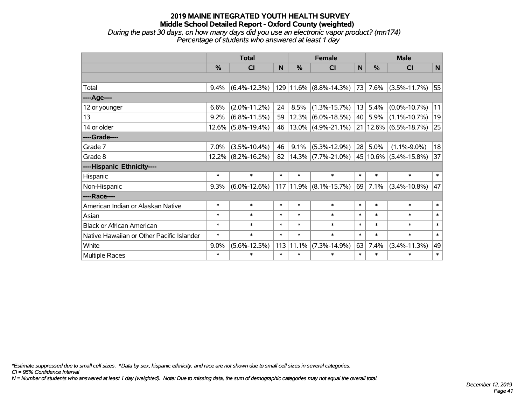#### **2019 MAINE INTEGRATED YOUTH HEALTH SURVEY Middle School Detailed Report - Oxford County (weighted)** *During the past 30 days, on how many days did you use an electronic vapor product? (mn174) Percentage of students who answered at least 1 day*

|                                           | <b>Total</b>  |                    |        |            | <b>Female</b>              |        | <b>Male</b> |                    |        |  |
|-------------------------------------------|---------------|--------------------|--------|------------|----------------------------|--------|-------------|--------------------|--------|--|
|                                           | $\frac{9}{6}$ | CI                 | N      | %          | CI                         | N      | %           | CI                 | N      |  |
|                                           |               |                    |        |            |                            |        |             |                    |        |  |
| Total                                     | 9.4%          | $(6.4\% - 12.3\%)$ |        |            | $129 11.6\% $ (8.8%-14.3%) |        | 73 7.6%     | $(3.5\% - 11.7\%)$ | 55     |  |
| ---- Age----                              |               |                    |        |            |                            |        |             |                    |        |  |
| 12 or younger                             | 6.6%          | $(2.0\% - 11.2\%)$ | 24     | 8.5%       | $(1.3\% - 15.7\%)$         | 13     | 5.4%        | $(0.0\% - 10.7\%)$ | 11     |  |
| 13                                        | 9.2%          | $(6.8\% - 11.5\%)$ | 59     | 12.3%      | $(6.0\% - 18.5\%)$         | 40     | 5.9%        | $(1.1\% - 10.7\%)$ | 19     |  |
| 14 or older                               | 12.6%         | $(5.8\% - 19.4\%)$ | 46     |            | $13.0\%$ (4.9%-21.1%)      |        | 21   12.6%  | $(6.5\% - 18.7\%)$ | 25     |  |
| ----Grade----                             |               |                    |        |            |                            |        |             |                    |        |  |
| Grade 7                                   | 7.0%          | $(3.5\% - 10.4\%)$ | 46     | 9.1%       | $(5.3\% - 12.9\%)$         |        | $28$ 5.0%   | $(1.1\% - 9.0\%)$  | 18     |  |
| Grade 8                                   | 12.2%         | $(8.2\% - 16.2\%)$ | 82     |            | $14.3\%$ (7.7%-21.0%)      |        | 45 10.6%    | $(5.4\% - 15.8\%)$ | 37     |  |
| ----Hispanic Ethnicity----                |               |                    |        |            |                            |        |             |                    |        |  |
| Hispanic                                  | $\ast$        | $\ast$             | $\ast$ | $\ast$     | $\ast$                     | $\ast$ | $\ast$      | $\ast$             | $\ast$ |  |
| Non-Hispanic                              | 9.3%          | $(6.0\% - 12.6\%)$ | 117    | $ 11.9\% $ | $(8.1\% - 15.7\%)$         |        | 69 7.1%     | $(3.4\% - 10.8\%)$ | 47     |  |
| ----Race----                              |               |                    |        |            |                            |        |             |                    |        |  |
| American Indian or Alaskan Native         | $\ast$        | $\ast$             | $\ast$ | $\ast$     | $\ast$                     | $\ast$ | $\ast$      | $\ast$             | $\ast$ |  |
| Asian                                     | $\ast$        | $\ast$             | $\ast$ | $\ast$     | $\ast$                     | $\ast$ | $\ast$      | $\ast$             | $\ast$ |  |
| <b>Black or African American</b>          | $\ast$        | $\ast$             | $\ast$ | $\ast$     | $\ast$                     | $\ast$ | $\ast$      | $\ast$             | $\ast$ |  |
| Native Hawaiian or Other Pacific Islander | $\ast$        | $\ast$             | $\ast$ | $\ast$     | $\ast$                     | $\ast$ | $\ast$      | $\ast$             | $\ast$ |  |
| White                                     | 9.0%          | $(5.6\% - 12.5\%)$ | 113    | 11.1%      | $(7.3\% - 14.9\%)$         | 63     | 7.4%        | $(3.4\% - 11.3\%)$ | 49     |  |
| <b>Multiple Races</b>                     | $\ast$        | $\ast$             | $\ast$ | $\ast$     | $\ast$                     | $\ast$ | $\ast$      | $\ast$             | $\ast$ |  |

*\*Estimate suppressed due to small cell sizes. ^Data by sex, hispanic ethnicity, and race are not shown due to small cell sizes in several categories.*

*CI = 95% Confidence Interval*

*N = Number of students who answered at least 1 day (weighted). Note: Due to missing data, the sum of demographic categories may not equal the overall total.*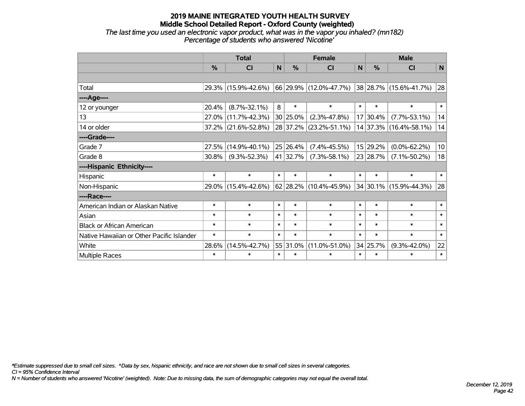*The last time you used an electronic vapor product, what was in the vapor you inhaled? (mn182) Percentage of students who answered 'Nicotine'*

|                                           | <b>Total</b> |                     |        |               | <b>Female</b>                                                                                 | <b>Male</b>  |               |                        |        |
|-------------------------------------------|--------------|---------------------|--------|---------------|-----------------------------------------------------------------------------------------------|--------------|---------------|------------------------|--------|
|                                           | $\%$         | CI                  | N      | $\frac{0}{0}$ | <b>CI</b>                                                                                     | $\mathsf{N}$ | $\frac{0}{0}$ | <b>CI</b>              | N      |
|                                           |              |                     |        |               |                                                                                               |              |               |                        |        |
| Total                                     |              | 29.3% (15.9%-42.6%) |        |               | $\vert$ 66 $\vert$ 29.9% $\vert$ (12.0%-47.7%) $\vert$ 38 $\vert$ 28.7% $\vert$ (15.6%-41.7%) |              |               |                        | 28     |
| ----Age----                               |              |                     |        |               |                                                                                               |              |               |                        |        |
| 12 or younger                             | 20.4%        | $(8.7\% - 32.1\%)$  | 8      | $\ast$        | $\ast$                                                                                        | $\ast$       | $\ast$        | $\ast$                 | $\ast$ |
| 13                                        | 27.0%        | $(11.7\% - 42.3\%)$ |        | $30 25.0\%$   | $(2.3\% - 47.8\%)$                                                                            |              | 17 30.4%      | $(7.7\% - 53.1\%)$     | 14     |
| 14 or older                               |              | 37.2% (21.6%-52.8%) |        |               | 28 37.2% (23.2%-51.1%)                                                                        |              |               | 14 37.3% (16.4%-58.1%) | 14     |
| ----Grade----                             |              |                     |        |               |                                                                                               |              |               |                        |        |
| Grade 7                                   | 27.5%        | $(14.9\% - 40.1\%)$ |        | 25 26.4%      | $(7.4\% - 45.5\%)$                                                                            |              | 15 29.2%      | $(0.0\% - 62.2\%)$     | 10     |
| Grade 8                                   | 30.8%        | $(9.3\% - 52.3\%)$  |        | 41 32.7%      | $(7.3\% - 58.1\%)$                                                                            |              | 23 28.7%      | $(7.1\% - 50.2\%)$     | 18     |
| ----Hispanic Ethnicity----                |              |                     |        |               |                                                                                               |              |               |                        |        |
| Hispanic                                  | $\ast$       | $\ast$              | $\ast$ | $\ast$        | $\ast$                                                                                        | $\ast$       | $\ast$        | $\ast$                 | $\ast$ |
| Non-Hispanic                              |              | 29.0% (15.4%-42.6%) |        |               | 62 28.2% $(10.4\% - 45.9\%)$                                                                  |              | 34 30.1%      | $(15.9\% - 44.3\%)$    | 28     |
| ----Race----                              |              |                     |        |               |                                                                                               |              |               |                        |        |
| American Indian or Alaskan Native         | $\ast$       | $\ast$              | $\ast$ | $\ast$        | $\ast$                                                                                        | $\ast$       | $\ast$        | $\ast$                 | $\ast$ |
| Asian                                     | $\ast$       | $\ast$              | $\ast$ | $\ast$        | $\ast$                                                                                        | $\ast$       | $\ast$        | $\ast$                 | $\ast$ |
| <b>Black or African American</b>          | $\ast$       | $\ast$              | $\ast$ | $\ast$        | $\ast$                                                                                        | $\ast$       | $\ast$        | $\ast$                 | $\ast$ |
| Native Hawaiian or Other Pacific Islander | $\ast$       | $\ast$              | $\ast$ | $\ast$        | $\ast$                                                                                        | $\ast$       | $\ast$        | $\ast$                 | $\ast$ |
| White                                     | 28.6%        | $(14.5\% - 42.7\%)$ |        | 55 31.0%      | $(11.0\% - 51.0\%)$                                                                           |              | 34 25.7%      | $(9.3\% - 42.0\%)$     | 22     |
| <b>Multiple Races</b>                     | $\ast$       | $\ast$              | $\ast$ | $\ast$        | $\ast$                                                                                        | $\ast$       | $\ast$        | $\ast$                 | $\ast$ |

*\*Estimate suppressed due to small cell sizes. ^Data by sex, hispanic ethnicity, and race are not shown due to small cell sizes in several categories.*

*CI = 95% Confidence Interval*

*N = Number of students who answered 'Nicotine' (weighted). Note: Due to missing data, the sum of demographic categories may not equal the overall total.*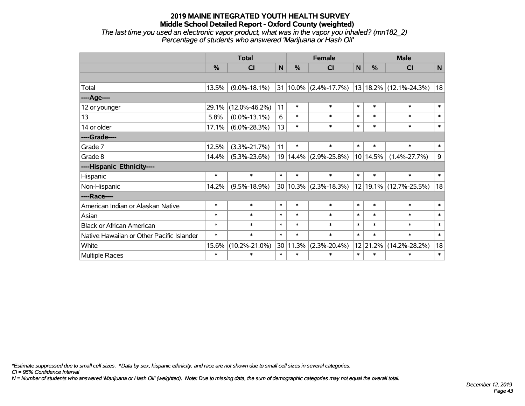*The last time you used an electronic vapor product, what was in the vapor you inhaled? (mn182\_2) Percentage of students who answered 'Marijuana or Hash Oil'*

|                                           | <b>Total</b> |                     |        | <b>Female</b> |                           |        | <b>Male</b>   |                                                  |              |  |
|-------------------------------------------|--------------|---------------------|--------|---------------|---------------------------|--------|---------------|--------------------------------------------------|--------------|--|
|                                           | $\%$         | <b>CI</b>           | N      | %             | <b>CI</b>                 | N      | $\frac{0}{0}$ | <b>CI</b>                                        | N            |  |
|                                           |              |                     |        |               |                           |        |               |                                                  |              |  |
| Total                                     | 13.5%        | $(9.0\% - 18.1\%)$  |        |               |                           |        |               | $31 10.0\% $ (2.4%-17.7%) 13 18.2% (12.1%-24.3%) | 18           |  |
| ----Age----                               |              |                     |        |               |                           |        |               |                                                  |              |  |
| 12 or younger                             | 29.1%        | $(12.0\% - 46.2\%)$ | 11     | $\ast$        | $\ast$                    | $\ast$ | $\ast$        | $\ast$                                           | $\ast$       |  |
| 13                                        | 5.8%         | $(0.0\% - 13.1\%)$  | 6      | $\ast$        | $\ast$                    | $\ast$ | $\ast$        | $\ast$                                           | $\ast$       |  |
| 14 or older                               | 17.1%        | $(6.0\% - 28.3\%)$  | 13     | $\ast$        | $\ast$                    | $\ast$ | $\ast$        | $\ast$                                           | $\ast$       |  |
| ----Grade----                             |              |                     |        |               |                           |        |               |                                                  |              |  |
| Grade 7                                   | 12.5%        | $(3.3\% - 21.7\%)$  | 11     | $\ast$        | $\ast$                    | $\ast$ | $\ast$        | $\ast$                                           | $\ast$       |  |
| Grade 8                                   | 14.4%        | $(5.3\% - 23.6\%)$  |        |               | 19 14.4% (2.9%-25.8%)     |        | 10 14.5%      | $(1.4\% - 27.7\%)$                               | 9            |  |
| ----Hispanic Ethnicity----                |              |                     |        |               |                           |        |               |                                                  |              |  |
| Hispanic                                  | $\ast$       | $\ast$              | $\ast$ | $\ast$        | $\ast$                    | $\ast$ | $\ast$        | $\ast$                                           | $\ast$       |  |
| Non-Hispanic                              | 14.2%        | $(9.5\% - 18.9\%)$  |        |               | $30 10.3\% $ (2.3%-18.3%) |        |               | 12 19.1% (12.7%-25.5%)                           | 18           |  |
| ----Race----                              |              |                     |        |               |                           |        |               |                                                  |              |  |
| American Indian or Alaskan Native         | $\ast$       | $\ast$              | $\ast$ | $\ast$        | $\ast$                    | $\ast$ | $\ast$        | $\ast$                                           | $\ast$       |  |
| Asian                                     | $\ast$       | $\ast$              | $\ast$ | $\ast$        | $\ast$                    | $\ast$ | $\ast$        | $\ast$                                           | $\ast$       |  |
| <b>Black or African American</b>          | $\ast$       | $\ast$              | $\ast$ | $\ast$        | $\ast$                    | $\ast$ | $\ast$        | $\ast$                                           | $\ast$       |  |
| Native Hawaiian or Other Pacific Islander | $\ast$       | $\ast$              | $\ast$ | $\ast$        | $\ast$                    | $\ast$ | $\ast$        | $\ast$                                           | $\pmb{\ast}$ |  |
| White                                     | 15.6%        | $(10.2\% - 21.0\%)$ | 30     | 11.3%         | $(2.3\% - 20.4\%)$        | 12     | 21.2%         | $(14.2\% - 28.2\%)$                              | 18           |  |
| <b>Multiple Races</b>                     | $\ast$       | $\ast$              | $\ast$ | $\ast$        | $\ast$                    | $\ast$ | $\ast$        | $\ast$                                           | $\ast$       |  |

*\*Estimate suppressed due to small cell sizes. ^Data by sex, hispanic ethnicity, and race are not shown due to small cell sizes in several categories.*

*CI = 95% Confidence Interval*

*N = Number of students who answered 'Marijuana or Hash Oil' (weighted). Note: Due to missing data, the sum of demographic categories may not equal the overall total.*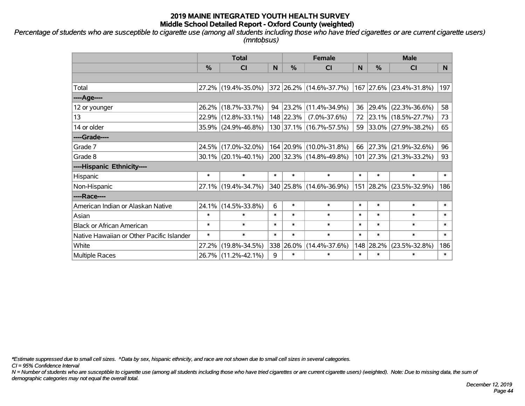*Percentage of students who are susceptible to cigarette use (among all students including those who have tried cigarettes or are current cigarette users) (mntobsus)*

|                                           | <b>Total</b>  |                        |        | <b>Female</b> | <b>Male</b>             |        |            |                         |                |
|-------------------------------------------|---------------|------------------------|--------|---------------|-------------------------|--------|------------|-------------------------|----------------|
|                                           | $\frac{0}{0}$ | <b>CI</b>              | N.     | $\frac{0}{0}$ | CI                      | N      | %          | <b>CI</b>               | N <sub>1</sub> |
|                                           |               |                        |        |               |                         |        |            |                         |                |
| Total                                     |               | 27.2% (19.4%-35.0%)    |        |               | 372 26.2% (14.6%-37.7%) |        |            | 167 27.6% (23.4%-31.8%) | 197            |
| ----Age----                               |               |                        |        |               |                         |        |            |                         |                |
| 12 or younger                             |               | 26.2% (18.7%-33.7%)    |        |               | 94 23.2% (11.4%-34.9%)  |        | 36 29.4%   | $(22.3\% - 36.6\%)$     | 58             |
| 13                                        |               | 22.9% (12.8%-33.1%)    |        |               | 148 22.3% (7.0%-37.6%)  |        |            | 72 23.1% (18.5%-27.7%)  | 73             |
| 14 or older                               |               | 35.9% (24.9%-46.8%)    |        |               | 130 37.1% (16.7%-57.5%) |        |            | 59 33.0% (27.9%-38.2%)  | 65             |
| ----Grade----                             |               |                        |        |               |                         |        |            |                         |                |
| Grade 7                                   |               | 24.5% (17.0%-32.0%)    |        |               | 164 20.9% (10.0%-31.8%) | 66     | $ 27.3\% $ | $(21.9\% - 32.6\%)$     | 96             |
| Grade 8                                   |               | $30.1\%$ (20.1%-40.1%) |        |               | 200 32.3% (14.8%-49.8%) |        |            | 101 27.3% (21.3%-33.2%) | 93             |
| ----Hispanic Ethnicity----                |               |                        |        |               |                         |        |            |                         |                |
| Hispanic                                  | $\ast$        | $\ast$                 | $\ast$ | $\ast$        | $\ast$                  | $\ast$ | $\ast$     | $\ast$                  | $\ast$         |
| Non-Hispanic                              |               | 27.1% (19.4%-34.7%)    |        |               | 340 25.8% (14.6%-36.9%) |        | 151 28.2%  | $(23.5\% - 32.9\%)$     | 186            |
| ----Race----                              |               |                        |        |               |                         |        |            |                         |                |
| American Indian or Alaskan Native         |               | 24.1% (14.5%-33.8%)    | 6      | $\ast$        | $\ast$                  | $\ast$ | $\ast$     | $\ast$                  | $\ast$         |
| Asian                                     | $\ast$        | $\ast$                 | $\ast$ | $\ast$        | $\ast$                  | $\ast$ | $\ast$     | $\ast$                  | $\ast$         |
| <b>Black or African American</b>          | $\ast$        | $\ast$                 | $\ast$ | $\ast$        | $\ast$                  | $\ast$ | $\ast$     | $\ast$                  | $\ast$         |
| Native Hawaiian or Other Pacific Islander | $\ast$        | $\ast$                 | $\ast$ | $\ast$        | $\ast$                  | $\ast$ | $\ast$     | $\ast$                  | $\ast$         |
| White                                     | 27.2%         | $(19.8\% - 34.5\%)$    |        | 338 26.0%     | $(14.4\% - 37.6\%)$     |        | 148 28.2%  | $(23.5\% - 32.8\%)$     | 186            |
| Multiple Races                            |               | 26.7% (11.2%-42.1%)    | 9      | $\ast$        | $\ast$                  | $\ast$ | $\ast$     | $\ast$                  | $\ast$         |

*\*Estimate suppressed due to small cell sizes. ^Data by sex, hispanic ethnicity, and race are not shown due to small cell sizes in several categories.*

*CI = 95% Confidence Interval*

*N = Number of students who are susceptible to cigarette use (among all students including those who have tried cigarettes or are current cigarette users) (weighted). Note: Due to missing data, the sum of demographic categories may not equal the overall total.*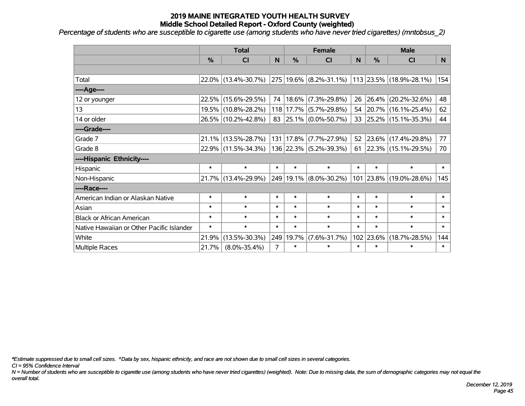*Percentage of students who are susceptible to cigarette use (among students who have never tried cigarettes) (mntobsus\_2) '*

|                                           | <b>Total</b> |                     |        |           | <b>Female</b>          |        | <b>Male</b> |                          |        |  |
|-------------------------------------------|--------------|---------------------|--------|-----------|------------------------|--------|-------------|--------------------------|--------|--|
|                                           | %            | CI                  | N      | %         | <b>CI</b>              | N      | %           | <b>CI</b>                | N      |  |
|                                           |              |                     |        |           |                        |        |             |                          |        |  |
| Total                                     |              | 22.0% (13.4%-30.7%) |        |           | 275 19.6% (8.2%-31.1%) |        |             | 113 23.5% (18.9%-28.1%)  | 154    |  |
| ---- Age----                              |              |                     |        |           |                        |        |             |                          |        |  |
| 12 or younger                             |              | 22.5% (15.6%-29.5%) | 74     | 18.6%     | $(7.3\% - 29.8\%)$     | 26     | 26.4%       | $(20.2\% - 32.6\%)$      | 48     |  |
| 13                                        |              | 19.5% (10.8%-28.2%) |        |           | 118 17.7% (5.7%-29.8%) |        | 54 20.7%    | $(16.1\% - 25.4\%)$      | 62     |  |
| 14 or older                               |              | 26.5% (10.2%-42.8%) |        |           | 83 25.1% (0.0%-50.7%)  |        |             | 33 25.2% (15.1%-35.3%)   | 44     |  |
| ----Grade----                             |              |                     |        |           |                        |        |             |                          |        |  |
| Grade 7                                   | 21.1%        | $(13.5\% - 28.7\%)$ |        | 131 17.8% | $(7.7\% - 27.9\%)$     | 52     | $ 23.6\% $  | $(17.4\% - 29.8\%)$      | 77     |  |
| Grade 8                                   |              | 22.9% (11.5%-34.3%) |        |           | 136 22.3% (5.2%-39.3%) | 61     |             | $ 22.3\% $ (15.1%-29.5%) | 70     |  |
| ----Hispanic Ethnicity----                |              |                     |        |           |                        |        |             |                          |        |  |
| Hispanic                                  | $\ast$       | $\ast$              | $\ast$ | $\ast$    | $\ast$                 | $\ast$ | $\ast$      | $\ast$                   | $\ast$ |  |
| Non-Hispanic                              |              | 21.7% (13.4%-29.9%) |        |           | 249 19.1% (8.0%-30.2%) |        | 101 23.8%   | $(19.0\% - 28.6\%)$      | 145    |  |
| ----Race----                              |              |                     |        |           |                        |        |             |                          |        |  |
| American Indian or Alaskan Native         | $\ast$       | $\ast$              | $\ast$ | $\ast$    | $\ast$                 | $\ast$ | $\ast$      | $\ast$                   | $\ast$ |  |
| Asian                                     | $\ast$       | $\ast$              | $\ast$ | $\ast$    | $\ast$                 | $\ast$ | $\ast$      | $\ast$                   | $\ast$ |  |
| <b>Black or African American</b>          | $\ast$       | $\ast$              | $\ast$ | $\ast$    | $\ast$                 | $\ast$ | $\ast$      | $\ast$                   | $\ast$ |  |
| Native Hawaiian or Other Pacific Islander | $\ast$       | $\ast$              | $\ast$ | $\ast$    | $\ast$                 | $\ast$ | $\ast$      | $\ast$                   | $\ast$ |  |
| White                                     | 21.9%        | $(13.5\% - 30.3\%)$ | 249    | 19.7%     | $(7.6\% - 31.7\%)$     |        | 102 23.6%   | $(18.7\% - 28.5\%)$      | 144    |  |
| <b>Multiple Races</b>                     | 21.7%        | $(8.0\% - 35.4\%)$  | 7      | $\ast$    | $\ast$                 | $\ast$ | $\ast$      | $\ast$                   | $\ast$ |  |

*\*Estimate suppressed due to small cell sizes. ^Data by sex, hispanic ethnicity, and race are not shown due to small cell sizes in several categories.*

*CI = 95% Confidence Interval*

*N = Number of students who are susceptible to cigarette use (among students who have never tried cigarettes) (weighted). Note: Due to missing data, the sum of demographic categories may not equal the overall total.*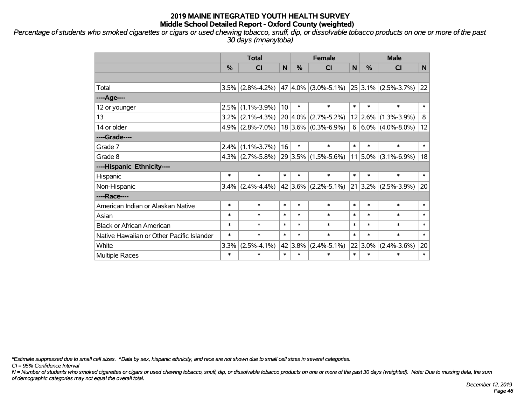*Percentage of students who smoked cigarettes or cigars or used chewing tobacco, snuff, dip, or dissolvable tobacco products on one or more of the past 30 days (mnanytoba)*

|                                           | <b>Total</b> |                     |        |         | <b>Female</b>           | <b>Male</b> |               |                          |                |
|-------------------------------------------|--------------|---------------------|--------|---------|-------------------------|-------------|---------------|--------------------------|----------------|
|                                           | %            | <b>CI</b>           | N      | %       | <b>CI</b>               | N           | %             | <b>CI</b>                | N <sub>1</sub> |
|                                           |              |                     |        |         |                         |             |               |                          |                |
| Total                                     | 3.5%         | $(2.8\% - 4.2\%)$   |        |         | $47 4.0\% $ (3.0%-5.1%) |             |               | $ 25 3.1\% $ (2.5%-3.7%) | 22             |
| ----Age----                               |              |                     |        |         |                         |             |               |                          |                |
| 12 or younger                             | 2.5%         | $(1.1\% - 3.9\%)$   | 10     | $\ast$  | $\ast$                  | $\ast$      | $\ast$        | $\ast$                   | $\ast$         |
| 13                                        | $3.2\%$      | $(2.1\% - 4.3\%)$   |        |         | $20 4.0\% $ (2.7%-5.2%) |             | $12$ 2.6%     | $(1.3\% - 3.9\%)$        | 8              |
| 14 or older                               |              | $4.9\%$ (2.8%-7.0%) |        |         | $18 3.6\% $ (0.3%-6.9%) |             |               | $6 6.0\% $ (4.0%-8.0%)   | 12             |
| ----Grade----                             |              |                     |        |         |                         |             |               |                          |                |
| Grade 7                                   | 2.4%         | $(1.1\% - 3.7\%)$   | 16     | $\ast$  | $\ast$                  | $\ast$      | $\ast$        | $\ast$                   | $\ast$         |
| Grade 8                                   |              | $4.3\%$ (2.7%-5.8%) |        |         | $29 3.5\% $ (1.5%-5.6%) |             |               | $11 5.0\% $ (3.1%-6.9%)  | 18             |
| ----Hispanic Ethnicity----                |              |                     |        |         |                         |             |               |                          |                |
| Hispanic                                  | $\ast$       | $\ast$              | $\ast$ | $\ast$  | $\ast$                  | $\ast$      | $\ast$        | $\ast$                   | $\ast$         |
| Non-Hispanic                              | 3.4%         | $(2.4\% - 4.4\%)$   |        |         | $42 3.6\% $ (2.2%-5.1%) |             | $21$ 3.2% $ $ | $(2.5\% - 3.9\%)$        | 20             |
| ----Race----                              |              |                     |        |         |                         |             |               |                          |                |
| American Indian or Alaskan Native         | $\ast$       | $\ast$              | $\ast$ | $\ast$  | $\ast$                  | $\ast$      | $\ast$        | $\ast$                   | $\ast$         |
| Asian                                     | $\ast$       | $\ast$              | $\ast$ | $\ast$  | $\ast$                  | $\ast$      | $\ast$        | $\ast$                   | $\ast$         |
| <b>Black or African American</b>          | $\ast$       | $\ast$              | $\ast$ | $\ast$  | $\ast$                  | $\ast$      | $\ast$        | $\ast$                   | $\ast$         |
| Native Hawaiian or Other Pacific Islander | $\ast$       | $\ast$              | $\ast$ | $\ast$  | $\ast$                  | $\ast$      | $\ast$        | $\ast$                   | $\ast$         |
| White                                     | 3.3%         | $(2.5\% - 4.1\%)$   |        | 42 3.8% | $(2.4\% - 5.1\%)$       |             | $22 3.0\%$    | $(2.4\% - 3.6\%)$        | 20             |
| Multiple Races                            | $\ast$       | $\ast$              | $\ast$ | $\ast$  | $\ast$                  | $\ast$      | $\ast$        | $\ast$                   | $\ast$         |

*\*Estimate suppressed due to small cell sizes. ^Data by sex, hispanic ethnicity, and race are not shown due to small cell sizes in several categories.*

*CI = 95% Confidence Interval*

*N = Number of students who smoked cigarettes or cigars or used chewing tobacco, snuff, dip, or dissolvable tobacco products on one or more of the past 30 days (weighted). Note: Due to missing data, the sum of demographic categories may not equal the overall total.*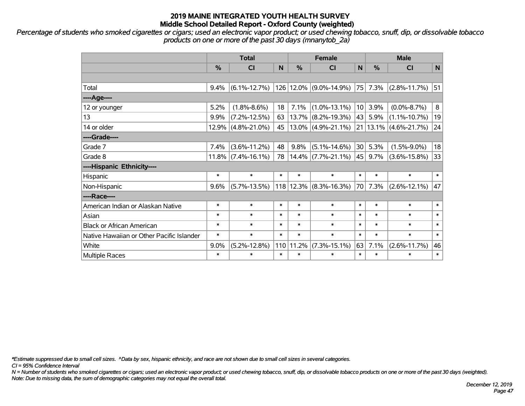*Percentage of students who smoked cigarettes or cigars; used an electronic vapor product; or used chewing tobacco, snuff, dip, or dissolvable tobacco products on one or more of the past 30 days (mnanytob\_2a)*

|                                           | <b>Total</b> |                    |        |               | <b>Female</b>                | <b>Male</b>     |         |                       |        |
|-------------------------------------------|--------------|--------------------|--------|---------------|------------------------------|-----------------|---------|-----------------------|--------|
|                                           | %            | <b>CI</b>          | N      | $\frac{0}{0}$ | <b>CI</b>                    | $\mathsf{N}$    | %       | <b>CI</b>             | N      |
|                                           |              |                    |        |               |                              |                 |         |                       |        |
| Total                                     | 9.4%         | $(6.1\% - 12.7\%)$ |        |               | 126 12.0% (9.0%-14.9%)       | 75              | 7.3%    | $(2.8\% - 11.7\%)$    | 51     |
| ----Age----                               |              |                    |        |               |                              |                 |         |                       |        |
| 12 or younger                             | 5.2%         | $(1.8\% - 8.6\%)$  | 18     | 7.1%          | $(1.0\% - 13.1\%)$           | 10 <sup>1</sup> | 3.9%    | $(0.0\% - 8.7\%)$     | 8      |
| 13                                        | 9.9%         | $(7.2\% - 12.5\%)$ | 63     | 13.7%         | $(8.2\% - 19.3\%)$           | 43              | 5.9%    | $(1.1\% - 10.7\%)$    | 19     |
| 14 or older                               | 12.9%        | $(4.8\% - 21.0\%)$ | 45     |               | $13.0\%$ (4.9%-21.1%)        | 21              |         | $13.1\%$ (4.6%-21.7%) | 24     |
| ----Grade----                             |              |                    |        |               |                              |                 |         |                       |        |
| Grade 7                                   | 7.4%         | $(3.6\% - 11.2\%)$ | 48     | 9.8%          | $(5.1\% - 14.6\%)$           | 30              | 5.3%    | $(1.5\% - 9.0\%)$     | 18     |
| Grade 8                                   | $11.8\%$     | $(7.4\% - 16.1\%)$ | 78     |               | $14.4\%$ (7.7%-21.1%) $ 45 $ |                 | $9.7\%$ | $(3.6\% - 15.8\%)$    | 33     |
| ----Hispanic Ethnicity----                |              |                    |        |               |                              |                 |         |                       |        |
| Hispanic                                  | $\ast$       | $\ast$             | $\ast$ | $\ast$        | $\ast$                       | $\ast$          | $\ast$  | $\ast$                | $\ast$ |
| Non-Hispanic                              | 9.6%         | $(5.7\% - 13.5\%)$ |        | $118$   12.3% | $(8.3\% - 16.3\%)$           | 70              | $7.3\%$ | $(2.6\% - 12.1\%)$    | 47     |
| ----Race----                              |              |                    |        |               |                              |                 |         |                       |        |
| American Indian or Alaskan Native         | $\ast$       | $\ast$             | $\ast$ | $\ast$        | $\ast$                       | $\ast$          | $\ast$  | $\ast$                | $\ast$ |
| Asian                                     | $\ast$       | $\ast$             | $\ast$ | $\ast$        | $\ast$                       | $\ast$          | $\ast$  | $\ast$                | $\ast$ |
| <b>Black or African American</b>          | $\ast$       | $\ast$             | $\ast$ | $\ast$        | $\ast$                       | $\ast$          | $\ast$  | $\ast$                | $\ast$ |
| Native Hawaiian or Other Pacific Islander | $\ast$       | $\ast$             | $\ast$ | $\ast$        | $\ast$                       | $\ast$          | $\ast$  | $\ast$                | $\ast$ |
| White                                     | 9.0%         | $(5.2\% - 12.8\%)$ | 110    | 11.2%         | $(7.3\% - 15.1\%)$           | 63              | 7.1%    | $(2.6\% - 11.7\%)$    | 46     |
| Multiple Races                            | $\ast$       | $\ast$             | $\ast$ | $\ast$        | $\ast$                       | $\ast$          | $\ast$  | $\ast$                | $\ast$ |

*\*Estimate suppressed due to small cell sizes. ^Data by sex, hispanic ethnicity, and race are not shown due to small cell sizes in several categories.*

*CI = 95% Confidence Interval*

*N = Number of students who smoked cigarettes or cigars; used an electronic vapor product; or used chewing tobacco, snuff, dip, or dissolvable tobacco products on one or more of the past 30 days (weighted). Note: Due to missing data, the sum of demographic categories may not equal the overall total.*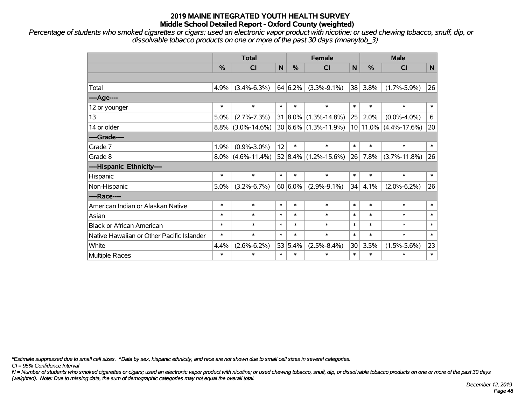*Percentage of students who smoked cigarettes or cigars; used an electronic vapor product with nicotine; or used chewing tobacco, snuff, dip, or dissolvable tobacco products on one or more of the past 30 days (mnanytob\_3)*

|                                           | <b>Total</b> |                      |        |            | <b>Female</b>            |        | <b>Male</b>  |                    |              |  |
|-------------------------------------------|--------------|----------------------|--------|------------|--------------------------|--------|--------------|--------------------|--------------|--|
|                                           | %            | <b>CI</b>            | N      | %          | <b>CI</b>                | N      | %            | <b>CI</b>          | $\mathsf{N}$ |  |
|                                           |              |                      |        |            |                          |        |              |                    |              |  |
| Total                                     | 4.9%         | $(3.4\% - 6.3\%)$    |        | 64 6.2%    | $(3.3\% - 9.1\%)$        | 38     | 3.8%         | $(1.7\% - 5.9\%)$  | 26           |  |
| ----Age----                               |              |                      |        |            |                          |        |              |                    |              |  |
| 12 or younger                             | $\ast$       | $\ast$               | $\ast$ | $\ast$     | $\ast$                   | $\ast$ | $\ast$       | $\ast$             | $\ast$       |  |
| 13                                        | 5.0%         | $(2.7\% - 7.3\%)$    |        |            | 31 8.0% (1.3%-14.8%)     | 25     | 2.0%         | $(0.0\% - 4.0\%)$  | 6            |  |
| 14 or older                               | $8.8\%$      | $(3.0\% - 14.6\%)$   |        |            | $30 6.6\% $ (1.3%-11.9%) |        | $10 11.0\% $ | $(4.4\% - 17.6\%)$ | 20           |  |
| ----Grade----                             |              |                      |        |            |                          |        |              |                    |              |  |
| Grade 7                                   | 1.9%         | $(0.9\% - 3.0\%)$    | 12     | $\ast$     | $\ast$                   | $\ast$ | $\ast$       | $\ast$             | $\ast$       |  |
| Grade 8                                   |              | $8.0\%$ (4.6%-11.4%) |        |            | $52 8.4\% $ (1.2%-15.6%) | 26     | 7.8%         | $(3.7\% - 11.8\%)$ | 26           |  |
| ----Hispanic Ethnicity----                |              |                      |        |            |                          |        |              |                    |              |  |
| Hispanic                                  | $\ast$       | $\ast$               | $\ast$ | $\ast$     | $\ast$                   | $\ast$ | $\ast$       | $\ast$             | $\ast$       |  |
| Non-Hispanic                              | 5.0%         | $(3.2\% - 6.7\%)$    |        | $60 6.0\%$ | $(2.9\% - 9.1\%)$        | 34     | 4.1%         | $(2.0\% - 6.2\%)$  | 26           |  |
| ----Race----                              |              |                      |        |            |                          |        |              |                    |              |  |
| American Indian or Alaskan Native         | $\ast$       | $\ast$               | $\ast$ | $\ast$     | $\ast$                   | $\ast$ | $\ast$       | $\ast$             | $\ast$       |  |
| Asian                                     | $\ast$       | $\ast$               | $\ast$ | $\ast$     | $\ast$                   | $\ast$ | $\ast$       | $\ast$             | $\ast$       |  |
| <b>Black or African American</b>          | $\ast$       | $\ast$               | $\ast$ | $\ast$     | $\ast$                   | $\ast$ | $\ast$       | $\ast$             | $\ast$       |  |
| Native Hawaiian or Other Pacific Islander | $\ast$       | $\ast$               | $\ast$ | $\ast$     | $\ast$                   | $\ast$ | $\ast$       | $\ast$             | $\ast$       |  |
| White                                     | 4.4%         | $(2.6\% - 6.2\%)$    | 53     | 5.4%       | $(2.5\% - 8.4\%)$        | 30     | 3.5%         | $(1.5\% - 5.6\%)$  | 23           |  |
| Multiple Races                            | $\ast$       | $\ast$               | $\ast$ | $\ast$     | $\ast$                   | $\ast$ | $\ast$       | $\ast$             | $\ast$       |  |

*\*Estimate suppressed due to small cell sizes. ^Data by sex, hispanic ethnicity, and race are not shown due to small cell sizes in several categories.*

*CI = 95% Confidence Interval*

*N = Number of students who smoked cigarettes or cigars; used an electronic vapor product with nicotine; or used chewing tobacco, snuff, dip, or dissolvable tobacco products on one or more of the past 30 days (weighted). Note: Due to missing data, the sum of demographic categories may not equal the overall total.*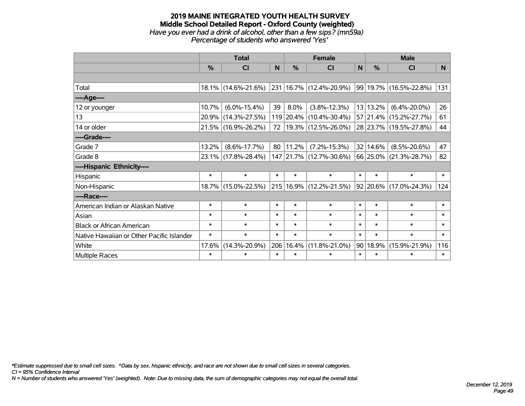#### **2019 MAINE INTEGRATED YOUTH HEALTH SURVEY Middle School Detailed Report - Oxford County (weighted)** *Have you ever had a drink of alcohol, other than a few sips? (mn59a) Percentage of students who answered 'Yes'*

|                                           | <b>Total</b> |                     |        |           | <b>Female</b>                   |        | <b>Male</b>   |                             |        |  |
|-------------------------------------------|--------------|---------------------|--------|-----------|---------------------------------|--------|---------------|-----------------------------|--------|--|
|                                           | %            | CI                  | N      | %         | <b>CI</b>                       | N      | $\frac{0}{0}$ | <b>CI</b>                   | N.     |  |
|                                           |              |                     |        |           |                                 |        |               |                             |        |  |
| Total                                     |              | 18.1% (14.6%-21.6%) |        |           | $ 231 16.7\% (12.4\% - 20.9\%)$ |        |               | $ 99 19.7\% $ (16.5%-22.8%) | 131    |  |
| ----Age----                               |              |                     |        |           |                                 |        |               |                             |        |  |
| 12 or younger                             | 10.7%        | $(6.0\% - 15.4\%)$  | 39     | 8.0%      | $(3.8\% - 12.3\%)$              |        | 13 13.2%      | $(6.4\% - 20.0\%)$          | 26     |  |
| 13                                        | 20.9%        | $(14.3\% - 27.5\%)$ |        | 119 20.4% | $(10.4\% - 30.4\%)$             |        |               | 57 21.4% (15.2%-27.7%)      | 61     |  |
| 14 or older                               |              | 21.5% (16.9%-26.2%) | 72     |           | $ 19.3\% $ (12.5%-26.0%)        |        |               | 28 23.7% (19.5%-27.8%)      | 44     |  |
| ----Grade----                             |              |                     |        |           |                                 |        |               |                             |        |  |
| Grade 7                                   | 13.2%        | $(8.6\% - 17.7\%)$  | 80     | 11.2%     | $(7.2\% - 15.3\%)$              |        | 32 14.6%      | $(8.5\% - 20.6\%)$          | 47     |  |
| Grade 8                                   |              | 23.1% (17.8%-28.4%) |        |           | 147 21.7% (12.7%-30.6%)         |        |               | 66 25.0% (21.3%-28.7%)      | 82     |  |
| ----Hispanic Ethnicity----                |              |                     |        |           |                                 |        |               |                             |        |  |
| Hispanic                                  | $\ast$       | $\ast$              | $\ast$ | $\ast$    | $\ast$                          | $\ast$ | $\ast$        | $\ast$                      | $\ast$ |  |
| Non-Hispanic                              |              | 18.7% (15.0%-22.5%) |        |           | 215 16.9% (12.2%-21.5%)         |        |               | $ 92 20.6\% $ (17.0%-24.3%) | 124    |  |
| ----Race----                              |              |                     |        |           |                                 |        |               |                             |        |  |
| American Indian or Alaskan Native         | $\ast$       | $\ast$              | $\ast$ | $\ast$    | $\ast$                          | $\ast$ | $\ast$        | $\ast$                      | $\ast$ |  |
| Asian                                     | $\ast$       | $\ast$              | $\ast$ | $\ast$    | $\ast$                          | $\ast$ | $\ast$        | $\ast$                      | $\ast$ |  |
| <b>Black or African American</b>          | $\ast$       | $\ast$              | $\ast$ | $\ast$    | $\ast$                          | $\ast$ | $\ast$        | $\ast$                      | $\ast$ |  |
| Native Hawaiian or Other Pacific Islander | $\ast$       | $\ast$              | $\ast$ | $\ast$    | $\ast$                          | $\ast$ | $\ast$        | $\ast$                      | $\ast$ |  |
| White                                     | 17.6%        | $(14.3\% - 20.9\%)$ | 206    | 16.4%     | $(11.8\% - 21.0\%)$             | 90     | 18.9%         | $(15.9\% - 21.9\%)$         | 116    |  |
| <b>Multiple Races</b>                     | $\ast$       | $\ast$              | $\ast$ | $\ast$    | $\ast$                          | $\ast$ | $\ast$        | $\ast$                      | $\ast$ |  |

*\*Estimate suppressed due to small cell sizes. ^Data by sex, hispanic ethnicity, and race are not shown due to small cell sizes in several categories.*

*CI = 95% Confidence Interval*

*N = Number of students who answered 'Yes' (weighted). Note: Due to missing data, the sum of demographic categories may not equal the overall total.*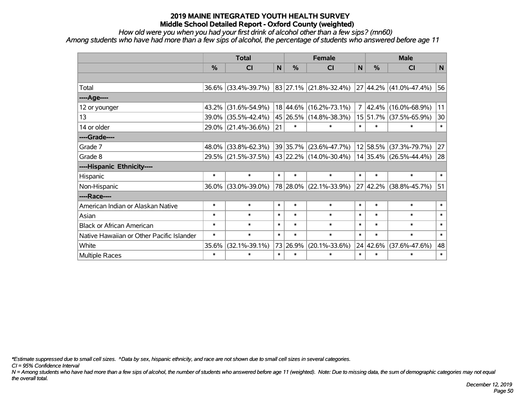*How old were you when you had your first drink of alcohol other than a few sips? (mn60)*

*Among students who have had more than a few sips of alcohol, the percentage of students who answered before age 11*

|                                           | <b>Total</b> |                                            |        |               | <b>Female</b>                   | <b>Male</b>    |            |                        |                 |
|-------------------------------------------|--------------|--------------------------------------------|--------|---------------|---------------------------------|----------------|------------|------------------------|-----------------|
|                                           | %            | <b>CI</b>                                  | N      | $\frac{0}{0}$ | <b>CI</b>                       | N              | %          | <b>CI</b>              | N               |
|                                           |              |                                            |        |               |                                 |                |            |                        |                 |
| Total                                     | $36.6\%$     | $(33.4\% - 39.7\%)$                        |        |               | $ 83 27.1\%  (21.8\% - 32.4\%)$ |                |            | 27 44.2% (41.0%-47.4%) | 56              |
| ----Age----                               |              |                                            |        |               |                                 |                |            |                        |                 |
| 12 or younger                             | 43.2%        | $(31.6\% - 54.9\%)$                        |        | 18 44.6%      | $(16.2\% - 73.1\%)$             | $\overline{7}$ | $ 42.4\% $ | $(16.0\% - 68.9\%)$    | 11              |
| 13                                        | 39.0%        | $(35.5\% - 42.4\%)$                        |        |               | 45 26.5% (14.8%-38.3%)          |                | 15 51.7%   | $(37.5\% - 65.9\%)$    | 30 <sup>°</sup> |
| 14 or older                               |              | 29.0% (21.4%-36.6%)                        | 21     | $\ast$        | $\ast$                          | $\ast$         | $\ast$     | $\ast$                 | $\ast$          |
| ----Grade----                             |              |                                            |        |               |                                 |                |            |                        |                 |
| Grade 7                                   | 48.0%        | $(33.8\% - 62.3\%)$                        |        | 39 35.7%      | $(23.6\% - 47.7\%)$             |                | 12 58.5%   | $(37.3\% - 79.7\%)$    | 27              |
| Grade 8                                   |              | 29.5% (21.5%-37.5%) 43 22.2% (14.0%-30.4%) |        |               |                                 |                |            | 14 35.4% (26.5%-44.4%) | 28              |
| ----Hispanic Ethnicity----                |              |                                            |        |               |                                 |                |            |                        |                 |
| Hispanic                                  | $\ast$       | $\ast$                                     | $\ast$ | $\ast$        | $\ast$                          | $\ast$         | $\ast$     | $\ast$                 | $\ast$          |
| Non-Hispanic                              | 36.0%        | $(33.0\% - 39.0\%)$                        |        |               | 78 28.0% (22.1%-33.9%)          |                |            | 27 42.2% (38.8%-45.7%) | 51              |
| ----Race----                              |              |                                            |        |               |                                 |                |            |                        |                 |
| American Indian or Alaskan Native         | $\ast$       | $\ast$                                     | $\ast$ | $\ast$        | $\ast$                          | $\ast$         | $\ast$     | $\ast$                 | $\ast$          |
| Asian                                     | $\ast$       | $\ast$                                     | $\ast$ | $\ast$        | $\ast$                          | $\ast$         | $\ast$     | $\ast$                 | $\ast$          |
| <b>Black or African American</b>          | $\ast$       | $\ast$                                     | $\ast$ | $\ast$        | $\ast$                          | $\ast$         | $\ast$     | $\ast$                 | $\ast$          |
| Native Hawaiian or Other Pacific Islander | $\ast$       | $\ast$                                     | $\ast$ | $\ast$        | $\ast$                          | $\ast$         | $\ast$     | $\ast$                 | $\ast$          |
| White                                     | 35.6%        | $(32.1\% - 39.1\%)$                        |        | 73 26.9%      | $(20.1\% - 33.6\%)$             | 24             | 42.6%      | $(37.6\% - 47.6\%)$    | 48              |
| Multiple Races                            | $\ast$       | $\ast$                                     | $\ast$ | $\ast$        | $\ast$                          | $\ast$         | $\ast$     | $\ast$                 | $\ast$          |

*\*Estimate suppressed due to small cell sizes. ^Data by sex, hispanic ethnicity, and race are not shown due to small cell sizes in several categories.*

*CI = 95% Confidence Interval*

*N = Among students who have had more than a few sips of alcohol, the number of students who answered before age 11 (weighted). Note: Due to missing data, the sum of demographic categories may not equal the overall total.*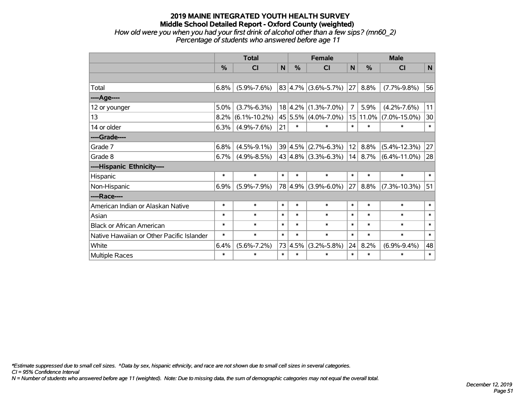#### **2019 MAINE INTEGRATED YOUTH HEALTH SURVEY Middle School Detailed Report - Oxford County (weighted)** *How old were you when you had your first drink of alcohol other than a few sips? (mn60\_2) Percentage of students who answered before age 11*

|                                           | <b>Total</b> |                    |        |               | <b>Female</b>            |                | <b>Male</b>   |                    |        |  |
|-------------------------------------------|--------------|--------------------|--------|---------------|--------------------------|----------------|---------------|--------------------|--------|--|
|                                           | $\%$         | CI                 | N      | $\frac{0}{0}$ | <b>CI</b>                | N              | $\frac{0}{0}$ | <b>CI</b>          | N      |  |
|                                           |              |                    |        |               |                          |                |               |                    |        |  |
| Total                                     | 6.8%         | $(5.9\% - 7.6\%)$  |        |               | $ 83 4.7\% $ (3.6%-5.7%) | 27             | 8.8%          | $(7.7\% - 9.8\%)$  | 56     |  |
| ----Age----                               |              |                    |        |               |                          |                |               |                    |        |  |
| 12 or younger                             | 5.0%         | $(3.7\% - 6.3\%)$  |        |               | $18 4.2\% $ (1.3%-7.0%)  | $\overline{7}$ | 5.9%          | $(4.2\% - 7.6\%)$  | 11     |  |
| 13                                        | 8.2%         | $(6.1\% - 10.2\%)$ |        |               | 45 5.5% (4.0%-7.0%)      |                | 15 11.0%      | $(7.0\% - 15.0\%)$ | 30     |  |
| 14 or older                               | 6.3%         | $(4.9\% - 7.6\%)$  | 21     | $\ast$        | $\ast$                   | $\ast$         | $\ast$        | $\ast$             | $\ast$ |  |
| ----Grade----                             |              |                    |        |               |                          |                |               |                    |        |  |
| Grade 7                                   | 6.8%         | $(4.5\% - 9.1\%)$  |        | 39 4.5%       | $(2.7\% - 6.3\%)$        | 12             | 8.8%          | $(5.4\% - 12.3\%)$ | 27     |  |
| Grade 8                                   | 6.7%         | $(4.9\% - 8.5\%)$  |        |               | $ 43 4.8\% $ (3.3%-6.3%) | 14             | 8.7%          | $(6.4\% - 11.0\%)$ | 28     |  |
| ----Hispanic Ethnicity----                |              |                    |        |               |                          |                |               |                    |        |  |
| Hispanic                                  | $\ast$       | $\ast$             | $\ast$ | $\ast$        | $\ast$                   | $\ast$         | $\ast$        | $\ast$             | $\ast$ |  |
| Non-Hispanic                              | 6.9%         | $(5.9\% - 7.9\%)$  |        |               | 78 4.9% (3.9%-6.0%)      | 27             | 8.8%          | $(7.3\% - 10.3\%)$ | 51     |  |
| ----Race----                              |              |                    |        |               |                          |                |               |                    |        |  |
| American Indian or Alaskan Native         | $\ast$       | $\ast$             | $\ast$ | $\ast$        | $\ast$                   | $\ast$         | $\ast$        | $\ast$             | $\ast$ |  |
| Asian                                     | *            | $\ast$             | $\ast$ | $\ast$        | $\ast$                   | $\ast$         | $\ast$        | $\ast$             | $\ast$ |  |
| <b>Black or African American</b>          | $\ast$       | $\ast$             | $\ast$ | $\ast$        | $\ast$                   | $\ast$         | $\ast$        | $\ast$             | $\ast$ |  |
| Native Hawaiian or Other Pacific Islander | $\ast$       | $\ast$             | $\ast$ | $\ast$        | $\ast$                   | $\ast$         | $\ast$        | $\ast$             | $\ast$ |  |
| White                                     | 6.4%         | $(5.6\% - 7.2\%)$  |        | 73 4.5%       | $(3.2\% - 5.8\%)$        | 24             | 8.2%          | $(6.9\% - 9.4\%)$  | 48     |  |
| <b>Multiple Races</b>                     | $\ast$       | $\ast$             | $\ast$ | $\ast$        | $\ast$                   | $\ast$         | $\ast$        | $\ast$             | $\ast$ |  |

*\*Estimate suppressed due to small cell sizes. ^Data by sex, hispanic ethnicity, and race are not shown due to small cell sizes in several categories.*

*CI = 95% Confidence Interval*

*N = Number of students who answered before age 11 (weighted). Note: Due to missing data, the sum of demographic categories may not equal the overall total.*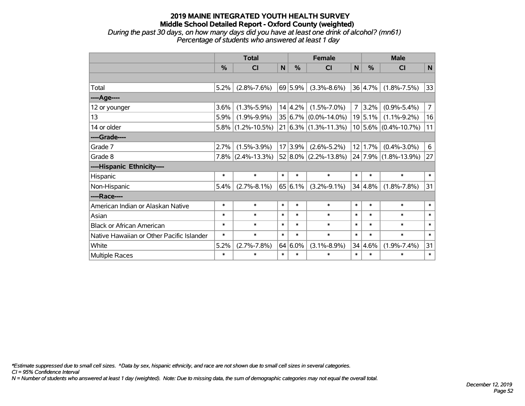#### **2019 MAINE INTEGRATED YOUTH HEALTH SURVEY Middle School Detailed Report - Oxford County (weighted)** *During the past 30 days, on how many days did you have at least one drink of alcohol? (mn61) Percentage of students who answered at least 1 day*

|                                           | <b>Total</b>  |                    |        |               | <b>Female</b>               |        | <b>Male</b>   |                          |                |  |
|-------------------------------------------|---------------|--------------------|--------|---------------|-----------------------------|--------|---------------|--------------------------|----------------|--|
|                                           | $\frac{0}{0}$ | CI                 | N      | $\frac{0}{0}$ | <b>CI</b>                   | N      | $\frac{0}{0}$ | <b>CI</b>                | $\mathsf{N}$   |  |
|                                           |               |                    |        |               |                             |        |               |                          |                |  |
| Total                                     | 5.2%          | $(2.8\% - 7.6\%)$  |        | 69 5.9%       | $(3.3\% - 8.6\%)$           |        | 36 4.7%       | $(1.8\% - 7.5\%)$        | 33             |  |
| ----Age----                               |               |                    |        |               |                             |        |               |                          |                |  |
| 12 or younger                             | 3.6%          | $(1.3\% - 5.9\%)$  |        | 14 4.2%       | $(1.5\% - 7.0\%)$           | 7      | 3.2%          | $(0.9\% - 5.4\%)$        | $\overline{7}$ |  |
| 13                                        | 5.9%          | $(1.9\% - 9.9\%)$  |        |               | $35 6.7\% $ (0.0%-14.0%)    |        | 19 5.1%       | $(1.1\% - 9.2\%)$        | 16             |  |
| 14 or older                               | 5.8%          | $(1.2\% - 10.5\%)$ |        |               | $21 6.3\% (1.3\% - 11.3\%)$ |        |               | $10 5.6\% $ (0.4%-10.7%) | 11             |  |
| ----Grade----                             |               |                    |        |               |                             |        |               |                          |                |  |
| Grade 7                                   | 2.7%          | $(1.5\% - 3.9\%)$  |        | 17 3.9%       | $(2.6\% - 5.2\%)$           |        | 12 1.7%       | $(0.4\% - 3.0\%)$        | 6              |  |
| Grade 8                                   | $7.8\%$       | $(2.4\% - 13.3\%)$ |        |               | $52 8.0\% $ (2.2%-13.8%)    |        |               | 24 7.9% (1.8%-13.9%)     | 27             |  |
| ----Hispanic Ethnicity----                |               |                    |        |               |                             |        |               |                          |                |  |
| Hispanic                                  | $\ast$        | $\ast$             | $\ast$ | $\ast$        | $\ast$                      | $\ast$ | $\ast$        | $\ast$                   | $\ast$         |  |
| Non-Hispanic                              | 5.4%          | $(2.7\% - 8.1\%)$  |        | 65 6.1%       | $(3.2\% - 9.1\%)$           |        | 34 4.8%       | $(1.8\% - 7.8\%)$        | 31             |  |
| ----Race----                              |               |                    |        |               |                             |        |               |                          |                |  |
| American Indian or Alaskan Native         | $\ast$        | $\ast$             | $\ast$ | $\ast$        | $\ast$                      | $\ast$ | $\ast$        | $\ast$                   | $\ast$         |  |
| Asian                                     | $\ast$        | $\ast$             | $\ast$ | $\ast$        | $\ast$                      | $\ast$ | $\ast$        | $\ast$                   | $\ast$         |  |
| <b>Black or African American</b>          | $\ast$        | $\ast$             | $\ast$ | $\ast$        | $\ast$                      | $\ast$ | $\ast$        | $\ast$                   | $\ast$         |  |
| Native Hawaiian or Other Pacific Islander | $\ast$        | $\ast$             | $\ast$ | $\ast$        | $\ast$                      | $\ast$ | $\ast$        | $\ast$                   | $\ast$         |  |
| White                                     | 5.2%          | $(2.7\% - 7.8\%)$  |        | $64 6.0\%$    | $(3.1\% - 8.9\%)$           |        | 34 4.6%       | $(1.9\% - 7.4\%)$        | 31             |  |
| <b>Multiple Races</b>                     | $\ast$        | $\ast$             | $\ast$ | $\ast$        | $\ast$                      | $\ast$ | $\ast$        | $\ast$                   | $\ast$         |  |

*\*Estimate suppressed due to small cell sizes. ^Data by sex, hispanic ethnicity, and race are not shown due to small cell sizes in several categories.*

*CI = 95% Confidence Interval*

*N = Number of students who answered at least 1 day (weighted). Note: Due to missing data, the sum of demographic categories may not equal the overall total.*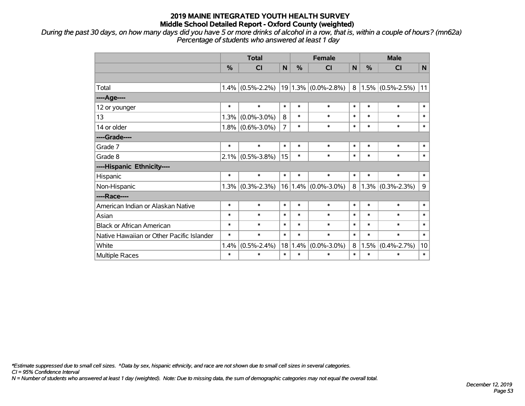*During the past 30 days, on how many days did you have 5 or more drinks of alcohol in a row, that is, within a couple of hours? (mn62a) Percentage of students who answered at least 1 day*

|                                           | <b>Total</b>  |                   |                |               | <b>Female</b>           | <b>Male</b> |               |                        |        |
|-------------------------------------------|---------------|-------------------|----------------|---------------|-------------------------|-------------|---------------|------------------------|--------|
|                                           | $\frac{0}{0}$ | <b>CI</b>         | $\mathbf N$    | $\frac{0}{0}$ | <b>CI</b>               | N           | $\frac{0}{0}$ | <b>CI</b>              | N      |
|                                           |               |                   |                |               |                         |             |               |                        |        |
| Total                                     | 1.4%          | $(0.5\% - 2.2\%)$ |                |               | $19 1.3\% $ (0.0%-2.8%) |             |               | $8 1.5\% $ (0.5%-2.5%) | 11     |
| ----Age----                               |               |                   |                |               |                         |             |               |                        |        |
| 12 or younger                             | $\ast$        | $\ast$            | $\ast$         | $\ast$        | $\ast$                  | $\ast$      | $\ast$        | $\ast$                 | $\ast$ |
| 13                                        | 1.3%          | $(0.0\% - 3.0\%)$ | 8              | $\ast$        | $\ast$                  | $\ast$      | $\ast$        | $\ast$                 | $\ast$ |
| 14 or older                               | 1.8%          | $(0.6\% - 3.0\%)$ | $\overline{7}$ | $\ast$        | $\ast$                  | $\ast$      | $\ast$        | $\ast$                 | $\ast$ |
| ----Grade----                             |               |                   |                |               |                         |             |               |                        |        |
| Grade 7                                   | $\ast$        | $\ast$            | $\ast$         | $\ast$        | $\ast$                  | $\ast$      | $\ast$        | $\ast$                 | $\ast$ |
| Grade 8                                   | 2.1%          | $(0.5\% - 3.8\%)$ | 15             | $\ast$        | $\ast$                  | $\ast$      | $\ast$        | $\ast$                 | $\ast$ |
| ----Hispanic Ethnicity----                |               |                   |                |               |                         |             |               |                        |        |
| Hispanic                                  | $\ast$        | $\ast$            | $\ast$         | $\ast$        | $\ast$                  | $\ast$      | $\ast$        | $\ast$                 | $\ast$ |
| Non-Hispanic                              | 1.3%          | $(0.3\% - 2.3\%)$ | 16             | $1.4\%$       | $(0.0\% - 3.0\%)$       | 8           |               | $1.3\%$ (0.3%-2.3%)    | 9      |
| ----Race----                              |               |                   |                |               |                         |             |               |                        |        |
| American Indian or Alaskan Native         | $\ast$        | $\ast$            | $\ast$         | $\ast$        | $\ast$                  | $\ast$      | $\ast$        | $\ast$                 | $\ast$ |
| Asian                                     | $\ast$        | $\ast$            | $\ast$         | $\ast$        | $\ast$                  | $\ast$      | $\ast$        | $\ast$                 | $\ast$ |
| <b>Black or African American</b>          | $\ast$        | $\ast$            | $\ast$         | $\ast$        | $\ast$                  | $\ast$      | $\ast$        | $\ast$                 | $\ast$ |
| Native Hawaiian or Other Pacific Islander | $\ast$        | $\ast$            | $\ast$         | $\ast$        | $\ast$                  | $\ast$      | $\ast$        | $\ast$                 | $\ast$ |
| White                                     | 1.4%          | $(0.5\% - 2.4\%)$ | 18             | 1.4%          | $(0.0\% - 3.0\%)$       | 8           | 1.5%          | $(0.4\% - 2.7\%)$      | 10     |
| Multiple Races                            | $\ast$        | $\ast$            | $\ast$         | $\ast$        | *                       | $\ast$      | $\ast$        | $\ast$                 | $\ast$ |

*\*Estimate suppressed due to small cell sizes. ^Data by sex, hispanic ethnicity, and race are not shown due to small cell sizes in several categories.*

*CI = 95% Confidence Interval*

*N = Number of students who answered at least 1 day (weighted). Note: Due to missing data, the sum of demographic categories may not equal the overall total.*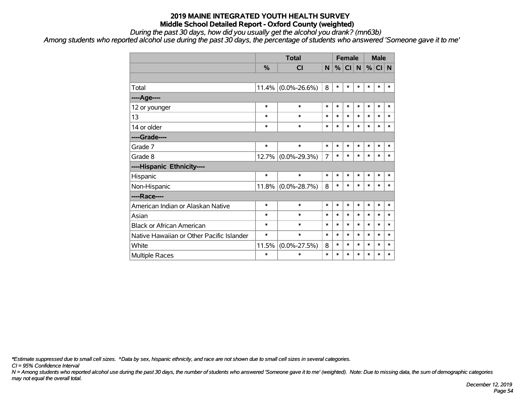*During the past 30 days, how did you usually get the alcohol you drank? (mn63b)*

*Among students who reported alcohol use during the past 30 days, the percentage of students who answered 'Someone gave it to me'*

|                                           |        | <b>Total</b>       | <b>Female</b> |        |        |        |        | <b>Male</b> |        |
|-------------------------------------------|--------|--------------------|---------------|--------|--------|--------|--------|-------------|--------|
|                                           | %      | <b>CI</b>          | N             | %      | CI N   |        | %      | CI N        |        |
|                                           |        |                    |               |        |        |        |        |             |        |
| Total                                     | 11.4%  | $(0.0\% - 26.6\%)$ | 8             | $\ast$ | $\ast$ | $\ast$ | $\ast$ | $\ast$      | $\ast$ |
| ---- Age----                              |        |                    |               |        |        |        |        |             |        |
| 12 or younger                             | $\ast$ | $\ast$             | $\ast$        | $\ast$ | $\ast$ | $\ast$ | $\ast$ | $\ast$      | *      |
| 13                                        | $\ast$ | $\ast$             | $\ast$        | $\ast$ | $\ast$ | $\ast$ | $\ast$ | $\ast$      | $\ast$ |
| 14 or older                               | $\ast$ | $\ast$             | $\ast$        | $\ast$ | $\ast$ | $\ast$ | $\ast$ | $\ast$      | $\ast$ |
| ----Grade----                             |        |                    |               |        |        |        |        |             |        |
| Grade 7                                   | *      | $\ast$             | $\ast$        | $\ast$ | $\ast$ | $\ast$ | $\ast$ | $\ast$      | $\ast$ |
| Grade 8                                   | 12.7%  | $(0.0\% - 29.3\%)$ | 7             | $\ast$ | $\ast$ | $\ast$ | $\ast$ | $\ast$      | $\ast$ |
| ----Hispanic Ethnicity----                |        |                    |               |        |        |        |        |             |        |
| Hispanic                                  | $\ast$ | $\ast$             | $\ast$        | $\ast$ | $\ast$ | $\ast$ | $\ast$ | $\ast$      | $\ast$ |
| Non-Hispanic                              | 11.8%  | $(0.0\% - 28.7\%)$ | 8             | $\ast$ | $\ast$ | $\ast$ | $\ast$ | $\ast$      | $\ast$ |
| ----Race----                              |        |                    |               |        |        |        |        |             |        |
| American Indian or Alaskan Native         | $\ast$ | $\ast$             | $\ast$        | $\ast$ | $\ast$ | $\ast$ | $\ast$ | $\ast$      | $\ast$ |
| Asian                                     | *      | $\ast$             | $\ast$        | $\ast$ | $\ast$ | $\ast$ | $\ast$ | $\ast$      | $\ast$ |
| <b>Black or African American</b>          | *      | $\ast$             | $\ast$        | $\ast$ | $\ast$ | $\ast$ | $\ast$ | $\ast$      | $\ast$ |
| Native Hawaiian or Other Pacific Islander | *      | $\ast$             | $\ast$        | $\ast$ | $\ast$ | $\ast$ | $\ast$ | $\ast$      | $\ast$ |
| White                                     | 11.5%  | $(0.0\% - 27.5\%)$ | 8             | $\ast$ | $\ast$ | $\ast$ | $\ast$ | $\ast$      | $\ast$ |
| <b>Multiple Races</b>                     | *      | $\ast$             | $\ast$        | $\ast$ | $\ast$ | $\ast$ | $\ast$ | $\ast$      | $\ast$ |

*\*Estimate suppressed due to small cell sizes. ^Data by sex, hispanic ethnicity, and race are not shown due to small cell sizes in several categories.*

*CI = 95% Confidence Interval*

*N = Among students who reported alcohol use during the past 30 days, the number of students who answered 'Someone gave it to me' (weighted). Note: Due to missing data, the sum of demographic categories may not equal the overall total.*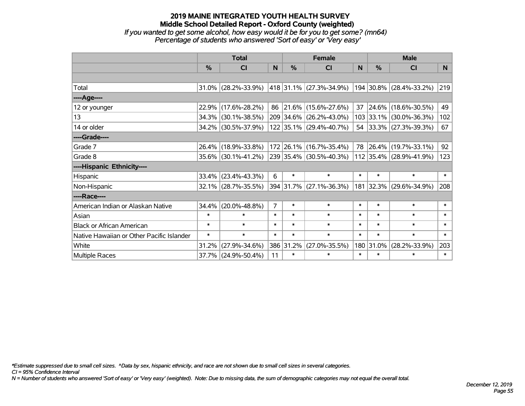#### **2019 MAINE INTEGRATED YOUTH HEALTH SURVEY Middle School Detailed Report - Oxford County (weighted)** *If you wanted to get some alcohol, how easy would it be for you to get some? (mn64) Percentage of students who answered 'Sort of easy' or 'Very easy'*

|                                           | <b>Total</b> |                        |                |           | <b>Female</b>           | <b>Male</b> |           |                         |                |
|-------------------------------------------|--------------|------------------------|----------------|-----------|-------------------------|-------------|-----------|-------------------------|----------------|
|                                           | %            | CI                     | N.             | $\%$      | <b>CI</b>               | <b>N</b>    | %         | <b>CI</b>               | N <sub>1</sub> |
|                                           |              |                        |                |           |                         |             |           |                         |                |
| Total                                     |              | $31.0\%$ (28.2%-33.9%) |                |           | 418 31.1% (27.3%-34.9%) |             |           | 194 30.8% (28.4%-33.2%) | 219            |
| ----Age----                               |              |                        |                |           |                         |             |           |                         |                |
| 12 or younger                             | 22.9%        | $(17.6\% - 28.2\%)$    |                |           | 86 21.6% (15.6%-27.6%)  | 37          | 24.6%     | $(18.6\% - 30.5\%)$     | 49             |
| 13                                        | 34.3%        | $(30.1\% - 38.5\%)$    |                |           | 209 34.6% (26.2%-43.0%) |             |           | 103 33.1% (30.0%-36.3%) | 102            |
| 14 or older                               |              | 34.2% (30.5%-37.9%)    |                |           | 122 35.1% (29.4%-40.7%) |             |           | 54 33.3% (27.3%-39.3%)  | 67             |
| ----Grade----                             |              |                        |                |           |                         |             |           |                         |                |
| Grade 7                                   | 26.4%        | $(18.9\% - 33.8\%)$    |                |           | 172 26.1% (16.7%-35.4%) | 78          | 26.4%     | $(19.7\% - 33.1\%)$     | 92             |
| Grade 8                                   |              | 35.6% (30.1%-41.2%)    |                |           | 239 35.4% (30.5%-40.3%) |             |           | 112 35.4% (28.9%-41.9%) | 123            |
| ----Hispanic Ethnicity----                |              |                        |                |           |                         |             |           |                         |                |
| Hispanic                                  | 33.4%        | $(23.4\% - 43.3\%)$    | 6              | $\ast$    | $\ast$                  | $\ast$      | $\ast$    | $\ast$                  | $\ast$         |
| Non-Hispanic                              |              | $32.1\%$ (28.7%-35.5%) |                |           | 394 31.7% (27.1%-36.3%) |             |           | 181 32.3% (29.6%-34.9%) | 208            |
| ----Race----                              |              |                        |                |           |                         |             |           |                         |                |
| American Indian or Alaskan Native         | 34.4%        | $(20.0\% - 48.8\%)$    | $\overline{7}$ | $\ast$    | $\ast$                  | $\ast$      | $\ast$    | $\ast$                  | $\ast$         |
| Asian                                     | $\ast$       | $\ast$                 | $\ast$         | $\ast$    | $\ast$                  | $\ast$      | $\ast$    | $\ast$                  | $\ast$         |
| <b>Black or African American</b>          | $\ast$       | $\ast$                 | $\ast$         | $\ast$    | $\ast$                  | $\ast$      | $\ast$    | $\ast$                  | $\ast$         |
| Native Hawaiian or Other Pacific Islander | $\ast$       | $\ast$                 | $\ast$         | $\ast$    | $\ast$                  | $\ast$      | $\ast$    | $\ast$                  | $\ast$         |
| White                                     | 31.2%        | $(27.9\% - 34.6\%)$    |                | 386 31.2% | $(27.0\% - 35.5\%)$     |             | 180 31.0% | $(28.2\% - 33.9\%)$     | 203            |
| Multiple Races                            | 37.7%        | $(24.9\% - 50.4\%)$    | 11             | $\ast$    | $\ast$                  | $\ast$      | $\ast$    | $\ast$                  | $\ast$         |

*\*Estimate suppressed due to small cell sizes. ^Data by sex, hispanic ethnicity, and race are not shown due to small cell sizes in several categories.*

*CI = 95% Confidence Interval*

*N = Number of students who answered 'Sort of easy' or 'Very easy' (weighted). Note: Due to missing data, the sum of demographic categories may not equal the overall total.*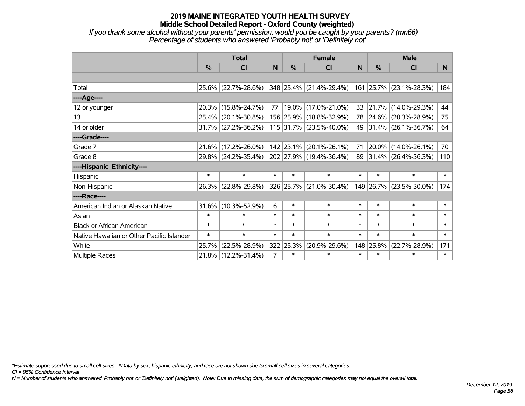*If you drank some alcohol without your parents' permission, would you be caught by your parents? (mn66) Percentage of students who answered 'Probably not' or 'Definitely not'*

|                                           | <b>Total</b> |                     |                | <b>Female</b> | <b>Male</b>                      |              |           |                         |                |
|-------------------------------------------|--------------|---------------------|----------------|---------------|----------------------------------|--------------|-----------|-------------------------|----------------|
|                                           | %            | <b>CI</b>           | N              | $\%$          | CI                               | <sub>N</sub> | %         | <b>CI</b>               | N <sub>1</sub> |
|                                           |              |                     |                |               |                                  |              |           |                         |                |
| Total                                     |              | 25.6% (22.7%-28.6%) |                |               | $ 348 25.4\%  (21.4\% - 29.4\%)$ |              |           | 161 25.7% (23.1%-28.3%) | 184            |
| ----Age----                               |              |                     |                |               |                                  |              |           |                         |                |
| 12 or younger                             | 20.3%        | $(15.8\% - 24.7\%)$ | 77             |               | 19.0%   (17.0%-21.0%)            | 33           | 21.7%     | $(14.0\% - 29.3\%)$     | 44             |
| 13                                        | $25.4\%$     | $(20.1\% - 30.8\%)$ |                |               | 156 25.9% (18.8%-32.9%)          |              | 78 24.6%  | $(20.3\% - 28.9\%)$     | 75             |
| 14 or older                               |              | 31.7% (27.2%-36.2%) |                |               | 115 31.7% (23.5%-40.0%)          |              |           | 49 31.4% (26.1%-36.7%)  | 64             |
| ----Grade----                             |              |                     |                |               |                                  |              |           |                         |                |
| Grade 7                                   | 21.6%        | $(17.2\% - 26.0\%)$ |                |               | 142 23.1% (20.1%-26.1%)          | 71           | 20.0%     | $(14.0\% - 26.1\%)$     | 70             |
| Grade 8                                   |              | 29.8% (24.2%-35.4%) |                |               | 202 27.9% (19.4%-36.4%)          |              |           | 89 31.4% (26.4%-36.3%)  | 110            |
| ----Hispanic Ethnicity----                |              |                     |                |               |                                  |              |           |                         |                |
| Hispanic                                  | $\ast$       | $\ast$              | $\ast$         | $\ast$        | $\ast$                           | $\ast$       | $\ast$    | $\ast$                  | $\ast$         |
| Non-Hispanic                              |              | 26.3% (22.8%-29.8%) |                |               | 326 25.7% (21.0%-30.4%)          |              |           | 149 26.7% (23.5%-30.0%) | 174            |
| ----Race----                              |              |                     |                |               |                                  |              |           |                         |                |
| American Indian or Alaskan Native         | 31.6%        | $(10.3\% - 52.9\%)$ | 6              | $\ast$        | $\ast$                           | $\ast$       | $\ast$    | $\ast$                  | $\ast$         |
| Asian                                     | $\ast$       | $\ast$              | $\ast$         | $\ast$        | $\ast$                           | $\ast$       | $\ast$    | $\ast$                  | $\ast$         |
| <b>Black or African American</b>          | $\ast$       | $\ast$              | $\ast$         | $\ast$        | $\ast$                           | $\ast$       | $\ast$    | $\ast$                  | $\ast$         |
| Native Hawaiian or Other Pacific Islander | $\ast$       | $\ast$              | $\ast$         | $\ast$        | $\ast$                           | $\ast$       | $\ast$    | $\ast$                  | $\ast$         |
| White                                     | 25.7%        | $(22.5\% - 28.9\%)$ |                | 322 25.3%     | $(20.9\% - 29.6\%)$              |              | 148 25.8% | $(22.7\% - 28.9\%)$     | 171            |
| <b>Multiple Races</b>                     |              | 21.8% (12.2%-31.4%) | $\overline{7}$ | $\ast$        | $\ast$                           | $\ast$       | $\ast$    | $\ast$                  | $\ast$         |

*\*Estimate suppressed due to small cell sizes. ^Data by sex, hispanic ethnicity, and race are not shown due to small cell sizes in several categories.*

*CI = 95% Confidence Interval*

*N = Number of students who answered 'Probably not' or 'Definitely not' (weighted). Note: Due to missing data, the sum of demographic categories may not equal the overall total.*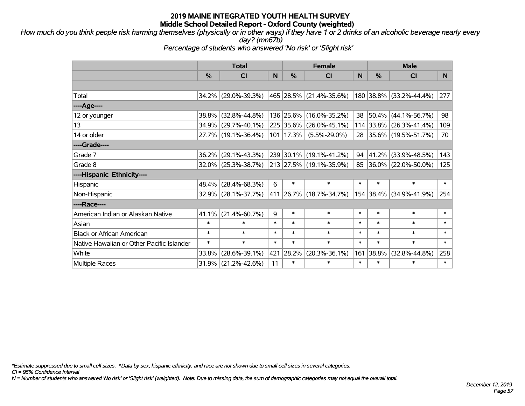*How much do you think people risk harming themselves (physically or in other ways) if they have 1 or 2 drinks of an alcoholic beverage nearly every day? (mn67b)*

*Percentage of students who answered 'No risk' or 'Slight risk'*

|                                           | <b>Total</b> |                        |        | <b>Female</b> |                         |        | <b>Male</b>   |                         |        |  |
|-------------------------------------------|--------------|------------------------|--------|---------------|-------------------------|--------|---------------|-------------------------|--------|--|
|                                           | $\%$         | C <sub>l</sub>         | N      | $\%$          | <b>CI</b>               | N      | $\frac{0}{0}$ | <b>CI</b>               | N      |  |
|                                           |              |                        |        |               |                         |        |               |                         |        |  |
| Total                                     |              | 34.2% (29.0%-39.3%)    |        |               | 465 28.5% (21.4%-35.6%) |        |               | 180 38.8% (33.2%-44.4%) | 277    |  |
| ----Age----                               |              |                        |        |               |                         |        |               |                         |        |  |
| 12 or younger                             |              | 38.8% (32.8%-44.8%)    |        | 136 25.6%     | $(16.0\% - 35.2\%)$     |        | 38 50.4%      | $(44.1\% - 56.7\%)$     | 98     |  |
| 13                                        |              | 34.9% (29.7%-40.1%)    |        | 225 35.6%     | $(26.0\% - 45.1\%)$     |        |               | 114 33.8% (26.3%-41.4%) | 109    |  |
| 14 or older                               |              | 27.7% (19.1%-36.4%)    |        | 101   17.3%   | $(5.5\% - 29.0\%)$      |        |               | 28 35.6% (19.5%-51.7%)  | 70     |  |
| ----Grade----                             |              |                        |        |               |                         |        |               |                         |        |  |
| Grade 7                                   |              | $36.2\%$ (29.1%-43.3%) |        |               | 239 30.1% (19.1%-41.2%) | 94     | 41.2%         | $(33.9\% - 48.5\%)$     | 143    |  |
| Grade 8                                   |              | $32.0\%$ (25.3%-38.7%) |        |               | 213 27.5% (19.1%-35.9%) |        |               | 85 36.0% (22.0%-50.0%)  | 125    |  |
| ----Hispanic Ethnicity----                |              |                        |        |               |                         |        |               |                         |        |  |
| Hispanic                                  |              | 48.4% (28.4%-68.3%)    | 6      | $\ast$        | $\ast$                  | $\ast$ | $\ast$        | $\ast$                  | $\ast$ |  |
| Non-Hispanic                              |              | 32.9% (28.1%-37.7%)    |        |               | 411 26.7% (18.7%-34.7%) |        | 154 38.4%     | $(34.9\% - 41.9\%)$     | 254    |  |
| ----Race----                              |              |                        |        |               |                         |        |               |                         |        |  |
| American Indian or Alaskan Native         |              | $41.1\%$ (21.4%-60.7%) | 9      | $\ast$        | $\ast$                  | $\ast$ | $\ast$        | $\ast$                  | $\ast$ |  |
| Asian                                     | $\ast$       | $\ast$                 | $\ast$ | $\ast$        | $\ast$                  | $\ast$ | $\ast$        | $\ast$                  | $\ast$ |  |
| <b>Black or African American</b>          | $\ast$       | $\ast$                 | $\ast$ | $\ast$        | $\ast$                  | $\ast$ | $\ast$        | $\ast$                  | $\ast$ |  |
| Native Hawaiian or Other Pacific Islander | $\ast$       | $\ast$                 | $\ast$ | $\ast$        | $\ast$                  | $\ast$ | $\ast$        | $\ast$                  | $\ast$ |  |
| White                                     | 33.8%        | $(28.6\% - 39.1\%)$    | 421    | 28.2%         | $(20.3\% - 36.1\%)$     | 161    | 38.8%         | $(32.8\% - 44.8\%)$     | 258    |  |
| <b>Multiple Races</b>                     | 31.9%        | $(21.2\% - 42.6\%)$    | 11     | $\ast$        | $\ast$                  | $\ast$ | $\ast$        | $\ast$                  | $\ast$ |  |

*\*Estimate suppressed due to small cell sizes. ^Data by sex, hispanic ethnicity, and race are not shown due to small cell sizes in several categories.*

*CI = 95% Confidence Interval*

*N = Number of students who answered 'No risk' or 'Slight risk' (weighted). Note: Due to missing data, the sum of demographic categories may not equal the overall total.*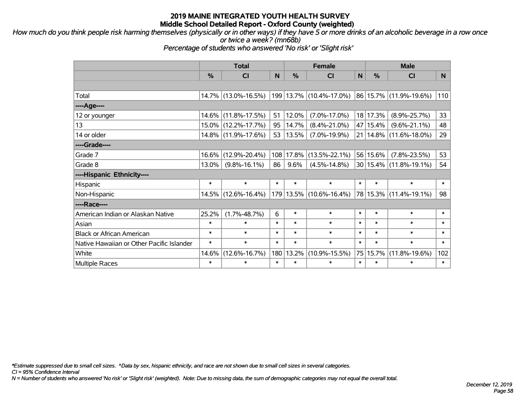*How much do you think people risk harming themselves (physically or in other ways) if they have 5 or more drinks of an alcoholic beverage in a row once or twice a week? (mn68b)*

*Percentage of students who answered 'No risk' or 'Slight risk'*

|                                           | <b>Total</b> |                     |        |               | <b>Female</b>                |        | <b>Male</b> |                            |        |  |
|-------------------------------------------|--------------|---------------------|--------|---------------|------------------------------|--------|-------------|----------------------------|--------|--|
|                                           | %            | <b>CI</b>           | N      | $\frac{0}{0}$ | <b>CI</b>                    | N      | %           | <b>CI</b>                  | N.     |  |
|                                           |              |                     |        |               |                              |        |             |                            |        |  |
| Total                                     |              | 14.7% (13.0%-16.5%) |        |               | $ 199 13.7\% $ (10.4%-17.0%) |        |             | 86 15.7% (11.9%-19.6%)     | 110    |  |
| ----Age----                               |              |                     |        |               |                              |        |             |                            |        |  |
| 12 or younger                             | 14.6%        | $(11.8\% - 17.5\%)$ | 51     | 12.0%         | $(7.0\% - 17.0\%)$           |        | 18 17.3%    | $(8.9\% - 25.7\%)$         | 33     |  |
| 13                                        | $15.0\%$     | $(12.2\% - 17.7\%)$ | 95     | 14.7%         | $(8.4\% - 21.0\%)$           |        | 47 15.4%    | $(9.6\% - 21.1\%)$         | 48     |  |
| 14 or older                               |              | 14.8% (11.9%-17.6%) | 53     | 13.5%         | $(7.0\% - 19.9\%)$           |        |             | 21   14.8%   (11.6%-18.0%) | 29     |  |
| ----Grade----                             |              |                     |        |               |                              |        |             |                            |        |  |
| Grade 7                                   | 16.6%        | $(12.9\% - 20.4\%)$ | 108    | 17.8%         | $(13.5\% - 22.1\%)$          |        | 56 15.6%    | $(7.8\% - 23.5\%)$         | 53     |  |
| Grade 8                                   | $13.0\%$     | $(9.8\% - 16.1\%)$  | 86     | 9.6%          | $(4.5\% - 14.8\%)$           |        |             | 30 15.4% (11.8%-19.1%)     | 54     |  |
| ----Hispanic Ethnicity----                |              |                     |        |               |                              |        |             |                            |        |  |
| Hispanic                                  | $\ast$       | $\ast$              | $\ast$ | $\ast$        | $\ast$                       | $\ast$ | $\ast$      | $\ast$                     | $\ast$ |  |
| Non-Hispanic                              | $14.5\%$     | $(12.6\% - 16.4\%)$ |        |               | 179 13.5% (10.6%-16.4%)      |        |             | 78 15.3% (11.4%-19.1%)     | 98     |  |
| ----Race----                              |              |                     |        |               |                              |        |             |                            |        |  |
| American Indian or Alaskan Native         | 25.2%        | $(1.7\% - 48.7\%)$  | 6      | $\ast$        | $\ast$                       | $\ast$ | $\ast$      | $\ast$                     | $\ast$ |  |
| Asian                                     | $\ast$       | $\ast$              | $\ast$ | $\ast$        | $\ast$                       | $\ast$ | $\ast$      | $\ast$                     | $\ast$ |  |
| <b>Black or African American</b>          | $\ast$       | $\ast$              | $\ast$ | $\ast$        | $\ast$                       | $\ast$ | $\ast$      | $\ast$                     | $\ast$ |  |
| Native Hawaiian or Other Pacific Islander | $\ast$       | $\ast$              | $\ast$ | $\ast$        | $\ast$                       | $\ast$ | $\ast$      | $\ast$                     | $\ast$ |  |
| White                                     | 14.6%        | $(12.6\% - 16.7\%)$ | 180    | 13.2%         | $(10.9\% - 15.5\%)$          |        | 75 15.7%    | $(11.8\% - 19.6\%)$        | 102    |  |
| <b>Multiple Races</b>                     | $\ast$       | $\ast$              | $\ast$ | $\ast$        | $\ast$                       | $\ast$ | $\ast$      | $\ast$                     | $\ast$ |  |

*\*Estimate suppressed due to small cell sizes. ^Data by sex, hispanic ethnicity, and race are not shown due to small cell sizes in several categories.*

*CI = 95% Confidence Interval*

*N = Number of students who answered 'No risk' or 'Slight risk' (weighted). Note: Due to missing data, the sum of demographic categories may not equal the overall total.*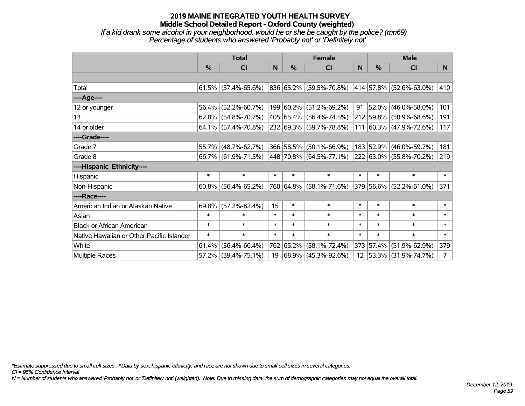*If a kid drank some alcohol in your neighborhood, would he or she be caught by the police? (mn69) Percentage of students who answered 'Probably not' or 'Definitely not'*

|                                           | <b>Total</b>  |                        |        | <b>Female</b> | <b>Male</b>                  |        |           |                              |                |
|-------------------------------------------|---------------|------------------------|--------|---------------|------------------------------|--------|-----------|------------------------------|----------------|
|                                           | $\frac{0}{0}$ | CI                     | N      | %             | <b>CI</b>                    | N      | %         | <b>CI</b>                    | N <sub>1</sub> |
|                                           |               |                        |        |               |                              |        |           |                              |                |
| Total                                     |               | $61.5\%$ (57.4%-65.6%) |        |               | 836 65.2% (59.5%-70.8%)      |        |           | $ 414 57.8\% $ (52.6%-63.0%) | 410            |
| ----Age----                               |               |                        |        |               |                              |        |           |                              |                |
| 12 or younger                             | 56.4%         | $(52.2\% - 60.7\%)$    |        |               | 199 60.2% (51.2%-69.2%)      | 91     | $52.0\%$  | $(46.0\% - 58.0\%)$          | 101            |
| 13                                        |               | $62.8\%$ (54.8%-70.7%) |        |               | 405 65.4% (56.4%-74.5%)      |        | 212 59.8% | $(50.9\% - 68.6\%)$          | 191            |
| 14 or older                               |               | $64.1\%$ (57.4%-70.8%) |        |               | 232 69.3% (59.7%-78.8%)      |        |           | 111 60.3% (47.9%-72.6%)      | 117            |
| ----Grade----                             |               |                        |        |               |                              |        |           |                              |                |
| Grade 7                                   | 55.7%         | $(48.7\% - 62.7\%)$    |        |               | 366 58.5% (50.1%-66.9%)      |        | 183 52.9% | $(46.0\% - 59.7\%)$          | 181            |
| Grade 8                                   |               | 66.7% (61.9%-71.5%)    |        |               | $ 448 70.8\% $ (64.5%-77.1%) |        |           | 222 63.0% (55.8%-70.2%)      | 219            |
| ----Hispanic Ethnicity----                |               |                        |        |               |                              |        |           |                              |                |
| Hispanic                                  | $\ast$        | $\ast$                 | $\ast$ | $\ast$        | $\ast$                       | $\ast$ | $\ast$    | $\ast$                       | $\ast$         |
| Non-Hispanic                              | 60.8%         | $(56.4\% - 65.2\%)$    |        |               | 760 64.8% (58.1%-71.6%)      |        |           | 379 56.6% (52.2%-61.0%)      | 371            |
| ----Race----                              |               |                        |        |               |                              |        |           |                              |                |
| American Indian or Alaskan Native         | 69.8%         | $(57.2\% - 82.4\%)$    | 15     | $\ast$        | $\ast$                       | $\ast$ | $\ast$    | $\ast$                       | $\ast$         |
| Asian                                     | $\ast$        | $\ast$                 | $\ast$ | $\ast$        | $\ast$                       | $\ast$ | $\ast$    | $\ast$                       | $\ast$         |
| <b>Black or African American</b>          | $\ast$        | $\ast$                 | $\ast$ | $\ast$        | $\ast$                       | $\ast$ | $\ast$    | $\ast$                       | $\ast$         |
| Native Hawaiian or Other Pacific Islander | $\ast$        | $\ast$                 | $\ast$ | $\ast$        | $\ast$                       | $\ast$ | $\ast$    | $\ast$                       | $\ast$         |
| White                                     | 61.4%         | $(56.4\% - 66.4\%)$    |        | 762 65.2%     | $(58.1\% - 72.4\%)$          |        | 373 57.4% | $(51.9\% - 62.9\%)$          | 379            |
| <b>Multiple Races</b>                     |               | 57.2% (39.4%-75.1%)    | 19     |               | $ 68.9\% $ (45.3%-92.6%)     |        |           | 12 53.3% (31.9%-74.7%)       | 7 <sup>1</sup> |

*\*Estimate suppressed due to small cell sizes. ^Data by sex, hispanic ethnicity, and race are not shown due to small cell sizes in several categories.*

*CI = 95% Confidence Interval*

*N = Number of students who answered 'Probably not' or 'Definitely not' (weighted). Note: Due to missing data, the sum of demographic categories may not equal the overall total.*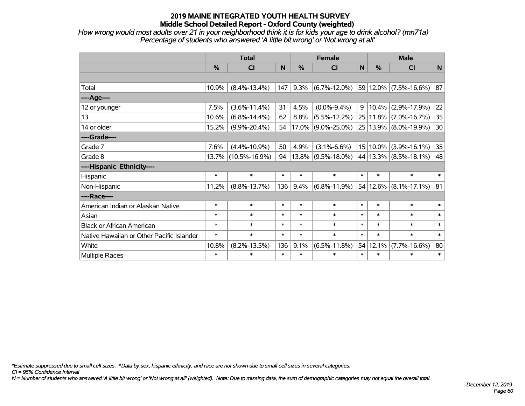*How wrong would most adults over 21 in your neighborhood think it is for kids your age to drink alcohol? (mn71a) Percentage of students who answered 'A little bit wrong' or 'Not wrong at all'*

|                                           | <b>Total</b>  |                     |        |        | <b>Female</b>         | <b>Male</b> |            |                           |              |
|-------------------------------------------|---------------|---------------------|--------|--------|-----------------------|-------------|------------|---------------------------|--------------|
|                                           | $\frac{0}{0}$ | <b>CI</b>           | N      | %      | <b>CI</b>             | N           | %          | <b>CI</b>                 | N            |
|                                           |               |                     |        |        |                       |             |            |                           |              |
| Total                                     | 10.9%         | $(8.4\% - 13.4\%)$  | 147    | 9.3%   | $(6.7\% - 12.0\%)$    |             |            | 59 12.0% (7.5%-16.6%)     | 87           |
| ----Age----                               |               |                     |        |        |                       |             |            |                           |              |
| 12 or younger                             | 7.5%          | $(3.6\% - 11.4\%)$  | 31     | 4.5%   | $(0.0\% - 9.4\%)$     |             | $9 10.4\%$ | $(2.9\% - 17.9\%)$        | 22           |
| 13                                        | 10.6%         | $(6.8\% - 14.4\%)$  | 62     | 8.8%   | $(5.5\% - 12.2\%)$    |             | 25 11.8%   | $(7.0\% - 16.7\%)$        | 35           |
| 14 or older                               | 15.2%         | $(9.9\% - 20.4\%)$  | 54     |        | $17.0\%$ (9.0%-25.0%) |             |            | 25   13.9%   (8.0%-19.9%) | 30           |
| ----Grade----                             |               |                     |        |        |                       |             |            |                           |              |
| Grade 7                                   | 7.6%          | $(4.4\% - 10.9\%)$  | 50     | 4.9%   | $(3.1\% - 6.6\%)$     |             | 15 10.0%   | $(3.9\% - 16.1\%)$        | 35           |
| Grade 8                                   | 13.7%         | $(10.5\% - 16.9\%)$ | 94     |        | $13.8\%$ (9.5%-18.0%) |             |            | 44 13.3% (8.5%-18.1%)     | 48           |
| ----Hispanic Ethnicity----                |               |                     |        |        |                       |             |            |                           |              |
| Hispanic                                  | $\ast$        | $\ast$              | $\ast$ | $\ast$ | $\ast$                | $\ast$      | $\ast$     | $\ast$                    | $\ast$       |
| Non-Hispanic                              | 11.2%         | $(8.8\% - 13.7\%)$  | 136    | 9.4%   | $(6.8\% - 11.9\%)$    |             |            | 54 12.6% (8.1%-17.1%)     | 81           |
| ----Race----                              |               |                     |        |        |                       |             |            |                           |              |
| American Indian or Alaskan Native         | $\ast$        | $\ast$              | $\ast$ | $\ast$ | $\ast$                | $\ast$      | $\ast$     | $\ast$                    | $\ast$       |
| Asian                                     | $\ast$        | $\ast$              | $\ast$ | $\ast$ | $\ast$                | $\ast$      | $\ast$     | $\ast$                    | $\ast$       |
| <b>Black or African American</b>          | $\ast$        | $\ast$              | $\ast$ | $\ast$ | $\ast$                | $\ast$      | $\ast$     | $\ast$                    | $\ast$       |
| Native Hawaiian or Other Pacific Islander | $\ast$        | $\ast$              | $\ast$ | $\ast$ | $\ast$                | $\ast$      | $\ast$     | $\ast$                    | $\pmb{\ast}$ |
| White                                     | 10.8%         | $(8.2\% - 13.5\%)$  | 136    | 9.1%   | $(6.5\% - 11.8\%)$    |             | 54 12.1%   | $(7.7\% - 16.6\%)$        | 80           |
| Multiple Races                            | $\ast$        | $\ast$              | $\ast$ | $\ast$ | $\ast$                | $\ast$      | $\ast$     | $\ast$                    | $\ast$       |

*\*Estimate suppressed due to small cell sizes. ^Data by sex, hispanic ethnicity, and race are not shown due to small cell sizes in several categories.*

*CI = 95% Confidence Interval*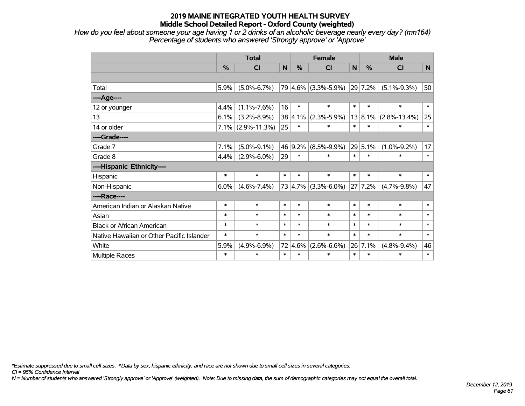*How do you feel about someone your age having 1 or 2 drinks of an alcoholic beverage nearly every day? (mn164) Percentage of students who answered 'Strongly approve' or 'Approve'*

|                                           | <b>Total</b> |                      |        | <b>Female</b> |                     |        | <b>Male</b> |                    |        |  |
|-------------------------------------------|--------------|----------------------|--------|---------------|---------------------|--------|-------------|--------------------|--------|--|
|                                           | %            | <b>CI</b>            | N      | %             | <b>CI</b>           | N      | %           | <b>CI</b>          | N      |  |
|                                           |              |                      |        |               |                     |        |             |                    |        |  |
| Total                                     | 5.9%         | $(5.0\% - 6.7\%)$    |        |               | 79 4.6% (3.3%-5.9%) |        | 29 7.2%     | $(5.1\% - 9.3\%)$  | 50     |  |
| ----Age----                               |              |                      |        |               |                     |        |             |                    |        |  |
| 12 or younger                             | 4.4%         | $(1.1\% - 7.6\%)$    | 16     | $\ast$        | $\ast$              | $\ast$ | $\ast$      | $\ast$             | $\ast$ |  |
| 13                                        | 6.1%         | $(3.2\% - 8.9\%)$    | 38     | 4.1%          | $(2.3\% - 5.9\%)$   |        | 13 8.1%     | $(2.8\% - 13.4\%)$ | 25     |  |
| 14 or older                               |              | $7.1\%$ (2.9%-11.3%) | 25     | $\ast$        | *                   | $\ast$ | $\ast$      | $\ast$             | $\ast$ |  |
| ----Grade----                             |              |                      |        |               |                     |        |             |                    |        |  |
| Grade 7                                   | 7.1%         | $(5.0\% - 9.1\%)$    |        | 46 9.2%       | $(8.5\% - 9.9\%)$   |        | 29 5.1%     | $(1.0\% - 9.2\%)$  | 17     |  |
| Grade 8                                   | 4.4%         | $(2.9\% - 6.0\%)$    | 29     | $\ast$        | $\ast$              | $\ast$ | $\ast$      | $\ast$             | $\ast$ |  |
| ----Hispanic Ethnicity----                |              |                      |        |               |                     |        |             |                    |        |  |
| Hispanic                                  | $\ast$       | $\ast$               | $\ast$ | $\ast$        | $\ast$              | $\ast$ | $\ast$      | $\ast$             | $\ast$ |  |
| Non-Hispanic                              | 6.0%         | $(4.6\% - 7.4\%)$    |        | 73 4.7%       | $(3.3\% - 6.0\%)$   |        | 27 7.2%     | $(4.7\% - 9.8\%)$  | 47     |  |
| ----Race----                              |              |                      |        |               |                     |        |             |                    |        |  |
| American Indian or Alaskan Native         | $\ast$       | $\ast$               | $\ast$ | $\ast$        | $\ast$              | $\ast$ | $\ast$      | $\ast$             | $\ast$ |  |
| Asian                                     | $\ast$       | $\ast$               | $\ast$ | $\ast$        | $\ast$              | $\ast$ | $\ast$      | $\ast$             | $\ast$ |  |
| <b>Black or African American</b>          | $\ast$       | $\ast$               | $\ast$ | $\ast$        | $\ast$              | $\ast$ | $\ast$      | $\ast$             | $\ast$ |  |
| Native Hawaiian or Other Pacific Islander | $\ast$       | $\ast$               | $\ast$ | $\ast$        | $\ast$              | $\ast$ | $\ast$      | $\ast$             | $\ast$ |  |
| White                                     | 5.9%         | $(4.9\% - 6.9\%)$    | 72     | 4.6%          | $(2.6\% - 6.6\%)$   |        | 26 7.1%     | $(4.8\% - 9.4\%)$  | 46     |  |
| <b>Multiple Races</b>                     | $\ast$       | $\ast$               | $\ast$ | $\ast$        | $\ast$              | $\ast$ | $\ast$      | $\ast$             | $\ast$ |  |

*\*Estimate suppressed due to small cell sizes. ^Data by sex, hispanic ethnicity, and race are not shown due to small cell sizes in several categories.*

*CI = 95% Confidence Interval*

*N = Number of students who answered 'Strongly approve' or 'Approve' (weighted). Note: Due to missing data, the sum of demographic categories may not equal the overall total.*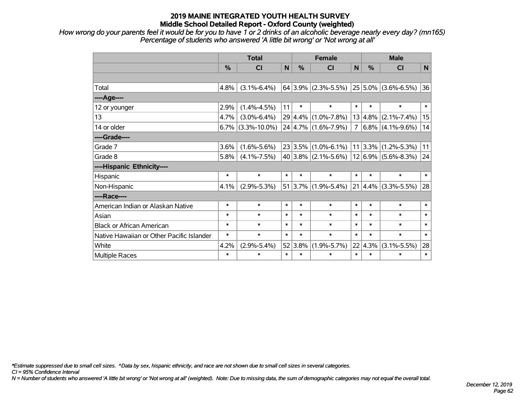*How wrong do your parents feel it would be for you to have 1 or 2 drinks of an alcoholic beverage nearly every day? (mn165) Percentage of students who answered 'A little bit wrong' or 'Not wrong at all'*

|                                           | <b>Total</b> |                      |        | <b>Female</b> |                                             |        | <b>Male</b> |                         |        |  |
|-------------------------------------------|--------------|----------------------|--------|---------------|---------------------------------------------|--------|-------------|-------------------------|--------|--|
|                                           | %            | CI                   | N      | $\frac{0}{0}$ | <b>CI</b>                                   | N      | %           | <b>CI</b>               | N      |  |
|                                           |              |                      |        |               |                                             |        |             |                         |        |  |
| Total                                     | 4.8%         | $(3.1\% - 6.4\%)$    |        |               | $64 3.9\% $ (2.3%-5.5%) 25 5.0% (3.6%-6.5%) |        |             |                         | 36     |  |
| ----Age----                               |              |                      |        |               |                                             |        |             |                         |        |  |
| 12 or younger                             | 2.9%         | $(1.4\% - 4.5\%)$    | 11     | $\ast$        | $\ast$                                      | $\ast$ | $\ast$      | $\ast$                  | $\ast$ |  |
| 13                                        | 4.7%         | $(3.0\% - 6.4\%)$    |        |               | 29 4.4% (1.0%-7.8%)                         | 13     | 4.8%        | $(2.1\% - 7.4\%)$       | 15     |  |
| 14 or older                               |              | $6.7\%$ (3.3%-10.0%) |        |               | $24 4.7\% $ (1.6%-7.9%)                     | 7      |             | $6.8\%$ (4.1%-9.6%)     | 14     |  |
| ----Grade----                             |              |                      |        |               |                                             |        |             |                         |        |  |
| Grade 7                                   | 3.6%         | $(1.6\% - 5.6\%)$    |        |               | $23 3.5\% $ (1.0%-6.1%)   11   3.3%         |        |             | $(1.2\% - 5.3\%)$       | 11     |  |
| Grade 8                                   | 5.8%         | $(4.1\% - 7.5\%)$    |        |               | $40 3.8\% $ (2.1%-5.6%)                     |        |             | $12 6.9\% $ (5.6%-8.3%) | 24     |  |
| ----Hispanic Ethnicity----                |              |                      |        |               |                                             |        |             |                         |        |  |
| Hispanic                                  | $\ast$       | $\ast$               | $\ast$ | $\ast$        | $\ast$                                      | $\ast$ | $\ast$      | $\ast$                  | $\ast$ |  |
| Non-Hispanic                              | 4.1%         | $(2.9\% - 5.3\%)$    | 51     |               | $3.7\%$ (1.9%-5.4%)                         | 21     | 4.4%        | $(3.3\% - 5.5\%)$       | 28     |  |
| ----Race----                              |              |                      |        |               |                                             |        |             |                         |        |  |
| American Indian or Alaskan Native         | $\ast$       | $\ast$               | $\ast$ | $\ast$        | $\ast$                                      | $\ast$ | $\ast$      | $\ast$                  | $\ast$ |  |
| Asian                                     | $\ast$       | $\ast$               | $\ast$ | $\ast$        | $\ast$                                      | $\ast$ | $\ast$      | $\ast$                  | $\ast$ |  |
| <b>Black or African American</b>          | $\ast$       | $\ast$               | $\ast$ | $\ast$        | $\ast$                                      | $\ast$ | $\ast$      | $\ast$                  | $\ast$ |  |
| Native Hawaiian or Other Pacific Islander | $\ast$       | $\ast$               | $\ast$ | $\ast$        | $\ast$                                      | $\ast$ | $\ast$      | $\ast$                  | $\ast$ |  |
| White                                     | 4.2%         | $(2.9\% - 5.4\%)$    |        | 52 3.8%       | $(1.9\% - 5.7\%)$                           |        | 22 4.3%     | $(3.1\% - 5.5\%)$       | 28     |  |
| Multiple Races                            | $\ast$       | $\ast$               | $\ast$ | $\ast$        | $\ast$                                      | $\ast$ | $\ast$      | $\ast$                  | $\ast$ |  |

*\*Estimate suppressed due to small cell sizes. ^Data by sex, hispanic ethnicity, and race are not shown due to small cell sizes in several categories.*

*CI = 95% Confidence Interval*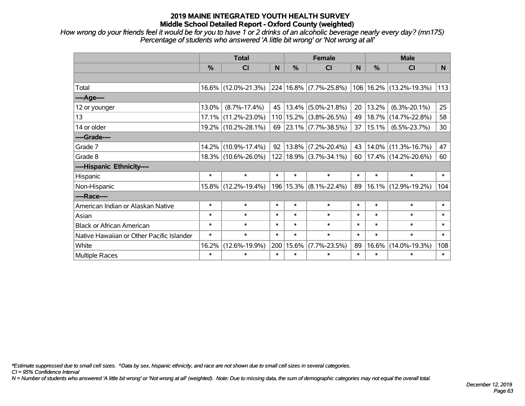*How wrong do your friends feel it would be for you to have 1 or 2 drinks of an alcoholic beverage nearly every day? (mn175) Percentage of students who answered 'A little bit wrong' or 'Not wrong at all'*

|                                           | <b>Total</b> |                     |        | <b>Female</b> |                            |        | <b>Male</b> |                             |                |  |
|-------------------------------------------|--------------|---------------------|--------|---------------|----------------------------|--------|-------------|-----------------------------|----------------|--|
|                                           | %            | CI                  | N      | $\frac{0}{0}$ | <b>CI</b>                  | N      | %           | <b>CI</b>                   | N <sub>1</sub> |  |
|                                           |              |                     |        |               |                            |        |             |                             |                |  |
| Total                                     |              | 16.6% (12.0%-21.3%) |        |               | 224 16.8% (7.7%-25.8%)     |        |             | 106   16.2%   (13.2%-19.3%) | 113            |  |
| ----Age----                               |              |                     |        |               |                            |        |             |                             |                |  |
| 12 or younger                             | 13.0%        | $(8.7\% - 17.4\%)$  | 45     | 13.4%         | $(5.0\% - 21.8\%)$         | 20     | 13.2%       | $(6.3\% - 20.1\%)$          | 25             |  |
| 13                                        | 17.1%        | $(11.2\% - 23.0\%)$ |        | 110 15.2%     | $(3.8\% - 26.5\%)$         | 49     | 18.7%       | $(14.7\% - 22.8\%)$         | 58             |  |
| 14 or older                               |              | 19.2% (10.2%-28.1%) | 69     |               | $ 23.1\% $ (7.7%-38.5%)    | 37     | $15.1\%$    | $(6.5\% - 23.7\%)$          | 30             |  |
| ----Grade----                             |              |                     |        |               |                            |        |             |                             |                |  |
| Grade 7                                   | 14.2%        | $(10.9\% - 17.4\%)$ | 92     | 13.8%         | $(7.2\% - 20.4\%)$         | 43     | 14.0%       | $(11.3\% - 16.7\%)$         | 47             |  |
| Grade 8                                   |              | 18.3% (10.6%-26.0%) |        |               | 122   18.9%   (3.7%-34.1%) | 60     |             | $17.4\%$ (14.2%-20.6%)      | 60             |  |
| ----Hispanic Ethnicity----                |              |                     |        |               |                            |        |             |                             |                |  |
| Hispanic                                  | $\ast$       | $\ast$              | $\ast$ | $\ast$        | $\ast$                     | $\ast$ | $\ast$      | $\ast$                      | $\ast$         |  |
| Non-Hispanic                              | 15.8%        | $(12.2\% - 19.4\%)$ |        | 196 15.3%     | $(8.1\% - 22.4\%)$         | 89     | 16.1%       | $(12.9\% - 19.2\%)$         | 104            |  |
| ----Race----                              |              |                     |        |               |                            |        |             |                             |                |  |
| American Indian or Alaskan Native         | $\ast$       | $\ast$              | $\ast$ | $\ast$        | $\ast$                     | $\ast$ | $\ast$      | $\ast$                      | $\ast$         |  |
| Asian                                     | $\ast$       | $\ast$              | $\ast$ | $\ast$        | $\ast$                     | $\ast$ | $\ast$      | $\ast$                      | $\ast$         |  |
| <b>Black or African American</b>          | $\ast$       | $\ast$              | $\ast$ | $\ast$        | $\ast$                     | $\ast$ | $\ast$      | $\ast$                      | $\ast$         |  |
| Native Hawaiian or Other Pacific Islander | $\ast$       | $\ast$              | $\ast$ | $\ast$        | $\ast$                     | $\ast$ | $\ast$      | $\ast$                      | $\ast$         |  |
| White                                     | 16.2%        | $(12.6\% - 19.9\%)$ |        | 200 15.6%     | $(7.7\% - 23.5\%)$         | 89     | 16.6%       | $(14.0\% - 19.3\%)$         | 108            |  |
| Multiple Races                            | $\ast$       | $\ast$              | $\ast$ | $\ast$        | $\ast$                     | $\ast$ | $\ast$      | $\ast$                      | $\ast$         |  |

*\*Estimate suppressed due to small cell sizes. ^Data by sex, hispanic ethnicity, and race are not shown due to small cell sizes in several categories.*

*CI = 95% Confidence Interval*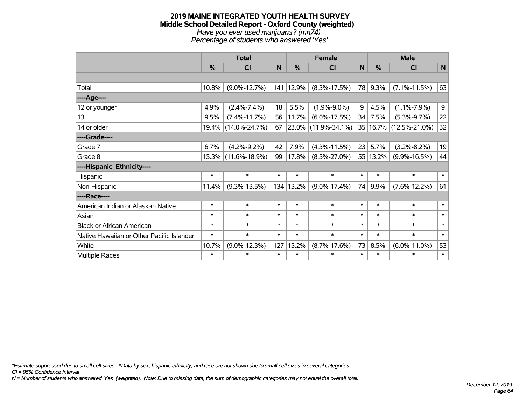#### **2019 MAINE INTEGRATED YOUTH HEALTH SURVEY Middle School Detailed Report - Oxford County (weighted)** *Have you ever used marijuana? (mn74) Percentage of students who answered 'Yes'*

|                                           | <b>Total</b>  |                     |        | <b>Female</b> |                     |              | <b>Male</b>   |                            |                |
|-------------------------------------------|---------------|---------------------|--------|---------------|---------------------|--------------|---------------|----------------------------|----------------|
|                                           | $\frac{0}{0}$ | CI                  | N      | %             | CI                  | $\mathsf{N}$ | $\frac{0}{0}$ | <b>CI</b>                  | $\mathsf{N}$   |
|                                           |               |                     |        |               |                     |              |               |                            |                |
| Total                                     | 10.8%         | $(9.0\% - 12.7\%)$  | 141    | 12.9%         | $(8.3\% - 17.5\%)$  | 78           | 9.3%          | $(7.1\% - 11.5\%)$         | 63             |
| ----Age----                               |               |                     |        |               |                     |              |               |                            |                |
| 12 or younger                             | 4.9%          | $(2.4\% - 7.4\%)$   | 18     | 5.5%          | $(1.9\% - 9.0\%)$   | 9            | 4.5%          | $(1.1\% - 7.9\%)$          | 9 <sup>1</sup> |
| 13                                        | 9.5%          | $(7.4\% - 11.7\%)$  | 56     | 11.7%         | $(6.0\% - 17.5\%)$  | 34           | 7.5%          | $(5.3\% - 9.7\%)$          | 22             |
| 14 or older                               |               | 19.4% (14.0%-24.7%) | 67     |               | 23.0% (11.9%-34.1%) |              |               | 35   16.7%   (12.5%-21.0%) | 32             |
| ----Grade----                             |               |                     |        |               |                     |              |               |                            |                |
| Grade 7                                   | 6.7%          | $(4.2\% - 9.2\%)$   | 42     | 7.9%          | $(4.3\% - 11.5\%)$  | 23           | 5.7%          | $(3.2\% - 8.2\%)$          | 19             |
| Grade 8                                   |               | 15.3% (11.6%-18.9%) | 99     | 17.8%         | $(8.5\% - 27.0\%)$  | 55           | 13.2%         | $(9.9\% - 16.5\%)$         | 44             |
| ----Hispanic Ethnicity----                |               |                     |        |               |                     |              |               |                            |                |
| Hispanic                                  | $\ast$        | $\ast$              | $\ast$ | $\ast$        | $\ast$              | $\ast$       | $\ast$        | $\ast$                     | $\ast$         |
| Non-Hispanic                              | 11.4%         | $(9.3\% - 13.5\%)$  |        | 134 13.2%     | $(9.0\% - 17.4\%)$  | 74           | 9.9%          | $(7.6\% - 12.2\%)$         | 61             |
| ----Race----                              |               |                     |        |               |                     |              |               |                            |                |
| American Indian or Alaskan Native         | $\ast$        | $\ast$              | $\ast$ | $\ast$        | $\ast$              | $\ast$       | $\ast$        | $\ast$                     | $\ast$         |
| Asian                                     | $\ast$        | $\ast$              | $\ast$ | $\ast$        | $\ast$              | $\ast$       | $\ast$        | $\ast$                     | $\ast$         |
| <b>Black or African American</b>          | $\ast$        | $\ast$              | $\ast$ | $\ast$        | $\ast$              | $\ast$       | $\ast$        | $\ast$                     | $\ast$         |
| Native Hawaiian or Other Pacific Islander | $\ast$        | $\ast$              | $\ast$ | $\ast$        | $\ast$              | $\ast$       | $\ast$        | $\ast$                     | $\ast$         |
| White                                     | 10.7%         | $(9.0\% - 12.3\%)$  | 127    | 13.2%         | $(8.7\% - 17.6\%)$  | 73           | 8.5%          | $(6.0\% - 11.0\%)$         | 53             |
| <b>Multiple Races</b>                     | $\ast$        | $\ast$              | $\ast$ | $\ast$        | $\ast$              | $\ast$       | $\ast$        | $\ast$                     | $\ast$         |

*\*Estimate suppressed due to small cell sizes. ^Data by sex, hispanic ethnicity, and race are not shown due to small cell sizes in several categories.*

*CI = 95% Confidence Interval*

*N = Number of students who answered 'Yes' (weighted). Note: Due to missing data, the sum of demographic categories may not equal the overall total.*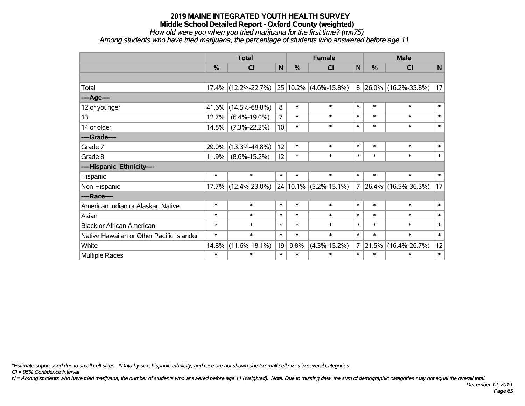## *How old were you when you tried marijuana for the first time? (mn75)*

*Among students who have tried marijuana, the percentage of students who answered before age 11*

|                                           | <b>Total</b>  |                     |                 | <b>Female</b> |                       |                | <b>Male</b> |                              |              |  |
|-------------------------------------------|---------------|---------------------|-----------------|---------------|-----------------------|----------------|-------------|------------------------------|--------------|--|
|                                           | $\frac{9}{6}$ | <b>CI</b>           | $\mathsf{N}$    | %             | <b>CI</b>             | $\mathsf{N}$   | %           | <b>CI</b>                    | $\mathsf{N}$ |  |
|                                           |               |                     |                 |               |                       |                |             |                              |              |  |
| Total                                     | 17.4%         | $(12.2\% - 22.7\%)$ |                 |               | 25 10.2% (4.6%-15.8%) |                |             | $8 26.0\% (16.2\% - 35.8\%)$ | 17           |  |
| ----Age----                               |               |                     |                 |               |                       |                |             |                              |              |  |
| 12 or younger                             | 41.6%         | $(14.5\% - 68.8\%)$ | 8               | $\ast$        | $\ast$                | $\ast$         | $\ast$      | $\ast$                       | $\ast$       |  |
| 13                                        | 12.7%         | $(6.4\% - 19.0\%)$  | $\overline{7}$  | $\ast$        | $\ast$                | $\ast$         | $\ast$      | $\ast$                       | $\ast$       |  |
| 14 or older                               | 14.8%         | $(7.3\% - 22.2\%)$  | 10 <sup>1</sup> | $\ast$        | $\ast$                | $\ast$         | $\ast$      | $\ast$                       | $\ast$       |  |
| ----Grade----                             |               |                     |                 |               |                       |                |             |                              |              |  |
| Grade 7                                   | 29.0%         | $(13.3\% - 44.8\%)$ | 12              | $\ast$        | $\ast$                | $\ast$         | $\ast$      | $\ast$                       | $\ast$       |  |
| Grade 8                                   | 11.9%         | $(8.6\% - 15.2\%)$  | 12              | $\ast$        | $\ast$                | $\ast$         | $\ast$      | $\ast$                       | $\ast$       |  |
| ----Hispanic Ethnicity----                |               |                     |                 |               |                       |                |             |                              |              |  |
| Hispanic                                  | $\ast$        | $\ast$              | $\ast$          | $\ast$        | $\ast$                | $\ast$         | $\ast$      | $\ast$                       | $\ast$       |  |
| Non-Hispanic                              | $17.7\%$      | $(12.4\% - 23.0\%)$ |                 | $24 10.1\% $  | $(5.2\% - 15.1\%)$    | 7              | 26.4%       | $(16.5\% - 36.3\%)$          | 17           |  |
| ----Race----                              |               |                     |                 |               |                       |                |             |                              |              |  |
| American Indian or Alaskan Native         | $\ast$        | $\ast$              | $\ast$          | $\ast$        | $\ast$                | $\ast$         | $\ast$      | $\ast$                       | $\ast$       |  |
| Asian                                     | $\ast$        | $\ast$              | $\ast$          | $\ast$        | $\ast$                | $\ast$         | $\ast$      | $\ast$                       | $\ast$       |  |
| <b>Black or African American</b>          | $\ast$        | $\ast$              | $\ast$          | $\ast$        | $\ast$                | $\ast$         | $\ast$      | $\ast$                       | $\ast$       |  |
| Native Hawaiian or Other Pacific Islander | $\ast$        | $\ast$              | $\ast$          | $\ast$        | $\ast$                | $\ast$         | $\ast$      | $\ast$                       | $\ast$       |  |
| White                                     | 14.8%         | $(11.6\% - 18.1\%)$ | 19              | 9.8%          | $(4.3\% - 15.2\%)$    | 7 <sup>1</sup> | 21.5%       | $(16.4\% - 26.7\%)$          | 12           |  |
| Multiple Races                            | $\ast$        | $\ast$              | $\ast$          | $\ast$        | $\ast$                | $\ast$         | $\ast$      | $\ast$                       | $\ast$       |  |

*\*Estimate suppressed due to small cell sizes. ^Data by sex, hispanic ethnicity, and race are not shown due to small cell sizes in several categories.*

*CI = 95% Confidence Interval*

*N = Among students who have tried marijuana, the number of students who answered before age 11 (weighted). Note: Due to missing data, the sum of demographic categories may not equal the overall total.*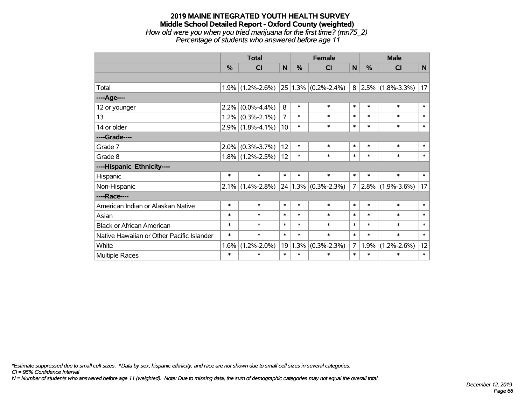#### **2019 MAINE INTEGRATED YOUTH HEALTH SURVEY Middle School Detailed Report - Oxford County (weighted)** *How old were you when you tried marijuana for the first time? (mn75\_2) Percentage of students who answered before age 11*

|                                           | <b>Total</b> |                     |                | <b>Female</b> |                         |                | <b>Male</b> |                     |        |
|-------------------------------------------|--------------|---------------------|----------------|---------------|-------------------------|----------------|-------------|---------------------|--------|
|                                           | %            | CI                  | N              | %             | <b>CI</b>               | N              | %           | <b>CI</b>           | N      |
|                                           |              |                     |                |               |                         |                |             |                     |        |
| Total                                     | 1.9%         | $(1.2\% - 2.6\%)$   |                |               | $25 1.3\% $ (0.2%-2.4%) | 8              |             | $2.5\%$ (1.8%-3.3%) | 17     |
| ----Age----                               |              |                     |                |               |                         |                |             |                     |        |
| 12 or younger                             | 2.2%         | $(0.0\% - 4.4\%)$   | 8              | $\ast$        | $\ast$                  | $\ast$         | $\ast$      | $\ast$              | $\ast$ |
| 13                                        |              | $1.2\%$ (0.3%-2.1%) | $\overline{7}$ | $\ast$        | $\ast$                  | $\ast$         | $\ast$      | $\ast$              | $\ast$ |
| 14 or older                               |              | $2.9\%$ (1.8%-4.1%) | 10             | $\ast$        | $\ast$                  | $\ast$         | $\ast$      | $\ast$              | $\ast$ |
| ----Grade----                             |              |                     |                |               |                         |                |             |                     |        |
| Grade 7                                   | 2.0%         | $(0.3\% - 3.7\%)$   | 12             | $\ast$        | $\ast$                  | $\ast$         | $\ast$      | $\ast$              | $\ast$ |
| Grade 8                                   |              | $1.8\%$ (1.2%-2.5%) | 12             | $\ast$        | $\ast$                  | $\ast$         | $\ast$      | $\ast$              | $\ast$ |
| ----Hispanic Ethnicity----                |              |                     |                |               |                         |                |             |                     |        |
| Hispanic                                  | $\ast$       | $\ast$              | $\ast$         | $\ast$        | $\ast$                  | $\ast$         | $\ast$      | $\ast$              | $\ast$ |
| Non-Hispanic                              |              | $2.1\%$ (1.4%-2.8%) |                |               | $24 1.3\% $ (0.3%-2.3%) | $\overline{7}$ |             | $2.8\%$ (1.9%-3.6%) | 17     |
| ----Race----                              |              |                     |                |               |                         |                |             |                     |        |
| American Indian or Alaskan Native         | $\ast$       | $\ast$              | $\ast$         | $\ast$        | $\ast$                  | $\ast$         | $\ast$      | $\ast$              | $\ast$ |
| Asian                                     | $\ast$       | $\ast$              | $\ast$         | $\ast$        | $\ast$                  | $\ast$         | $\ast$      | $\ast$              | $\ast$ |
| <b>Black or African American</b>          | $\ast$       | $\ast$              | $\ast$         | $\ast$        | $\ast$                  | $\ast$         | $\ast$      | $\ast$              | $\ast$ |
| Native Hawaiian or Other Pacific Islander | $\ast$       | $\ast$              | $\ast$         | $\ast$        | $\ast$                  | $\ast$         | $\ast$      | $\ast$              | $\ast$ |
| White                                     | 1.6%         | $(1.2\% - 2.0\%)$   | 19             | 1.3%          | $(0.3\% - 2.3\%)$       | $\overline{7}$ | 1.9%        | $(1.2\% - 2.6\%)$   | 12     |
| Multiple Races                            | $\ast$       | $\ast$              | $\ast$         | $\ast$        | $\ast$                  | $\ast$         | $\ast$      | $\ast$              | $\ast$ |

*\*Estimate suppressed due to small cell sizes. ^Data by sex, hispanic ethnicity, and race are not shown due to small cell sizes in several categories.*

*CI = 95% Confidence Interval*

*N = Number of students who answered before age 11 (weighted). Note: Due to missing data, the sum of demographic categories may not equal the overall total.*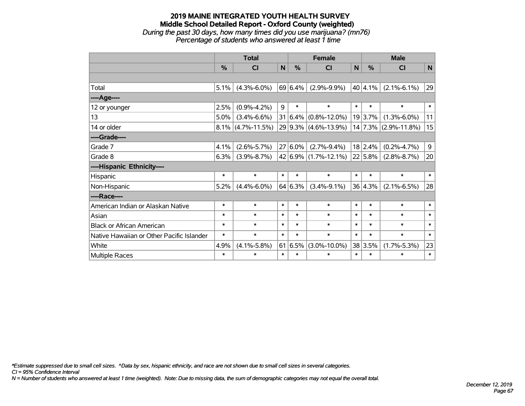#### **2019 MAINE INTEGRATED YOUTH HEALTH SURVEY Middle School Detailed Report - Oxford County (weighted)** *During the past 30 days, how many times did you use marijuana? (mn76) Percentage of students who answered at least 1 time*

|                                           | <b>Total</b>  |                      |        | <b>Female</b> |                             |        | <b>Male</b> |                    |        |
|-------------------------------------------|---------------|----------------------|--------|---------------|-----------------------------|--------|-------------|--------------------|--------|
|                                           | $\frac{9}{6}$ | <b>CI</b>            | N      | $\%$          | <b>CI</b>                   | N      | $\%$        | <b>CI</b>          | N      |
|                                           |               |                      |        |               |                             |        |             |                    |        |
| Total                                     | 5.1%          | $(4.3\% - 6.0\%)$    |        | 69 6.4%       | $(2.9\% - 9.9\%)$           |        | $40 4.1\% $ | $(2.1\% - 6.1\%)$  | 29     |
| ----Age----                               |               |                      |        |               |                             |        |             |                    |        |
| 12 or younger                             | 2.5%          | $(0.9\% - 4.2\%)$    | 9      | $\ast$        | $\ast$                      | $\ast$ | $\ast$      | $\ast$             | $\ast$ |
| 13                                        | 5.0%          | $(3.4\% - 6.6\%)$    |        | $31 6.4\% $   | $(0.8\% - 12.0\%)$          |        | 19 3.7%     | $(1.3\% - 6.0\%)$  | 11     |
| 14 or older                               |               | $8.1\%$ (4.7%-11.5%) |        |               | 29 9.3% (4.6%-13.9%)        |        | 14 7.3%     | $(2.9\% - 11.8\%)$ | 15     |
| ----Grade----                             |               |                      |        |               |                             |        |             |                    |        |
| Grade 7                                   | 4.1%          | $(2.6\% - 5.7\%)$    |        | $27 6.0\%$    | $(2.7\% - 9.4\%)$           |        | 18 2.4%     | $(0.2\% - 4.7\%)$  | 9      |
| Grade 8                                   | 6.3%          | $(3.9\% - 8.7\%)$    |        |               | $42 6.9\% (1.7\% - 12.1\%)$ |        | 22 5.8%     | $(2.8\% - 8.7\%)$  | 20     |
| ----Hispanic Ethnicity----                |               |                      |        |               |                             |        |             |                    |        |
| Hispanic                                  | $\ast$        | $\ast$               | $\ast$ | $\ast$        | $\ast$                      | $\ast$ | $\ast$      | $\ast$             | $\ast$ |
| Non-Hispanic                              | 5.2%          | $(4.4\% - 6.0\%)$    |        | 64 6.3%       | $(3.4\% - 9.1\%)$           |        | 36 4.3%     | $(2.1\% - 6.5\%)$  | 28     |
| ----Race----                              |               |                      |        |               |                             |        |             |                    |        |
| American Indian or Alaskan Native         | $\ast$        | $\ast$               | $\ast$ | $\ast$        | $\ast$                      | $\ast$ | $\ast$      | $\ast$             | $\ast$ |
| Asian                                     | $\ast$        | $\ast$               | $\ast$ | $\ast$        | $\ast$                      | $\ast$ | $\ast$      | $\ast$             | $\ast$ |
| <b>Black or African American</b>          | $\ast$        | $\ast$               | $\ast$ | $\ast$        | $\ast$                      | $\ast$ | $\ast$      | $\ast$             | $\ast$ |
| Native Hawaiian or Other Pacific Islander | $\ast$        | $\ast$               | $\ast$ | $\ast$        | $\ast$                      | $\ast$ | $\ast$      | $\ast$             | $\ast$ |
| White                                     | 4.9%          | $(4.1\% - 5.8\%)$    |        | 61 6.5%       | $(3.0\% - 10.0\%)$          |        | 38 3.5%     | $(1.7\% - 5.3\%)$  | 23     |
| Multiple Races                            | $\ast$        | $\ast$               | $\ast$ | $\ast$        | $\ast$                      | $\ast$ | $\ast$      | $\ast$             | $\ast$ |

*\*Estimate suppressed due to small cell sizes. ^Data by sex, hispanic ethnicity, and race are not shown due to small cell sizes in several categories.*

*CI = 95% Confidence Interval*

*N = Number of students who answered at least 1 time (weighted). Note: Due to missing data, the sum of demographic categories may not equal the overall total.*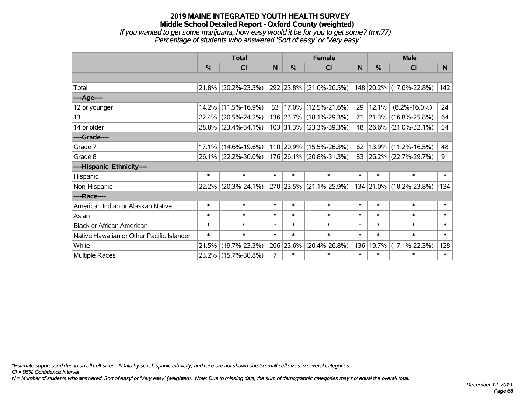*If you wanted to get some marijuana, how easy would it be for you to get some? (mn77) Percentage of students who answered 'Sort of easy' or 'Very easy'*

|                                           | <b>Total</b>  |                        |                | <b>Female</b> |                          |           | <b>Male</b> |                         |                |  |
|-------------------------------------------|---------------|------------------------|----------------|---------------|--------------------------|-----------|-------------|-------------------------|----------------|--|
|                                           | $\frac{0}{0}$ | CI                     | N <sub>1</sub> | $\frac{0}{0}$ | CI                       | <b>N</b>  | %           | <b>CI</b>               | N <sub>1</sub> |  |
|                                           |               |                        |                |               |                          |           |             |                         |                |  |
| Total                                     |               | $21.8\%$ (20.2%-23.3%) |                |               | 292 23.8% (21.0%-26.5%)  |           |             | 148 20.2% (17.6%-22.8%) | 142            |  |
| ----Age----                               |               |                        |                |               |                          |           |             |                         |                |  |
| 12 or younger                             |               | 14.2% (11.5%-16.9%)    | 53             |               | $ 17.0\% $ (12.5%-21.6%) | 29        | 12.1%       | $(8.2\% - 16.0\%)$      | 24             |  |
| 13                                        |               | 22.4% (20.5%-24.2%)    |                |               | 136 23.7% (18.1%-29.3%)  | 71        |             | 21.3% (16.8%-25.8%)     | 64             |  |
| 14 or older                               |               | 28.8% (23.4%-34.1%)    |                |               | 103 31.3% (23.3%-39.3%)  |           |             | 48 26.6% (21.0%-32.1%)  | 54             |  |
| ----Grade----                             |               |                        |                |               |                          |           |             |                         |                |  |
| Grade 7                                   | $17.1\%$      | $(14.6\% - 19.6\%)$    |                |               | 110 20.9% (15.5%-26.3%)  | 62        | 13.9%       | $(11.2\% - 16.5\%)$     | 48             |  |
| Grade 8                                   |               | 26.1% (22.2%-30.0%)    |                |               | 176 26.1% (20.8%-31.3%)  | $83 \mid$ |             | 26.2% (22.7%-29.7%)     | 91             |  |
| ----Hispanic Ethnicity----                |               |                        |                |               |                          |           |             |                         |                |  |
| Hispanic                                  | $\ast$        | $\ast$                 | $\ast$         | $\ast$        | $\ast$                   | $\ast$    | $\ast$      | $\ast$                  | $\ast$         |  |
| Non-Hispanic                              |               | 22.2% (20.3%-24.1%)    |                |               | 270 23.5% (21.1%-25.9%)  |           |             | 134 21.0% (18.2%-23.8%) | 134            |  |
| ----Race----                              |               |                        |                |               |                          |           |             |                         |                |  |
| American Indian or Alaskan Native         | $\ast$        | $\ast$                 | $\ast$         | $\ast$        | $\ast$                   | $\ast$    | $\ast$      | $\ast$                  | $\ast$         |  |
| Asian                                     | $\ast$        | $\ast$                 | $\ast$         | $\ast$        | $\ast$                   | $\ast$    | $\ast$      | $\ast$                  | $\ast$         |  |
| <b>Black or African American</b>          | $\ast$        | $\ast$                 | $\ast$         | $\ast$        | $\ast$                   | $\ast$    | $\ast$      | $\ast$                  | $\ast$         |  |
| Native Hawaiian or Other Pacific Islander | $\ast$        | $\ast$                 | $\ast$         | $\ast$        | $\ast$                   | $\ast$    | $\ast$      | $\ast$                  | $\ast$         |  |
| White                                     | 21.5%         | $(19.7\% - 23.3\%)$    |                | 266 23.6%     | $(20.4\% - 26.8\%)$      | 136       | 19.7%       | $(17.1\% - 22.3\%)$     | 128            |  |
| <b>Multiple Races</b>                     |               | 23.2% (15.7%-30.8%)    | $\overline{7}$ | $\ast$        | $\ast$                   | $\ast$    | $\ast$      | $\ast$                  | $\ast$         |  |

*\*Estimate suppressed due to small cell sizes. ^Data by sex, hispanic ethnicity, and race are not shown due to small cell sizes in several categories.*

*CI = 95% Confidence Interval*

*N = Number of students who answered 'Sort of easy' or 'Very easy' (weighted). Note: Due to missing data, the sum of demographic categories may not equal the overall total.*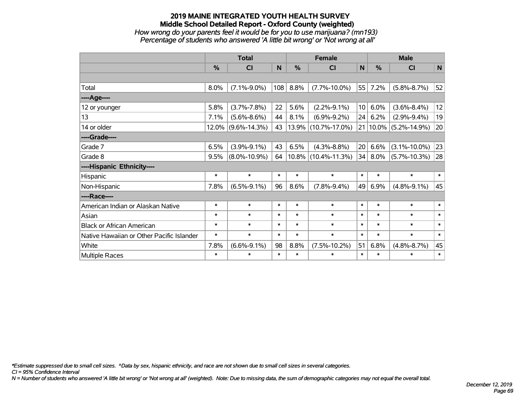#### **2019 MAINE INTEGRATED YOUTH HEALTH SURVEY Middle School Detailed Report - Oxford County (weighted)** *How wrong do your parents feel it would be for you to use marijuana? (mn193) Percentage of students who answered 'A little bit wrong' or 'Not wrong at all'*

|                                           | <b>Total</b> |                    |             | <b>Female</b> |                          |                 | <b>Male</b> |                       |              |
|-------------------------------------------|--------------|--------------------|-------------|---------------|--------------------------|-----------------|-------------|-----------------------|--------------|
|                                           | %            | C <sub>1</sub>     | $\mathbf N$ | $\frac{0}{0}$ | <b>CI</b>                | $\mathsf{N}$    | %           | <b>CI</b>             | $\mathsf{N}$ |
|                                           |              |                    |             |               |                          |                 |             |                       |              |
| Total                                     | 8.0%         | $(7.1\% - 9.0\%)$  | 108         | 8.8%          | $(7.7\% - 10.0\%)$       | 55              | 7.2%        | $(5.8\% - 8.7\%)$     | 52           |
| ----Age----                               |              |                    |             |               |                          |                 |             |                       |              |
| 12 or younger                             | 5.8%         | $(3.7\% - 7.8\%)$  | 22          | 5.6%          | $(2.2\% - 9.1\%)$        | 10 <sup>1</sup> | 6.0%        | $(3.6\% - 8.4\%)$     | 12           |
| 13                                        | 7.1%         | $(5.6\% - 8.6\%)$  | 44          | 8.1%          | $(6.9\% - 9.2\%)$        | 24              | 6.2%        | $(2.9\% - 9.4\%)$     | 19           |
| 14 or older                               | 12.0%        | $(9.6\% - 14.3\%)$ | 43          |               | $ 13.9\% $ (10.7%-17.0%) | 21 <sup>1</sup> |             | $10.0\%$ (5.2%-14.9%) | 20           |
| ----Grade----                             |              |                    |             |               |                          |                 |             |                       |              |
| Grade 7                                   | 6.5%         | $(3.9\% - 9.1\%)$  | 43          | 6.5%          | $(4.3\% - 8.8\%)$        | 20              | 6.6%        | $(3.1\% - 10.0\%)$    | 23           |
| Grade 8                                   | 9.5%         | $(8.0\% - 10.9\%)$ | 64          |               | $ 10.8\% $ (10.4%-11.3%) | 34              | 8.0%        | $(5.7\% - 10.3\%)$    | 28           |
| ----Hispanic Ethnicity----                |              |                    |             |               |                          |                 |             |                       |              |
| Hispanic                                  | $\ast$       | $\ast$             | $\ast$      | $\ast$        | $\ast$                   | $\ast$          | $\ast$      | $\ast$                | $\ast$       |
| Non-Hispanic                              | 7.8%         | $(6.5\% - 9.1\%)$  | 96          | 8.6%          | $(7.8\% - 9.4\%)$        | 49              | 6.9%        | $(4.8\% - 9.1\%)$     | 45           |
| ----Race----                              |              |                    |             |               |                          |                 |             |                       |              |
| American Indian or Alaskan Native         | $\ast$       | $\ast$             | $\ast$      | $\ast$        | $\ast$                   | $\ast$          | $\ast$      | $\ast$                | $\ast$       |
| Asian                                     | $\ast$       | $\ast$             | $\ast$      | $\ast$        | $\ast$                   | $\ast$          | $\ast$      | $\ast$                | $\ast$       |
| <b>Black or African American</b>          | $\ast$       | $\ast$             | $\ast$      | $\ast$        | $\ast$                   | $\ast$          | $\ast$      | $\ast$                | $\ast$       |
| Native Hawaiian or Other Pacific Islander | $\ast$       | $\ast$             | $\ast$      | $\ast$        | $\ast$                   | $\ast$          | $\ast$      | $\ast$                | $\ast$       |
| White                                     | 7.8%         | $(6.6\% - 9.1\%)$  | 98          | 8.8%          | $(7.5\% - 10.2\%)$       | 51              | 6.8%        | $(4.8\% - 8.7\%)$     | 45           |
| Multiple Races                            | $\ast$       | $\ast$             | $\ast$      | $\ast$        | $\ast$                   | $\ast$          | $\ast$      | $\ast$                | $\ast$       |

*\*Estimate suppressed due to small cell sizes. ^Data by sex, hispanic ethnicity, and race are not shown due to small cell sizes in several categories.*

*CI = 95% Confidence Interval*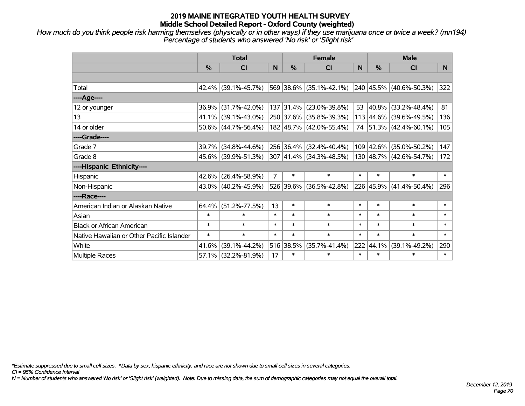*How much do you think people risk harming themselves (physically or in other ways) if they use marijuana once or twice a week? (mn194) Percentage of students who answered 'No risk' or 'Slight risk'*

|                                           | <b>Total</b>  |                        |                | <b>Female</b> |                                          |        | <b>Male</b>   |                         |        |  |
|-------------------------------------------|---------------|------------------------|----------------|---------------|------------------------------------------|--------|---------------|-------------------------|--------|--|
|                                           | $\frac{0}{0}$ | <b>CI</b>              | N              | $\frac{9}{6}$ | <b>CI</b>                                | N      | $\frac{0}{0}$ | <b>CI</b>               | N.     |  |
|                                           |               |                        |                |               |                                          |        |               |                         |        |  |
| Total                                     |               | 42.4% (39.1%-45.7%)    |                |               | $569$ 38.6% (35.1%-42.1%)                |        |               | 240 45.5% (40.6%-50.3%) | 322    |  |
| ----Age----                               |               |                        |                |               |                                          |        |               |                         |        |  |
| 12 or younger                             | 36.9%         | $(31.7\% - 42.0\%)$    |                |               | 137 31.4% (23.0%-39.8%)                  | 53     | 40.8%         | $(33.2\% - 48.4\%)$     | 81     |  |
| 13                                        |               | 41.1% (39.1%-43.0%)    |                |               | 250 37.6% (35.8%-39.3%)                  |        |               | 113 44.6% (39.6%-49.5%) | 136    |  |
| 14 or older                               |               | $50.6\%$ (44.7%-56.4%) |                |               | 182 48.7% (42.0%-55.4%)                  |        |               | 74 51.3% (42.4%-60.1%)  | 105    |  |
| ----Grade----                             |               |                        |                |               |                                          |        |               |                         |        |  |
| Grade 7                                   | 39.7%         | $(34.8\% - 44.6\%)$    |                |               | 256 36.4% (32.4%-40.4%)                  |        | 109 42.6%     | $(35.0\% - 50.2\%)$     | 147    |  |
| Grade 8                                   |               | 45.6% (39.9%-51.3%)    |                |               | $307 \mid 41.4\% \mid (34.3\% - 48.5\%)$ |        |               | 130 48.7% (42.6%-54.7%) | 172    |  |
| ----Hispanic Ethnicity----                |               |                        |                |               |                                          |        |               |                         |        |  |
| Hispanic                                  | 42.6%         | $(26.4\% - 58.9\%)$    | $\overline{7}$ | $\ast$        | $\ast$                                   | $\ast$ | $\ast$        | $\ast$                  | $\ast$ |  |
| Non-Hispanic                              |               | 43.0% (40.2%-45.9%)    |                |               | 526 39.6% (36.5%-42.8%)                  |        | 226 45.9%     | $(41.4\% - 50.4\%)$     | 296    |  |
| ----Race----                              |               |                        |                |               |                                          |        |               |                         |        |  |
| American Indian or Alaskan Native         | 64.4%         | $(51.2\% - 77.5\%)$    | 13             | $\ast$        | $\ast$                                   | $\ast$ | $\ast$        | $\ast$                  | $\ast$ |  |
| Asian                                     | $\ast$        | $\ast$                 | $\ast$         | $\ast$        | $\ast$                                   | $\ast$ | $\ast$        | $\ast$                  | $\ast$ |  |
| <b>Black or African American</b>          | $\ast$        | $\ast$                 | $\ast$         | $\ast$        | $\ast$                                   | $\ast$ | $\ast$        | $\ast$                  | $\ast$ |  |
| Native Hawaiian or Other Pacific Islander | $\ast$        | $\ast$                 | $\ast$         | $\ast$        | $\ast$                                   | $\ast$ | $\ast$        | $\ast$                  | $\ast$ |  |
| White                                     | 41.6%         | $(39.1\% - 44.2\%)$    |                | 516 38.5%     | $(35.7\% - 41.4\%)$                      | 222    | 44.1%         | $(39.1\% - 49.2\%)$     | 290    |  |
| Multiple Races                            |               | 57.1% (32.2%-81.9%)    | 17             | $\ast$        | $\ast$                                   | $\ast$ | $\ast$        | $\ast$                  | $\ast$ |  |

*\*Estimate suppressed due to small cell sizes. ^Data by sex, hispanic ethnicity, and race are not shown due to small cell sizes in several categories.*

*CI = 95% Confidence Interval*

*N = Number of students who answered 'No risk' or 'Slight risk' (weighted). Note: Due to missing data, the sum of demographic categories may not equal the overall total.*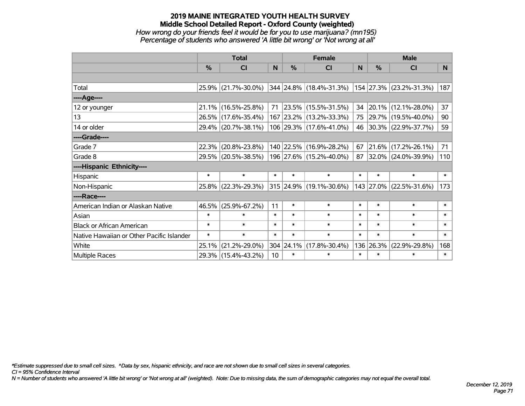# **2019 MAINE INTEGRATED YOUTH HEALTH SURVEY Middle School Detailed Report - Oxford County (weighted)** *How wrong do your friends feel it would be for you to use marijuana? (mn195) Percentage of students who answered 'A little bit wrong' or 'Not wrong at all'*

|                                           | <b>Total</b> |                        |                 |           | <b>Female</b>                                             |        | <b>Male</b> |                          |        |  |
|-------------------------------------------|--------------|------------------------|-----------------|-----------|-----------------------------------------------------------|--------|-------------|--------------------------|--------|--|
|                                           | $\%$         | <b>CI</b>              | N               | $\%$      | <b>CI</b>                                                 | N      | $\%$        | <b>CI</b>                | N      |  |
|                                           |              |                        |                 |           |                                                           |        |             |                          |        |  |
| Total                                     |              | 25.9% (21.7%-30.0%)    |                 |           | $ 344 24.8\% $ (18.4%-31.3%) $ 154 27.3\% $ (23.2%-31.3%) |        |             |                          | 187    |  |
| ----Age----                               |              |                        |                 |           |                                                           |        |             |                          |        |  |
| 12 or younger                             |              | $21.1\%$ (16.5%-25.8%) | 71              |           | 23.5% (15.5%-31.5%)                                       | 34     |             | 20.1% (12.1%-28.0%)      | 37     |  |
| 13                                        |              | 26.5% (17.6%-35.4%)    |                 |           | 167 23.2% (13.2%-33.3%)                                   | 75     |             | 29.7% (19.5%-40.0%)      | 90     |  |
| 14 or older                               |              | 29.4% (20.7%-38.1%)    |                 |           | 106 29.3% (17.6%-41.0%)                                   | 46     |             | $ 30.3\% $ (22.9%-37.7%) | 59     |  |
| ----Grade----                             |              |                        |                 |           |                                                           |        |             |                          |        |  |
| Grade 7                                   | 22.3%        | $(20.8\% - 23.8\%)$    |                 |           | 140 22.5% (16.9%-28.2%)                                   | 67     |             | $21.6\%$ (17.2%-26.1%)   | 71     |  |
| Grade 8                                   |              | 29.5% (20.5%-38.5%)    |                 |           | 196   27.6%   (15.2%-40.0%)                               | 87     |             | $ 32.0\% $ (24.0%-39.9%) | 110    |  |
| ----Hispanic Ethnicity----                |              |                        |                 |           |                                                           |        |             |                          |        |  |
| Hispanic                                  | $\ast$       | $\ast$                 | $\ast$          | $\ast$    | $\ast$                                                    | $\ast$ | $\ast$      | $\ast$                   | $\ast$ |  |
| Non-Hispanic                              |              | 25.8% (22.3%-29.3%)    |                 |           | 315 24.9% (19.1%-30.6%)                                   |        |             | 143 27.0% (22.5%-31.6%)  | 173    |  |
| ----Race----                              |              |                        |                 |           |                                                           |        |             |                          |        |  |
| American Indian or Alaskan Native         | 46.5%        | $(25.9\% - 67.2\%)$    | 11              | $\ast$    | $\ast$                                                    | $\ast$ | $\ast$      | $\ast$                   | $\ast$ |  |
| Asian                                     | $\ast$       | $\ast$                 | $\ast$          | $\ast$    | $\ast$                                                    | $\ast$ | $\ast$      | $\ast$                   | $\ast$ |  |
| <b>Black or African American</b>          | $\ast$       | $\ast$                 | $\ast$          | $\ast$    | $\ast$                                                    | $\ast$ | $\ast$      | $\ast$                   | $\ast$ |  |
| Native Hawaiian or Other Pacific Islander | $\ast$       | $\ast$                 | $\ast$          | $\ast$    | $\ast$                                                    | $\ast$ | $\ast$      | $\ast$                   | $\ast$ |  |
| White                                     | 25.1%        | $(21.2\% - 29.0\%)$    |                 | 304 24.1% | $(17.8\% - 30.4\%)$                                       |        | 136 26.3%   | $(22.9\% - 29.8\%)$      | 168    |  |
| Multiple Races                            |              | 29.3% (15.4%-43.2%)    | 10 <sup>°</sup> | $\ast$    | $\ast$                                                    | $\ast$ | $\ast$      | $\ast$                   | $\ast$ |  |

*\*Estimate suppressed due to small cell sizes. ^Data by sex, hispanic ethnicity, and race are not shown due to small cell sizes in several categories.*

*CI = 95% Confidence Interval*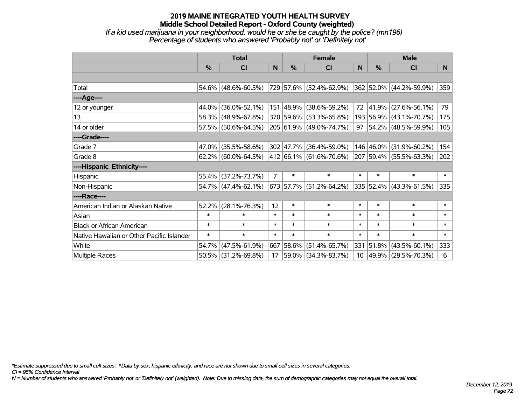# **2019 MAINE INTEGRATED YOUTH HEALTH SURVEY Middle School Detailed Report - Oxford County (weighted)** *If a kid used marijuana in your neighborhood, would he or she be caught by the police? (mn196)*

| Percentage of students who answered 'Probably not' or 'Definitely not' |  |  |
|------------------------------------------------------------------------|--|--|
|                                                                        |  |  |

|                                           | <b>Total</b>  |                        |                | <b>Female</b> |                                  |        | <b>Male</b>   |                          |        |
|-------------------------------------------|---------------|------------------------|----------------|---------------|----------------------------------|--------|---------------|--------------------------|--------|
|                                           | $\frac{0}{0}$ | CI                     | N              | %             | CI                               | N      | $\frac{0}{0}$ | C <sub>l</sub>           | N.     |
|                                           |               |                        |                |               |                                  |        |               |                          |        |
| Total                                     |               | 54.6% (48.6%-60.5%)    |                |               | 729 57.6% (52.4%-62.9%)          |        |               | 362 52.0% (44.2%-59.9%)  | 359    |
| ----Age----                               |               |                        |                |               |                                  |        |               |                          |        |
| 12 or younger                             |               | 44.0% (36.0%-52.1%)    |                |               | 151 48.9% (38.6%-59.2%)          | 72     | $ 41.9\% $    | $(27.6\% - 56.1\%)$      | 79     |
| 13                                        |               | 58.3% (48.9%-67.8%)    |                |               | 370 59.6% (53.3%-65.8%)          |        |               | 193 56.9% (43.1%-70.7%)  | 175    |
| 14 or older                               |               | 57.5% (50.6%-64.5%)    |                |               | 205 61.9% (49.0%-74.7%)          | 97     |               | $ 54.2\% $ (48.5%-59.9%) | 105    |
| ----Grade----                             |               |                        |                |               |                                  |        |               |                          |        |
| Grade 7                                   | 47.0%         | $(35.5\% - 58.6\%)$    |                |               | 302 47.7% (36.4%-59.0%)          |        | 146 46.0%     | $(31.9\% - 60.2\%)$      | 154    |
| Grade 8                                   |               | $62.2\%$ (60.0%-64.5%) |                |               | $ 412 66.1\%  (61.6\% - 70.6\%)$ |        |               | 207 59.4% (55.5%-63.3%)  | 202    |
| ----Hispanic Ethnicity----                |               |                        |                |               |                                  |        |               |                          |        |
| Hispanic                                  |               | 55.4% (37.2%-73.7%)    | $\overline{7}$ | $\ast$        | $\ast$                           | $\ast$ | $\ast$        | $\ast$                   | $\ast$ |
| Non-Hispanic                              |               | $54.7\%$ (47.4%-62.1%) |                |               | $673$ 57.7% (51.2%-64.2%)        |        |               | 335 52.4% (43.3%-61.5%)  | 335    |
| ----Race----                              |               |                        |                |               |                                  |        |               |                          |        |
| American Indian or Alaskan Native         | 52.2%         | $(28.1\% - 76.3\%)$    | 12             | $\ast$        | $\ast$                           | $\ast$ | $\ast$        | $\ast$                   | $\ast$ |
| Asian                                     | $\ast$        | $\ast$                 | $\ast$         | $\ast$        | $\ast$                           | $\ast$ | $\ast$        | $\ast$                   | $\ast$ |
| <b>Black or African American</b>          | $\ast$        | $\ast$                 | $\ast$         | $\ast$        | $\ast$                           | $\ast$ | $\ast$        | $\ast$                   | $\ast$ |
| Native Hawaiian or Other Pacific Islander | $\ast$        | $\ast$                 | $\ast$         | $\ast$        | $\ast$                           | $\ast$ | $\ast$        | $\ast$                   | $\ast$ |
| White                                     | 54.7%         | $(47.5\% - 61.9\%)$    | 667            | 58.6%         | $(51.4\% - 65.7\%)$              |        | 331 51.8%     | $(43.5\% - 60.1\%)$      | 333    |
| Multiple Races                            |               | 50.5% (31.2%-69.8%)    | 17             |               | 59.0% (34.3%-83.7%)              |        |               | 10 49.9% (29.5%-70.3%)   | 6      |

*\*Estimate suppressed due to small cell sizes. ^Data by sex, hispanic ethnicity, and race are not shown due to small cell sizes in several categories.*

*CI = 95% Confidence Interval*

*N = Number of students who answered 'Probably not' or 'Definitely not' (weighted). Note: Due to missing data, the sum of demographic categories may not equal the overall total.*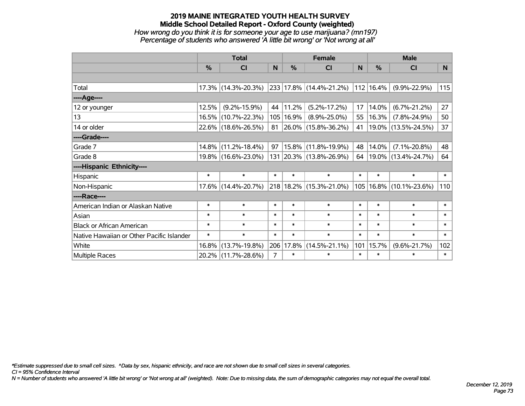### **2019 MAINE INTEGRATED YOUTH HEALTH SURVEY Middle School Detailed Report - Oxford County (weighted)** *How wrong do you think it is for someone your age to use marijuana? (mn197) Percentage of students who answered 'A little bit wrong' or 'Not wrong at all'*

|                                           | <b>Total</b>  |                     |        |        | <b>Female</b>                             | <b>Male</b>  |                |                             |        |
|-------------------------------------------|---------------|---------------------|--------|--------|-------------------------------------------|--------------|----------------|-----------------------------|--------|
|                                           | $\frac{0}{0}$ | CI                  | N      | $\%$   | CI                                        | <sub>N</sub> | $\%$           | <b>CI</b>                   | N      |
|                                           |               |                     |        |        |                                           |              |                |                             |        |
| Total                                     |               | 17.3% (14.3%-20.3%) |        |        | 233 17.8% (14.4%-21.2%)                   |              | $ 112 16.4\% $ | $(9.9\% - 22.9\%)$          | 115    |
| ----Age----                               |               |                     |        |        |                                           |              |                |                             |        |
| 12 or younger                             | 12.5%         | $(9.2\% - 15.9\%)$  | 44     | 11.2%  | $(5.2\% - 17.2\%)$                        | 17           | 14.0%          | $(6.7\% - 21.2\%)$          | 27     |
| 13                                        |               | 16.5% (10.7%-22.3%) | 105    | 16.9%  | $(8.9\% - 25.0\%)$                        | 55           | 16.3%          | $(7.8\% - 24.9\%)$          | 50     |
| 14 or older                               |               | 22.6% (18.6%-26.5%) |        |        | $81 \vert 26.0\% \vert (15.8\% - 36.2\%)$ | 41           |                | 19.0% (13.5%-24.5%)         | 37     |
| ----Grade----                             |               |                     |        |        |                                           |              |                |                             |        |
| Grade 7                                   | 14.8%         | $(11.2\% - 18.4\%)$ | 97     |        | 15.8% (11.8%-19.9%)                       | 48           | 14.0%          | $(7.1\% - 20.8\%)$          | 48     |
| Grade 8                                   |               | 19.8% (16.6%-23.0%) |        |        | 131 20.3% (13.8%-26.9%)                   | 64           |                | 19.0% (13.4%-24.7%)         | 64     |
| ----Hispanic Ethnicity----                |               |                     |        |        |                                           |              |                |                             |        |
| Hispanic                                  | $\ast$        | $\ast$              | $\ast$ | $\ast$ | $\ast$                                    | $\ast$       | $\ast$         | $\ast$                      | $\ast$ |
| Non-Hispanic                              |               | 17.6% (14.4%-20.7%) |        |        | 218 18.2% (15.3%-21.0%)                   |              |                | 105   16.8%   (10.1%-23.6%) | 110    |
| ----Race----                              |               |                     |        |        |                                           |              |                |                             |        |
| American Indian or Alaskan Native         | $\ast$        | $\ast$              | $\ast$ | $\ast$ | $\ast$                                    | $\ast$       | $\ast$         | $\ast$                      | $\ast$ |
| Asian                                     | $\ast$        | $\ast$              | $\ast$ | $\ast$ | $\ast$                                    | $\ast$       | $\ast$         | $\ast$                      | $\ast$ |
| <b>Black or African American</b>          | $\ast$        | $\ast$              | $\ast$ | $\ast$ | $\ast$                                    | $\ast$       | $\ast$         | $\ast$                      | $\ast$ |
| Native Hawaiian or Other Pacific Islander | $\ast$        | $\ast$              | $\ast$ | $\ast$ | $\ast$                                    | $\ast$       | $\ast$         | $\ast$                      | $\ast$ |
| White                                     | 16.8%         | $(13.7\% - 19.8\%)$ | 206    | 17.8%  | $(14.5\% - 21.1\%)$                       | 101          | 15.7%          | $(9.6\% - 21.7\%)$          | 102    |
| <b>Multiple Races</b>                     |               | 20.2% (11.7%-28.6%) | 7      | $\ast$ | $\ast$                                    | $\ast$       | *              | $\ast$                      | $\ast$ |

*\*Estimate suppressed due to small cell sizes. ^Data by sex, hispanic ethnicity, and race are not shown due to small cell sizes in several categories.*

*CI = 95% Confidence Interval*

*N = Number of students who answered 'A little bit wrong' or 'Not wrong at all' (weighted). Note: Due to missing data, the sum of demographic categories may not equal the overall total.*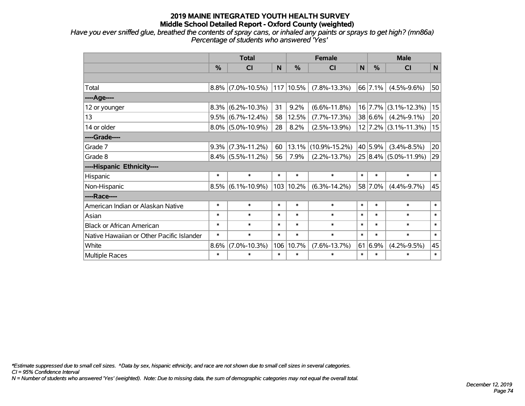*Have you ever sniffed glue, breathed the contents of spray cans, or inhaled any paints or sprays to get high? (mn86a) Percentage of students who answered 'Yes'*

|                                           | <b>Total</b> |                      |        |        | <b>Female</b>       | <b>Male</b> |         |                          |        |
|-------------------------------------------|--------------|----------------------|--------|--------|---------------------|-------------|---------|--------------------------|--------|
|                                           | %            | <b>CI</b>            | N      | %      | <b>CI</b>           | N           | %       | <b>CI</b>                | N      |
|                                           |              |                      |        |        |                     |             |         |                          |        |
| Total                                     |              | $8.8\%$ (7.0%-10.5%) | 117    | 10.5%  | $(7.8\% - 13.3\%)$  |             | 66 7.1% | $(4.5\% - 9.6\%)$        | 50     |
| ----Age----                               |              |                      |        |        |                     |             |         |                          |        |
| 12 or younger                             | 8.3%         | $(6.2\% - 10.3\%)$   | 31     | 9.2%   | $(6.6\% - 11.8\%)$  |             | 16 7.7% | $(3.1\% - 12.3\%)$       | 15     |
| 13                                        | 9.5%         | $(6.7\% - 12.4\%)$   | 58     | 12.5%  | $(7.7\% - 17.3\%)$  |             | 38 6.6% | $(4.2\% - 9.1\%)$        | 20     |
| 14 or older                               |              | $8.0\%$ (5.0%-10.9%) | 28     | 8.2%   | $(2.5\% - 13.9\%)$  |             |         | 12 7.2% (3.1%-11.3%)     | 15     |
| ----Grade----                             |              |                      |        |        |                     |             |         |                          |        |
| Grade 7                                   | 9.3%         | $(7.3\% - 11.2\%)$   | 60     | 13.1%  | $(10.9\% - 15.2\%)$ |             | 40 5.9% | $(3.4\% - 8.5\%)$        | 20     |
| Grade 8                                   |              | $8.4\%$ (5.5%-11.2%) | 56     | 7.9%   | $(2.2\% - 13.7\%)$  |             |         | $25 8.4\% $ (5.0%-11.9%) | 29     |
| ----Hispanic Ethnicity----                |              |                      |        |        |                     |             |         |                          |        |
| Hispanic                                  | $\ast$       | $\ast$               | $\ast$ | $\ast$ | $\ast$              | $\ast$      | $\ast$  | $\ast$                   | $\ast$ |
| Non-Hispanic                              |              | $8.5\%$ (6.1%-10.9%) | 103    | 10.2%  | $(6.3\% - 14.2\%)$  |             | 58 7.0% | $(4.4\% - 9.7\%)$        | 45     |
| ----Race----                              |              |                      |        |        |                     |             |         |                          |        |
| American Indian or Alaskan Native         | $\ast$       | $\ast$               | $\ast$ | $\ast$ | $\ast$              | $\ast$      | $\ast$  | $\ast$                   | $\ast$ |
| Asian                                     | $\ast$       | $\ast$               | $\ast$ | $\ast$ | $\ast$              | $\ast$      | $\ast$  | $\ast$                   | $\ast$ |
| <b>Black or African American</b>          | $\ast$       | $\ast$               | $\ast$ | $\ast$ | $\ast$              | $\ast$      | $\ast$  | $\ast$                   | $\ast$ |
| Native Hawaiian or Other Pacific Islander | $\ast$       | $\ast$               | $\ast$ | $\ast$ | $\ast$              | $\ast$      | $\ast$  | $\ast$                   | $\ast$ |
| White                                     | 8.6%         | $(7.0\% - 10.3\%)$   | 106    | 10.7%  | $(7.6\% - 13.7\%)$  | 61          | 6.9%    | $(4.2\% - 9.5\%)$        | 45     |
| Multiple Races                            | $\ast$       | $\ast$               | $\ast$ | $\ast$ | $\ast$              | $\ast$      | $\ast$  | $\ast$                   | $\ast$ |

*\*Estimate suppressed due to small cell sizes. ^Data by sex, hispanic ethnicity, and race are not shown due to small cell sizes in several categories.*

*CI = 95% Confidence Interval*

*N = Number of students who answered 'Yes' (weighted). Note: Due to missing data, the sum of demographic categories may not equal the overall total.*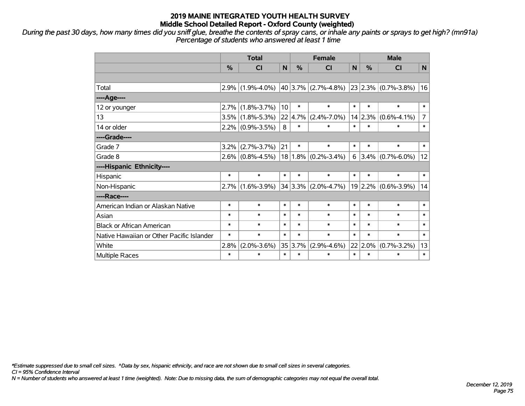*During the past 30 days, how many times did you sniff glue, breathe the contents of spray cans, or inhale any paints or sprays to get high? (mn91a) Percentage of students who answered at least 1 time*

|                                           | <b>Total</b>  |                     |                 | <b>Female</b> |                   |        | <b>Male</b>   |                                                                 |                |  |
|-------------------------------------------|---------------|---------------------|-----------------|---------------|-------------------|--------|---------------|-----------------------------------------------------------------|----------------|--|
|                                           | $\frac{0}{0}$ | <b>CI</b>           | N               | $\frac{0}{0}$ | <b>CI</b>         | N      | $\frac{0}{0}$ | <b>CI</b>                                                       | N.             |  |
|                                           |               |                     |                 |               |                   |        |               |                                                                 |                |  |
| Total                                     | 2.9%          | $(1.9\% - 4.0\%)$   |                 |               |                   |        |               | $\vert$ 40 3.7% $\vert$ (2.7%-4.8%) 23 2.3% $\vert$ (0.7%-3.8%) | 16             |  |
| ----Age----                               |               |                     |                 |               |                   |        |               |                                                                 |                |  |
| 12 or younger                             | 2.7%          | $(1.8\% - 3.7\%)$   | 10 <sup>1</sup> | $\ast$        | $\ast$            | $\ast$ | $\ast$        | $\ast$                                                          | $\ast$         |  |
| 13                                        | 3.5%          | $(1.8\% - 5.3\%)$   |                 | 22 4.7%       | $(2.4\% - 7.0\%)$ |        | 14 2.3%       | $(0.6\% - 4.1\%)$                                               | $\overline{7}$ |  |
| 14 or older                               |               | $2.2\%$ (0.9%-3.5%) | 8               | $\ast$        | $\ast$            | $\ast$ | $\ast$        | $\ast$                                                          | $\ast$         |  |
| ----Grade----                             |               |                     |                 |               |                   |        |               |                                                                 |                |  |
| Grade 7                                   | 3.2%          | $(2.7\% - 3.7\%)$   | 21              | $\ast$        | $\ast$            | $\ast$ | $\ast$        | $\ast$                                                          | $\ast$         |  |
| Grade 8                                   | $2.6\%$       | $(0.8\% - 4.5\%)$   |                 | $18 1.8\% $   | $(0.2\% - 3.4\%)$ | 6      |               | $3.4\%$ (0.7%-6.0%)                                             | 12             |  |
| ----Hispanic Ethnicity----                |               |                     |                 |               |                   |        |               |                                                                 |                |  |
| Hispanic                                  | $\ast$        | $\ast$              | $\ast$          | $\ast$        | $\ast$            | $\ast$ | $\ast$        | $\ast$                                                          | $\ast$         |  |
| Non-Hispanic                              | 2.7%          | $(1.6\% - 3.9\%)$   |                 | 34 3.3%       | $(2.0\% - 4.7\%)$ |        |               | $19 2.2\% $ (0.6%-3.9%)                                         | 14             |  |
| ----Race----                              |               |                     |                 |               |                   |        |               |                                                                 |                |  |
| American Indian or Alaskan Native         | $\ast$        | $\ast$              | $\ast$          | $\ast$        | $\ast$            | $\ast$ | $\ast$        | $\ast$                                                          | $\ast$         |  |
| Asian                                     | $\ast$        | $\ast$              | $\ast$          | $\ast$        | $\ast$            | $\ast$ | $\ast$        | $\ast$                                                          | $\ast$         |  |
| <b>Black or African American</b>          | $\ast$        | $\ast$              | $\ast$          | $\ast$        | $\ast$            | $\ast$ | $\ast$        | $\ast$                                                          | $\ast$         |  |
| Native Hawaiian or Other Pacific Islander | $\ast$        | $\ast$              | $\ast$          | $\ast$        | $\ast$            | $\ast$ | $\ast$        | $\ast$                                                          | $\ast$         |  |
| White                                     | 2.8%          | $(2.0\% - 3.6\%)$   |                 | 35 3.7%       | $(2.9\% - 4.6\%)$ |        | $22 2.0\%$    | $(0.7\% - 3.2\%)$                                               | 13             |  |
| Multiple Races                            | $\ast$        | $\ast$              | $\ast$          | $\ast$        | *                 | $\ast$ | $\ast$        | $\ast$                                                          | $\ast$         |  |

*\*Estimate suppressed due to small cell sizes. ^Data by sex, hispanic ethnicity, and race are not shown due to small cell sizes in several categories.*

*CI = 95% Confidence Interval*

*N = Number of students who answered at least 1 time (weighted). Note: Due to missing data, the sum of demographic categories may not equal the overall total.*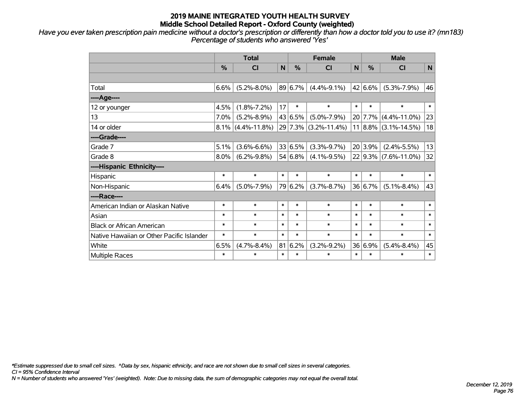*Have you ever taken prescription pain medicine without a doctor's prescription or differently than how a doctor told you to use it? (mn183) Percentage of students who answered 'Yes'*

|                                           | <b>Total</b>  |                      |        |               | <b>Female</b>        |        |         | <b>Male</b>              |        |  |
|-------------------------------------------|---------------|----------------------|--------|---------------|----------------------|--------|---------|--------------------------|--------|--|
|                                           | $\frac{9}{6}$ | <b>CI</b>            | N      | $\frac{0}{0}$ | <b>CI</b>            | N      | $\%$    | <b>CI</b>                | N      |  |
|                                           |               |                      |        |               |                      |        |         |                          |        |  |
| Total                                     | 6.6%          | $(5.2\% - 8.0\%)$    |        | 89 6.7%       | $(4.4\% - 9.1\%)$    |        | 42 6.6% | $(5.3\% - 7.9\%)$        | 46     |  |
| ----Age----                               |               |                      |        |               |                      |        |         |                          |        |  |
| 12 or younger                             | 4.5%          | $(1.8\% - 7.2\%)$    | 17     | $\ast$        | $\ast$               | $\ast$ | $\ast$  | $\ast$                   | $\ast$ |  |
| 13                                        | 7.0%          | $(5.2\% - 8.9\%)$    |        | 43 6.5%       | $(5.0\% - 7.9\%)$    |        |         | 20 7.7% (4.4%-11.0%)     | 23     |  |
| 14 or older                               |               | $8.1\%$ (4.4%-11.8%) |        |               | 29 7.3% (3.2%-11.4%) |        |         | $11 8.8\% $ (3.1%-14.5%) | 18     |  |
| ----Grade----                             |               |                      |        |               |                      |        |         |                          |        |  |
| Grade 7                                   | 5.1%          | $(3.6\% - 6.6\%)$    |        | 33 6.5%       | $(3.3\% - 9.7\%)$    |        | 20 3.9% | $(2.4\% - 5.5\%)$        | 13     |  |
| Grade 8                                   | 8.0%          | $(6.2\% - 9.8\%)$    |        | 54 6.8%       | $(4.1\% - 9.5\%)$    |        |         | $22$ 9.3% (7.6%-11.0%)   | 32     |  |
| ----Hispanic Ethnicity----                |               |                      |        |               |                      |        |         |                          |        |  |
| Hispanic                                  | $\ast$        | $\ast$               | $\ast$ | $\ast$        | $\ast$               | $\ast$ | $\ast$  | $\ast$                   | $\ast$ |  |
| Non-Hispanic                              | 6.4%          | $(5.0\% - 7.9\%)$    |        | 79 6.2%       | $(3.7\% - 8.7\%)$    |        | 36 6.7% | $(5.1\% - 8.4\%)$        | 43     |  |
| ----Race----                              |               |                      |        |               |                      |        |         |                          |        |  |
| American Indian or Alaskan Native         | $\ast$        | $\ast$               | $\ast$ | $\ast$        | $\ast$               | $\ast$ | $\ast$  | $\ast$                   | $\ast$ |  |
| Asian                                     | $\ast$        | $\ast$               | $\ast$ | $\ast$        | $\ast$               | $\ast$ | $\ast$  | $\ast$                   | $\ast$ |  |
| <b>Black or African American</b>          | $\ast$        | $\ast$               | $\ast$ | $\ast$        | $\ast$               | $\ast$ | $\ast$  | $\ast$                   | $\ast$ |  |
| Native Hawaiian or Other Pacific Islander | $\ast$        | $\ast$               | $\ast$ | $\ast$        | $\ast$               | $\ast$ | $\ast$  | $\ast$                   | $\ast$ |  |
| White                                     | 6.5%          | $(4.7\% - 8.4\%)$    | 81     | 6.2%          | $(3.2\% - 9.2\%)$    |        | 36 6.9% | $(5.4\% - 8.4\%)$        | 45     |  |
| Multiple Races                            | $\ast$        | $\ast$               | $\ast$ | $\ast$        | *                    | $\ast$ | $\ast$  | $\ast$                   | $\ast$ |  |

*\*Estimate suppressed due to small cell sizes. ^Data by sex, hispanic ethnicity, and race are not shown due to small cell sizes in several categories.*

*CI = 95% Confidence Interval*

*N = Number of students who answered 'Yes' (weighted). Note: Due to missing data, the sum of demographic categories may not equal the overall total.*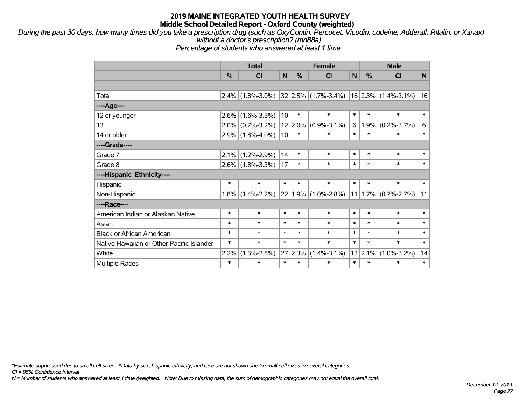*During the past 30 days, how many times did you take a prescription drug (such as OxyContin, Percocet, Vicodin, codeine, Adderall, Ritalin, or Xanax) without a doctor's prescription? (mn88a)*

*Percentage of students who answered at least 1 time*

|                                           | <b>Total</b> |                     |                 | <b>Female</b> |                         |        | <b>Male</b> |                         |        |  |
|-------------------------------------------|--------------|---------------------|-----------------|---------------|-------------------------|--------|-------------|-------------------------|--------|--|
|                                           | %            | <b>CI</b>           | N               | %             | <b>CI</b>               | N      | %           | <b>CI</b>               | N      |  |
|                                           |              |                     |                 |               |                         |        |             |                         |        |  |
| Total                                     | 2.4%         | $(1.8\% - 3.0\%)$   |                 |               | $32 2.5\% $ (1.7%-3.4%) |        |             | $16$ 2.3% (1.4%-3.1%)   | 16     |  |
| ----Age----                               |              |                     |                 |               |                         |        |             |                         |        |  |
| 12 or younger                             | 2.6%         | $(1.6\% - 3.5\%)$   | 10 <sup>1</sup> | $\ast$        | $\ast$                  | $\ast$ | $\ast$      | $\ast$                  | $\ast$ |  |
| 13                                        | 2.0%         | $(0.7\% - 3.2\%)$   |                 | $12 2.0\%$    | $(0.9\% - 3.1\%)$       | 6      | 1.9%        | $(0.2\% - 3.7\%)$       | 6      |  |
| 14 or older                               |              | $2.9\%$ (1.8%-4.0%) | 10 <sup>1</sup> | $\ast$        | *                       | $\ast$ | $\ast$      | $\ast$                  | $\ast$ |  |
| ----Grade----                             |              |                     |                 |               |                         |        |             |                         |        |  |
| Grade 7                                   | 2.1%         | $(1.2\% - 2.9\%)$   | 14              | $\ast$        | *                       | $\ast$ | $\ast$      | $\ast$                  | $\ast$ |  |
| Grade 8                                   |              | $2.6\%$ (1.8%-3.3%) | 17              | $\ast$        | $\ast$                  | $\ast$ | $\ast$      | $\ast$                  | $\ast$ |  |
| ----Hispanic Ethnicity----                |              |                     |                 |               |                         |        |             |                         |        |  |
| Hispanic                                  | $\ast$       | $\ast$              | $\ast$          | $\ast$        | $\ast$                  | $\ast$ | $\ast$      | $\ast$                  | $\ast$ |  |
| Non-Hispanic                              | 1.8%         | $(1.4\% - 2.2\%)$   |                 |               | $22 1.9\% $ (1.0%-2.8%) |        |             | $11 1.7\% $ (0.7%-2.7%) | 11     |  |
| ----Race----                              |              |                     |                 |               |                         |        |             |                         |        |  |
| American Indian or Alaskan Native         | $\ast$       | $\ast$              | $\ast$          | $\ast$        | *                       | $\ast$ | $\ast$      | $\ast$                  | $\ast$ |  |
| Asian                                     | $\ast$       | $\ast$              | $\ast$          | $\ast$        | *                       | $\ast$ | $\ast$      | $\ast$                  | $\ast$ |  |
| <b>Black or African American</b>          | $\ast$       | $\ast$              | $\ast$          | $\ast$        | *                       | $\ast$ | $\ast$      | $\ast$                  | $\ast$ |  |
| Native Hawaiian or Other Pacific Islander | $\ast$       | $\ast$              | $\ast$          | $\ast$        | $\ast$                  | $\ast$ | $\ast$      | $\ast$                  | $\ast$ |  |
| White                                     | 2.2%         | $(1.5\% - 2.8\%)$   | 27              | 2.3%          | $(1.4\% - 3.1\%)$       |        | $13$   2.1% | $(1.0\% - 3.2\%)$       | 14     |  |
| <b>Multiple Races</b>                     | $\ast$       | $\ast$              | $\ast$          | $\ast$        | $\ast$                  | $\ast$ | $\ast$      | $\ast$                  | $\ast$ |  |

*\*Estimate suppressed due to small cell sizes. ^Data by sex, hispanic ethnicity, and race are not shown due to small cell sizes in several categories.*

*CI = 95% Confidence Interval*

*N = Number of students who answered at least 1 time (weighted). Note: Due to missing data, the sum of demographic categories may not equal the overall total.*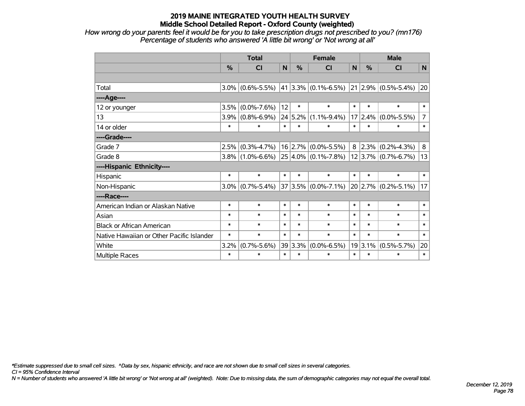*How wrong do your parents feel it would be for you to take prescription drugs not prescribed to you? (mn176) Percentage of students who answered 'A little bit wrong' or 'Not wrong at all'*

|                                           | <b>Total</b>  |                   |        |         | <b>Female</b>                                                                           |        |                 | <b>Male</b>                  |                |  |  |
|-------------------------------------------|---------------|-------------------|--------|---------|-----------------------------------------------------------------------------------------|--------|-----------------|------------------------------|----------------|--|--|
|                                           | $\frac{0}{2}$ | <b>CI</b>         | N      | $\%$    | <b>CI</b>                                                                               | N      | $\frac{0}{2}$   | <b>CI</b>                    | N              |  |  |
|                                           |               |                   |        |         |                                                                                         |        |                 |                              |                |  |  |
| Total                                     | $3.0\%$       | $(0.6\% - 5.5\%)$ |        |         | $ 41 3.3\% $ (0.1%-6.5%)                                                                |        |                 | $ 21 2.9\%  (0.5\% - 5.4\%)$ | 20             |  |  |
| ----Age----                               |               |                   |        |         |                                                                                         |        |                 |                              |                |  |  |
| 12 or younger                             | 3.5%          | $(0.0\% - 7.6\%)$ | 12     | $\ast$  | $\ast$                                                                                  | $\ast$ | $\ast$          | $\ast$                       | $\ast$         |  |  |
| 13                                        | 3.9%          | $(0.8\% - 6.9\%)$ |        | 24 5.2% | $(1.1\% - 9.4\%)$                                                                       |        | 17 2.4%         | $(0.0\% - 5.5\%)$            | $\overline{7}$ |  |  |
| 14 or older                               | $\ast$        | $\ast$            | $\ast$ | $\ast$  | $\ast$                                                                                  | $\ast$ | $\ast$          | $\ast$                       | $\ast$         |  |  |
| ----Grade----                             |               |                   |        |         |                                                                                         |        |                 |                              |                |  |  |
| Grade 7                                   | 2.5%          | $(0.3\% - 4.7\%)$ |        |         | $16$ 2.7% (0.0%-5.5%)                                                                   |        | $8 \vert 2.3\%$ | $(0.2\% - 4.3\%)$            | 8              |  |  |
| Grade 8                                   | $3.8\%$       | $(1.0\% - 6.6\%)$ |        |         | $\vert$ 25 $\vert$ 4.0% $\vert$ (0.1%-7.8%) $\vert$ 12 $\vert$ 3.7% $\vert$ (0.7%-6.7%) |        |                 |                              | 13             |  |  |
| ----Hispanic Ethnicity----                |               |                   |        |         |                                                                                         |        |                 |                              |                |  |  |
| Hispanic                                  | $\ast$        | $\ast$            | $\ast$ | $\ast$  | $\ast$                                                                                  | $\ast$ | $\ast$          | $\ast$                       | $\ast$         |  |  |
| Non-Hispanic                              | $3.0\%$       | $(0.7\% - 5.4\%)$ | 37     |         | $ 3.5\% $ (0.0%-7.1%)                                                                   |        | 20 2.7%         | $(0.2\% - 5.1\%)$            | 17             |  |  |
| ----Race----                              |               |                   |        |         |                                                                                         |        |                 |                              |                |  |  |
| American Indian or Alaskan Native         | $\ast$        | $\ast$            | $\ast$ | $\ast$  | $\ast$                                                                                  | $\ast$ | $\ast$          | $\ast$                       | $\ast$         |  |  |
| Asian                                     | $\ast$        | $\ast$            | $\ast$ | $\ast$  | $\ast$                                                                                  | $\ast$ | $\ast$          | $\ast$                       | $\ast$         |  |  |
| <b>Black or African American</b>          | $\ast$        | $\ast$            | $\ast$ | $\ast$  | $\ast$                                                                                  | $\ast$ | $\ast$          | $\ast$                       | $\ast$         |  |  |
| Native Hawaiian or Other Pacific Islander | $\ast$        | $\ast$            | $\ast$ | $\ast$  | $\ast$                                                                                  | $\ast$ | $\ast$          | $\ast$                       | $\ast$         |  |  |
| White                                     | 3.2%          | $(0.7\% - 5.6\%)$ | 39     | 3.3%    | $(0.0\% - 6.5\%)$                                                                       |        | 19 3.1%         | $(0.5\% - 5.7\%)$            | 20             |  |  |
| Multiple Races                            | $\ast$        | $\ast$            | $\ast$ | $\ast$  | $\ast$                                                                                  | $\ast$ | $\ast$          | $\ast$                       | $\ast$         |  |  |

*\*Estimate suppressed due to small cell sizes. ^Data by sex, hispanic ethnicity, and race are not shown due to small cell sizes in several categories.*

*CI = 95% Confidence Interval*

*N = Number of students who answered 'A little bit wrong' or 'Not wrong at all' (weighted). Note: Due to missing data, the sum of demographic categories may not equal the overall total.*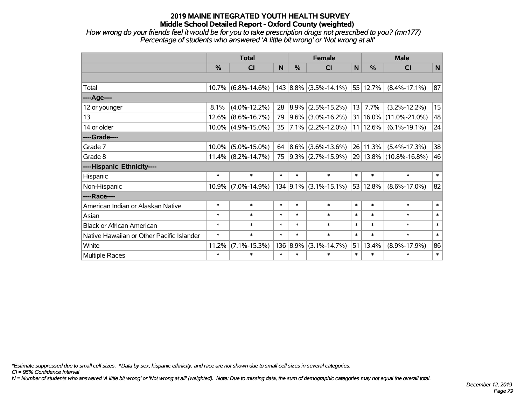*How wrong do your friends feel it would be for you to take prescription drugs not prescribed to you? (mn177) Percentage of students who answered 'A little bit wrong' or 'Not wrong at all'*

|                                           | <b>Total</b> |                       |        |          | <b>Female</b>               |              |          | <b>Male</b>                                   |        |  |  |
|-------------------------------------------|--------------|-----------------------|--------|----------|-----------------------------|--------------|----------|-----------------------------------------------|--------|--|--|
|                                           | %            | <b>CI</b>             | N      | %        | <b>CI</b>                   | $\mathsf{N}$ | %        | <b>CI</b>                                     | N      |  |  |
|                                           |              |                       |        |          |                             |              |          |                                               |        |  |  |
| Total                                     |              | $10.7\%$ (6.8%-14.6%) |        |          | $ 143 8.8\% $ (3.5%-14.1%)  |              | 55 12.7% | $(8.4\% - 17.1\%)$                            | 87     |  |  |
| ---- Age----                              |              |                       |        |          |                             |              |          |                                               |        |  |  |
| 12 or younger                             | 8.1%         | $(4.0\% - 12.2\%)$    | 28     |          | $ 8.9\% $ (2.5%-15.2%)      | 13           | 7.7%     | $(3.2\% - 12.2\%)$                            | 15     |  |  |
| 13                                        |              | $12.6\%$ (8.6%-16.7%) | 79     |          | $9.6\%$ (3.0%-16.2%)        |              |          | $ 31 16.0\%  (11.0\% - 21.0\%)$               | 48     |  |  |
| 14 or older                               |              | $10.0\%$ (4.9%-15.0%) | 35     |          | $ 7.1\% $ (2.2%-12.0%)      |              | 11 12.6% | $(6.1\% - 19.1\%)$                            | 24     |  |  |
| ----Grade----                             |              |                       |        |          |                             |              |          |                                               |        |  |  |
| Grade 7                                   |              | $10.0\%$ (5.0%-15.0%) | 64     |          | $ 8.6\% $ (3.6%-13.6%)      |              | 26 11.3% | $(5.4\% - 17.3\%)$                            | 38     |  |  |
| Grade 8                                   |              | $11.4\%$ (8.2%-14.7%) | 75     |          |                             |              |          | $ 9.3\% $ (2.7%-15.9%) 29 13.8% (10.8%-16.8%) | 46     |  |  |
| ----Hispanic Ethnicity----                |              |                       |        |          |                             |              |          |                                               |        |  |  |
| Hispanic                                  | $\ast$       | $\ast$                | $\ast$ | $\ast$   | $\ast$                      | $\ast$       | $\ast$   | $\ast$                                        | $\ast$ |  |  |
| Non-Hispanic                              |              | $10.9\%$ (7.0%-14.9%) |        |          | $134$   9.1%   (3.1%-15.1%) |              | 53 12.8% | $(8.6\% - 17.0\%)$                            | 82     |  |  |
| ----Race----                              |              |                       |        |          |                             |              |          |                                               |        |  |  |
| American Indian or Alaskan Native         | $\ast$       | $\ast$                | $\ast$ | $\ast$   | $\ast$                      | $\ast$       | $\ast$   | $\ast$                                        | $\ast$ |  |  |
| Asian                                     | $\ast$       | $\ast$                | $\ast$ | $\ast$   | $\ast$                      | $\ast$       | $\ast$   | $\ast$                                        | $\ast$ |  |  |
| <b>Black or African American</b>          | $\ast$       | $\ast$                | $\ast$ | $\ast$   | $\ast$                      | $\ast$       | $\ast$   | $\ast$                                        | $\ast$ |  |  |
| Native Hawaiian or Other Pacific Islander | $\ast$       | $\ast$                | $\ast$ | $\ast$   | $\ast$                      | $\ast$       | $\ast$   | $\ast$                                        | $\ast$ |  |  |
| White                                     | 11.2%        | $(7.1\% - 15.3\%)$    |        | 136 8.9% | $(3.1\% - 14.7\%)$          | 51           | 13.4%    | $(8.9\% - 17.9\%)$                            | 86     |  |  |
| <b>Multiple Races</b>                     | $\ast$       | $\ast$                | $\ast$ | $\ast$   | $\ast$                      | $\ast$       | $\ast$   | $\ast$                                        | $\ast$ |  |  |

*\*Estimate suppressed due to small cell sizes. ^Data by sex, hispanic ethnicity, and race are not shown due to small cell sizes in several categories.*

*CI = 95% Confidence Interval*

*N = Number of students who answered 'A little bit wrong' or 'Not wrong at all' (weighted). Note: Due to missing data, the sum of demographic categories may not equal the overall total.*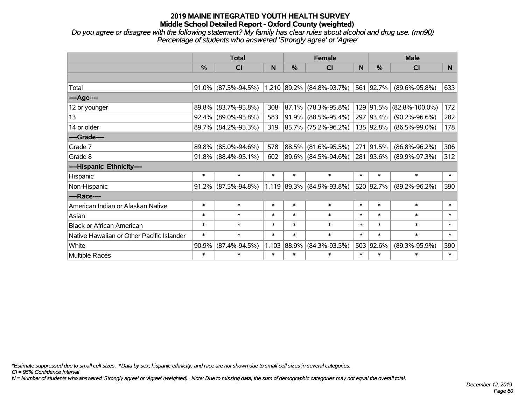*Do you agree or disagree with the following statement? My family has clear rules about alcohol and drug use. (mn90) Percentage of students who answered 'Strongly agree' or 'Agree'*

|                                           | <b>Total</b> |                     |        |               | <b>Female</b>               |        | <b>Male</b>   |                      |        |  |
|-------------------------------------------|--------------|---------------------|--------|---------------|-----------------------------|--------|---------------|----------------------|--------|--|
|                                           | %            | <b>CI</b>           | N      | $\frac{0}{0}$ | C <sub>l</sub>              | N      | $\frac{0}{0}$ | <b>CI</b>            | N      |  |
|                                           |              |                     |        |               |                             |        |               |                      |        |  |
| Total                                     | $91.0\%$     | $(87.5\% - 94.5\%)$ |        |               | $1,210$ 89.2% (84.8%-93.7%) |        | 561 92.7%     | $(89.6\% - 95.8\%)$  | 633    |  |
| ----Age----                               |              |                     |        |               |                             |        |               |                      |        |  |
| 12 or younger                             | 89.8%        | $(83.7\% - 95.8\%)$ | 308    | 87.1%         | $(78.3\% - 95.8\%)$         | 129    | 91.5%         | $(82.8\% - 100.0\%)$ | 172    |  |
| 13                                        | 92.4%        | $(89.0\% - 95.8\%)$ | 583    |               | $91.9\%$ (88.5%-95.4%)      |        | 297 93.4%     | $(90.2\% - 96.6\%)$  | 282    |  |
| 14 or older                               | 89.7%        | $(84.2\% - 95.3\%)$ | 319    |               | 85.7% (75.2%-96.2%)         |        | 135 92.8%     | $(86.5\% - 99.0\%)$  | 178    |  |
| ----Grade----                             |              |                     |        |               |                             |        |               |                      |        |  |
| Grade 7                                   | 89.8%        | $(85.0\% - 94.6\%)$ | 578    |               | 88.5% (81.6%-95.5%)         | 271    | 91.5%         | $(86.8\% - 96.2\%)$  | 306    |  |
| Grade 8                                   | 91.8%        | $(88.4\% - 95.1\%)$ | 602    |               | 89.6% (84.5%-94.6%)         |        | 281 93.6%     | $(89.9\% - 97.3\%)$  | 312    |  |
| ----Hispanic Ethnicity----                |              |                     |        |               |                             |        |               |                      |        |  |
| Hispanic                                  | $\ast$       | $\ast$              | $\ast$ | $\ast$        | $\ast$                      | $\ast$ | $\ast$        | $\ast$               | $\ast$ |  |
| Non-Hispanic                              | 91.2%        | $(87.5\% - 94.8\%)$ |        |               | $1,119$ 89.3% (84.9%-93.8%) |        | 520 92.7%     | $(89.2\% - 96.2\%)$  | 590    |  |
| ----Race----                              |              |                     |        |               |                             |        |               |                      |        |  |
| American Indian or Alaskan Native         | $\ast$       | $\ast$              | $\ast$ | $\ast$        | $\ast$                      | $\ast$ | $\ast$        | $\ast$               | $\ast$ |  |
| Asian                                     | $\ast$       | $\ast$              | $\ast$ | $\ast$        | $\ast$                      | $\ast$ | $\ast$        | $\ast$               | $\ast$ |  |
| <b>Black or African American</b>          | $\ast$       | $\ast$              | $\ast$ | $\ast$        | $\ast$                      | $\ast$ | $\ast$        | $\ast$               | $\ast$ |  |
| Native Hawaiian or Other Pacific Islander | $\ast$       | $\ast$              | $\ast$ | $\ast$        | $\ast$                      | $\ast$ | $\ast$        | $\ast$               | $\ast$ |  |
| White                                     | 90.9%        | $(87.4\% - 94.5\%)$ | 1,103  | 88.9%         | $(84.3\% - 93.5\%)$         | 503    | 92.6%         | $(89.3\% - 95.9\%)$  | 590    |  |
| Multiple Races                            | $\ast$       | $\ast$              | $\ast$ | $\ast$        | $\ast$                      | $\ast$ | $\ast$        | $\ast$               | $\ast$ |  |

*\*Estimate suppressed due to small cell sizes. ^Data by sex, hispanic ethnicity, and race are not shown due to small cell sizes in several categories.*

*CI = 95% Confidence Interval*

*N = Number of students who answered 'Strongly agree' or 'Agree' (weighted). Note: Due to missing data, the sum of demographic categories may not equal the overall total.*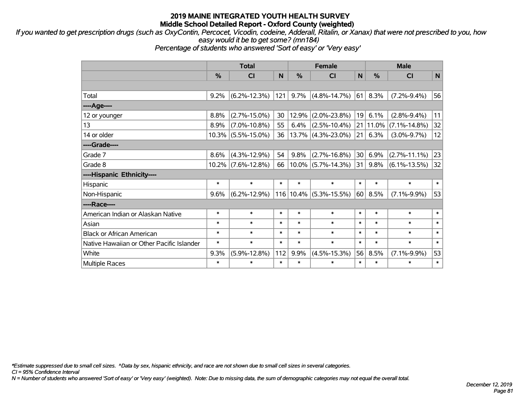*If you wanted to get prescription drugs (such as OxyContin, Percocet, Vicodin, codeine, Adderall, Ritalin, or Xanax) that were not prescribed to you, how easy would it be to get some? (mn184)*

*Percentage of students who answered 'Sort of easy' or 'Very easy'*

|                                           | <b>Total</b>  |                    |        | <b>Female</b> |                       |        | <b>Male</b>   |                    |        |
|-------------------------------------------|---------------|--------------------|--------|---------------|-----------------------|--------|---------------|--------------------|--------|
|                                           | $\frac{0}{0}$ | CI                 | N      | %             | CI                    | N      | $\frac{0}{0}$ | CI                 | N      |
|                                           |               |                    |        |               |                       |        |               |                    |        |
| Total                                     | 9.2%          | $(6.2\% - 12.3\%)$ | 121    | 9.7%          | $(4.8\% - 14.7\%)$    | 61     | 8.3%          | $(7.2\% - 9.4\%)$  | 56     |
| ---- Age----                              |               |                    |        |               |                       |        |               |                    |        |
| 12 or younger                             | 8.8%          | $(2.7\% - 15.0\%)$ | 30     | 12.9%         | $(2.0\% - 23.8\%)$    | 19     | 6.1%          | $(2.8\% - 9.4\%)$  | 11     |
| 13                                        | 8.9%          | $(7.0\% - 10.8\%)$ | 55     | 6.4%          | $(2.5\% - 10.4\%)$    | 21     | $ 11.0\%$     | $(7.1\% - 14.8\%)$ | 32     |
| 14 or older                               | 10.3%         | $(5.5\% - 15.0\%)$ | 36     |               | $13.7\%$ (4.3%-23.0%) | 21     | 6.3%          | $(3.0\% - 9.7\%)$  | 12     |
| ----Grade----                             |               |                    |        |               |                       |        |               |                    |        |
| Grade 7                                   | 8.6%          | $(4.3\% - 12.9\%)$ | 54     | 9.8%          | $(2.7\% - 16.8\%)$    | 30     | 6.9%          | $(2.7\% - 11.1\%)$ | 23     |
| Grade 8                                   | 10.2%         | $(7.6\% - 12.8\%)$ | 66     | $10.0\%$      | $(5.7\% - 14.3\%)$    | 31     | 9.8%          | $(6.1\% - 13.5\%)$ | 32     |
| ----Hispanic Ethnicity----                |               |                    |        |               |                       |        |               |                    |        |
| Hispanic                                  | $\ast$        | $\ast$             | $\ast$ | $\ast$        | $\ast$                | $\ast$ | $\ast$        | $\ast$             | $\ast$ |
| Non-Hispanic                              | 9.6%          | $(6.2\% - 12.9\%)$ |        | 116 10.4%     | $(5.3\% - 15.5\%)$    | 60     | 8.5%          | $(7.1\% - 9.9\%)$  | 53     |
| ----Race----                              |               |                    |        |               |                       |        |               |                    |        |
| American Indian or Alaskan Native         | $\ast$        | $\ast$             | $\ast$ | $\ast$        | $\ast$                | $\ast$ | $\ast$        | $\ast$             | $\ast$ |
| Asian                                     | $\ast$        | $\ast$             | $\ast$ | $\ast$        | $\ast$                | $\ast$ | $\ast$        | $\ast$             | $\ast$ |
| <b>Black or African American</b>          | $\ast$        | $\ast$             | $\ast$ | $\ast$        | $\ast$                | $\ast$ | $\ast$        | $\ast$             | $\ast$ |
| Native Hawaiian or Other Pacific Islander | $\ast$        | $\ast$             | $\ast$ | $\ast$        | $\ast$                | $\ast$ | $\ast$        | $\ast$             | $\ast$ |
| White                                     | 9.3%          | $(5.9\% - 12.8\%)$ | 112    | 9.9%          | $(4.5\% - 15.3\%)$    | 56     | 8.5%          | $(7.1\% - 9.9\%)$  | 53     |
| <b>Multiple Races</b>                     | $\ast$        | $\ast$             | $\ast$ | $\ast$        | $\ast$                | $\ast$ | $\ast$        | $\ast$             | $\ast$ |

*\*Estimate suppressed due to small cell sizes. ^Data by sex, hispanic ethnicity, and race are not shown due to small cell sizes in several categories.*

*CI = 95% Confidence Interval*

*N = Number of students who answered 'Sort of easy' or 'Very easy' (weighted). Note: Due to missing data, the sum of demographic categories may not equal the overall total.*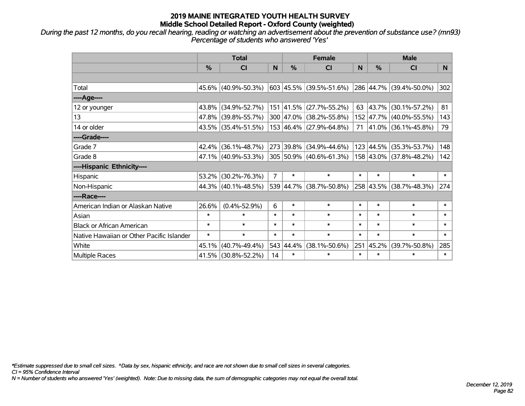*During the past 12 months, do you recall hearing, reading or watching an advertisement about the prevention of substance use? (mn93) Percentage of students who answered 'Yes'*

|                                           | <b>Total</b> |                        |                | <b>Female</b> | <b>Male</b>                        |        |               |                             |                |
|-------------------------------------------|--------------|------------------------|----------------|---------------|------------------------------------|--------|---------------|-----------------------------|----------------|
|                                           | %            | <b>CI</b>              | N              | %             | CI                                 | N      | $\frac{0}{0}$ | <b>CI</b>                   | N <sub>1</sub> |
|                                           |              |                        |                |               |                                    |        |               |                             |                |
| Total                                     |              | 45.6% (40.9%-50.3%)    |                |               | 603 45.5% (39.5%-51.6%)            |        |               | 286 44.7% (39.4%-50.0%)     | 302            |
| ----Age----                               |              |                        |                |               |                                    |        |               |                             |                |
| 12 or younger                             | 43.8%        | $(34.9\% - 52.7\%)$    |                |               | 151 41.5% (27.7%-55.2%)            | 63     | 43.7%         | $(30.1\% - 57.2\%)$         | 81             |
| 13                                        | 47.8%        | $(39.8\% - 55.7\%)$    |                |               | 300 47.0% (38.2%-55.8%)            |        |               | 152 47.7% (40.0%-55.5%)     | 143            |
| 14 or older                               |              | $43.5\%$ (35.4%-51.5%) |                |               | $153   46.4\%   (27.9\% - 64.8\%)$ |        |               | 71 $ 41.0\% $ (36.1%-45.8%) | 79             |
| ----Grade----                             |              |                        |                |               |                                    |        |               |                             |                |
| Grade 7                                   | 42.4%        | $(36.1\% - 48.7\%)$    |                |               | 273 39.8% (34.9%-44.6%)            |        | 123 44.5%     | $(35.3\% - 53.7\%)$         | 148            |
| Grade 8                                   |              | 47.1% (40.9%-53.3%)    |                |               | 305 50.9% (40.6%-61.3%)            |        |               | 158 43.0% (37.8%-48.2%)     | 142            |
| ----Hispanic Ethnicity----                |              |                        |                |               |                                    |        |               |                             |                |
| Hispanic                                  | 53.2%        | $(30.2\% - 76.3\%)$    | $\overline{7}$ | $\ast$        | $\ast$                             | $\ast$ | $\ast$        | $\ast$                      | $\ast$         |
| Non-Hispanic                              |              | 44.3% (40.1%-48.5%)    |                |               | 539 44.7% (38.7%-50.8%)            |        | 258 43.5%     | $(38.7\% - 48.3\%)$         | 274            |
| ----Race----                              |              |                        |                |               |                                    |        |               |                             |                |
| American Indian or Alaskan Native         | 26.6%        | $(0.4\% - 52.9\%)$     | 6              | $\ast$        | $\ast$                             | $\ast$ | $\ast$        | $\ast$                      | $\ast$         |
| Asian                                     | $\ast$       | $\ast$                 | $\ast$         | $\ast$        | $\ast$                             | $\ast$ | $\ast$        | $\ast$                      | $\ast$         |
| <b>Black or African American</b>          | $\ast$       | $\ast$                 | $\ast$         | $\ast$        | $\ast$                             | $\ast$ | $\ast$        | $\ast$                      | $\ast$         |
| Native Hawaiian or Other Pacific Islander | $\ast$       | $\ast$                 | $\ast$         | $\ast$        | $\ast$                             | $\ast$ | $\ast$        | $\ast$                      | $\pmb{\ast}$   |
| White                                     | 45.1%        | $(40.7\% - 49.4\%)$    |                | 543 44.4%     | $(38.1\% - 50.6\%)$                | 251    | 45.2%         | $(39.7\% - 50.8\%)$         | 285            |
| Multiple Races                            |              | 41.5% (30.8%-52.2%)    | 14             | $\ast$        | $\ast$                             | $\ast$ | $\ast$        | *                           | $\ast$         |

*\*Estimate suppressed due to small cell sizes. ^Data by sex, hispanic ethnicity, and race are not shown due to small cell sizes in several categories.*

*CI = 95% Confidence Interval*

*N = Number of students who answered 'Yes' (weighted). Note: Due to missing data, the sum of demographic categories may not equal the overall total.*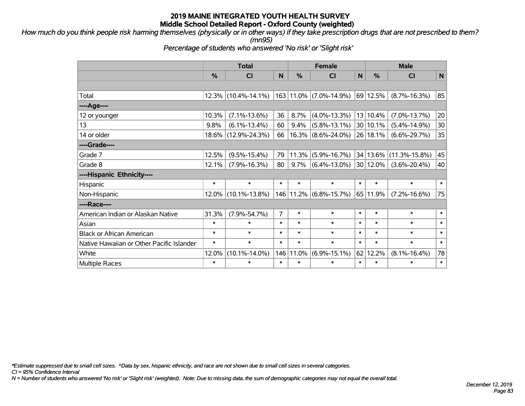*How much do you think people risk harming themselves (physically or in other ways) if they take prescription drugs that are not prescribed to them? (mn95)*

*Percentage of students who answered 'No risk' or 'Slight risk'*

|                                           | <b>Total</b> |                     |                |               | <b>Female</b>              |        | <b>Male</b>   |                     |              |  |
|-------------------------------------------|--------------|---------------------|----------------|---------------|----------------------------|--------|---------------|---------------------|--------------|--|
|                                           | %            | <b>CI</b>           | N              | $\frac{0}{0}$ | <b>CI</b>                  | N      | $\frac{9}{6}$ | <b>CI</b>           | $\mathsf{N}$ |  |
|                                           |              |                     |                |               |                            |        |               |                     |              |  |
| Total                                     | 12.3%        | $(10.4\% - 14.1\%)$ |                |               | 163 11.0% (7.0%-14.9%)     |        | 69 12.5%      | $(8.7\% - 16.3\%)$  | 85           |  |
| ----Age----                               |              |                     |                |               |                            |        |               |                     |              |  |
| 12 or younger                             | 10.3%        | $(7.1\% - 13.6\%)$  | 36             | 8.7%          | $(4.0\% - 13.3\%)$         |        | 13 10.4%      | $(7.0\% - 13.7\%)$  | 20           |  |
| 13                                        | 9.8%         | $(6.1\% - 13.4\%)$  | 60             | 9.4%          | $(5.8\% - 13.1\%)$         |        | 30 10.1%      | $(5.4\% - 14.9\%)$  | 30           |  |
| 14 or older                               |              | 18.6% (12.9%-24.3%) | 66             | 16.3%         | $(8.6\% - 24.0\%)$         |        | 26 18.1%      | $(6.6\% - 29.7\%)$  | 35           |  |
| ----Grade----                             |              |                     |                |               |                            |        |               |                     |              |  |
| Grade 7                                   | 12.5%        | $(9.5\% - 15.4\%)$  | 79             | 11.3%         | $(5.9\% - 16.7\%)$         |        | 34 13.6%      | $(11.3\% - 15.8\%)$ | 45           |  |
| Grade 8                                   | 12.1%        | $(7.9\% - 16.3\%)$  | 80             | $9.7\%$       | $(6.4\% - 13.0\%)$         |        | 30 12.0%      | $(3.6\% - 20.4\%)$  | 40           |  |
| ----Hispanic Ethnicity----                |              |                     |                |               |                            |        |               |                     |              |  |
| Hispanic                                  | $\ast$       | $\ast$              | $\ast$         | $\ast$        | $\ast$                     | $\ast$ | $\ast$        | $\ast$              | $\ast$       |  |
| Non-Hispanic                              |              | 12.0% (10.1%-13.8%) |                |               | 146   11.2%   (6.8%-15.7%) |        | 65 11.9%      | $(7.2\% - 16.6\%)$  | 75           |  |
| ----Race----                              |              |                     |                |               |                            |        |               |                     |              |  |
| American Indian or Alaskan Native         | 31.3%        | $(7.9\% - 54.7\%)$  | $\overline{7}$ | $\ast$        | $\ast$                     | $\ast$ | $\ast$        | $\ast$              | $\ast$       |  |
| Asian                                     | $\ast$       | $\ast$              | $\ast$         | $\ast$        | $\ast$                     | $\ast$ | $\ast$        | $\ast$              | $\ast$       |  |
| <b>Black or African American</b>          | $\ast$       | $\ast$              | $\ast$         | $\ast$        | $\ast$                     | $\ast$ | $\ast$        | $\ast$              | $\ast$       |  |
| Native Hawaiian or Other Pacific Islander | $\ast$       | $\ast$              | $\ast$         | $\ast$        | $\ast$                     | $\ast$ | $\ast$        | $\ast$              | $\ast$       |  |
| White                                     | 12.0%        | $(10.1\% - 14.0\%)$ | 146            | 11.0%         | $(6.9\% - 15.1\%)$         | 62     | 12.2%         | $(8.1\% - 16.4\%)$  | 78           |  |
| <b>Multiple Races</b>                     | $\ast$       | $\ast$              | $\ast$         | $\ast$        | $\ast$                     | $\ast$ | $\ast$        | $\ast$              | $\ast$       |  |

*\*Estimate suppressed due to small cell sizes. ^Data by sex, hispanic ethnicity, and race are not shown due to small cell sizes in several categories.*

*CI = 95% Confidence Interval*

*N = Number of students who answered 'No risk' or 'Slight risk' (weighted). Note: Due to missing data, the sum of demographic categories may not equal the overall total.*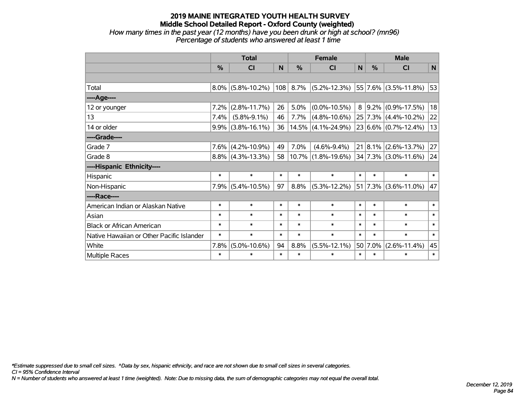#### **2019 MAINE INTEGRATED YOUTH HEALTH SURVEY Middle School Detailed Report - Oxford County (weighted)** *How many times in the past year (12 months) have you been drunk or high at school? (mn96) Percentage of students who answered at least 1 time*

|                                           | <b>Total</b>  |                      |        |        | <b>Female</b>                           | <b>Male</b> |         |                           |        |
|-------------------------------------------|---------------|----------------------|--------|--------|-----------------------------------------|-------------|---------|---------------------------|--------|
|                                           | $\frac{9}{6}$ | CI                   | N      | %      | CI                                      | N           | %       | <b>CI</b>                 | N      |
|                                           |               |                      |        |        |                                         |             |         |                           |        |
| Total                                     |               | $8.0\%$ (5.8%-10.2%) | 108    | 8.7%   | $(5.2\% - 12.3\%)$                      |             |         | $ 55 7.6\% $ (3.5%-11.8%) | 53     |
| ---- Age----                              |               |                      |        |        |                                         |             |         |                           |        |
| 12 or younger                             | 7.2%          | $(2.8\% - 11.7\%)$   | 26     | 5.0%   | $(0.0\% - 10.5\%)$                      | 8           |         | $9.2\%$ (0.9%-17.5%)      | 18     |
| 13                                        | 7.4%          | $(5.8\% - 9.1\%)$    | 46     | 7.7%   | $(4.8\% - 10.6\%)$                      |             |         | $25 7.3\% $ (4.4%-10.2%)  | 22     |
| 14 or older                               |               | $9.9\%$ (3.8%-16.1%) | 36     |        | $14.5\%$ (4.1%-24.9%)                   |             |         | 23 6.6% (0.7%-12.4%)      | 13     |
| ----Grade----                             |               |                      |        |        |                                         |             |         |                           |        |
| Grade 7                                   |               | $7.6\%$ (4.2%-10.9%) | 49     | 7.0%   | $(4.6\% - 9.4\%)$                       |             |         | $21 8.1\% $ (2.6%-13.7%)  | 27     |
| Grade 8                                   |               | $8.8\%$ (4.3%-13.3%) | 58     | 10.7%  | $(1.8\% - 19.6\%)$ 34 7.3% (3.0%-11.6%) |             |         |                           | 24     |
| ----Hispanic Ethnicity----                |               |                      |        |        |                                         |             |         |                           |        |
| Hispanic                                  | $\ast$        | $\ast$               | $\ast$ | $\ast$ | $\ast$                                  | $\ast$      | $\ast$  | $\ast$                    | $\ast$ |
| Non-Hispanic                              | 7.9%          | $(5.4\% - 10.5\%)$   | 97     | 8.8%   | $(5.3\% - 12.2\%)$                      |             |         | $ 51 7.3\% $ (3.6%-11.0%) | 47     |
| ----Race----                              |               |                      |        |        |                                         |             |         |                           |        |
| American Indian or Alaskan Native         | $\ast$        | $\ast$               | $\ast$ | $\ast$ | $\ast$                                  | $\ast$      | $\ast$  | $\ast$                    | $\ast$ |
| Asian                                     | $\ast$        | $\ast$               | $\ast$ | $\ast$ | $\ast$                                  | $\ast$      | $\ast$  | $\ast$                    | $\ast$ |
| <b>Black or African American</b>          | $\ast$        | $\ast$               | $\ast$ | $\ast$ | $\ast$                                  | $\ast$      | $\ast$  | $\ast$                    | $\ast$ |
| Native Hawaiian or Other Pacific Islander | $\ast$        | $\ast$               | $\ast$ | $\ast$ | $\ast$                                  | $\ast$      | $\ast$  | $\ast$                    | $\ast$ |
| White                                     | 7.8%          | $(5.0\% - 10.6\%)$   | 94     | 8.8%   | $(5.5\% - 12.1\%)$                      |             | 50 7.0% | $(2.6\% - 11.4\%)$        | 45     |
| <b>Multiple Races</b>                     | $\ast$        | $\ast$               | $\ast$ | $\ast$ | $\ast$                                  | $\ast$      | $\ast$  | $\ast$                    | $\ast$ |

*\*Estimate suppressed due to small cell sizes. ^Data by sex, hispanic ethnicity, and race are not shown due to small cell sizes in several categories.*

*CI = 95% Confidence Interval*

*N = Number of students who answered at least 1 time (weighted). Note: Due to missing data, the sum of demographic categories may not equal the overall total.*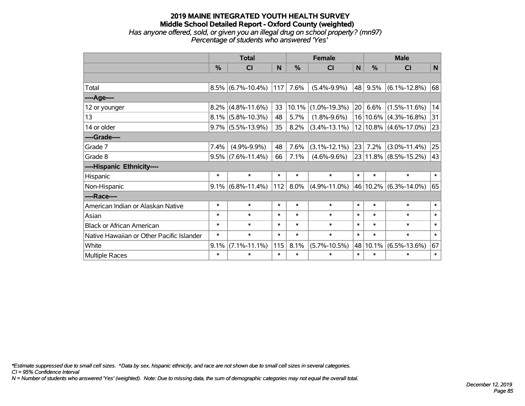### **2019 MAINE INTEGRATED YOUTH HEALTH SURVEY Middle School Detailed Report - Oxford County (weighted)** *Has anyone offered, sold, or given you an illegal drug on school property? (mn97) Percentage of students who answered 'Yes'*

|                                           | <b>Total</b> |                      | <b>Female</b> |          |                    | <b>Male</b>     |          |                           |        |
|-------------------------------------------|--------------|----------------------|---------------|----------|--------------------|-----------------|----------|---------------------------|--------|
|                                           | %            | <b>CI</b>            | N             | %        | <b>CI</b>          | N               | %        | <b>CI</b>                 | N      |
|                                           |              |                      |               |          |                    |                 |          |                           |        |
| Total                                     |              | $8.5\%$ (6.7%-10.4%) | 117           | 7.6%     | $(5.4\% - 9.9\%)$  | 48              | 9.5%     | $(6.1\% - 12.8\%)$        | 68     |
| ---- Age----                              |              |                      |               |          |                    |                 |          |                           |        |
| 12 or younger                             | 8.2%         | $(4.8\% - 11.6\%)$   | 33            | $10.1\%$ | $(1.0\% - 19.3\%)$ | 20 <sub>1</sub> | 6.6%     | $(1.5\% - 11.6\%)$        | 14     |
| 13                                        |              | $8.1\%$ (5.8%-10.3%) | 48            | 5.7%     | $(1.8\% - 9.6\%)$  |                 | 16 10.6% | $(4.3\% - 16.8\%)$        | 31     |
| 14 or older                               |              | $9.7\%$ (5.5%-13.9%) | 35            | 8.2%     | $(3.4\% - 13.1\%)$ |                 |          | $12 10.8\% $ (4.6%-17.0%) | 23     |
| ----Grade----                             |              |                      |               |          |                    |                 |          |                           |        |
| Grade 7                                   | 7.4%         | $(4.9\% - 9.9\%)$    | 48            | 7.6%     | $(3.1\% - 12.1\%)$ | 23              | 7.2%     | $(3.0\% - 11.4\%)$        | 25     |
| Grade 8                                   |              | $9.5\%$ (7.6%-11.4%) | 66            | 7.1%     | $(4.6\% - 9.6\%)$  |                 |          | $23 11.8\% $ (8.5%-15.2%) | 43     |
| ----Hispanic Ethnicity----                |              |                      |               |          |                    |                 |          |                           |        |
| Hispanic                                  | $\ast$       | $\ast$               | $\ast$        | $\ast$   | $\ast$             | $\ast$          | $\ast$   | $\ast$                    | $\ast$ |
| Non-Hispanic                              | $9.1\%$      | $(6.8\% - 11.4\%)$   | 112           | 8.0%     | $(4.9\% - 11.0\%)$ | 46              | 10.2%    | $(6.3\% - 14.0\%)$        | 65     |
| ----Race----                              |              |                      |               |          |                    |                 |          |                           |        |
| American Indian or Alaskan Native         | $\ast$       | $\ast$               | $\ast$        | $\ast$   | $\ast$             | $\ast$          | $\ast$   | $\ast$                    | $\ast$ |
| Asian                                     | $\ast$       | $\ast$               | $\ast$        | $\ast$   | $\ast$             | $\ast$          | $\ast$   | $\ast$                    | $\ast$ |
| <b>Black or African American</b>          | $\ast$       | $\ast$               | $\ast$        | $\ast$   | $\ast$             | $\ast$          | $\ast$   | $\ast$                    | $\ast$ |
| Native Hawaiian or Other Pacific Islander | $\ast$       | $\ast$               | $\ast$        | $\ast$   | $\ast$             | $\ast$          | $\ast$   | $\ast$                    | $\ast$ |
| White                                     | 9.1%         | $(7.1\% - 11.1\%)$   | 115           | 8.1%     | $(5.7\% - 10.5\%)$ | 48              | 10.1%    | $(6.5\% - 13.6\%)$        | 67     |
| <b>Multiple Races</b>                     | $\ast$       | $\ast$               | $\ast$        | $\ast$   | $\ast$             | $\ast$          | $\ast$   | $\ast$                    | $\ast$ |

*\*Estimate suppressed due to small cell sizes. ^Data by sex, hispanic ethnicity, and race are not shown due to small cell sizes in several categories.*

*CI = 95% Confidence Interval*

*N = Number of students who answered 'Yes' (weighted). Note: Due to missing data, the sum of demographic categories may not equal the overall total.*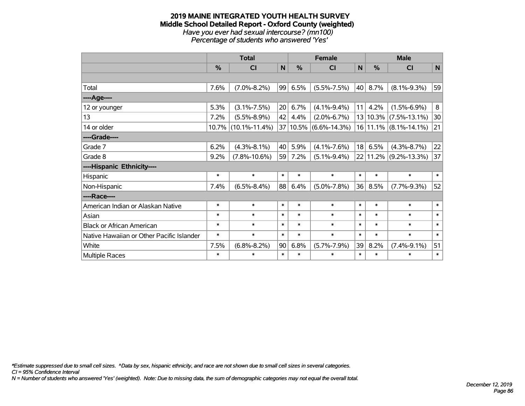#### **2019 MAINE INTEGRATED YOUTH HEALTH SURVEY Middle School Detailed Report - Oxford County (weighted)** *Have you ever had sexual intercourse? (mn100) Percentage of students who answered 'Yes'*

|                                           | <b>Total</b> |                        |             |        | <b>Female</b>             |              | <b>Male</b> |                           |        |  |
|-------------------------------------------|--------------|------------------------|-------------|--------|---------------------------|--------------|-------------|---------------------------|--------|--|
|                                           | %            | C <sub>l</sub>         | $\mathbf N$ | %      | <b>CI</b>                 | $\mathsf{N}$ | %           | <b>CI</b>                 | N      |  |
|                                           |              |                        |             |        |                           |              |             |                           |        |  |
| Total                                     | 7.6%         | $(7.0\% - 8.2\%)$      | 99          | 6.5%   | $(5.5\% - 7.5\%)$         | 40           | 8.7%        | $(8.1\% - 9.3\%)$         | 59     |  |
| ----Age----                               |              |                        |             |        |                           |              |             |                           |        |  |
| 12 or younger                             | 5.3%         | $(3.1\% - 7.5\%)$      | 20          | 6.7%   | $(4.1\% - 9.4\%)$         | 11           | 4.2%        | $(1.5\% - 6.9\%)$         | 8      |  |
| 13                                        | 7.2%         | $(5.5\% - 8.9\%)$      | 42          | 4.4%   | $(2.0\% - 6.7\%)$         |              | 13 10.3%    | $(7.5\% - 13.1\%)$        | 30     |  |
| 14 or older                               |              | $10.7\%$ (10.1%-11.4%) |             |        | $37 10.5\% $ (6.6%-14.3%) |              |             | $16 11.1\% $ (8.1%-14.1%) | 21     |  |
| ----Grade----                             |              |                        |             |        |                           |              |             |                           |        |  |
| Grade 7                                   | 6.2%         | $(4.3\% - 8.1\%)$      | 40          | 5.9%   | $(4.1\% - 7.6\%)$         | 18           | 6.5%        | $(4.3\% - 8.7\%)$         | 22     |  |
| Grade 8                                   | 9.2%         | $(7.8\% - 10.6\%)$     | 59          | 7.2%   | $(5.1\% - 9.4\%)$         |              | 22 11.2%    | $(9.2\% - 13.3\%)$        | 37     |  |
| ----Hispanic Ethnicity----                |              |                        |             |        |                           |              |             |                           |        |  |
| Hispanic                                  | $\ast$       | $\ast$                 | $\ast$      | $\ast$ | $\ast$                    | $\ast$       | *           | $\ast$                    | $\ast$ |  |
| Non-Hispanic                              | 7.4%         | $(6.5\% - 8.4\%)$      | 88          | 6.4%   | $(5.0\% - 7.8\%)$         | 36           | 8.5%        | $(7.7\% - 9.3\%)$         | 52     |  |
| ----Race----                              |              |                        |             |        |                           |              |             |                           |        |  |
| American Indian or Alaskan Native         | $\ast$       | $\ast$                 | $\ast$      | $\ast$ | $\ast$                    | $\ast$       | $\ast$      | $\ast$                    | $\ast$ |  |
| Asian                                     | $\ast$       | $\ast$                 | $\ast$      | $\ast$ | $\ast$                    | $\ast$       | $\ast$      | $\ast$                    | $\ast$ |  |
| <b>Black or African American</b>          | $\ast$       | $\ast$                 | $\ast$      | $\ast$ | $\ast$                    | $\ast$       | $\ast$      | $\ast$                    | $\ast$ |  |
| Native Hawaiian or Other Pacific Islander | $\ast$       | $\ast$                 | $\ast$      | $\ast$ | $\ast$                    | $\ast$       | $\ast$      | $\ast$                    | $\ast$ |  |
| White                                     | 7.5%         | $(6.8\% - 8.2\%)$      | 90          | 6.8%   | $(5.7\% - 7.9\%)$         | 39           | 8.2%        | $(7.4\% - 9.1\%)$         | 51     |  |
| <b>Multiple Races</b>                     | $\ast$       | $\ast$                 | $\ast$      | $\ast$ | $\ast$                    | $\ast$       | $\ast$      | $\ast$                    | $\ast$ |  |

*\*Estimate suppressed due to small cell sizes. ^Data by sex, hispanic ethnicity, and race are not shown due to small cell sizes in several categories.*

*CI = 95% Confidence Interval*

*N = Number of students who answered 'Yes' (weighted). Note: Due to missing data, the sum of demographic categories may not equal the overall total.*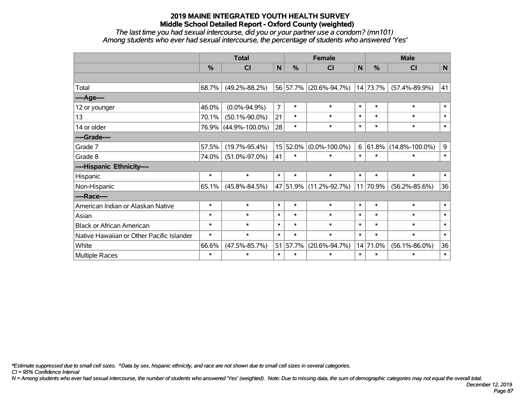*The last time you had sexual intercourse, did you or your partner use a condom? (mn101) Among students who ever had sexual intercourse, the percentage of students who answered 'Yes'*

|                                           | <b>Total</b>  |                      |                |          | <b>Female</b>          |        | <b>Male</b> |                      |        |  |
|-------------------------------------------|---------------|----------------------|----------------|----------|------------------------|--------|-------------|----------------------|--------|--|
|                                           | $\frac{0}{0}$ | C <sub>l</sub>       | $\mathsf{N}$   | %        | <b>CI</b>              | N      | %           | <b>CI</b>            | N      |  |
|                                           |               |                      |                |          |                        |        |             |                      |        |  |
| Total                                     | 68.7%         | $(49.2\% - 88.2\%)$  |                |          | 56 57.7% (20.6%-94.7%) |        | 14 73.7%    | $(57.4\% - 89.9\%)$  | 41     |  |
| ----Age----                               |               |                      |                |          |                        |        |             |                      |        |  |
| 12 or younger                             | 46.0%         | $(0.0\% - 94.9\%)$   | $\overline{7}$ | $\ast$   | $\ast$                 | $\ast$ | $\ast$      | $\ast$               | $\ast$ |  |
| 13                                        | 70.1%         | $(50.1\% - 90.0\%)$  | 21             | $\ast$   | $\ast$                 | $\ast$ | $\ast$      | $\ast$               | $\ast$ |  |
| 14 or older                               |               | 76.9% (44.9%-100.0%) | 28             | $\ast$   | $\ast$                 | $\ast$ | $\ast$      | $\ast$               | $\ast$ |  |
| ----Grade----                             |               |                      |                |          |                        |        |             |                      |        |  |
| Grade 7                                   | 57.5%         | $(19.7\% - 95.4\%)$  |                | 15 52.0% | $(0.0\% - 100.0\%)$    | 6      | 61.8%       | $(14.8\% - 100.0\%)$ | 9      |  |
| Grade 8                                   | 74.0%         | $(51.0\% - 97.0\%)$  | 41             | $\ast$   | $\ast$                 | $\ast$ | $\ast$      | $\ast$               | $\ast$ |  |
| ----Hispanic Ethnicity----                |               |                      |                |          |                        |        |             |                      |        |  |
| Hispanic                                  | $\ast$        | $\ast$               | $\ast$         | $\ast$   | $\ast$                 | $\ast$ | $\ast$      | $\ast$               | $\ast$ |  |
| Non-Hispanic                              | 65.1%         | $(45.8\% - 84.5\%)$  |                |          | 47 51.9% (11.2%-92.7%) |        | 11 70.9%    | $(56.2\% - 85.6\%)$  | 36     |  |
| ----Race----                              |               |                      |                |          |                        |        |             |                      |        |  |
| American Indian or Alaskan Native         | $\ast$        | $\ast$               | $\ast$         | $\ast$   | $\ast$                 | $\ast$ | $\ast$      | $\ast$               | $\ast$ |  |
| Asian                                     | $\ast$        | $\ast$               | $\ast$         | $\ast$   | $\ast$                 | $\ast$ | $\ast$      | $\ast$               | $\ast$ |  |
| <b>Black or African American</b>          | $\ast$        | $\ast$               | $\ast$         | $\ast$   | $\ast$                 | $\ast$ | $\ast$      | $\ast$               | $\ast$ |  |
| Native Hawaiian or Other Pacific Islander | $\ast$        | $\ast$               | $\ast$         | $\ast$   | $\ast$                 | $\ast$ | $\ast$      | $\ast$               | $\ast$ |  |
| White                                     | 66.6%         | $(47.5\% - 85.7\%)$  |                | 51 57.7% | $(20.6\% - 94.7\%)$    |        | 14 71.0%    | $(56.1\% - 86.0\%)$  | 36     |  |
| <b>Multiple Races</b>                     | $\ast$        | $\ast$               | $\ast$         | $\ast$   | $\ast$                 | $\ast$ | $\ast$      | $\ast$               | $\ast$ |  |

*\*Estimate suppressed due to small cell sizes. ^Data by sex, hispanic ethnicity, and race are not shown due to small cell sizes in several categories.*

*CI = 95% Confidence Interval*

*N = Among students who ever had sexual intercourse, the number of students who answered 'Yes' (weighted). Note: Due to missing data, the sum of demographic categories may not equal the overall total.*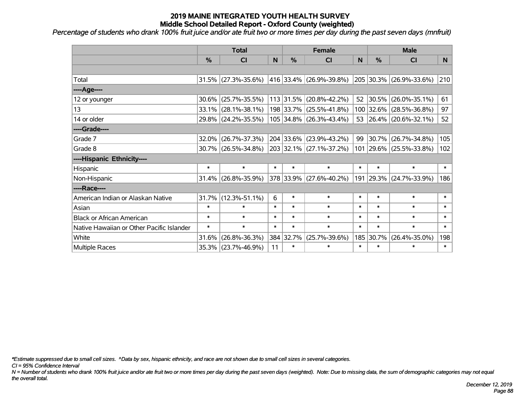*Percentage of students who drank 100% fruit juice and/or ate fruit two or more times per day during the past seven days (mnfruit)*

|                                           | <b>Total</b>  |                        |        | <b>Female</b> | <b>Male</b>                 |        |           |                         |          |
|-------------------------------------------|---------------|------------------------|--------|---------------|-----------------------------|--------|-----------|-------------------------|----------|
|                                           | $\frac{0}{0}$ | CI                     | N      | $\%$          | CI                          | N      | %         | <b>CI</b>               | <b>N</b> |
|                                           |               |                        |        |               |                             |        |           |                         |          |
| Total                                     |               | $31.5\%$ (27.3%-35.6%) |        |               | 416   33.4%   (26.9%-39.8%) |        |           | 205 30.3% (26.9%-33.6%) | 210      |
| ----Age----                               |               |                        |        |               |                             |        |           |                         |          |
| 12 or younger                             | 30.6%         | $(25.7\% - 35.5\%)$    |        |               | 113 31.5% (20.8%-42.2%)     | 52     | 30.5%     | $(26.0\% - 35.1\%)$     | 61       |
| 13                                        | 33.1%         | $(28.1\% - 38.1\%)$    |        |               | 198 33.7% (25.5%-41.8%)     |        | 100 32.6% | $(28.5\% - 36.8\%)$     | 97       |
| 14 or older                               |               | 29.8% (24.2%-35.5%)    |        |               | 105 34.8% (26.3%-43.4%)     |        |           | 53 26.4% (20.6%-32.1%)  | 52       |
| ----Grade----                             |               |                        |        |               |                             |        |           |                         |          |
| Grade 7                                   | 32.0%         | $(26.7\% - 37.3\%)$    |        |               | 204 33.6% (23.9%-43.2%)     | 99     | 30.7%     | $(26.7\% - 34.8\%)$     | 105      |
| Grade 8                                   |               | 30.7% (26.5%-34.8%)    |        |               | 203 32.1% (27.1%-37.2%)     |        |           | 101 29.6% (25.5%-33.8%) | 102      |
| ----Hispanic Ethnicity----                |               |                        |        |               |                             |        |           |                         |          |
| Hispanic                                  | $\ast$        | $\ast$                 | $\ast$ | $\ast$        | $\ast$                      | $\ast$ | $\ast$    | $\ast$                  | $\ast$   |
| Non-Hispanic                              | 31.4%         | $(26.8\% - 35.9\%)$    |        |               | 378 33.9% (27.6%-40.2%)     |        | 191 29.3% | $(24.7\% - 33.9\%)$     | 186      |
| ----Race----                              |               |                        |        |               |                             |        |           |                         |          |
| American Indian or Alaskan Native         | 31.7%         | $(12.3\% - 51.1\%)$    | 6      | $\ast$        | $\ast$                      | $\ast$ | $\ast$    | $\ast$                  | $\ast$   |
| Asian                                     | $\ast$        | $\ast$                 | $\ast$ | $\ast$        | $\ast$                      | $\ast$ | $\ast$    | $\ast$                  | $\ast$   |
| <b>Black or African American</b>          | $\ast$        | $\ast$                 | $\ast$ | $\ast$        | $\ast$                      | $\ast$ | $\ast$    | $\ast$                  | $\ast$   |
| Native Hawaiian or Other Pacific Islander | $\ast$        | $\ast$                 | $\ast$ | $\ast$        | $\ast$                      | $\ast$ | $\ast$    | $\ast$                  | $\ast$   |
| White                                     | 31.6%         | $(26.8\% - 36.3\%)$    |        | 384 32.7%     | $(25.7\% - 39.6\%)$         | 185    | 30.7%     | $(26.4\% - 35.0\%)$     | 198      |
| Multiple Races                            |               | 35.3% (23.7%-46.9%)    | 11     | $\ast$        | $\ast$                      | $\ast$ | $\ast$    | $\ast$                  | $\ast$   |

*\*Estimate suppressed due to small cell sizes. ^Data by sex, hispanic ethnicity, and race are not shown due to small cell sizes in several categories.*

*CI = 95% Confidence Interval*

*N = Number of students who drank 100% fruit juice and/or ate fruit two or more times per day during the past seven days (weighted). Note: Due to missing data, the sum of demographic categories may not equal the overall total.*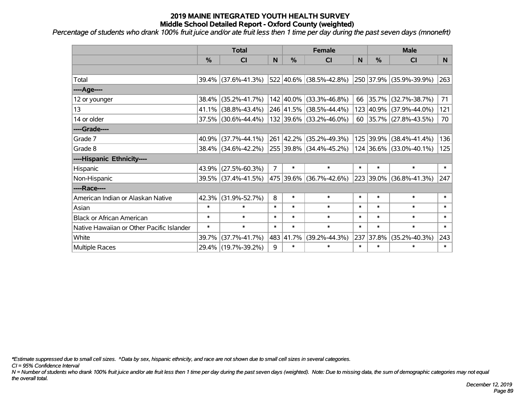*Percentage of students who drank 100% fruit juice and/or ate fruit less then 1 time per day during the past seven days (mnonefrt)*

|                                           | <b>Total</b>  |                                             | <b>Female</b>  |               |                             | <b>Male</b> |               |                         |        |
|-------------------------------------------|---------------|---------------------------------------------|----------------|---------------|-----------------------------|-------------|---------------|-------------------------|--------|
|                                           | $\frac{0}{0}$ | <b>CI</b>                                   | N              | $\frac{0}{0}$ | <b>CI</b>                   | N           | $\frac{0}{0}$ | <b>CI</b>               | N.     |
|                                           |               |                                             |                |               |                             |             |               |                         |        |
| Total                                     |               | 39.4% (37.6%-41.3%)                         |                |               | 522 40.6% (38.5%-42.8%)     |             |               | 250 37.9% (35.9%-39.9%) | 263    |
| ----Age----                               |               |                                             |                |               |                             |             |               |                         |        |
| 12 or younger                             | 38.4%         | $(35.2\% - 41.7\%)$                         |                |               | 142 40.0% (33.3%-46.8%)     | 66          | 35.7%         | $(32.7\% - 38.7\%)$     | 71     |
| 13                                        | 41.1%         | $(38.8\% - 43.4\%)$                         |                |               | 246 41.5% (38.5%-44.4%)     |             |               | 123 40.9% (37.9%-44.0%) | 121    |
| 14 or older                               |               | 37.5% (30.6%-44.4%)                         |                |               | 132 39.6% (33.2%-46.0%)     |             |               | 60 35.7% (27.8%-43.5%)  | 70     |
| ----Grade----                             |               |                                             |                |               |                             |             |               |                         |        |
| Grade 7                                   | 40.9%         | $(37.7\% - 44.1\%)$                         |                | 261 42.2%     | (35.2%-49.3%)               |             | 125 39.9%     | $(38.4\% - 41.4\%)$     | 136    |
| Grade 8                                   |               | 38.4% (34.6%-42.2%) 255 39.8% (34.4%-45.2%) |                |               |                             |             |               | 124 36.6% (33.0%-40.1%) | 125    |
| ----Hispanic Ethnicity----                |               |                                             |                |               |                             |             |               |                         |        |
| Hispanic                                  | 43.9%         | $(27.5\% - 60.3\%)$                         | $\overline{7}$ | $\ast$        | $\ast$                      | $\ast$      | $\ast$        | $\ast$                  | $\ast$ |
| Non-Hispanic                              |               | 39.5% (37.4%-41.5%)                         |                |               | 475   39.6%   (36.7%-42.6%) |             | 223 39.0%     | $(36.8\% - 41.3\%)$     | 247    |
| ----Race----                              |               |                                             |                |               |                             |             |               |                         |        |
| American Indian or Alaskan Native         | 42.3%         | $(31.9\% - 52.7\%)$                         | 8              | $\ast$        | $\ast$                      | $\ast$      | $\ast$        | $\ast$                  | $\ast$ |
| Asian                                     | $\ast$        | $\ast$                                      | $\ast$         | $\ast$        | $\ast$                      | $\ast$      | $\ast$        | $\ast$                  | $\ast$ |
| <b>Black or African American</b>          | $\ast$        | $\ast$                                      | $\ast$         | $\ast$        | $\ast$                      | $\ast$      | $\ast$        | $\ast$                  | $\ast$ |
| Native Hawaiian or Other Pacific Islander | $\ast$        | $\ast$                                      | $\ast$         | $\ast$        | $\ast$                      | $\ast$      | $\ast$        | $\ast$                  | $\ast$ |
| White                                     | 39.7%         | $(37.7\% - 41.7\%)$                         |                | 483 41.7%     | $(39.2\% - 44.3\%)$         | 237         | 37.8%         | $(35.2\% - 40.3\%)$     | 243    |
| <b>Multiple Races</b>                     |               | 29.4% (19.7%-39.2%)                         | 9              | $\ast$        | $\ast$                      | $\ast$      | $\ast$        | $\ast$                  | $\ast$ |

*\*Estimate suppressed due to small cell sizes. ^Data by sex, hispanic ethnicity, and race are not shown due to small cell sizes in several categories.*

*CI = 95% Confidence Interval*

*N = Number of students who drank 100% fruit juice and/or ate fruit less then 1 time per day during the past seven days (weighted). Note: Due to missing data, the sum of demographic categories may not equal the overall total.*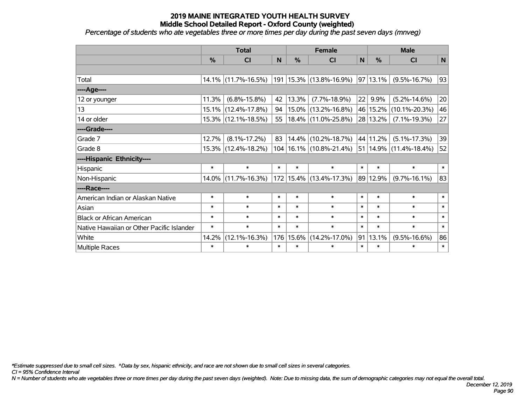*Percentage of students who ate vegetables three or more times per day during the past seven days (mnveg)*

|                                           | <b>Total</b>  |                        | <b>Female</b> |        |                             | <b>Male</b>  |               |                                 |             |
|-------------------------------------------|---------------|------------------------|---------------|--------|-----------------------------|--------------|---------------|---------------------------------|-------------|
|                                           | $\frac{0}{0}$ | <b>CI</b>              | N             | %      | <b>CI</b>                   | $\mathsf{N}$ | %             | <b>CI</b>                       | $\mathbf N$ |
|                                           |               |                        |               |        |                             |              |               |                                 |             |
| Total                                     |               | 14.1% (11.7%-16.5%)    |               |        | 191   15.3%   (13.8%-16.9%) |              | $ 97 13.1\% $ | $(9.5\% - 16.7\%)$              | 93          |
| ---- Age----                              |               |                        |               |        |                             |              |               |                                 |             |
| 12 or younger                             | 11.3%         | $(6.8\% - 15.8\%)$     | 42            | 13.3%  | $(7.7\% - 18.9\%)$          | 22           | 9.9%          | $(5.2\% - 14.6\%)$              | 20          |
| 13                                        | 15.1%         | $(12.4\% - 17.8\%)$    | 94            |        | $15.0\%$ (13.2%-16.8%)      |              | 46 15.2%      | $(10.1\% - 20.3\%)$             | 46          |
| 14 or older                               |               | 15.3% (12.1%-18.5%)    | 55            |        | $18.4\%$ (11.0%-25.8%)      |              | 28 13.2%      | $(7.1\% - 19.3\%)$              | 27          |
| ----Grade----                             |               |                        |               |        |                             |              |               |                                 |             |
| Grade 7                                   | 12.7%         | $(8.1\% - 17.2\%)$     | 83            | 14.4%  | $(10.2\% - 18.7\%)$         |              | 44 11.2%      | $(5.1\% - 17.3\%)$              | 39          |
| Grade 8                                   |               | $15.3\%$ (12.4%-18.2%) |               |        | $104 16.1\% $ (10.8%-21.4%) |              |               | $ 51 14.9\%  (11.4\% - 18.4\%)$ | 52          |
| ----Hispanic Ethnicity----                |               |                        |               |        |                             |              |               |                                 |             |
| Hispanic                                  | $\ast$        | $\ast$                 | $\ast$        | $\ast$ | $\ast$                      | $\ast$       | $\ast$        | $\ast$                          | $\ast$      |
| Non-Hispanic                              |               | 14.0% (11.7%-16.3%)    |               |        | 172 15.4% (13.4%-17.3%)     |              | 89 12.9%      | $(9.7\% - 16.1\%)$              | 83          |
| ----Race----                              |               |                        |               |        |                             |              |               |                                 |             |
| American Indian or Alaskan Native         | $\ast$        | $\ast$                 | $\ast$        | $\ast$ | $\ast$                      | $\ast$       | $\ast$        | $\ast$                          | $\ast$      |
| Asian                                     | $\ast$        | $\ast$                 | $\ast$        | $\ast$ | $\ast$                      | $\ast$       | $\ast$        | $\ast$                          | $\ast$      |
| <b>Black or African American</b>          | $\ast$        | $\ast$                 | $\ast$        | $\ast$ | $\ast$                      | $\ast$       | $\ast$        | $\ast$                          | $\ast$      |
| Native Hawaiian or Other Pacific Islander | $\ast$        | $\ast$                 | $\ast$        | $\ast$ | $\ast$                      | $\ast$       | $\ast$        | $\ast$                          | $\ast$      |
| White                                     | 14.2%         | $(12.1\% - 16.3\%)$    | 176           | 15.6%  | $(14.2\% - 17.0\%)$         | 91           | 13.1%         | $(9.5\% - 16.6\%)$              | 86          |
| Multiple Races                            | $\ast$        | $\ast$                 | $\ast$        | $\ast$ | $\ast$                      | $\ast$       | $\ast$        | $\ast$                          | $\ast$      |

*\*Estimate suppressed due to small cell sizes. ^Data by sex, hispanic ethnicity, and race are not shown due to small cell sizes in several categories.*

*CI = 95% Confidence Interval*

*N = Number of students who ate vegetables three or more times per day during the past seven days (weighted). Note: Due to missing data, the sum of demographic categories may not equal the overall total.*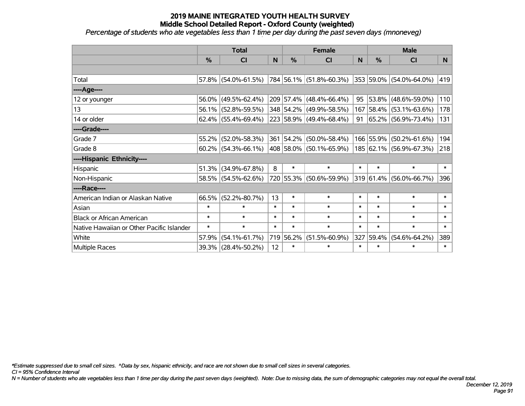*Percentage of students who ate vegetables less than 1 time per day during the past seven days (mnoneveg)*

|                                           | <b>Total</b> |                        |        | <b>Female</b> | <b>Male</b>               |        |               |                         |                |
|-------------------------------------------|--------------|------------------------|--------|---------------|---------------------------|--------|---------------|-------------------------|----------------|
|                                           | %            | CI                     | N      | %             | <b>CI</b>                 | N      | $\frac{0}{0}$ | <b>CI</b>               | N <sub>1</sub> |
|                                           |              |                        |        |               |                           |        |               |                         |                |
| Total                                     |              | $57.8\%$ (54.0%-61.5%) |        |               | 784 56.1% (51.8%-60.3%)   |        |               | 353 59.0% (54.0%-64.0%) | 419            |
| ----Age----                               |              |                        |        |               |                           |        |               |                         |                |
| 12 or younger                             | 56.0%        | $(49.5\% - 62.4\%)$    |        |               | $209$ 57.4% (48.4%-66.4%) | 95     | 53.8%         | $(48.6\% - 59.0\%)$     | 110            |
| 13                                        | 56.1%        | $(52.8\% - 59.5\%)$    |        |               | 348 54.2% (49.9%-58.5%)   |        | 167 58.4%     | $(53.1\% - 63.6\%)$     | 178            |
| 14 or older                               |              | $62.4\%$ (55.4%-69.4%) |        |               | 223 58.9% (49.4%-68.4%)   | 91     |               | 65.2% (56.9%-73.4%)     | 131            |
| ----Grade----                             |              |                        |        |               |                           |        |               |                         |                |
| Grade 7                                   | 55.2%        | $(52.0\% - 58.3\%)$    |        |               | 361 54.2% (50.0%-58.4%)   |        | 166 55.9%     | $(50.2\% - 61.6\%)$     | 194            |
| Grade 8                                   |              | $60.2\%$ (54.3%-66.1%) |        |               | 408 58.0% (50.1%-65.9%)   |        |               | 185 62.1% (56.9%-67.3%) | 218            |
| ----Hispanic Ethnicity----                |              |                        |        |               |                           |        |               |                         |                |
| Hispanic                                  | 51.3%        | $(34.9\% - 67.8\%)$    | 8      | $\ast$        | $\ast$                    | $\ast$ | $\ast$        | $\ast$                  | $\ast$         |
| Non-Hispanic                              |              | 58.5% (54.5%-62.6%)    |        |               | 720 55.3% (50.6%-59.9%)   |        | 319 61.4%     | $(56.0\% - 66.7\%)$     | 396            |
| ----Race----                              |              |                        |        |               |                           |        |               |                         |                |
| American Indian or Alaskan Native         | 66.5%        | $(52.2\% - 80.7\%)$    | 13     | $\ast$        | $\ast$                    | $\ast$ | $\ast$        | $\ast$                  | $\ast$         |
| Asian                                     | $\ast$       | $\ast$                 | $\ast$ | $\ast$        | $\ast$                    | $\ast$ | $\ast$        | $\ast$                  | $\ast$         |
| <b>Black or African American</b>          | $\ast$       | $\ast$                 | $\ast$ | $\ast$        | $\ast$                    | $\ast$ | $\ast$        | $\ast$                  | $\ast$         |
| Native Hawaiian or Other Pacific Islander | $\ast$       | $\ast$                 | $\ast$ | $\ast$        | $\ast$                    | $\ast$ | $\ast$        | $\ast$                  | $\ast$         |
| White                                     | 57.9%        | $(54.1\% - 61.7\%)$    | 719    | 56.2%         | $(51.5\% - 60.9\%)$       | 327    | 59.4%         | $(54.6\% - 64.2\%)$     | 389            |
| Multiple Races                            |              | 39.3% (28.4%-50.2%)    | 12     | $\ast$        | $\ast$                    | $\ast$ | $\ast$        | *                       | $\ast$         |

*\*Estimate suppressed due to small cell sizes. ^Data by sex, hispanic ethnicity, and race are not shown due to small cell sizes in several categories.*

*CI = 95% Confidence Interval*

*N = Number of students who ate vegetables less than 1 time per day during the past seven days (weighted). Note: Due to missing data, the sum of demographic categories may not equal the overall total.*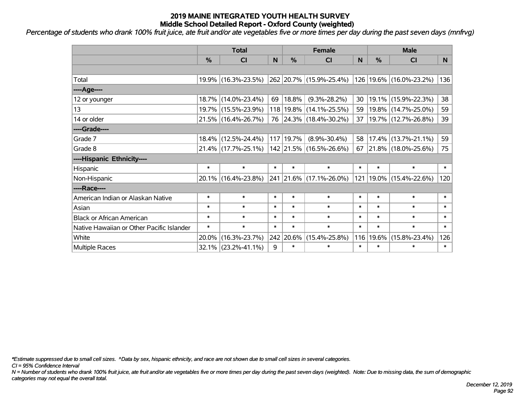*Percentage of students who drank 100% fruit juice, ate fruit and/or ate vegetables five or more times per day during the past seven days (mnfrvg)*

|                                           | <b>Total</b>  |                        |        | <b>Female</b> | <b>Male</b>             |        |               |                          |        |
|-------------------------------------------|---------------|------------------------|--------|---------------|-------------------------|--------|---------------|--------------------------|--------|
|                                           | $\frac{0}{0}$ | <b>CI</b>              | N      | %             | <b>CI</b>               | N      | $\frac{0}{0}$ | <b>CI</b>                | N      |
|                                           |               |                        |        |               |                         |        |               |                          |        |
| Total                                     |               | 19.9% (16.3%-23.5%)    |        |               | 262 20.7% (15.9%-25.4%) | 126    |               | 19.6% (16.0%-23.2%)      | 136    |
| ----Age----                               |               |                        |        |               |                         |        |               |                          |        |
| 12 or younger                             |               | 18.7% (14.0%-23.4%)    | 69     | 18.8%         | $(9.3\% - 28.2\%)$      | 30     |               | 19.1% (15.9%-22.3%)      | 38     |
| 13                                        |               | 19.7% (15.5%-23.9%)    |        | 118 19.8%     | $(14.1\% - 25.5\%)$     | 59     |               | 19.8% (14.7%-25.0%)      | 59     |
| 14 or older                               |               | 21.5% (16.4%-26.7%)    |        |               | 76 24.3% (18.4%-30.2%)  | 37     |               | 19.7% (12.7%-26.8%)      | 39     |
| ----Grade----                             |               |                        |        |               |                         |        |               |                          |        |
| Grade 7                                   |               | 18.4% (12.5%-24.4%)    |        | 117 19.7%     | $(8.9\% - 30.4\%)$      | 58     | $17.4\%$      | $(13.7\% - 21.1\%)$      | 59     |
| Grade 8                                   |               | $21.4\%$ (17.7%-25.1%) |        |               | 142 21.5% (16.5%-26.6%) | 67     |               | $ 21.8\% $ (18.0%-25.6%) | 75     |
| ----Hispanic Ethnicity----                |               |                        |        |               |                         |        |               |                          |        |
| Hispanic                                  | $\ast$        | $\ast$                 | $\ast$ | $\ast$        | $\ast$                  | $\ast$ | $\ast$        | $\ast$                   | $\ast$ |
| Non-Hispanic                              |               | 20.1% (16.4%-23.8%)    |        |               | 241 21.6% (17.1%-26.0%) | 121    | $19.0\%$      | $(15.4\% - 22.6\%)$      | 120    |
| ----Race----                              |               |                        |        |               |                         |        |               |                          |        |
| American Indian or Alaskan Native         | $\ast$        | $\ast$                 | $\ast$ | $\ast$        | $\ast$                  | $\ast$ | $\ast$        | $\ast$                   | $\ast$ |
| Asian                                     | $\ast$        | $\ast$                 | $\ast$ | $\ast$        | $\ast$                  | $\ast$ | $\ast$        | $\ast$                   | $\ast$ |
| <b>Black or African American</b>          | $\ast$        | $\ast$                 | $\ast$ | $\ast$        | $\ast$                  | $\ast$ | $\ast$        | $\ast$                   | $\ast$ |
| Native Hawaiian or Other Pacific Islander | $\ast$        | $\ast$                 | $\ast$ | $\ast$        | $\ast$                  | $\ast$ | $\ast$        | $\ast$                   | $\ast$ |
| White                                     | 20.0%         | $(16.3\% - 23.7\%)$    |        | 242 20.6%     | $(15.4\% - 25.8\%)$     | 116    | 19.6%         | $(15.8\% - 23.4\%)$      | 126    |
| <b>Multiple Races</b>                     |               | $32.1\%$ (23.2%-41.1%) | 9      | $\ast$        | $\ast$                  | $\ast$ | $\ast$        | $\ast$                   | $\ast$ |

*\*Estimate suppressed due to small cell sizes. ^Data by sex, hispanic ethnicity, and race are not shown due to small cell sizes in several categories.*

*CI = 95% Confidence Interval*

*N = Number of students who drank 100% fruit juice, ate fruit and/or ate vegetables five or more times per day during the past seven days (weighted). Note: Due to missing data, the sum of demographic categories may not equal the overall total.*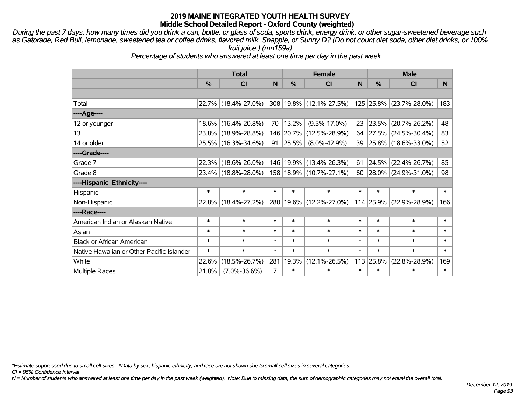*During the past 7 days, how many times did you drink a can, bottle, or glass of soda, sports drink, energy drink, or other sugar-sweetened beverage such as Gatorade, Red Bull, lemonade, sweetened tea or coffee drinks, flavored milk, Snapple, or Sunny D? (Do not count diet soda, other diet drinks, or 100% fruit juice.) (mn159a)*

*Percentage of students who answered at least one time per day in the past week*

|                                           | <b>Total</b> |                     |        | <b>Female</b> | <b>Male</b>             |              |           |                         |        |
|-------------------------------------------|--------------|---------------------|--------|---------------|-------------------------|--------------|-----------|-------------------------|--------|
|                                           | %            | CI                  | N      | $\%$          | <b>CI</b>               | <sub>N</sub> | $\%$      | <b>CI</b>               | N      |
|                                           |              |                     |        |               |                         |              |           |                         |        |
| Total                                     |              | 22.7% (18.4%-27.0%) |        |               | 308 19.8% (12.1%-27.5%) |              |           | 125 25.8% (23.7%-28.0%) | 183    |
| ----Age----                               |              |                     |        |               |                         |              |           |                         |        |
| 12 or younger                             | $18.6\%$     | $(16.4\% - 20.8\%)$ | 70     | $ 13.2\% $    | $(9.5\% - 17.0\%)$      | 23           | 23.5%     | $(20.7\% - 26.2\%)$     | 48     |
| 13                                        |              | 23.8% (18.9%-28.8%) |        |               | 146 20.7% (12.5%-28.9%) | 64           |           | 27.5% (24.5%-30.4%)     | 83     |
| 14 or older                               |              | 25.5% (16.3%-34.6%) | 91     | $ 25.5\% $    | $(8.0\% - 42.9\%)$      | 39 l         |           | 25.8% (18.6%-33.0%)     | 52     |
| ----Grade----                             |              |                     |        |               |                         |              |           |                         |        |
| Grade 7                                   | 22.3%        | $(18.6\% - 26.0\%)$ |        |               | 146 19.9% (13.4%-26.3%) | 61           | 24.5%     | $(22.4\% - 26.7\%)$     | 85     |
| Grade 8                                   |              | 23.4% (18.8%-28.0%) |        |               | 158 18.9% (10.7%-27.1%) | 60           |           | 28.0% (24.9%-31.0%)     | 98     |
| ----Hispanic Ethnicity----                |              |                     |        |               |                         |              |           |                         |        |
| Hispanic                                  | $\ast$       | $\ast$              | $\ast$ | $\ast$        | $\ast$                  | $\ast$       | $\ast$    | $\ast$                  | $\ast$ |
| Non-Hispanic                              |              | 22.8% (18.4%-27.2%) |        |               | 280 19.6% (12.2%-27.0%) |              | 114 25.9% | $(22.9\% - 28.9\%)$     | 166    |
| ----Race----                              |              |                     |        |               |                         |              |           |                         |        |
| American Indian or Alaskan Native         | $\ast$       | $\ast$              | $\ast$ | $\ast$        | $\ast$                  | $\ast$       | $\ast$    | $\ast$                  | $\ast$ |
| Asian                                     | $\ast$       | $\ast$              | $\ast$ | $\ast$        | $\ast$                  | $\ast$       | $\ast$    | $\ast$                  | $\ast$ |
| <b>Black or African American</b>          | $\ast$       | $\ast$              | $\ast$ | $\ast$        | $\ast$                  | $\ast$       | $\ast$    | $\ast$                  | $\ast$ |
| Native Hawaiian or Other Pacific Islander | $\ast$       | $\ast$              | $\ast$ | $\ast$        | $\ast$                  | $\ast$       | $\ast$    | $\ast$                  | $\ast$ |
| White                                     | 22.6%        | $(18.5\% - 26.7\%)$ | 281    | $ 19.3\% $    | $(12.1\% - 26.5\%)$     | 113          | 25.8%     | $(22.8\% - 28.9\%)$     | 169    |
| Multiple Races                            | 21.8%        | $(7.0\% - 36.6\%)$  | 7      | $\ast$        | $\ast$                  | $\ast$       | $\ast$    | $\ast$                  | $\ast$ |

*\*Estimate suppressed due to small cell sizes. ^Data by sex, hispanic ethnicity, and race are not shown due to small cell sizes in several categories.*

*CI = 95% Confidence Interval*

*N = Number of students who answered at least one time per day in the past week (weighted). Note: Due to missing data, the sum of demographic categories may not equal the overall total.*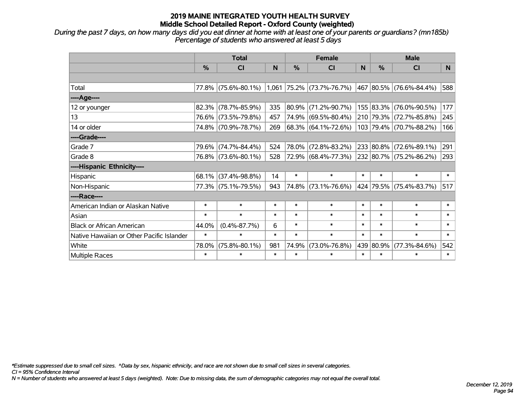*During the past 7 days, on how many days did you eat dinner at home with at least one of your parents or guardians? (mn185b) Percentage of students who answered at least 5 days*

|                                           | <b>Total</b>  |                     | <b>Female</b> |               |                             | <b>Male</b> |               |                             |        |
|-------------------------------------------|---------------|---------------------|---------------|---------------|-----------------------------|-------------|---------------|-----------------------------|--------|
|                                           | $\frac{0}{0}$ | <b>CI</b>           | N             | $\frac{0}{0}$ | <b>CI</b>                   | N           | $\frac{0}{0}$ | <b>CI</b>                   | N.     |
|                                           |               |                     |               |               |                             |             |               |                             |        |
| Total                                     |               | 77.8% (75.6%-80.1%) |               |               | $1,061$ 75.2% (73.7%-76.7%) |             |               | 467   80.5%   (76.6%-84.4%) | 588    |
| ----Age----                               |               |                     |               |               |                             |             |               |                             |        |
| 12 or younger                             | 82.3%         | $(78.7\% - 85.9\%)$ | 335           | 80.9%         | $(71.2\% - 90.7\%)$         |             |               | 155 83.3% (76.0%-90.5%)     | 177    |
| 13                                        |               | 76.6% (73.5%-79.8%) | 457           | 74.9%         | $(69.5\% - 80.4\%)$         |             |               | 210 79.3% (72.7%-85.8%)     | 245    |
| 14 or older                               |               | 74.8% (70.9%-78.7%) | 269           |               | $68.3\%$ (64.1%-72.6%)      |             |               | 103 79.4% (70.7%-88.2%)     | 166    |
| ----Grade----                             |               |                     |               |               |                             |             |               |                             |        |
| Grade 7                                   |               | 79.6% (74.7%-84.4%) | 524           | 78.0%         | $(72.8\% - 83.2\%)$         |             |               | 233 80.8% (72.6%-89.1%)     | 291    |
| Grade 8                                   |               | 76.8% (73.6%-80.1%) | 528           |               | 72.9% (68.4%-77.3%)         |             |               | 232 80.7% (75.2%-86.2%)     | 293    |
| ----Hispanic Ethnicity----                |               |                     |               |               |                             |             |               |                             |        |
| Hispanic                                  | 68.1%         | $(37.4\% - 98.8\%)$ | 14            | $\ast$        | $\ast$                      | $\ast$      | $\ast$        | $\ast$                      | $\ast$ |
| Non-Hispanic                              |               | 77.3% (75.1%-79.5%) | 943           | 74.8%         | $(73.1\% - 76.6\%)$         |             |               | 424 79.5% (75.4%-83.7%)     | 517    |
| ----Race----                              |               |                     |               |               |                             |             |               |                             |        |
| American Indian or Alaskan Native         | $\ast$        | $\ast$              | *             | $\ast$        | $\ast$                      | $\ast$      | $\ast$        | $\ast$                      | $\ast$ |
| Asian                                     | $\ast$        | $\ast$              | $\ast$        | $\ast$        | $\ast$                      | $\ast$      | $\ast$        | $\ast$                      | $\ast$ |
| <b>Black or African American</b>          | 44.0%         | $(0.4\% - 87.7\%)$  | 6             | $\ast$        | $\ast$                      | $\ast$      | $\ast$        | $\ast$                      | $\ast$ |
| Native Hawaiian or Other Pacific Islander | $\ast$        | $\ast$              | $\ast$        | $\ast$        | $\ast$                      | $\ast$      | $\ast$        | $\ast$                      | $\ast$ |
| White                                     | 78.0%         | $(75.8\% - 80.1\%)$ | 981           | 74.9%         | $(73.0\% - 76.8\%)$         |             | 439 80.9%     | $(77.3\% - 84.6\%)$         | 542    |
| Multiple Races                            | $\ast$        | $\ast$              | $\ast$        | $\ast$        | $\ast$                      | $\ast$      | $\ast$        | $\ast$                      | $\ast$ |

*\*Estimate suppressed due to small cell sizes. ^Data by sex, hispanic ethnicity, and race are not shown due to small cell sizes in several categories.*

*CI = 95% Confidence Interval*

*N = Number of students who answered at least 5 days (weighted). Note: Due to missing data, the sum of demographic categories may not equal the overall total.*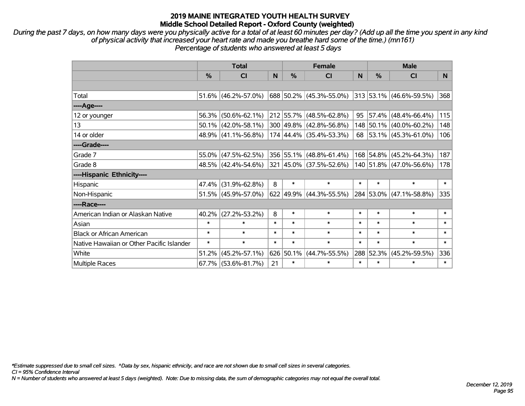*During the past 7 days, on how many days were you physically active for a total of at least 60 minutes per day? (Add up all the time you spent in any kind of physical activity that increased your heart rate and made you breathe hard some of the time.) (mn161) Percentage of students who answered at least 5 days*

|                                           | <b>Total</b>  |                        |        | <b>Female</b> | <b>Male</b>             |        |               |                         |        |
|-------------------------------------------|---------------|------------------------|--------|---------------|-------------------------|--------|---------------|-------------------------|--------|
|                                           | $\frac{0}{0}$ | C <sub>l</sub>         | N      | %             | <b>CI</b>               | N      | $\frac{0}{0}$ | <b>CI</b>               | N      |
|                                           |               |                        |        |               |                         |        |               |                         |        |
| Total                                     |               | $51.6\%$ (46.2%-57.0%) |        |               | 688 50.2% (45.3%-55.0%) |        |               | 313 53.1% (46.6%-59.5%) | 368    |
| $---Age---$                               |               |                        |        |               |                         |        |               |                         |        |
| 12 or younger                             |               | 56.3% (50.6%-62.1%)    |        |               | 212 55.7% (48.5%-62.8%) | 95     | 57.4%         | $(48.4\% - 66.4\%)$     | 115    |
| 13                                        |               | $50.1\%$ (42.0%-58.1%) |        |               | 300 49.8% (42.8%-56.8%) |        |               | 148 50.1% (40.0%-60.2%) | 148    |
| 14 or older                               |               | $48.9\%$ (41.1%-56.8%) |        |               | 174 44.4% (35.4%-53.3%) |        |               | 68 53.1% (45.3%-61.0%)  | 106    |
| ----Grade----                             |               |                        |        |               |                         |        |               |                         |        |
| Grade 7                                   |               | $55.0\%$ (47.5%-62.5%) |        |               | 356 55.1% (48.8%-61.4%) |        | 168 54.8%     | $(45.2\% - 64.3\%)$     | 187    |
| Grade 8                                   |               | 48.5% (42.4%-54.6%)    |        |               | 321 45.0% (37.5%-52.6%) |        |               | 140 51.8% (47.0%-56.6%) | 178    |
| ----Hispanic Ethnicity----                |               |                        |        |               |                         |        |               |                         |        |
| Hispanic                                  |               | 47.4% (31.9%-62.8%)    | 8      | $\ast$        | $\ast$                  | $\ast$ | $\ast$        | $\ast$                  | $\ast$ |
| Non-Hispanic                              |               | $51.5\%$ (45.9%-57.0%) |        |               | 622 49.9% (44.3%-55.5%) |        |               | 284 53.0% (47.1%-58.8%) | 335    |
| ----Race----                              |               |                        |        |               |                         |        |               |                         |        |
| American Indian or Alaskan Native         | $40.2\%$      | $(27.2\% - 53.2\%)$    | 8      | $\ast$        | $\ast$                  | $\ast$ | $\ast$        | $\ast$                  | $\ast$ |
| Asian                                     | $\ast$        | $\ast$                 | $\ast$ | $\ast$        | $\ast$                  | $\ast$ | $\ast$        | $\ast$                  | $\ast$ |
| <b>Black or African American</b>          | $\ast$        | $\ast$                 | $\ast$ | $\ast$        | $\ast$                  | $\ast$ | $\ast$        | $\ast$                  | $\ast$ |
| Native Hawaiian or Other Pacific Islander | $\ast$        | $\ast$                 | $\ast$ | $\ast$        | $\ast$                  | $\ast$ | $\ast$        | $\ast$                  | $\ast$ |
| White                                     | 51.2%         | $(45.2\% - 57.1\%)$    | 626    | 50.1%         | $(44.7\% - 55.5\%)$     | 288    | 52.3%         | $(45.2\% - 59.5\%)$     | 336    |
| Multiple Races                            |               | 67.7% (53.6%-81.7%)    | 21     | $\ast$        | $\ast$                  | $\ast$ | $\ast$        | $\ast$                  | $\ast$ |

*\*Estimate suppressed due to small cell sizes. ^Data by sex, hispanic ethnicity, and race are not shown due to small cell sizes in several categories.*

*CI = 95% Confidence Interval*

*N = Number of students who answered at least 5 days (weighted). Note: Due to missing data, the sum of demographic categories may not equal the overall total.*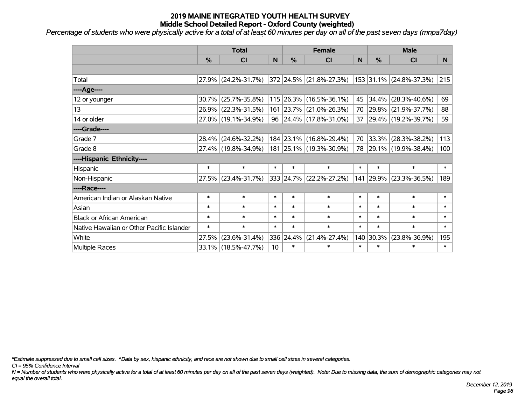*Percentage of students who were physically active for a total of at least 60 minutes per day on all of the past seven days (mnpa7day)*

|                                           | <b>Total</b>  |                     |        | <b>Female</b> | <b>Male</b>                      |        |               |                         |        |
|-------------------------------------------|---------------|---------------------|--------|---------------|----------------------------------|--------|---------------|-------------------------|--------|
|                                           | $\frac{0}{0}$ | <b>CI</b>           | N      | $\frac{0}{0}$ | <b>CI</b>                        | N      | $\frac{0}{0}$ | <b>CI</b>               | N.     |
|                                           |               |                     |        |               |                                  |        |               |                         |        |
| Total                                     |               | 27.9% (24.2%-31.7%) |        |               | $ 372 24.5\%  (21.8\% - 27.3\%)$ |        |               | 153 31.1% (24.8%-37.3%) | 215    |
| ----Age----                               |               |                     |        |               |                                  |        |               |                         |        |
| 12 or younger                             | 30.7%         | $(25.7\% - 35.8\%)$ |        |               | 115 26.3% (16.5%-36.1%)          | 45     | 34.4%         | $(28.3\% - 40.6\%)$     | 69     |
| 13                                        |               | 26.9% (22.3%-31.5%) |        |               | 161 23.7% (21.0%-26.3%)          |        |               | 70 29.8% (21.9%-37.7%)  | 88     |
| 14 or older                               |               | 27.0% (19.1%-34.9%) |        |               | 96   24.4%   (17.8%-31.0%)       |        |               | 37 29.4% (19.2%-39.7%)  | 59     |
| ----Grade----                             |               |                     |        |               |                                  |        |               |                         |        |
| Grade 7                                   | $28.4\%$      | $(24.6\% - 32.2\%)$ |        |               | 184 23.1% (16.8%-29.4%)          |        | 70 33.3%      | $(28.3\% - 38.2\%)$     | 113    |
| Grade 8                                   |               | 27.4% (19.8%-34.9%) |        |               | 181 25.1% (19.3%-30.9%)          |        |               | 78 29.1% (19.9%-38.4%)  | 100    |
| ----Hispanic Ethnicity----                |               |                     |        |               |                                  |        |               |                         |        |
| Hispanic                                  | $\ast$        | $\ast$              | $\ast$ | $\ast$        | $\ast$                           | $\ast$ | $\ast$        | $\ast$                  | $\ast$ |
| Non-Hispanic                              |               | 27.5% (23.4%-31.7%) |        |               | 333 24.7% (22.2%-27.2%)          |        | 141 29.9%     | $(23.3\% - 36.5\%)$     | 189    |
| ----Race----                              |               |                     |        |               |                                  |        |               |                         |        |
| American Indian or Alaskan Native         | $\ast$        | $\ast$              | $\ast$ | $\ast$        | $\ast$                           | $\ast$ | $\ast$        | $\ast$                  | $\ast$ |
| Asian                                     | $\ast$        | $\ast$              | $\ast$ | $\ast$        | $\ast$                           | $\ast$ | $\ast$        | $\ast$                  | $\ast$ |
| <b>Black or African American</b>          | $\ast$        | $\ast$              | $\ast$ | $\ast$        | $\ast$                           | $\ast$ | $\ast$        | $\ast$                  | $\ast$ |
| Native Hawaiian or Other Pacific Islander | $\ast$        | $\ast$              | $\ast$ | $\ast$        | $\ast$                           | $\ast$ | $\ast$        | $\ast$                  | $\ast$ |
| White                                     | 27.5%         | $(23.6\% - 31.4\%)$ |        | 336 24.4%     | $(21.4\% - 27.4\%)$              | 140    | 30.3%         | $(23.8\% - 36.9\%)$     | 195    |
| <b>Multiple Races</b>                     |               | 33.1% (18.5%-47.7%) | 10     | $\ast$        | $\ast$                           | $\ast$ | $\ast$        | $\ast$                  | $\ast$ |

*\*Estimate suppressed due to small cell sizes. ^Data by sex, hispanic ethnicity, and race are not shown due to small cell sizes in several categories.*

*CI = 95% Confidence Interval*

*N = Number of students who were physically active for a total of at least 60 minutes per day on all of the past seven days (weighted). Note: Due to missing data, the sum of demographic categories may not equal the overall total.*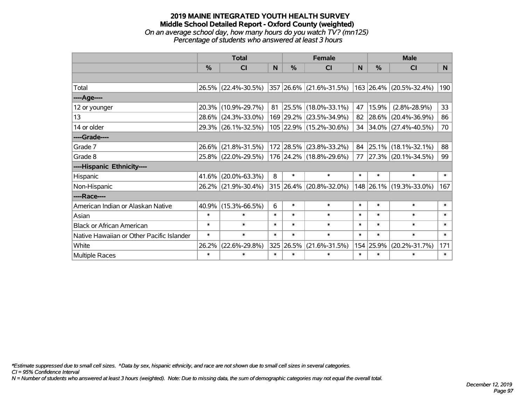### **2019 MAINE INTEGRATED YOUTH HEALTH SURVEY Middle School Detailed Report - Oxford County (weighted)** *On an average school day, how many hours do you watch TV? (mn125) Percentage of students who answered at least 3 hours*

|                                           | <b>Total</b> |                     |                |               | <b>Female</b>           |              | <b>Male</b> |                         |                |
|-------------------------------------------|--------------|---------------------|----------------|---------------|-------------------------|--------------|-------------|-------------------------|----------------|
|                                           | %            | CI                  | N <sub>1</sub> | $\frac{0}{0}$ | CI                      | <sub>N</sub> | %           | <b>CI</b>               | N <sub>1</sub> |
|                                           |              |                     |                |               |                         |              |             |                         |                |
| Total                                     |              | 26.5% (22.4%-30.5%) |                |               | 357 26.6% (21.6%-31.5%) |              |             | 163 26.4% (20.5%-32.4%) | 190            |
| ----Age----                               |              |                     |                |               |                         |              |             |                         |                |
| 12 or younger                             | 20.3%        | $(10.9\% - 29.7\%)$ | 81             |               | 25.5% (18.0%-33.1%)     | 47           | 15.9%       | $(2.8\% - 28.9\%)$      | 33             |
| 13                                        | 28.6%        | $(24.3\% - 33.0\%)$ |                |               | 169 29.2% (23.5%-34.9%) | 82           | 28.6%       | $(20.4\% - 36.9\%)$     | 86             |
| 14 or older                               |              | 29.3% (26.1%-32.5%) |                |               | 105 22.9% (15.2%-30.6%) |              |             | 34 34.0% (27.4%-40.5%)  | 70             |
| ----Grade----                             |              |                     |                |               |                         |              |             |                         |                |
| Grade 7                                   | 26.6%        | $(21.8\% - 31.5\%)$ |                |               | 172 28.5% (23.8%-33.2%) | 84           | 25.1%       | $(18.1\% - 32.1\%)$     | 88             |
| Grade 8                                   |              | 25.8% (22.0%-29.5%) |                |               | 176 24.2% (18.8%-29.6%) | 77           |             | 27.3% (20.1%-34.5%)     | 99             |
| ----Hispanic Ethnicity----                |              |                     |                |               |                         |              |             |                         |                |
| Hispanic                                  | 41.6%        | $(20.0\% - 63.3\%)$ | 8              | $\ast$        | $\ast$                  | $\ast$       | $\ast$      | $\ast$                  | $\ast$         |
| Non-Hispanic                              |              | 26.2% (21.9%-30.4%) |                |               | 315 26.4% (20.8%-32.0%) |              |             | 148 26.1% (19.3%-33.0%) | 167            |
| ----Race----                              |              |                     |                |               |                         |              |             |                         |                |
| American Indian or Alaskan Native         | 40.9%        | $(15.3\% - 66.5\%)$ | 6              | $\ast$        | $\ast$                  | $\ast$       | $\ast$      | $\ast$                  | $\ast$         |
| Asian                                     | $\ast$       | $\ast$              | $\ast$         | $\ast$        | $\ast$                  | $\ast$       | $\ast$      | $\ast$                  | $\ast$         |
| <b>Black or African American</b>          | $\ast$       | $\ast$              | $\ast$         | $\ast$        | $\ast$                  | $\ast$       | $\ast$      | $\ast$                  | $\ast$         |
| Native Hawaiian or Other Pacific Islander | $\ast$       | $\ast$              | $\ast$         | $\ast$        | $\ast$                  | $\ast$       | $\ast$      | $\ast$                  | $\ast$         |
| White                                     | 26.2%        | $(22.6\% - 29.8\%)$ |                | 325 26.5%     | $(21.6\% - 31.5\%)$     | 154          | 25.9%       | $(20.2\% - 31.7\%)$     | 171            |
| Multiple Races                            | $\ast$       | $\ast$              | $\ast$         | $\ast$        | $\ast$                  | $\ast$       | $\ast$      | $\ast$                  | $\ast$         |

*\*Estimate suppressed due to small cell sizes. ^Data by sex, hispanic ethnicity, and race are not shown due to small cell sizes in several categories.*

*CI = 95% Confidence Interval*

*N = Number of students who answered at least 3 hours (weighted). Note: Due to missing data, the sum of demographic categories may not equal the overall total.*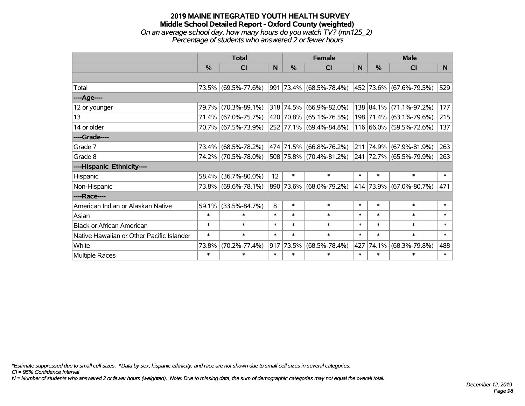## **2019 MAINE INTEGRATED YOUTH HEALTH SURVEY Middle School Detailed Report - Oxford County (weighted)** *On an average school day, how many hours do you watch TV? (mn125\_2) Percentage of students who answered 2 or fewer hours*

|                                           | <b>Total</b>  |                     | <b>Female</b> |               |                         | <b>Male</b> |           |                             |                |
|-------------------------------------------|---------------|---------------------|---------------|---------------|-------------------------|-------------|-----------|-----------------------------|----------------|
|                                           | $\frac{0}{0}$ | CI                  | N.            | $\frac{0}{0}$ | CI                      | <b>N</b>    | %         | <b>CI</b>                   | N <sub>1</sub> |
|                                           |               |                     |               |               |                         |             |           |                             |                |
| Total                                     |               | 73.5% (69.5%-77.6%) |               |               | 991 73.4% (68.5%-78.4%) |             |           | 452   73.6%   (67.6%-79.5%) | 529            |
| ----Age----                               |               |                     |               |               |                         |             |           |                             |                |
| 12 or younger                             | 79.7%         | $(70.3\% - 89.1\%)$ |               |               | 318 74.5% (66.9%-82.0%) |             | 138 84.1% | $(71.1\% - 97.2\%)$         | 177            |
| 13                                        |               | 71.4% (67.0%-75.7%) |               |               | 420 70.8% (65.1%-76.5%) |             |           | 198 71.4% (63.1%-79.6%)     | 215            |
| 14 or older                               |               | 70.7% (67.5%-73.9%) |               |               | 252 77.1% (69.4%-84.8%) |             |           | 116 66.0% (59.5%-72.6%)     | 137            |
| ----Grade----                             |               |                     |               |               |                         |             |           |                             |                |
| Grade 7                                   | 73.4%         | $(68.5\% - 78.2\%)$ |               |               | 474 71.5% (66.8%-76.2%) | 211         | 74.9%     | $(67.9\% - 81.9\%)$         | 263            |
| Grade 8                                   |               | 74.2% (70.5%-78.0%) |               |               | 508 75.8% (70.4%-81.2%) |             |           | 241 72.7% (65.5%-79.9%)     | 263            |
| ----Hispanic Ethnicity----                |               |                     |               |               |                         |             |           |                             |                |
| Hispanic                                  | 58.4%         | $(36.7\% - 80.0\%)$ | 12            | $\ast$        | $\ast$                  | $\ast$      | $\ast$    | $\ast$                      | $\ast$         |
| Non-Hispanic                              |               | 73.8% (69.6%-78.1%) |               |               | 890 73.6% (68.0%-79.2%) |             |           | 414 73.9% (67.0%-80.7%)     | 471            |
| ----Race----                              |               |                     |               |               |                         |             |           |                             |                |
| American Indian or Alaskan Native         | 59.1%         | $(33.5\% - 84.7\%)$ | 8             | $\ast$        | $\ast$                  | $\ast$      | $\ast$    | $\ast$                      | $\ast$         |
| Asian                                     | $\ast$        | $\ast$              | $\ast$        | $\ast$        | $\ast$                  | $\ast$      | $\ast$    | $\ast$                      | $\ast$         |
| <b>Black or African American</b>          | $\ast$        | $\ast$              | $\ast$        | $\ast$        | $\ast$                  | $\ast$      | $\ast$    | $\ast$                      | $\ast$         |
| Native Hawaiian or Other Pacific Islander | $\ast$        | $\ast$              | $\ast$        | $\ast$        | $\ast$                  | $\ast$      | $\ast$    | $\ast$                      | $\ast$         |
| White                                     | 73.8%         | $(70.2\% - 77.4\%)$ |               | 917 73.5%     | $(68.5\% - 78.4\%)$     | 427         | 74.1%     | $(68.3\% - 79.8\%)$         | 488            |
| <b>Multiple Races</b>                     | $\ast$        | $\ast$              | $\ast$        | $\ast$        | $\ast$                  | $\ast$      | $\ast$    | $\ast$                      | $\ast$         |

*\*Estimate suppressed due to small cell sizes. ^Data by sex, hispanic ethnicity, and race are not shown due to small cell sizes in several categories.*

*CI = 95% Confidence Interval*

*N = Number of students who answered 2 or fewer hours (weighted). Note: Due to missing data, the sum of demographic categories may not equal the overall total.*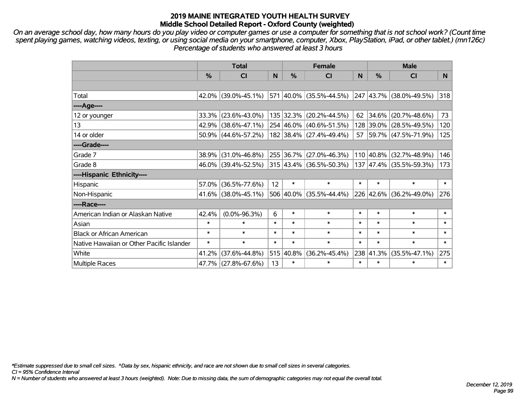*On an average school day, how many hours do you play video or computer games or use a computer for something that is not school work? (Count time spent playing games, watching videos, texting, or using social media on your smartphone, computer, Xbox, PlayStation, iPad, or other tablet.) (mn126c) Percentage of students who answered at least 3 hours*

|                                           | <b>Total</b>  |                        | <b>Female</b> |               |                                          | <b>Male</b> |               |                         |        |
|-------------------------------------------|---------------|------------------------|---------------|---------------|------------------------------------------|-------------|---------------|-------------------------|--------|
|                                           | $\frac{0}{0}$ | <b>CI</b>              | N             | $\frac{0}{0}$ | <b>CI</b>                                | N           | $\frac{0}{0}$ | <b>CI</b>               | N.     |
|                                           |               |                        |               |               |                                          |             |               |                         |        |
| Total                                     |               | 42.0% (39.0%-45.1%)    |               |               | 571 40.0% (35.5%-44.5%)                  |             |               | 247 43.7% (38.0%-49.5%) | 318    |
| ----Age----                               |               |                        |               |               |                                          |             |               |                         |        |
| 12 or younger                             | 33.3%         | $(23.6\% - 43.0\%)$    |               |               | 135 32.3% (20.2%-44.5%)                  | 62          | 34.6%         | $(20.7\% - 48.6\%)$     | 73     |
| 13                                        |               | 42.9% (38.6%-47.1%)    |               |               | 254 46.0% (40.6%-51.5%)                  |             | 128 39.0%     | $(28.5\% - 49.5\%)$     | 120    |
| 14 or older                               |               | $50.9\%$ (44.6%-57.2%) |               |               | 182 38.4% (27.4%-49.4%)                  |             |               | 57 59.7% (47.5%-71.9%)  | 125    |
| ----Grade----                             |               |                        |               |               |                                          |             |               |                         |        |
| Grade 7                                   | 38.9%         | $(31.0\% - 46.8\%)$    |               |               | 255 36.7% (27.0%-46.3%)                  |             | 110 40.8%     | $(32.7\% - 48.9\%)$     | 146    |
| Grade 8                                   |               | 46.0% (39.4%-52.5%)    |               |               | $315 \mid 43.4\% \mid (36.5\% - 50.3\%)$ |             |               | 137 47.4% (35.5%-59.3%) | 173    |
| ----Hispanic Ethnicity----                |               |                        |               |               |                                          |             |               |                         |        |
| Hispanic                                  | 57.0%         | $(36.5\% - 77.6\%)$    | 12            | $\ast$        | $\ast$                                   | $\ast$      | $\ast$        | $\ast$                  | $\ast$ |
| Non-Hispanic                              |               | $41.6\%$ (38.0%-45.1%) |               |               | 506 40.0% (35.5%-44.4%)                  |             | 226 42.6%     | $(36.2\% - 49.0\%)$     | 276    |
| ----Race----                              |               |                        |               |               |                                          |             |               |                         |        |
| American Indian or Alaskan Native         | 42.4%         | $(0.0\% - 96.3\%)$     | 6             | $\ast$        | $\ast$                                   | $\ast$      | $\ast$        | $\ast$                  | $\ast$ |
| Asian                                     | $\ast$        | $\ast$                 | $\ast$        | $\ast$        | $\ast$                                   | $\ast$      | $\ast$        | $\ast$                  | $\ast$ |
| <b>Black or African American</b>          | $\ast$        | $\ast$                 | $\ast$        | $\ast$        | $\ast$                                   | $\ast$      | $\ast$        | $\ast$                  | $\ast$ |
| Native Hawaiian or Other Pacific Islander | $\ast$        | $\ast$                 | $\ast$        | $\ast$        | $\ast$                                   | $\ast$      | $\ast$        | $\ast$                  | $\ast$ |
| White                                     | 41.2%         | $(37.6\% - 44.8\%)$    |               | 515 40.8%     | $(36.2\% - 45.4\%)$                      |             | 238 41.3%     | $(35.5\% - 47.1\%)$     | 275    |
| Multiple Races                            |               | 47.7% (27.8%-67.6%)    | 13            | $\ast$        | $\ast$                                   | $\ast$      | $\ast$        | $\ast$                  | $\ast$ |

*\*Estimate suppressed due to small cell sizes. ^Data by sex, hispanic ethnicity, and race are not shown due to small cell sizes in several categories.*

*CI = 95% Confidence Interval*

*N = Number of students who answered at least 3 hours (weighted). Note: Due to missing data, the sum of demographic categories may not equal the overall total.*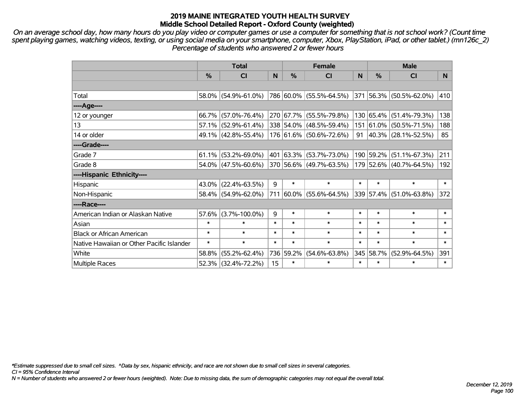*On an average school day, how many hours do you play video or computer games or use a computer for something that is not school work? (Count time spent playing games, watching videos, texting, or using social media on your smartphone, computer, Xbox, PlayStation, iPad, or other tablet.) (mn126c\_2) Percentage of students who answered 2 or fewer hours*

|                                           | <b>Total</b> |                        |        | <b>Female</b> | <b>Male</b>             |        |               |                                  |        |
|-------------------------------------------|--------------|------------------------|--------|---------------|-------------------------|--------|---------------|----------------------------------|--------|
|                                           | %            | <b>CI</b>              | N      | $\frac{0}{0}$ | <b>CI</b>               | N      | $\frac{0}{0}$ | <b>CI</b>                        | N.     |
|                                           |              |                        |        |               |                         |        |               |                                  |        |
| Total                                     |              | 58.0% (54.9%-61.0%)    |        |               | 786 60.0% (55.5%-64.5%) |        |               | $ 371 56.3\%  (50.5\% - 62.0\%)$ | 410    |
| ----Age----                               |              |                        |        |               |                         |        |               |                                  |        |
| 12 or younger                             |              | 66.7% (57.0%-76.4%)    |        |               | 270 67.7% (55.5%-79.8%) |        | 130 65.4%     | $(51.4\% - 79.3\%)$              | 138    |
| 13                                        |              | $57.1\%$ (52.9%-61.4%) |        |               | 338 54.0% (48.5%-59.4%) |        | 151 61.0%     | $(50.5\% - 71.5\%)$              | 188    |
| 14 or older                               |              | 49.1% (42.8%-55.4%)    |        |               | 176 61.6% (50.6%-72.6%) | 91     |               | $ 40.3\% $ (28.1%-52.5%)         | 85     |
| ----Grade----                             |              |                        |        |               |                         |        |               |                                  |        |
| Grade 7                                   |              | $61.1\%$ (53.2%-69.0%) |        |               | 401 63.3% (53.7%-73.0%) |        | 190 59.2%     | $(51.1\% - 67.3\%)$              | 211    |
| Grade 8                                   |              | $54.0\%$ (47.5%-60.6%) |        |               | 370 56.6% (49.7%-63.5%) |        |               | 179 52.6% (40.7%-64.5%)          | 192    |
| ----Hispanic Ethnicity----                |              |                        |        |               |                         |        |               |                                  |        |
| Hispanic                                  |              | 43.0% (22.4%-63.5%)    | 9      | $\ast$        | $\ast$                  | $\ast$ | $\ast$        | $\ast$                           | $\ast$ |
| Non-Hispanic                              |              | 58.4% (54.9%-62.0%)    | 711    |               | $60.0\%$ (55.6%-64.5%)  |        | 339 57.4%     | $(51.0\% - 63.8\%)$              | 372    |
| ----Race----                              |              |                        |        |               |                         |        |               |                                  |        |
| American Indian or Alaskan Native         |              | $57.6\%$ (3.7%-100.0%) | 9      | $\ast$        | $\ast$                  | $\ast$ | $\ast$        | $\ast$                           | $\ast$ |
| Asian                                     | $\ast$       | $\ast$                 | $\ast$ | $\ast$        | $\ast$                  | $\ast$ | $\ast$        | $\ast$                           | $\ast$ |
| <b>Black or African American</b>          | $\ast$       | $\ast$                 | $\ast$ | $\ast$        | $\ast$                  | $\ast$ | $\ast$        | $\ast$                           | $\ast$ |
| Native Hawaiian or Other Pacific Islander | $\ast$       | $\ast$                 | $\ast$ | $\ast$        | $\ast$                  | $\ast$ | $\ast$        | $\ast$                           | $\ast$ |
| White                                     | 58.8%        | $(55.2\% - 62.4\%)$    |        | 736 59.2%     | $(54.6\% - 63.8\%)$     |        | 345 58.7%     | $(52.9\% - 64.5\%)$              | 391    |
| Multiple Races                            |              | 52.3% (32.4%-72.2%)    | 15     | $\ast$        | $\ast$                  | $\ast$ | $\ast$        | $\ast$                           | $\ast$ |

*\*Estimate suppressed due to small cell sizes. ^Data by sex, hispanic ethnicity, and race are not shown due to small cell sizes in several categories.*

*CI = 95% Confidence Interval*

*N = Number of students who answered 2 or fewer hours (weighted). Note: Due to missing data, the sum of demographic categories may not equal the overall total.*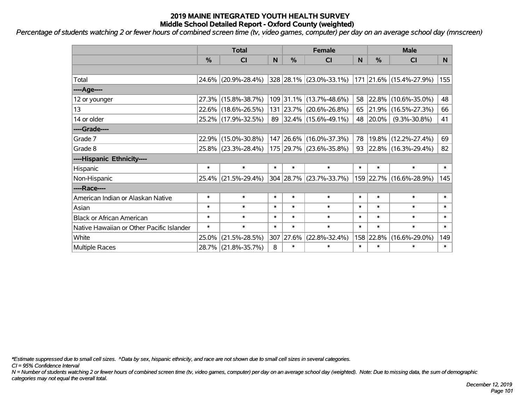*Percentage of students watching 2 or fewer hours of combined screen time (tv, video games, computer) per day on an average school day (mnscreen) '*

|                                           | <b>Total</b>  |                     |        |               | <b>Female</b>             | <b>Male</b> |            |                          |                |
|-------------------------------------------|---------------|---------------------|--------|---------------|---------------------------|-------------|------------|--------------------------|----------------|
|                                           | $\frac{0}{2}$ | <b>CI</b>           | N      | $\frac{0}{0}$ | CI                        | N           | %          | <b>CI</b>                | N <sub>1</sub> |
|                                           |               |                     |        |               |                           |             |            |                          |                |
| Total                                     |               | 24.6% (20.9%-28.4%) |        |               | $328$ 28.1% (23.0%-33.1%) |             |            | 171 21.6% (15.4%-27.9%)  | 155            |
| ----Age----                               |               |                     |        |               |                           |             |            |                          |                |
| 12 or younger                             |               | 27.3% (15.8%-38.7%) |        |               | 109 31.1% (13.7%-48.6%)   | 58          | 22.8%      | $(10.6\% - 35.0\%)$      | 48             |
| 13                                        |               | 22.6% (18.6%-26.5%) |        |               | 131 23.7% (20.6%-26.8%)   | 65          | $ 21.9\% $ | $(16.5\% - 27.3\%)$      | 66             |
| 14 or older                               |               | 25.2% (17.9%-32.5%) |        |               | 89 32.4% (15.6%-49.1%)    |             | 48 20.0%   | $(9.3\% - 30.8\%)$       | 41             |
| ----Grade----                             |               |                     |        |               |                           |             |            |                          |                |
| Grade 7                                   |               | 22.9% (15.0%-30.8%) |        |               | 147 26.6% (16.0%-37.3%)   | 78          | $19.8\%$   | $(12.2\% - 27.4\%)$      | 69             |
| Grade 8                                   |               | 25.8% (23.3%-28.4%) |        |               | 175 29.7% (23.6%-35.8%)   | 93          |            | $ 22.8\% $ (16.3%-29.4%) | 82             |
| ----Hispanic Ethnicity----                |               |                     |        |               |                           |             |            |                          |                |
| Hispanic                                  | $\ast$        | $\ast$              | $\ast$ | $\ast$        | $\ast$                    | $\ast$      | $\ast$     | $\ast$                   | $\ast$         |
| Non-Hispanic                              |               | 25.4% (21.5%-29.4%) |        |               | 304 28.7% (23.7%-33.7%)   |             |            | 159 22.7% (16.6%-28.9%)  | 145            |
| ----Race----                              |               |                     |        |               |                           |             |            |                          |                |
| American Indian or Alaskan Native         | $\ast$        | $\ast$              | $\ast$ | $\ast$        | $\ast$                    | $\ast$      | $\ast$     | $\ast$                   | $\ast$         |
| Asian                                     | $\ast$        | $\ast$              | $\ast$ | $\ast$        | $\ast$                    | $\ast$      | $\ast$     | $\ast$                   | $\ast$         |
| <b>Black or African American</b>          | $\ast$        | $\ast$              | $\ast$ | $\ast$        | $\ast$                    | $\ast$      | $\ast$     | $\ast$                   | $\ast$         |
| Native Hawaiian or Other Pacific Islander | $\ast$        | $\ast$              | $\ast$ | $\ast$        | $\ast$                    | $\ast$      | $\ast$     | $\ast$                   | $\ast$         |
| White                                     | 25.0%         | $(21.5\% - 28.5\%)$ |        | 307 27.6%     | (22.8%-32.4%)             |             | 158 22.8%  | $(16.6\% - 29.0\%)$      | 149            |
| <b>Multiple Races</b>                     |               | 28.7% (21.8%-35.7%) | 8      | $\ast$        | $\ast$                    | $\ast$      | $\ast$     | *                        | $\ast$         |

*\*Estimate suppressed due to small cell sizes. ^Data by sex, hispanic ethnicity, and race are not shown due to small cell sizes in several categories.*

*CI = 95% Confidence Interval*

*N = Number of students watching 2 or fewer hours of combined screen time (tv, video games, computer) per day on an average school day (weighted). Note: Due to missing data, the sum of demographic categories may not equal the overall total.*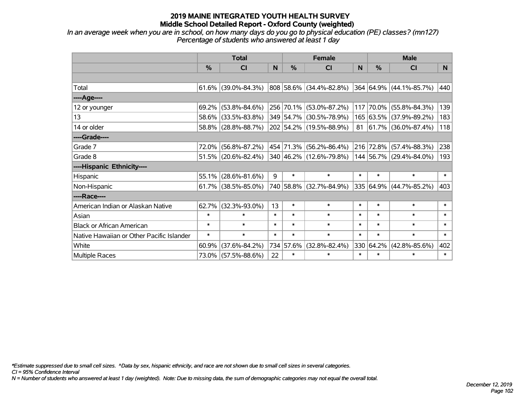*In an average week when you are in school, on how many days do you go to physical education (PE) classes? (mn127) Percentage of students who answered at least 1 day*

|                                           | <b>Total</b>  |                        |        |        | <b>Female</b>           | <b>Male</b> |           |                             |        |
|-------------------------------------------|---------------|------------------------|--------|--------|-------------------------|-------------|-----------|-----------------------------|--------|
|                                           | $\frac{0}{0}$ | CI                     | N      | %      | <b>CI</b>               | N           | %         | <b>CI</b>                   | N.     |
|                                           |               |                        |        |        |                         |             |           |                             |        |
| Total                                     |               | $61.6\%$ (39.0%-84.3%) |        |        | 808 58.6% (34.4%-82.8%) |             |           | 364 64.9% (44.1%-85.7%)     | 440    |
| ----Age----                               |               |                        |        |        |                         |             |           |                             |        |
| 12 or younger                             | 69.2%         | $(53.8\% - 84.6\%)$    |        |        | 256 70.1% (53.0%-87.2%) | 117         | 70.0%     | $(55.8\% - 84.3\%)$         | 139    |
| 13                                        | 58.6%         | $(33.5\% - 83.8\%)$    |        |        | 349 54.7% (30.5%-78.9%) |             |           | 165 63.5% (37.9%-89.2%)     | 183    |
| 14 or older                               |               | 58.8% (28.8%-88.7%)    |        |        | 202 54.2% (19.5%-88.9%) |             |           | 81 $ 61.7\% $ (36.0%-87.4%) | 118    |
| ----Grade----                             |               |                        |        |        |                         |             |           |                             |        |
| Grade 7                                   | 72.0%         | $(56.8\% - 87.2\%)$    |        |        | 454 71.3% (56.2%-86.4%) |             | 216 72.8% | $(57.4\% - 88.3\%)$         | 238    |
| Grade 8                                   |               | $51.5\%$ (20.6%-82.4%) |        |        | 340 46.2% (12.6%-79.8%) |             |           | 144 56.7% (29.4%-84.0%)     | 193    |
| ----Hispanic Ethnicity----                |               |                        |        |        |                         |             |           |                             |        |
| Hispanic                                  | 55.1%         | $(28.6\% - 81.6\%)$    | 9      | $\ast$ | $\ast$                  | $\ast$      | $\ast$    | $\ast$                      | $\ast$ |
| Non-Hispanic                              |               | $61.7\%$ (38.5%-85.0%) |        |        | 740 58.8% (32.7%-84.9%) |             |           | 335 64.9% (44.7%-85.2%)     | 403    |
| ----Race----                              |               |                        |        |        |                         |             |           |                             |        |
| American Indian or Alaskan Native         | 62.7%         | $(32.3\% - 93.0\%)$    | 13     | $\ast$ | $\ast$                  | $\ast$      | $\ast$    | $\ast$                      | $\ast$ |
| Asian                                     | $\ast$        | $\ast$                 | $\ast$ | $\ast$ | $\ast$                  | $\ast$      | $\ast$    | $\ast$                      | $\ast$ |
| <b>Black or African American</b>          | $\ast$        | $\ast$                 | $\ast$ | $\ast$ | $\ast$                  | $\ast$      | $\ast$    | $\ast$                      | $\ast$ |
| Native Hawaiian or Other Pacific Islander | $\ast$        | $\ast$                 | $\ast$ | $\ast$ | $\ast$                  | $\ast$      | $\ast$    | $\ast$                      | $\ast$ |
| White                                     | 60.9%         | $(37.6\% - 84.2\%)$    | 734    | 57.6%  | $(32.8\% - 82.4\%)$     | 330         | 64.2%     | $(42.8\% - 85.6\%)$         | 402    |
| Multiple Races                            |               | 73.0% (57.5%-88.6%)    | 22     | $\ast$ | $\ast$                  | $\ast$      | $\ast$    | *                           | $\ast$ |

*\*Estimate suppressed due to small cell sizes. ^Data by sex, hispanic ethnicity, and race are not shown due to small cell sizes in several categories.*

*CI = 95% Confidence Interval*

*N = Number of students who answered at least 1 day (weighted). Note: Due to missing data, the sum of demographic categories may not equal the overall total.*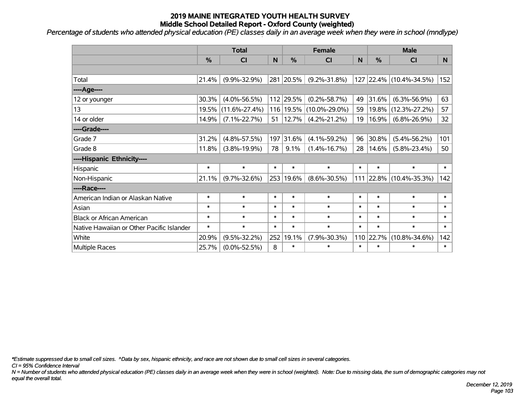*Percentage of students who attended physical education (PE) classes daily in an average week when they were in school (mndlype) '*

|                                           | <b>Total</b> |                     |        |               | <b>Female</b>       | <b>Male</b> |               |                         |                |
|-------------------------------------------|--------------|---------------------|--------|---------------|---------------------|-------------|---------------|-------------------------|----------------|
|                                           | %            | <b>CI</b>           | N      | $\frac{0}{0}$ | C <sub>l</sub>      | N           | $\frac{0}{0}$ | <b>CI</b>               | N <sub>1</sub> |
|                                           |              |                     |        |               |                     |             |               |                         |                |
| Total                                     | 21.4%        | $(9.9\% - 32.9\%)$  |        | 281 20.5%     | $(9.2\% - 31.8\%)$  |             |               | 127 22.4% (10.4%-34.5%) | 152            |
| ----Age----                               |              |                     |        |               |                     |             |               |                         |                |
| 12 or younger                             | 30.3%        | $(4.0\% - 56.5\%)$  |        | 112 29.5%     | $(0.2\% - 58.7\%)$  | 49          | 31.6%         | $(6.3\% - 56.9\%)$      | 63             |
| 13                                        | 19.5%        | $(11.6\% - 27.4\%)$ |        | 116 19.5%     | $(10.0\% - 29.0\%)$ | 59          | 19.8%         | $(12.3\% - 27.2\%)$     | 57             |
| 14 or older                               | 14.9%        | $(7.1\% - 22.7\%)$  | 51     | $ 12.7\% $    | $(4.2\% - 21.2\%)$  | 19          | 16.9%         | $(6.8\% - 26.9\%)$      | 32             |
| ----Grade----                             |              |                     |        |               |                     |             |               |                         |                |
| Grade 7                                   | 31.2%        | $(4.8\% - 57.5\%)$  | 197    | 31.6%         | $(4.1\% - 59.2\%)$  | 96          | 30.8%         | $(5.4\% - 56.2\%)$      | 101            |
| Grade 8                                   | 11.8%        | $(3.8\% - 19.9\%)$  | 78     | 9.1%          | $(1.4\% - 16.7\%)$  | 28          | 14.6%         | $(5.8\% - 23.4\%)$      | 50             |
| ----Hispanic Ethnicity----                |              |                     |        |               |                     |             |               |                         |                |
| Hispanic                                  | $\ast$       | $\ast$              | $\ast$ | $\ast$        | $\ast$              | $\ast$      | $\ast$        | $\ast$                  | $\ast$         |
| Non-Hispanic                              | 21.1%        | $(9.7\% - 32.6\%)$  |        | 253 19.6%     | $(8.6\% - 30.5\%)$  |             | 111 22.8%     | $(10.4\% - 35.3\%)$     | 142            |
| ----Race----                              |              |                     |        |               |                     |             |               |                         |                |
| American Indian or Alaskan Native         | $\ast$       | $\ast$              | $\ast$ | $\ast$        | $\ast$              | $\ast$      | $\ast$        | $\ast$                  | $\ast$         |
| Asian                                     | $\ast$       | $\ast$              | $\ast$ | $\ast$        | $\ast$              | $\ast$      | $\ast$        | $\ast$                  | $\ast$         |
| <b>Black or African American</b>          | $\ast$       | $\ast$              | $\ast$ | $\ast$        | $\ast$              | $\ast$      | $\ast$        | $\ast$                  | $\ast$         |
| Native Hawaiian or Other Pacific Islander | $\ast$       | $\ast$              | $\ast$ | $\ast$        | $\ast$              | $\ast$      | $\ast$        | $\ast$                  | $\pmb{\ast}$   |
| White                                     | 20.9%        | $(9.5\% - 32.2\%)$  | 252    | 19.1%         | $(7.9\% - 30.3\%)$  | 110         | 22.7%         | $(10.8\% - 34.6\%)$     | 142            |
| Multiple Races                            | 25.7%        | $(0.0\% - 52.5\%)$  | 8      | $\ast$        | $\ast$              | $\ast$      | $\ast$        | *                       | $\ast$         |

*\*Estimate suppressed due to small cell sizes. ^Data by sex, hispanic ethnicity, and race are not shown due to small cell sizes in several categories.*

*CI = 95% Confidence Interval*

*N = Number of students who attended physical education (PE) classes daily in an average week when they were in school (weighted). Note: Due to missing data, the sum of demographic categories may not equal the overall total.*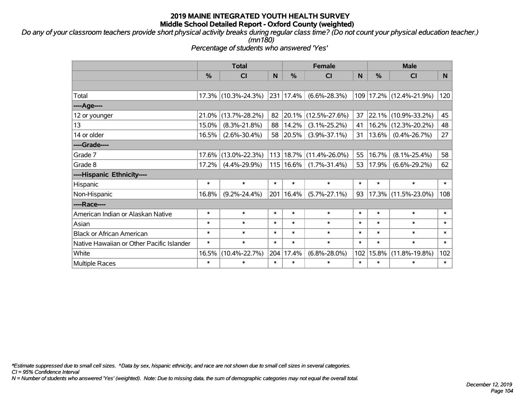*Do any of your classroom teachers provide short physical activity breaks during regular class time? (Do not count your physical education teacher.) (mn180)*

*Percentage of students who answered 'Yes'*

|                                           | <b>Total</b> |                     | <b>Female</b> |               |                             | <b>Male</b> |          |                         |        |
|-------------------------------------------|--------------|---------------------|---------------|---------------|-----------------------------|-------------|----------|-------------------------|--------|
|                                           | %            | <b>CI</b>           | N             | $\%$          | <b>CI</b>                   | N           | %        | СI                      | N.     |
|                                           |              |                     |               |               |                             |             |          |                         |        |
| Total                                     |              | 17.3% (10.3%-24.3%) |               | 231 17.4%     | $(6.6\% - 28.3\%)$          |             |          | 109 17.2% (12.4%-21.9%) | 120    |
| ----Age----                               |              |                     |               |               |                             |             |          |                         |        |
| 12 or younger                             | 21.0%        | $(13.7\% - 28.2\%)$ | 82            | 20.1%         | $(12.5\% - 27.6\%)$         | 37          | 22.1%    | $(10.9\% - 33.2\%)$     | 45     |
| 13                                        | 15.0%        | $(8.3\% - 21.8\%)$  | 88            | 14.2%         | $(3.1\% - 25.2\%)$          | 41          | 16.2%    | $(12.3\% - 20.2\%)$     | 48     |
| 14 or older                               | 16.5%        | $(2.6\% - 30.4\%)$  | 58            | $ 20.5\% $    | $(3.9\% - 37.1\%)$          | 31          | $13.6\%$ | $(0.4\% - 26.7\%)$      | 27     |
| ----Grade----                             |              |                     |               |               |                             |             |          |                         |        |
| Grade 7                                   | 17.6%        | $(13.0\% - 22.3\%)$ |               |               | $113 18.7\% $ (11.4%-26.0%) | 55          | 16.7%    | $(8.1\% - 25.4\%)$      | 58     |
| Grade 8                                   | 17.2%        | $(4.4\% - 29.9\%)$  |               | $115 16.6\% $ | $(1.7\% - 31.4\%)$          | 53          | 17.9%    | $(6.6\% - 29.2\%)$      | 62     |
| ----Hispanic Ethnicity----                |              |                     |               |               |                             |             |          |                         |        |
| Hispanic                                  | $\ast$       | $\ast$              | $\ast$        | $\ast$        | $\ast$                      | $\ast$      | $\ast$   | $\ast$                  | $\ast$ |
| Non-Hispanic                              | 16.8%        | $(9.2\% - 24.4\%)$  |               | 201 16.4%     | $(5.7\% - 27.1\%)$          | 93          | 17.3%    | $(11.5\% - 23.0\%)$     | 108    |
| ----Race----                              |              |                     |               |               |                             |             |          |                         |        |
| American Indian or Alaskan Native         | $\ast$       | $\ast$              | $\ast$        | $\ast$        | $\ast$                      | $\ast$      | $\ast$   | $\ast$                  | $\ast$ |
| Asian                                     | $\ast$       | $\ast$              | $\ast$        | $\ast$        | $\ast$                      | $\ast$      | $\ast$   | $\ast$                  | $\ast$ |
| <b>Black or African American</b>          | $\ast$       | $\ast$              | $\ast$        | $\ast$        | $\ast$                      | $\ast$      | $\ast$   | $\ast$                  | $\ast$ |
| Native Hawaiian or Other Pacific Islander | $\ast$       | $\ast$              | $\ast$        | $\ast$        | $\ast$                      | $\ast$      | $\ast$   | $\ast$                  | $\ast$ |
| White                                     | 16.5%        | $(10.4\% - 22.7\%)$ |               | 204 17.4%     | $(6.8\% - 28.0\%)$          | 102         | 15.8%    | $(11.8\% - 19.8\%)$     | 102    |
| <b>Multiple Races</b>                     | $\ast$       | $\ast$              | $\ast$        | *             | $\ast$                      | $\ast$      | $\ast$   | $\ast$                  | $\ast$ |

*\*Estimate suppressed due to small cell sizes. ^Data by sex, hispanic ethnicity, and race are not shown due to small cell sizes in several categories.*

*CI = 95% Confidence Interval*

*N = Number of students who answered 'Yes' (weighted). Note: Due to missing data, the sum of demographic categories may not equal the overall total.*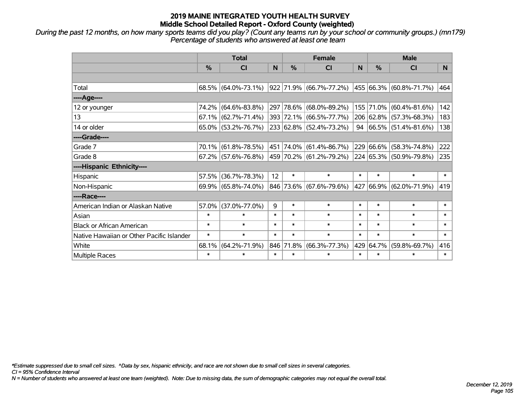*During the past 12 months, on how many sports teams did you play? (Count any teams run by your school or community groups.) (mn179) Percentage of students who answered at least one team*

|                                           | <b>Total</b>  |                                                |        |           | <b>Female</b>             | <b>Male</b> |               |                             |        |
|-------------------------------------------|---------------|------------------------------------------------|--------|-----------|---------------------------|-------------|---------------|-----------------------------|--------|
|                                           | $\frac{0}{0}$ | <b>CI</b>                                      | N      | %         | <b>CI</b>                 | N           | $\frac{0}{0}$ | <b>CI</b>                   | N.     |
|                                           |               |                                                |        |           |                           |             |               |                             |        |
| Total                                     |               | $68.5\%$ (64.0%-73.1%)                         |        |           | 922  71.9%  (66.7%-77.2%) |             |               | 455 66.3% (60.8%-71.7%)     | 464    |
| ----Age----                               |               |                                                |        |           |                           |             |               |                             |        |
| 12 or younger                             | 74.2%         | $(64.6\% - 83.8\%)$                            |        |           | 297 78.6% (68.0%-89.2%)   |             | 155 71.0%     | $(60.4\% - 81.6\%)$         | 142    |
| 13                                        |               | $67.1\%$ (62.7%-71.4%)                         |        |           | 393 72.1% (66.5%-77.7%)   |             |               | 206 62.8% (57.3%-68.3%)     | 183    |
| 14 or older                               |               | $65.0\%$ (53.2%-76.7%)                         |        |           | 233 62.8% (52.4%-73.2%)   |             |               | 94 $ 66.5\% $ (51.4%-81.6%) | 138    |
| ----Grade----                             |               |                                                |        |           |                           |             |               |                             |        |
| Grade 7                                   | 70.1%         | $(61.8\% - 78.5\%)$                            |        |           | 451  74.0%  (61.4%-86.7%) |             | 229 66.6%     | $(58.3\% - 74.8\%)$         | 222    |
| Grade 8                                   |               | $67.2\%$ (57.6%-76.8%) 459 70.2% (61.2%-79.2%) |        |           |                           |             |               | 224 65.3% (50.9%-79.8%)     | 235    |
| ----Hispanic Ethnicity----                |               |                                                |        |           |                           |             |               |                             |        |
| Hispanic                                  | 57.5%         | $(36.7\% - 78.3\%)$                            | 12     | $\ast$    | $\ast$                    | $\ast$      | $\ast$        | $\ast$                      | $\ast$ |
| Non-Hispanic                              |               | 69.9% (65.8%-74.0%)                            |        |           | 846 73.6% (67.6%-79.6%)   |             | 427 66.9%     | $(62.0\% - 71.9\%)$         | 419    |
| ----Race----                              |               |                                                |        |           |                           |             |               |                             |        |
| American Indian or Alaskan Native         | 57.0%         | $(37.0\% - 77.0\%)$                            | 9      | $\ast$    | $\ast$                    | $\ast$      | $\ast$        | $\ast$                      | $\ast$ |
| Asian                                     | $\ast$        | $\ast$                                         | $\ast$ | $\ast$    | $\ast$                    | $\ast$      | $\ast$        | $\ast$                      | $\ast$ |
| <b>Black or African American</b>          | $\ast$        | $\ast$                                         | $\ast$ | $\ast$    | $\ast$                    | $\ast$      | $\ast$        | $\ast$                      | $\ast$ |
| Native Hawaiian or Other Pacific Islander | $\ast$        | $\ast$                                         | $\ast$ | $\ast$    | $\ast$                    | $\ast$      | $\ast$        | $\ast$                      | $\ast$ |
| White                                     | 68.1%         | $(64.2\% - 71.9\%)$                            |        | 846 71.8% | $(66.3\% - 77.3\%)$       | 429         | 64.7%         | $(59.8\% - 69.7\%)$         | 416    |
| Multiple Races                            | $\ast$        | $\ast$                                         | $\ast$ | $\ast$    | $\ast$                    | $\ast$      | $\ast$        | $\ast$                      | $\ast$ |

*\*Estimate suppressed due to small cell sizes. ^Data by sex, hispanic ethnicity, and race are not shown due to small cell sizes in several categories.*

*CI = 95% Confidence Interval*

*N = Number of students who answered at least one team (weighted). Note: Due to missing data, the sum of demographic categories may not equal the overall total.*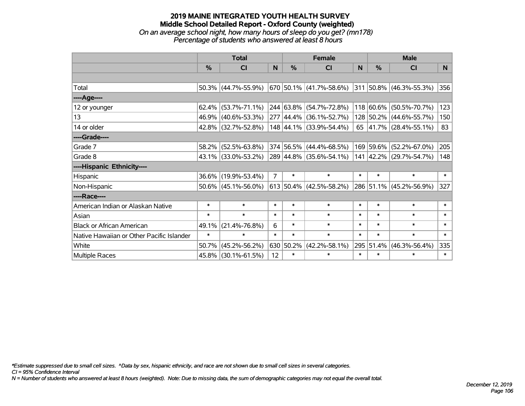# **2019 MAINE INTEGRATED YOUTH HEALTH SURVEY Middle School Detailed Report - Oxford County (weighted)** *On an average school night, how many hours of sleep do you get? (mn178) Percentage of students who answered at least 8 hours*

|                                           | <b>Total</b> |                        |                |               | <b>Female</b>                                    | <b>Male</b>  |           |                              |        |
|-------------------------------------------|--------------|------------------------|----------------|---------------|--------------------------------------------------|--------------|-----------|------------------------------|--------|
|                                           | %            | CI                     | N              | $\frac{0}{0}$ | <b>CI</b>                                        | <sub>N</sub> | %         | <b>CI</b>                    | N      |
|                                           |              |                        |                |               |                                                  |              |           |                              |        |
| Total                                     |              | $50.3\%$ (44.7%-55.9%) |                |               | 670 50.1% (41.7%-58.6%)                          |              |           | $ 311 50.8\% $ (46.3%-55.3%) | 356    |
| ----Age----                               |              |                        |                |               |                                                  |              |           |                              |        |
| 12 or younger                             | 62.4%        | $(53.7\% - 71.1\%)$    |                |               | 244 63.8% (54.7%-72.8%)                          |              | 118 60.6% | $(50.5\% - 70.7\%)$          | 123    |
| 13                                        | 46.9%        | $(40.6\% - 53.3\%)$    |                |               | $277 \mid 44.4\% \mid (36.1\% - 52.7\%)$         |              |           | 128 50.2% (44.6%-55.7%)      | 150    |
| 14 or older                               |              | 42.8% (32.7%-52.8%)    |                |               | 148 44.1% (33.9%-54.4%)                          |              |           | 65 $ 41.7\% $ (28.4%-55.1%)  | 83     |
| ----Grade----                             |              |                        |                |               |                                                  |              |           |                              |        |
| Grade 7                                   | 58.2%        | $(52.5\% - 63.8\%)$    |                |               | 374 56.5% (44.4%-68.5%)                          |              | 169 59.6% | $(52.2\% - 67.0\%)$          | 205    |
| Grade 8                                   |              | 43.1% (33.0%-53.2%)    |                |               | 289 44.8% (35.6%-54.1%)                          |              |           | 141 42.2% (29.7%-54.7%)      | 148    |
| ----Hispanic Ethnicity----                |              |                        |                |               |                                                  |              |           |                              |        |
| Hispanic                                  |              | 36.6% (19.9%-53.4%)    | $\overline{7}$ | $\ast$        | $\ast$                                           | $\ast$       | $\ast$    | $\ast$                       | $\ast$ |
| Non-Hispanic                              |              | $50.6\%$ (45.1%-56.0%) |                |               | $\vert 613 \vert 50.4\% \vert (42.5\% - 58.2\%)$ |              |           | 286 51.1% (45.2%-56.9%)      | 327    |
| ----Race----                              |              |                        |                |               |                                                  |              |           |                              |        |
| American Indian or Alaskan Native         | $\ast$       | $\ast$                 | $\ast$         | $\ast$        | $\ast$                                           | $\ast$       | $\ast$    | $\ast$                       | $\ast$ |
| Asian                                     | $\ast$       | $\ast$                 | $\ast$         | $\ast$        | $\ast$                                           | $\ast$       | $\ast$    | $\ast$                       | $\ast$ |
| <b>Black or African American</b>          | 49.1%        | $(21.4\% - 76.8\%)$    | 6              | $\ast$        | $\ast$                                           | $\ast$       | $\ast$    | $\ast$                       | $\ast$ |
| Native Hawaiian or Other Pacific Islander | $\ast$       | $\ast$                 | $\ast$         | $\ast$        | $\ast$                                           | $\ast$       | $\ast$    | $\ast$                       | $\ast$ |
| White                                     | 50.7%        | $(45.2\% - 56.2\%)$    |                | 630 50.2%     | $(42.2\% - 58.1\%)$                              | 295          | 51.4%     | $(46.3\% - 56.4\%)$          | 335    |
| Multiple Races                            |              | 45.8% (30.1%-61.5%)    | 12             | $\ast$        | $\ast$                                           | $\ast$       | $\ast$    | $\ast$                       | $\ast$ |

*\*Estimate suppressed due to small cell sizes. ^Data by sex, hispanic ethnicity, and race are not shown due to small cell sizes in several categories.*

*CI = 95% Confidence Interval*

*N = Number of students who answered at least 8 hours (weighted). Note: Due to missing data, the sum of demographic categories may not equal the overall total.*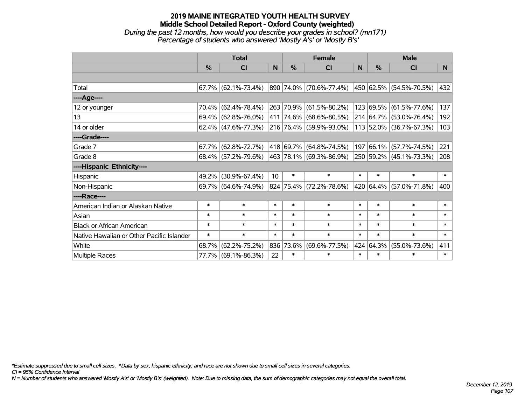# **2019 MAINE INTEGRATED YOUTH HEALTH SURVEY Middle School Detailed Report - Oxford County (weighted)** *During the past 12 months, how would you describe your grades in school? (mn171) Percentage of students who answered 'Mostly A's' or 'Mostly B's'*

|                                           | <b>Total</b>  |                        |        | <b>Female</b> | <b>Male</b>             |          |           |                         |                |
|-------------------------------------------|---------------|------------------------|--------|---------------|-------------------------|----------|-----------|-------------------------|----------------|
|                                           | $\frac{0}{0}$ | CI                     | N      | $\frac{0}{0}$ | <b>CI</b>               | <b>N</b> | %         | <b>CI</b>               | N <sub>1</sub> |
|                                           |               |                        |        |               |                         |          |           |                         |                |
| Total                                     |               | $67.7\%$ (62.1%-73.4%) |        |               | 890 74.0% (70.6%-77.4%) |          |           | 450 62.5% (54.5%-70.5%) | 432            |
| ----Age----                               |               |                        |        |               |                         |          |           |                         |                |
| 12 or younger                             | 70.4%         | $(62.4\% - 78.4\%)$    |        |               | 263 70.9% (61.5%-80.2%) |          | 123 69.5% | $(61.5\% - 77.6\%)$     | 137            |
| 13                                        |               | 69.4% (62.8%-76.0%)    |        |               | 411 74.6% (68.6%-80.5%) |          |           | 214 64.7% (53.0%-76.4%) | 192            |
| 14 or older                               |               | $62.4\%$ (47.6%-77.3%) |        |               | 216 76.4% (59.9%-93.0%) |          |           | 113 52.0% (36.7%-67.3%) | 103            |
| ----Grade----                             |               |                        |        |               |                         |          |           |                         |                |
| Grade 7                                   | $67.7\%$      | $(62.8\% - 72.7\%)$    |        |               | 418 69.7% (64.8%-74.5%) | 197      | 66.1%     | $(57.7\% - 74.5\%)$     | 221            |
| Grade 8                                   |               | $68.4\%$ (57.2%-79.6%) |        |               | 463 78.1% (69.3%-86.9%) |          |           | 250 59.2% (45.1%-73.3%) | 208            |
| ----Hispanic Ethnicity----                |               |                        |        |               |                         |          |           |                         |                |
| Hispanic                                  | 49.2%         | $(30.9\% - 67.4\%)$    | 10     | $\ast$        | $\ast$                  | $\ast$   | $\ast$    | $\ast$                  | $\ast$         |
| Non-Hispanic                              |               | 69.7% (64.6%-74.9%)    |        |               | 824 75.4% (72.2%-78.6%) |          |           | 420 64.4% (57.0%-71.8%) | 400            |
| ----Race----                              |               |                        |        |               |                         |          |           |                         |                |
| American Indian or Alaskan Native         | $\ast$        | $\ast$                 | $\ast$ | $\ast$        | $\ast$                  | $\ast$   | $\ast$    | $\ast$                  | $\ast$         |
| Asian                                     | $\ast$        | $\ast$                 | $\ast$ | $\ast$        | $\ast$                  | $\ast$   | $\ast$    | $\ast$                  | $\ast$         |
| <b>Black or African American</b>          | $\ast$        | $\ast$                 | $\ast$ | $\ast$        | $\ast$                  | $\ast$   | $\ast$    | $\ast$                  | $\ast$         |
| Native Hawaiian or Other Pacific Islander | $\ast$        | $\ast$                 | $\ast$ | $\ast$        | $\ast$                  | $\ast$   | $\ast$    | $\ast$                  | $\ast$         |
| White                                     | 68.7%         | $(62.2\% - 75.2\%)$    |        | 836 73.6%     | $(69.6\% - 77.5\%)$     | 424      | 64.3%     | $(55.0\% - 73.6\%)$     | 411            |
| <b>Multiple Races</b>                     |               | 77.7% (69.1%-86.3%)    | 22     | $\ast$        | $\ast$                  | $\ast$   | $\ast$    | $\ast$                  | $\ast$         |

*\*Estimate suppressed due to small cell sizes. ^Data by sex, hispanic ethnicity, and race are not shown due to small cell sizes in several categories.*

*CI = 95% Confidence Interval*

*N = Number of students who answered 'Mostly A's' or 'Mostly B's' (weighted). Note: Due to missing data, the sum of demographic categories may not equal the overall total.*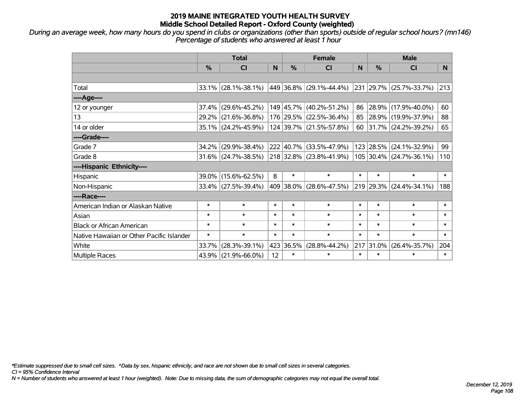*During an average week, how many hours do you spend in clubs or organizations (other than sports) outside of regular school hours? (mn146) Percentage of students who answered at least 1 hour*

|                                           | <b>Total</b> |                        |        |               | <b>Female</b>                | <b>Male</b> |               |                          |        |
|-------------------------------------------|--------------|------------------------|--------|---------------|------------------------------|-------------|---------------|--------------------------|--------|
|                                           | %            | <b>CI</b>              | N      | $\frac{0}{0}$ | <b>CI</b>                    | N           | $\frac{0}{0}$ | <b>CI</b>                | N.     |
|                                           |              |                        |        |               |                              |             |               |                          |        |
| Total                                     |              | $33.1\%$ (28.1%-38.1%) |        |               | 449   36.8%   (29.1%-44.4%)  |             |               | 231 29.7% (25.7%-33.7%)  | 213    |
| ----Age----                               |              |                        |        |               |                              |             |               |                          |        |
| 12 or younger                             | 37.4%        | $(29.6\% - 45.2\%)$    |        |               | 149 45.7% (40.2%-51.2%)      | 86          | 28.9%         | $(17.9\% - 40.0\%)$      | 60     |
| 13                                        |              | 29.2% (21.6%-36.8%)    |        |               | 176 29.5% (22.5%-36.4%)      | 85          |               | $ 28.9\% $ (19.9%-37.9%) | 88     |
| 14 or older                               |              | 35.1% (24.2%-45.9%)    |        |               | 124 39.7% (21.5%-57.8%)      | 60          |               | $ 31.7\% $ (24.2%-39.2%) | 65     |
| ----Grade----                             |              |                        |        |               |                              |             |               |                          |        |
| Grade 7                                   |              | 34.2% (29.9%-38.4%)    |        |               | 222 40.7% (33.5%-47.9%)      |             | 123 28.5%     | $(24.1\% - 32.9\%)$      | 99     |
| Grade 8                                   |              | $31.6\%$ (24.7%-38.5%) |        |               | $ 218 32.8\% $ (23.8%-41.9%) |             |               | 105 30.4% (24.7%-36.1%)  | 110    |
| ----Hispanic Ethnicity----                |              |                        |        |               |                              |             |               |                          |        |
| Hispanic                                  |              | 39.0% (15.6%-62.5%)    | 8      | $\ast$        | $\ast$                       | $\ast$      | $\ast$        | $\ast$                   | $\ast$ |
| Non-Hispanic                              |              | 33.4% (27.5%-39.4%)    |        |               | 409 38.0% (28.6%-47.5%)      |             | 219 29.3%     | $(24.4\% - 34.1\%)$      | 188    |
| ----Race----                              |              |                        |        |               |                              |             |               |                          |        |
| American Indian or Alaskan Native         | $\ast$       | $\ast$                 | $\ast$ | $\ast$        | $\ast$                       | $\ast$      | $\ast$        | $\ast$                   | $\ast$ |
| Asian                                     | $\ast$       | $\ast$                 | $\ast$ | $\ast$        | $\ast$                       | $\ast$      | $\ast$        | $\ast$                   | $\ast$ |
| <b>Black or African American</b>          | $\ast$       | $\ast$                 | $\ast$ | $\ast$        | $\ast$                       | $\ast$      | $\ast$        | $\ast$                   | $\ast$ |
| Native Hawaiian or Other Pacific Islander | $\ast$       | $\ast$                 | $\ast$ | $\ast$        | $\ast$                       | $\ast$      | $\ast$        | $\ast$                   | $\ast$ |
| White                                     | 33.7%        | $(28.3\% - 39.1\%)$    |        | 423 36.5%     | $(28.8\% - 44.2\%)$          | 217         | 31.0%         | $(26.4\% - 35.7\%)$      | 204    |
| Multiple Races                            |              | $43.9\%$ (21.9%-66.0%) | 12     | $\ast$        | $\ast$                       | $\ast$      | $\ast$        | $\ast$                   | $\ast$ |

*\*Estimate suppressed due to small cell sizes. ^Data by sex, hispanic ethnicity, and race are not shown due to small cell sizes in several categories.*

*CI = 95% Confidence Interval*

*N = Number of students who answered at least 1 hour (weighted). Note: Due to missing data, the sum of demographic categories may not equal the overall total.*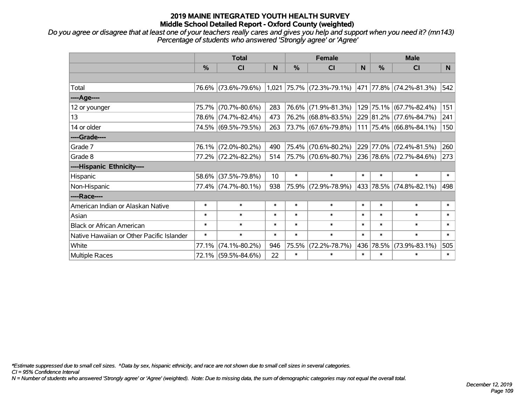*Do you agree or disagree that at least one of your teachers really cares and gives you help and support when you need it? (mn143) Percentage of students who answered 'Strongly agree' or 'Agree'*

|                                           | <b>Total</b>  |                     |        | <b>Female</b> |                             |        | <b>Male</b>   |                         |        |
|-------------------------------------------|---------------|---------------------|--------|---------------|-----------------------------|--------|---------------|-------------------------|--------|
|                                           | $\frac{0}{0}$ | <b>CI</b>           | N      | %             | <b>CI</b>                   | N      | $\frac{0}{0}$ | <b>CI</b>               | N.     |
|                                           |               |                     |        |               |                             |        |               |                         |        |
| Total                                     |               | 76.6% (73.6%-79.6%) |        |               | $1,021$ 75.7% (72.3%-79.1%) | 471    |               | $77.8\%$ (74.2%-81.3%)  | 542    |
| ---- Age----                              |               |                     |        |               |                             |        |               |                         |        |
| 12 or younger                             | 75.7%         | $(70.7\% - 80.6\%)$ | 283    | 76.6%         | $(71.9\% - 81.3\%)$         |        |               | 129 75.1% (67.7%-82.4%) | 151    |
| 13                                        |               | 78.6% (74.7%-82.4%) | 473    | 76.2%         | $(68.8\% - 83.5\%)$         |        |               | 229 81.2% (77.6%-84.7%) | 241    |
| 14 or older                               |               | 74.5% (69.5%-79.5%) | 263    |               | 73.7% (67.6%-79.8%)         |        |               | 111 75.4% (66.8%-84.1%) | 150    |
| ----Grade----                             |               |                     |        |               |                             |        |               |                         |        |
| Grade 7                                   | 76.1%         | $(72.0\% - 80.2\%)$ | 490    | 75.4%         | $(70.6\% - 80.2\%)$         |        |               | 229 77.0% (72.4%-81.5%) | 260    |
| Grade 8                                   |               | 77.2% (72.2%-82.2%) | 514    |               | $ 75.7\% $ (70.6%-80.7%)    |        |               | 236 78.6% (72.7%-84.6%) | 273    |
| ----Hispanic Ethnicity----                |               |                     |        |               |                             |        |               |                         |        |
| Hispanic                                  | 58.6%         | $(37.5\% - 79.8\%)$ | 10     | $\ast$        | $\ast$                      | $\ast$ | $\ast$        | $\ast$                  | $\ast$ |
| Non-Hispanic                              |               | 77.4% (74.7%-80.1%) | 938    |               | 75.9% (72.9%-78.9%)         |        |               | 433 78.5% (74.8%-82.1%) | 498    |
| ----Race----                              |               |                     |        |               |                             |        |               |                         |        |
| American Indian or Alaskan Native         | $\ast$        | $\ast$              | $\ast$ | $\ast$        | $\ast$                      | $\ast$ | $\ast$        | $\ast$                  | $\ast$ |
| Asian                                     | $\ast$        | $\ast$              | $\ast$ | $\ast$        | $\ast$                      | $\ast$ | $\ast$        | $\ast$                  | $\ast$ |
| <b>Black or African American</b>          | $\ast$        | $\ast$              | $\ast$ | $\ast$        | $\ast$                      | $\ast$ | $\ast$        | $\ast$                  | $\ast$ |
| Native Hawaiian or Other Pacific Islander | $\ast$        | $\ast$              | $\ast$ | $\ast$        | $\ast$                      | $\ast$ | $\ast$        | $\ast$                  | $\ast$ |
| White                                     | 77.1%         | $(74.1\% - 80.2\%)$ | 946    | 75.5%         | $(72.2\% - 78.7\%)$         |        | 436 78.5%     | $(73.9\% - 83.1\%)$     | 505    |
| Multiple Races                            |               | 72.1% (59.5%-84.6%) | 22     | $\ast$        | $\ast$                      | $\ast$ | $\ast$        | $\ast$                  | $\ast$ |

*\*Estimate suppressed due to small cell sizes. ^Data by sex, hispanic ethnicity, and race are not shown due to small cell sizes in several categories.*

*CI = 95% Confidence Interval*

*N = Number of students who answered 'Strongly agree' or 'Agree' (weighted). Note: Due to missing data, the sum of demographic categories may not equal the overall total.*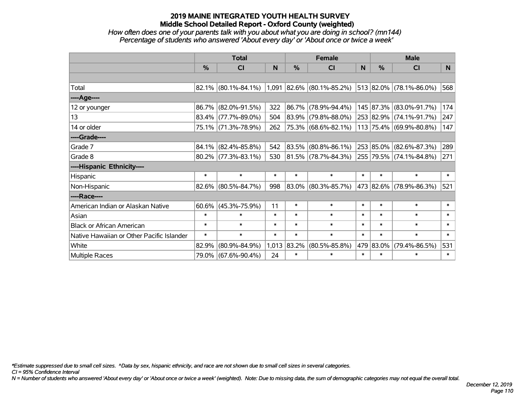## *How often does one of your parents talk with you about what you are doing in school? (mn144) Percentage of students who answered 'About every day' or 'About once or twice a week'*

|                                           | <b>Total</b> |                        |        | <b>Female</b> |                                                     |        | <b>Male</b>   |                         |                |
|-------------------------------------------|--------------|------------------------|--------|---------------|-----------------------------------------------------|--------|---------------|-------------------------|----------------|
|                                           | %            | CI                     | N      | %             | <b>CI</b>                                           | N      | $\frac{0}{0}$ | <b>CI</b>               | N <sub>1</sub> |
|                                           |              |                        |        |               |                                                     |        |               |                         |                |
| Total                                     |              | $82.1\%$ (80.1%-84.1%) |        |               | $1,091$ 82.6% (80.1%-85.2%) 513 82.0% (78.1%-86.0%) |        |               |                         | 568            |
| ----Age----                               |              |                        |        |               |                                                     |        |               |                         |                |
| 12 or younger                             | 86.7%        | $(82.0\% - 91.5\%)$    | 322    | 86.7%         | $(78.9\% - 94.4\%)$                                 |        |               | 145 87.3% (83.0%-91.7%) | 174            |
| 13                                        |              | 83.4% (77.7%-89.0%)    | 504    | 83.9%         | $(79.8\% - 88.0\%)$                                 |        |               | 253 82.9% (74.1%-91.7%) | 247            |
| 14 or older                               |              | 75.1% (71.3%-78.9%)    | 262    |               | 75.3% (68.6%-82.1%)                                 |        |               | 113 75.4% (69.9%-80.8%) | 147            |
| ----Grade----                             |              |                        |        |               |                                                     |        |               |                         |                |
| Grade 7                                   | 84.1%        | $(82.4\% - 85.8\%)$    | 542    | 83.5%         | $(80.8\% - 86.1\%)$                                 | 253    |               | 85.0% (82.6%-87.3%)     | 289            |
| Grade 8                                   |              | $80.2\%$ (77.3%-83.1%) | 530    |               | 81.5% (78.7%-84.3%)                                 |        |               | 255 79.5% (74.1%-84.8%) | 271            |
| ----Hispanic Ethnicity----                |              |                        |        |               |                                                     |        |               |                         |                |
| Hispanic                                  | $\ast$       | $\ast$                 | $\ast$ | $\ast$        | $\ast$                                              | $\ast$ | $\ast$        | $\ast$                  | $\ast$         |
| Non-Hispanic                              |              | $82.6\%$ (80.5%-84.7%) | 998    |               | 83.0% (80.3%-85.7%)                                 |        |               | 473 82.6% (78.9%-86.3%) | 521            |
| ----Race----                              |              |                        |        |               |                                                     |        |               |                         |                |
| American Indian or Alaskan Native         | 60.6%        | $(45.3\% - 75.9\%)$    | 11     | $\ast$        | $\ast$                                              | $\ast$ | $\ast$        | $\ast$                  | $\ast$         |
| Asian                                     | $\ast$       | $\ast$                 | $\ast$ | $\ast$        | $\ast$                                              | $\ast$ | $\ast$        | $\ast$                  | $\ast$         |
| <b>Black or African American</b>          | $\ast$       | $\ast$                 | $\ast$ | $\ast$        | $\ast$                                              | $\ast$ | $\ast$        | $\ast$                  | $\ast$         |
| Native Hawaiian or Other Pacific Islander | $\ast$       | $\ast$                 | $\ast$ | $\ast$        | $\ast$                                              | $\ast$ | $\ast$        | $\ast$                  | $\ast$         |
| White                                     | 82.9%        | $(80.9\% - 84.9\%)$    |        | 1,013 83.2%   | $(80.5\% - 85.8\%)$                                 | 479    | 83.0%         | $(79.4\% - 86.5\%)$     | 531            |
| <b>Multiple Races</b>                     | 79.0%        | $(67.6\% - 90.4\%)$    | 24     | $\ast$        | $\ast$                                              | $\ast$ | $\ast$        | $\ast$                  | $\ast$         |

*\*Estimate suppressed due to small cell sizes. ^Data by sex, hispanic ethnicity, and race are not shown due to small cell sizes in several categories.*

*CI = 95% Confidence Interval*

*N = Number of students who answered 'About every day' or 'About once or twice a week' (weighted). Note: Due to missing data, the sum of demographic categories may not equal the overall total.*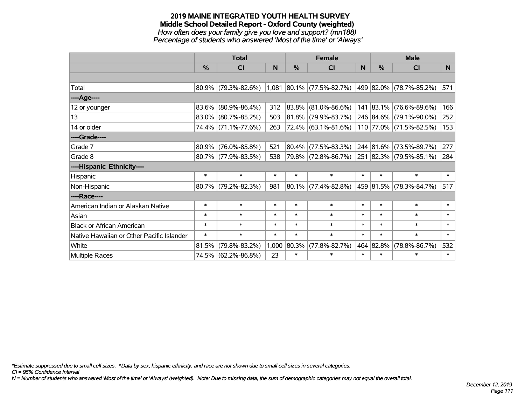#### **2019 MAINE INTEGRATED YOUTH HEALTH SURVEY Middle School Detailed Report - Oxford County (weighted)** *How often does your family give you love and support? (mn188) Percentage of students who answered 'Most of the time' or 'Always'*

|                                           | <b>Total</b>  |                        |        |        | <b>Female</b>               |        | <b>Male</b> |                         |        |
|-------------------------------------------|---------------|------------------------|--------|--------|-----------------------------|--------|-------------|-------------------------|--------|
|                                           | $\frac{0}{0}$ | CI                     | N      | %      | <b>CI</b>                   | N      | %           | <b>CI</b>               | N.     |
|                                           |               |                        |        |        |                             |        |             |                         |        |
| Total                                     |               | $80.9\%$ (79.3%-82.6%) |        |        | $1,081$ 80.1% (77.5%-82.7%) |        |             | 499 82.0% (78.7%-85.2%) | 571    |
| ----Age----                               |               |                        |        |        |                             |        |             |                         |        |
| 12 or younger                             | 83.6%         | $(80.9\% - 86.4\%)$    | 312    | 83.8%  | $(81.0\% - 86.6\%)$         |        |             | 141 83.1% (76.6%-89.6%) | 166    |
| 13                                        |               | 83.0% (80.7%-85.2%)    | 503    | 81.8%  | $(79.9\% - 83.7\%)$         |        |             | 246 84.6% (79.1%-90.0%) | 252    |
| 14 or older                               |               | 74.4% (71.1%-77.6%)    | 263    |        | 72.4% (63.1%-81.6%)         |        |             | 110 77.0% (71.5%-82.5%) | 153    |
| ----Grade----                             |               |                        |        |        |                             |        |             |                         |        |
| Grade 7                                   | 80.9%         | $(76.0\% - 85.8\%)$    | 521    | 80.4%  | $(77.5\% - 83.3\%)$         |        |             | 244 81.6% (73.5%-89.7%) | 277    |
| Grade 8                                   |               | 80.7% (77.9%-83.5%)    | 538    |        | 79.8% (72.8%-86.7%)         |        |             | 251 82.3% (79.5%-85.1%) | 284    |
| ----Hispanic Ethnicity----                |               |                        |        |        |                             |        |             |                         |        |
| Hispanic                                  | $\ast$        | $\ast$                 | $\ast$ | $\ast$ | $\ast$                      | $\ast$ | $\ast$      | $\ast$                  | $\ast$ |
| Non-Hispanic                              |               | 80.7% (79.2%-82.3%)    | 981    |        | $80.1\%$ (77.4%-82.8%)      |        |             | 459 81.5% (78.3%-84.7%) | 517    |
| ----Race----                              |               |                        |        |        |                             |        |             |                         |        |
| American Indian or Alaskan Native         | $\ast$        | $\ast$                 | $\ast$ | $\ast$ | $\ast$                      | $\ast$ | $\ast$      | $\ast$                  | $\ast$ |
| Asian                                     | $\ast$        | $\ast$                 | $\ast$ | $\ast$ | $\ast$                      | $\ast$ | $\ast$      | $\ast$                  | $\ast$ |
| <b>Black or African American</b>          | $\ast$        | $\ast$                 | $\ast$ | $\ast$ | $\ast$                      | $\ast$ | $\ast$      | $\ast$                  | $\ast$ |
| Native Hawaiian or Other Pacific Islander | $\ast$        | $\ast$                 | $\ast$ | $\ast$ | $\ast$                      | $\ast$ | $\ast$      | $\ast$                  | $\ast$ |
| White                                     | 81.5%         | $(79.8\% - 83.2\%)$    | 1,000  | 80.3%  | $(77.8\% - 82.7\%)$         |        | 464 82.8%   | $(78.8\% - 86.7\%)$     | 532    |
| Multiple Races                            |               | 74.5% (62.2%-86.8%)    | 23     | $\ast$ | $\ast$                      | $\ast$ | $\ast$      | $\ast$                  | $\ast$ |

*\*Estimate suppressed due to small cell sizes. ^Data by sex, hispanic ethnicity, and race are not shown due to small cell sizes in several categories.*

*CI = 95% Confidence Interval*

*N = Number of students who answered 'Most of the time' or 'Always' (weighted). Note: Due to missing data, the sum of demographic categories may not equal the overall total.*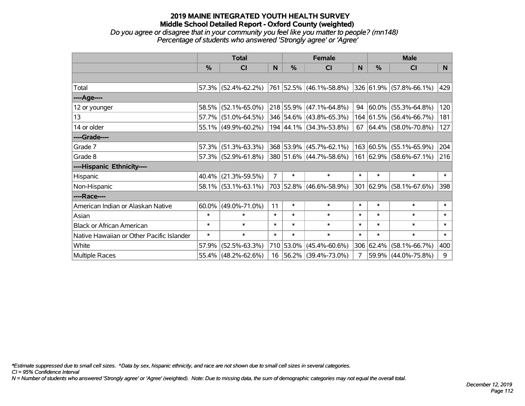*Do you agree or disagree that in your community you feel like you matter to people? (mn148) Percentage of students who answered 'Strongly agree' or 'Agree'*

|                                           | <b>Total</b>  |                                                |                | <b>Female</b> |                           |        | <b>Male</b> |                            |          |
|-------------------------------------------|---------------|------------------------------------------------|----------------|---------------|---------------------------|--------|-------------|----------------------------|----------|
|                                           | $\frac{0}{0}$ | CI                                             | N              | $\%$          | CI                        | N      | %           | <b>CI</b>                  | <b>N</b> |
|                                           |               |                                                |                |               |                           |        |             |                            |          |
| Total                                     |               | $57.3\%$ (52.4%-62.2%) 761 52.5% (46.1%-58.8%) |                |               |                           |        |             | 326 61.9% (57.8%-66.1%)    | 429      |
| ----Age----                               |               |                                                |                |               |                           |        |             |                            |          |
| 12 or younger                             |               | 58.5% (52.1%-65.0%)                            |                |               | $218$ 55.9% (47.1%-64.8%) | 94     | 60.0%       | $(55.3\% - 64.8\%)$        | 120      |
| 13                                        |               | 57.7% (51.0%-64.5%)                            |                |               | 346 54.6% (43.8%-65.3%)   |        |             | 164 61.5% (56.4%-66.7%)    | 181      |
| 14 or older                               |               | 55.1% (49.9%-60.2%)                            |                |               | 194 44.1% (34.3%-53.8%)   |        |             | 67   64.4%   (58.0%-70.8%) | 127      |
| ----Grade----                             |               |                                                |                |               |                           |        |             |                            |          |
| Grade 7                                   | 57.3%         | $(51.3\% - 63.3\%)$                            |                |               | 368 53.9% (45.7%-62.1%)   |        | 163 60.5%   | $(55.1\% - 65.9\%)$        | 204      |
| Grade 8                                   |               | $57.3\%$ (52.9%-61.8%)                         |                |               | 380 51.6% (44.7%-58.6%)   |        |             | 161 62.9% (58.6%-67.1%)    | 216      |
| ----Hispanic Ethnicity----                |               |                                                |                |               |                           |        |             |                            |          |
| Hispanic                                  | $40.4\%$      | $(21.3\% - 59.5\%)$                            | $\overline{7}$ | $\ast$        | $\ast$                    | $\ast$ | $\ast$      | $\ast$                     | $\ast$   |
| Non-Hispanic                              |               | 58.1% (53.1%-63.1%)                            |                |               | 703 52.8% (46.6%-58.9%)   |        |             | 301 62.9% (58.1%-67.6%)    | 398      |
| ----Race----                              |               |                                                |                |               |                           |        |             |                            |          |
| American Indian or Alaskan Native         | $60.0\%$      | $(49.0\% - 71.0\%)$                            | 11             | $\ast$        | $\ast$                    | $\ast$ | $\ast$      | $\ast$                     | $\ast$   |
| Asian                                     | $\ast$        | $\ast$                                         | $\ast$         | $\ast$        | $\ast$                    | $\ast$ | $\ast$      | $\ast$                     | $\ast$   |
| <b>Black or African American</b>          | $\ast$        | $\ast$                                         | $\ast$         | $\ast$        | $\ast$                    | $\ast$ | $\ast$      | $\ast$                     | $\ast$   |
| Native Hawaiian or Other Pacific Islander | $\ast$        | $\ast$                                         | $\ast$         | $\ast$        | $\ast$                    | $\ast$ | $\ast$      | $\ast$                     | $\ast$   |
| White                                     | 57.9%         | $(52.5\% - 63.3\%)$                            |                |               | 710 53.0% (45.4%-60.6%)   |        | 306 62.4%   | $(58.1\% - 66.7\%)$        | 400      |
| <b>Multiple Races</b>                     |               | 55.4% (48.2%-62.6%)                            |                |               | 16 56.2% (39.4%-73.0%)    | 7      |             | 59.9% (44.0%-75.8%)        | 9        |

*\*Estimate suppressed due to small cell sizes. ^Data by sex, hispanic ethnicity, and race are not shown due to small cell sizes in several categories.*

*CI = 95% Confidence Interval*

*N = Number of students who answered 'Strongly agree' or 'Agree' (weighted). Note: Due to missing data, the sum of demographic categories may not equal the overall total.*